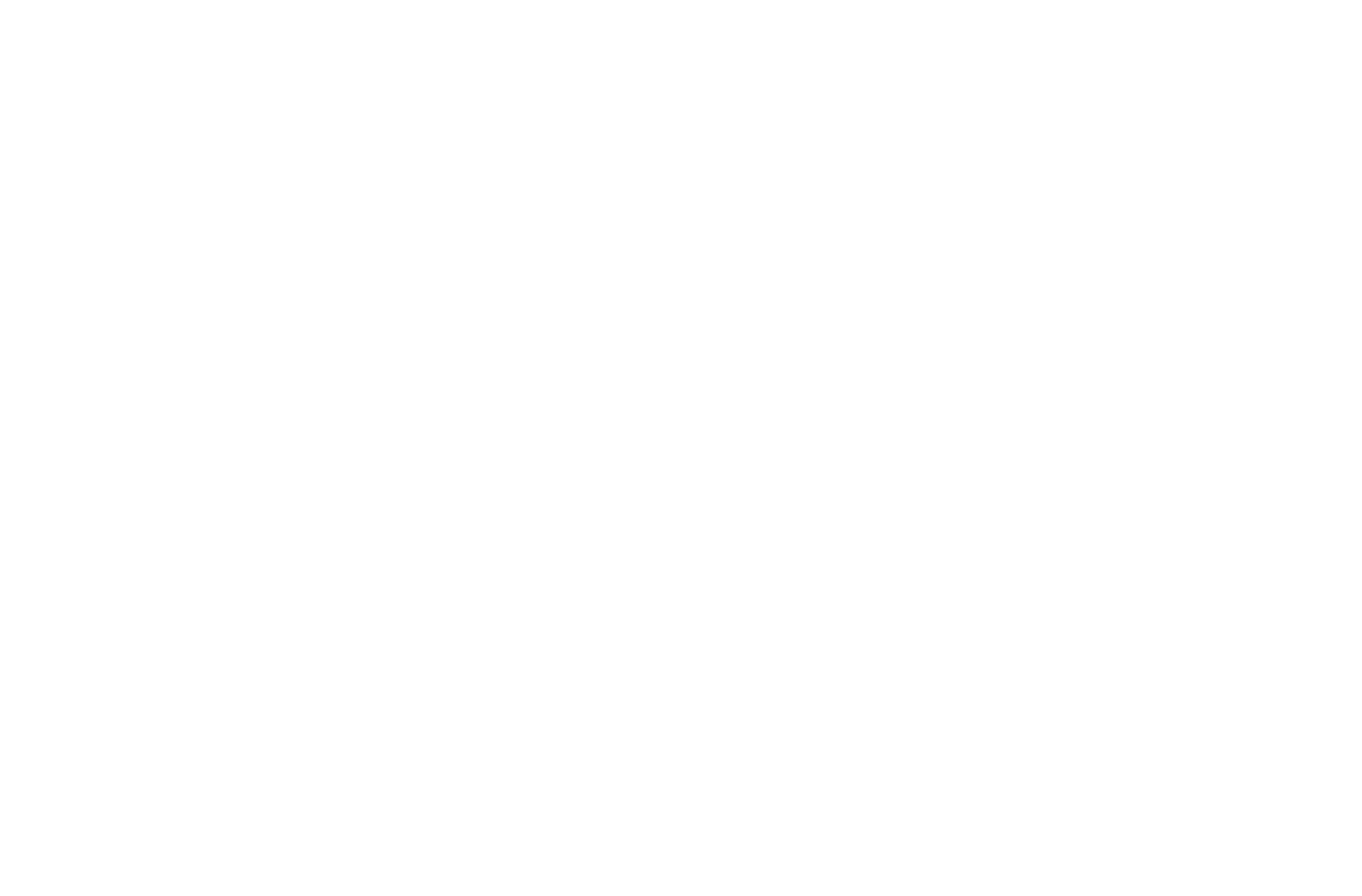# **STELUX**

**第2页:图1.** 1.名

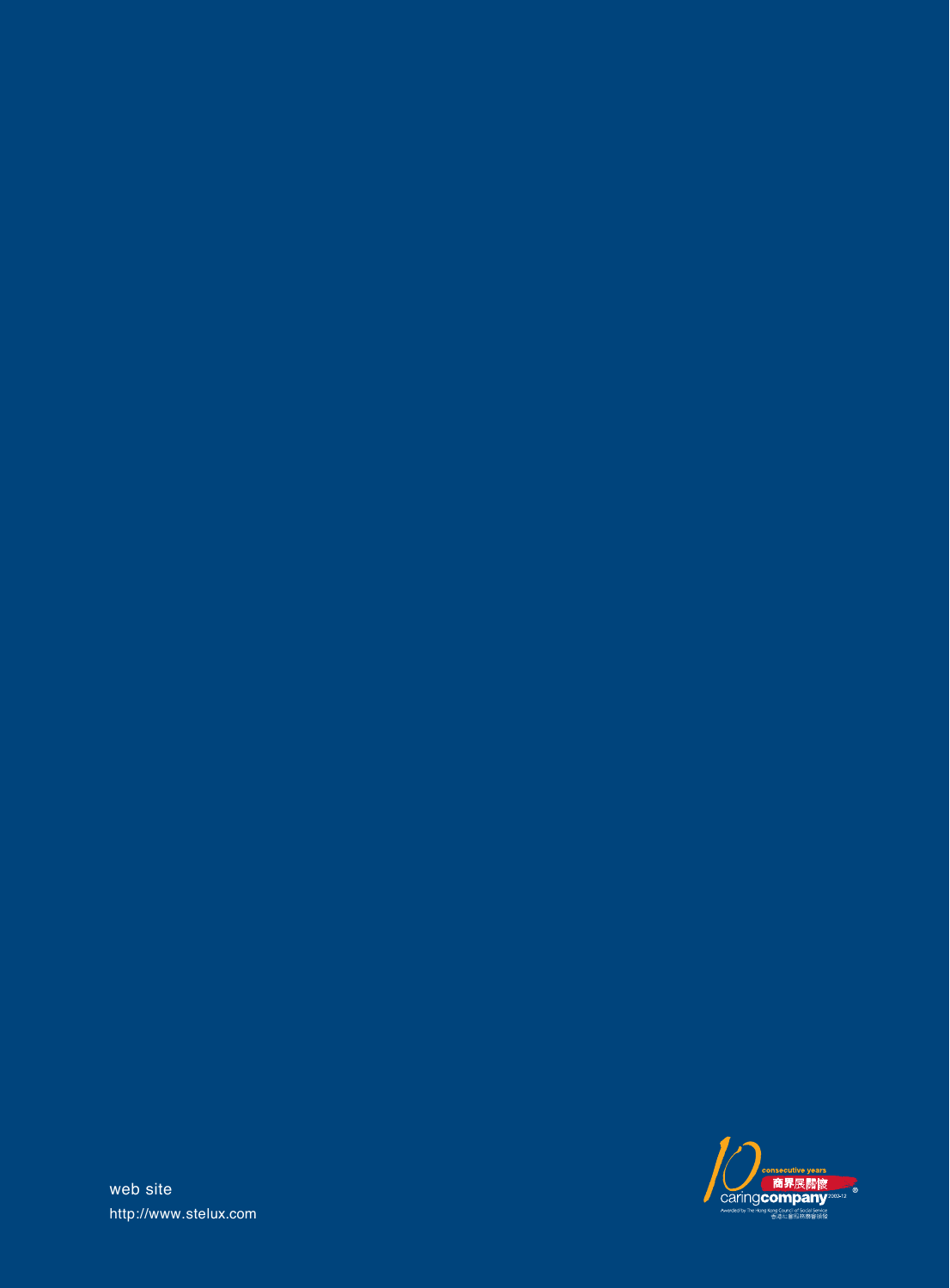

web site http://www.stelux.com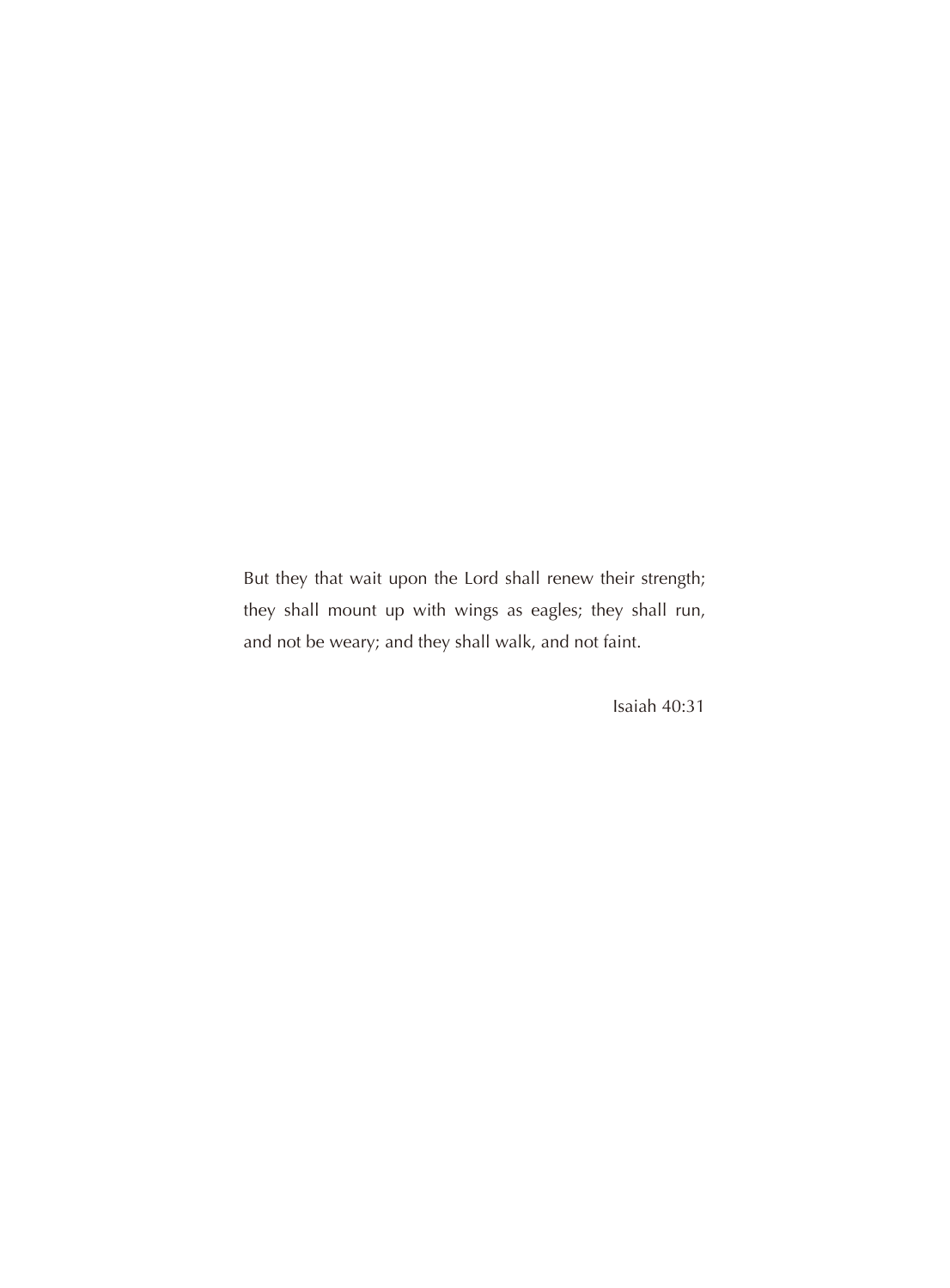But they that wait upon the Lord shall renew their strength; they shall mount up with wings as eagles; they shall run, and not be weary; and they shall walk, and not faint.

Isaiah 40:31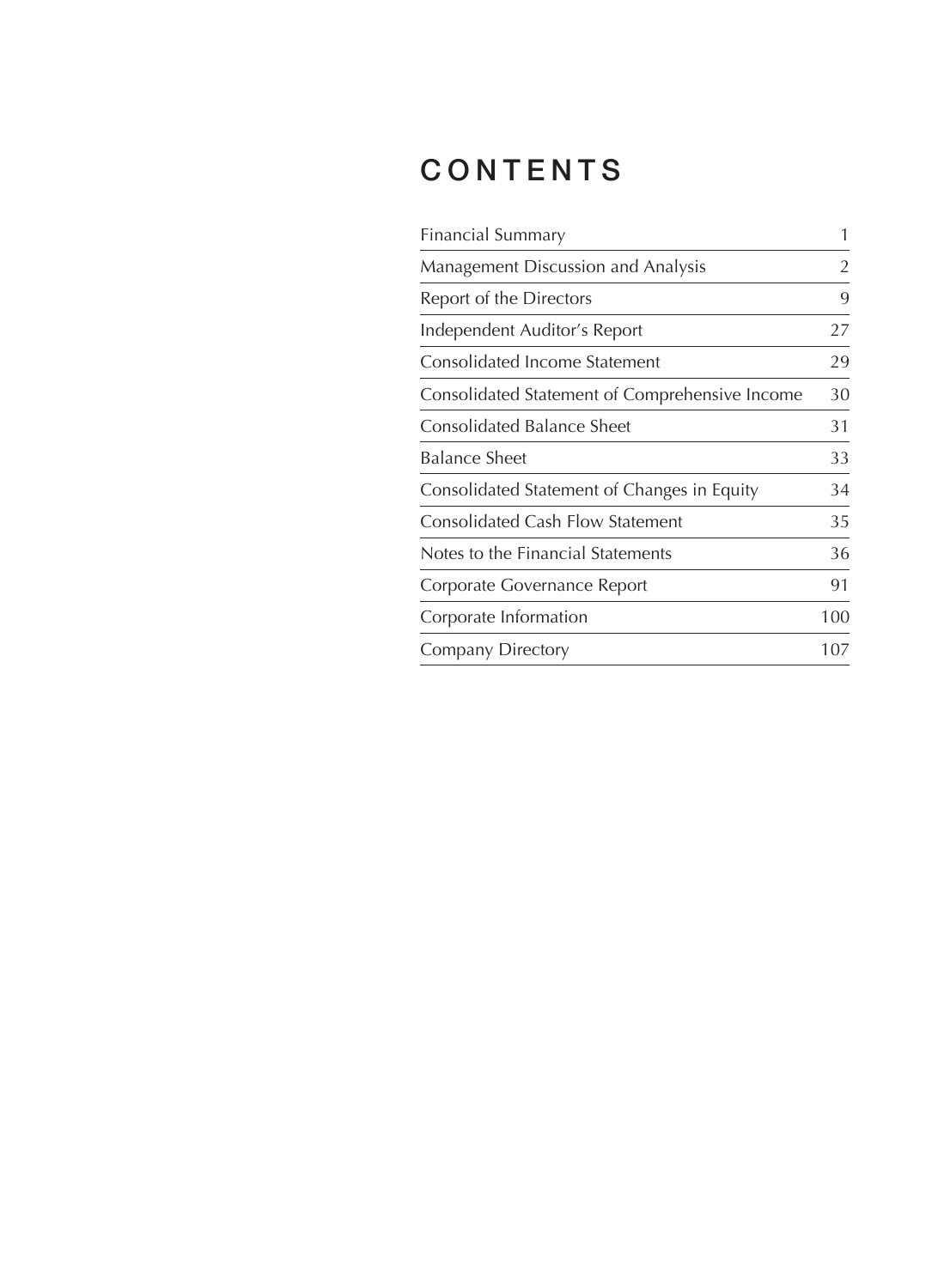# **CONTENTS**

| <b>Financial Summary</b>                       | 1   |
|------------------------------------------------|-----|
| Management Discussion and Analysis             | 2   |
| Report of the Directors                        | 9   |
| Independent Auditor's Report                   | 27  |
| <b>Consolidated Income Statement</b>           | 29  |
| Consolidated Statement of Comprehensive Income | 30  |
| <b>Consolidated Balance Sheet</b>              | 31  |
| <b>Balance Sheet</b>                           | 33  |
| Consolidated Statement of Changes in Equity    | 34  |
| <b>Consolidated Cash Flow Statement</b>        | 35  |
| Notes to the Financial Statements              | 36  |
| Corporate Governance Report                    | 91  |
| Corporate Information                          | 100 |
| Company Directory                              | 107 |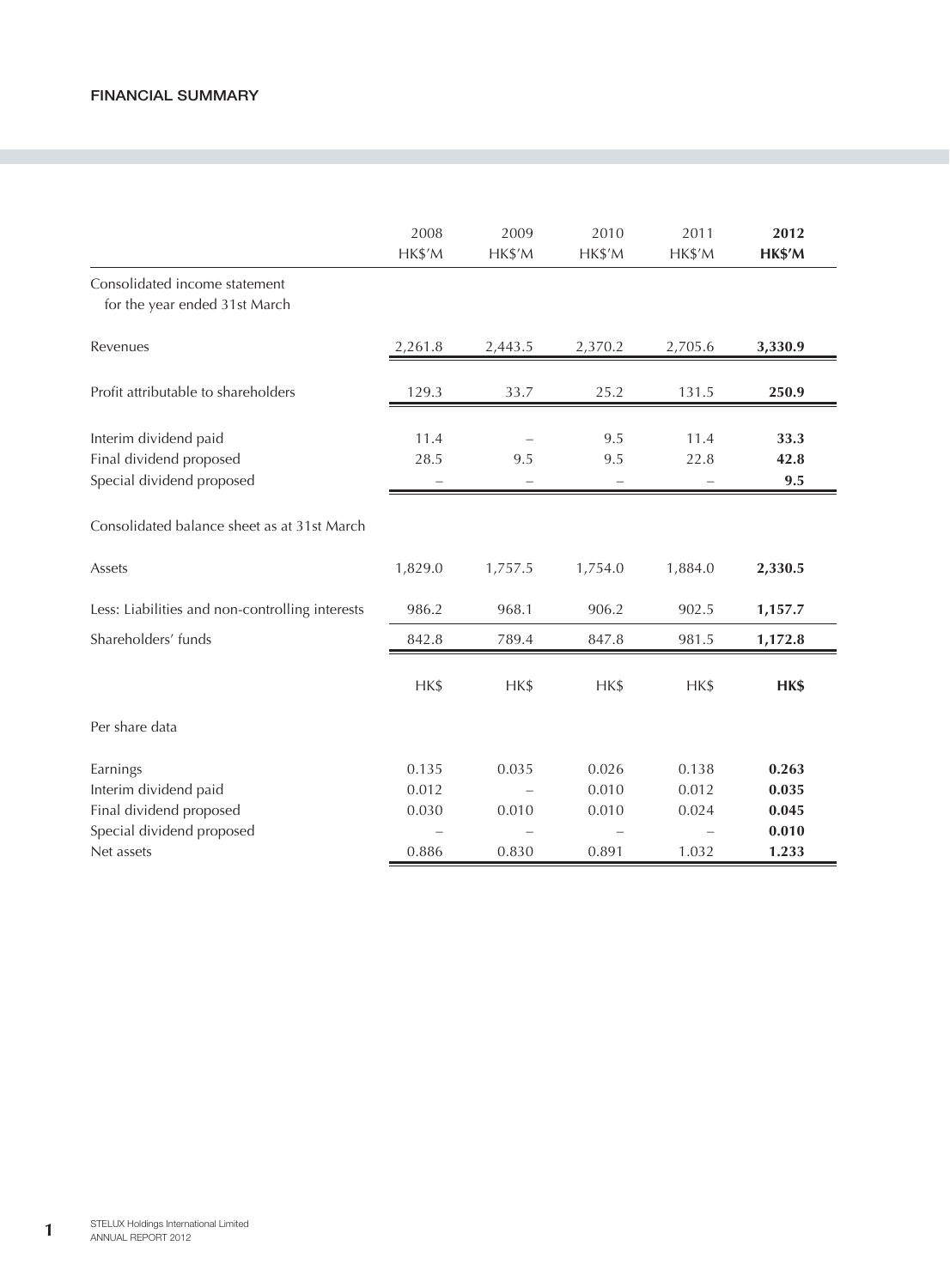|                                                                                           | 2008<br>HK\$'M          | 2009<br>HK\$'M | 2010<br>HK\$'M          | 2011<br>HK\$'M          | 2012<br>HK\$'M                   |
|-------------------------------------------------------------------------------------------|-------------------------|----------------|-------------------------|-------------------------|----------------------------------|
| Consolidated income statement<br>for the year ended 31st March                            |                         |                |                         |                         |                                  |
| Revenues                                                                                  | 2,261.8                 | 2,443.5        | 2,370.2                 | 2,705.6                 | 3,330.9                          |
| Profit attributable to shareholders                                                       | 129.3                   | 33.7           | 25.2                    | 131.5                   | 250.9                            |
| Interim dividend paid<br>Final dividend proposed<br>Special dividend proposed             | 11.4<br>28.5            | 9.5            | 9.5<br>9.5              | 11.4<br>22.8            | 33.3<br>42.8<br>9.5              |
| Consolidated balance sheet as at 31st March                                               |                         |                |                         |                         |                                  |
| Assets                                                                                    | 1,829.0                 | 1,757.5        | 1,754.0                 | 1,884.0                 | 2,330.5                          |
| Less: Liabilities and non-controlling interests                                           | 986.2                   | 968.1          | 906.2                   | 902.5                   | 1,157.7                          |
| Shareholders' funds                                                                       | 842.8                   | 789.4          | 847.8                   | 981.5                   | 1,172.8                          |
|                                                                                           | HK\$                    | HK\$           | HK\$                    | HK\$                    | HK\$                             |
| Per share data                                                                            |                         |                |                         |                         |                                  |
| Earnings<br>Interim dividend paid<br>Final dividend proposed<br>Special dividend proposed | 0.135<br>0.012<br>0.030 | 0.035<br>0.010 | 0.026<br>0.010<br>0.010 | 0.138<br>0.012<br>0.024 | 0.263<br>0.035<br>0.045<br>0.010 |
| Net assets                                                                                | 0.886                   | 0.830          | 0.891                   | 1.032                   | 1.233                            |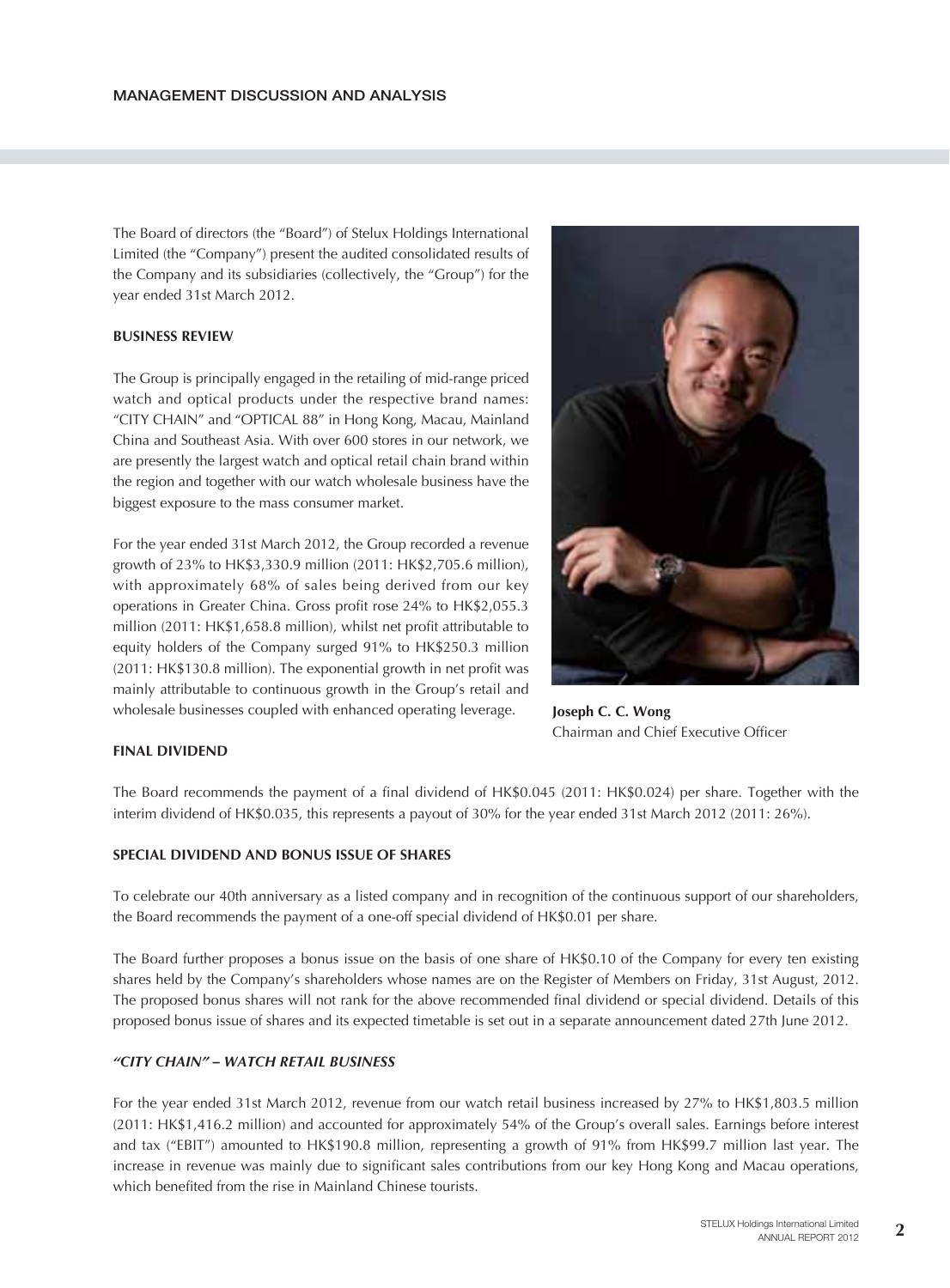The Board of directors (the "Board") of Stelux Holdings International Limited (the "Company") present the audited consolidated results of the Company and its subsidiaries (collectively, the "Group") for the year ended 31st March 2012.

#### **BUSINESS REVIEW**

The Group is principally engaged in the retailing of mid-range priced watch and optical products under the respective brand names: "CITY CHAIN" and "OPTICAL 88" in Hong Kong, Macau, Mainland China and Southeast Asia. With over 600 stores in our network, we are presently the largest watch and optical retail chain brand within the region and together with our watch wholesale business have the biggest exposure to the mass consumer market.

For the year ended 31st March 2012, the Group recorded a revenue growth of 23% to HK\$3,330.9 million (2011: HK\$2,705.6 million), with approximately 68% of sales being derived from our key operations in Greater China. Gross profit rose 24% to HK\$2,055.3 million (2011: HK\$1,658.8 million), whilst net profit attributable to equity holders of the Company surged 91% to HK\$250.3 million  $(2011:HK$130.8 million)$ . The exponential growth in net profit was mainly attributable to continuous growth in the Group's retail and wholesale businesses coupled with enhanced operating leverage.



**Joseph C. C. Wong**  Chairman and Chief Executive Officer

#### **FINAL DIVIDEND**

The Board recommends the payment of a final dividend of HK\$0.045 (2011: HK\$0.024) per share. Together with the interim dividend of HK\$0.035, this represents a payout of 30% for the year ended 31st March 2012 (2011: 26%).

## **SPECIAL DIVIDEND AND BONUS ISSUE OF SHARES**

To celebrate our 40th anniversary as a listed company and in recognition of the continuous support of our shareholders, the Board recommends the payment of a one-off special dividend of HK\$0.01 per share.

The Board further proposes a bonus issue on the basis of one share of HK\$0.10 of the Company for every ten existing shares held by the Company's shareholders whose names are on the Register of Members on Friday, 31st August, 2012. The proposed bonus shares will not rank for the above recommended final dividend or special dividend. Details of this proposed bonus issue of shares and its expected timetable is set out in a separate announcement dated 27th June 2012.

#### *"CITY CHAIN" – WATCH RETAIL BUSINESS*

For the year ended 31st March 2012, revenue from our watch retail business increased by 27% to HK\$1,803.5 million (2011: HK\$1,416.2 million) and accounted for approximately 54% of the Group's overall sales. Earnings before interest and tax ("EBIT") amounted to HK\$190.8 million, representing a growth of 91% from HK\$99.7 million last year. The increase in revenue was mainly due to significant sales contributions from our key Hong Kong and Macau operations, which benefited from the rise in Mainland Chinese tourists.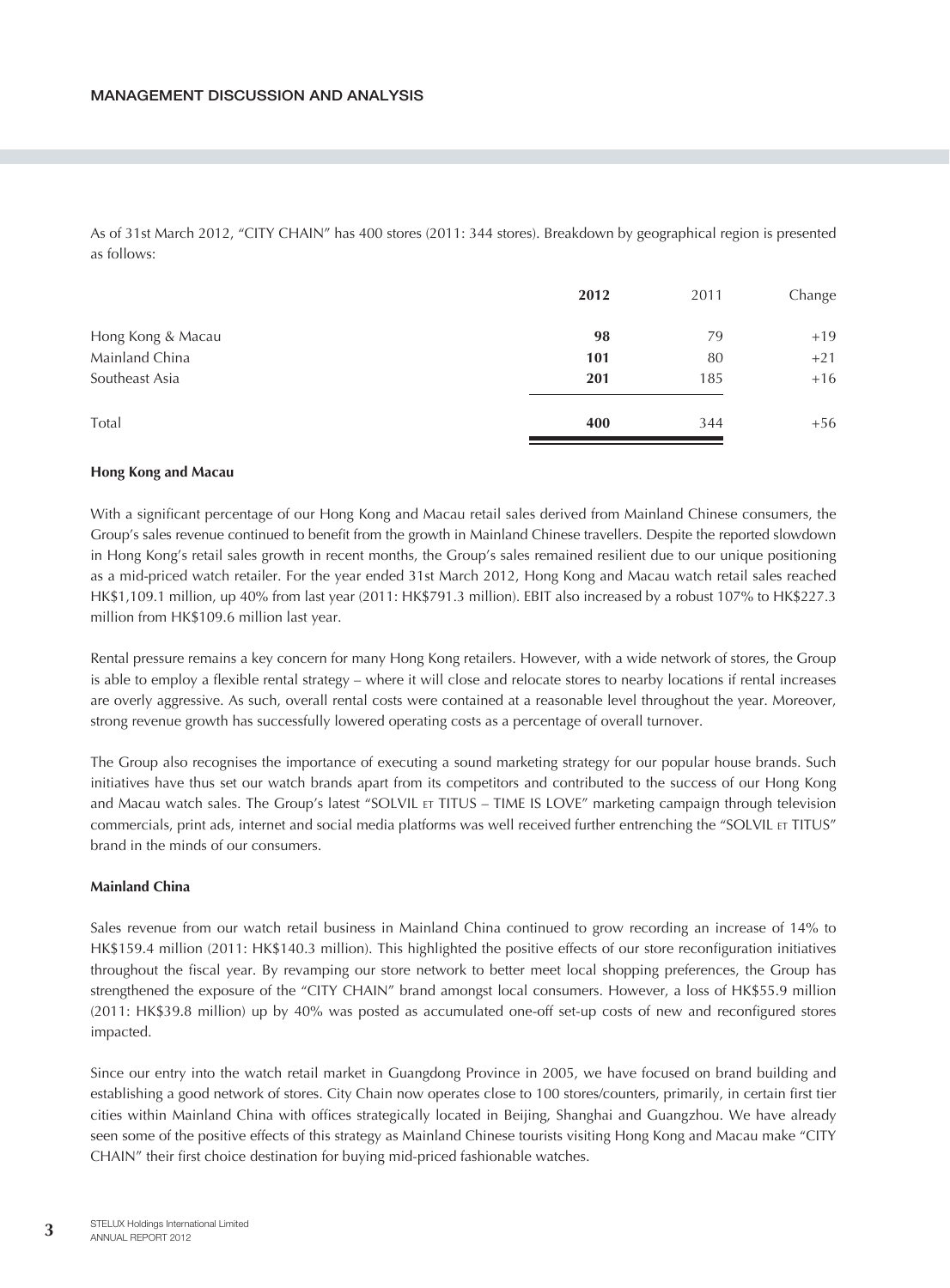As of 31st March 2012, "CITY CHAIN" has 400 stores (2011: 344 stores). Breakdown by geographical region is presented as follows:

|                   | 2012 | 2011 | Change |
|-------------------|------|------|--------|
| Hong Kong & Macau | 98   | 79   | $+19$  |
| Mainland China    | 101  | 80   | $+21$  |
| Southeast Asia    | 201  | 185  | $+16$  |
| Total             | 400  | 344  | $+56$  |

#### **Hong Kong and Macau**

With a significant percentage of our Hong Kong and Macau retail sales derived from Mainland Chinese consumers, the Group's sales revenue continued to benefit from the growth in Mainland Chinese travellers. Despite the reported slowdown in Hong Kong's retail sales growth in recent months, the Group's sales remained resilient due to our unique positioning as a mid-priced watch retailer. For the year ended 31st March 2012, Hong Kong and Macau watch retail sales reached HK\$1,109.1 million, up 40% from last year (2011: HK\$791.3 million). EBIT also increased by a robust 107% to HK\$227.3 million from HK\$109.6 million last year.

Rental pressure remains a key concern for many Hong Kong retailers. However, with a wide network of stores, the Group is able to employ a flexible rental strategy – where it will close and relocate stores to nearby locations if rental increases are overly aggressive. As such, overall rental costs were contained at a reasonable level throughout the year. Moreover, strong revenue growth has successfully lowered operating costs as a percentage of overall turnover.

The Group also recognises the importance of executing a sound marketing strategy for our popular house brands. Such initiatives have thus set our watch brands apart from its competitors and contributed to the success of our Hong Kong and Macau watch sales. The Group's latest "SOLVIL ET TITUS – TIME IS LOVE" marketing campaign through television commercials, print ads, internet and social media platforms was well received further entrenching the "SOLVIL ET TITUS" brand in the minds of our consumers.

## **Mainland China**

Sales revenue from our watch retail business in Mainland China continued to grow recording an increase of 14% to HK\$159.4 million (2011: HK\$140.3 million). This highlighted the positive effects of our store reconfiguration initiatives throughout the fiscal year. By revamping our store network to better meet local shopping preferences, the Group has strengthened the exposure of the "CITY CHAIN" brand amongst local consumers. However, a loss of HK\$55.9 million  $(2011: HK $39.8$  million) up by 40% was posted as accumulated one-off set-up costs of new and reconfigured stores impacted.

Since our entry into the watch retail market in Guangdong Province in 2005, we have focused on brand building and establishing a good network of stores. City Chain now operates close to 100 stores/counters, primarily, in certain first tier cities within Mainland China with offices strategically located in Beijing, Shanghai and Guangzhou. We have already seen some of the positive effects of this strategy as Mainland Chinese tourists visiting Hong Kong and Macau make "CITY CHAIN" their first choice destination for buying mid-priced fashionable watches.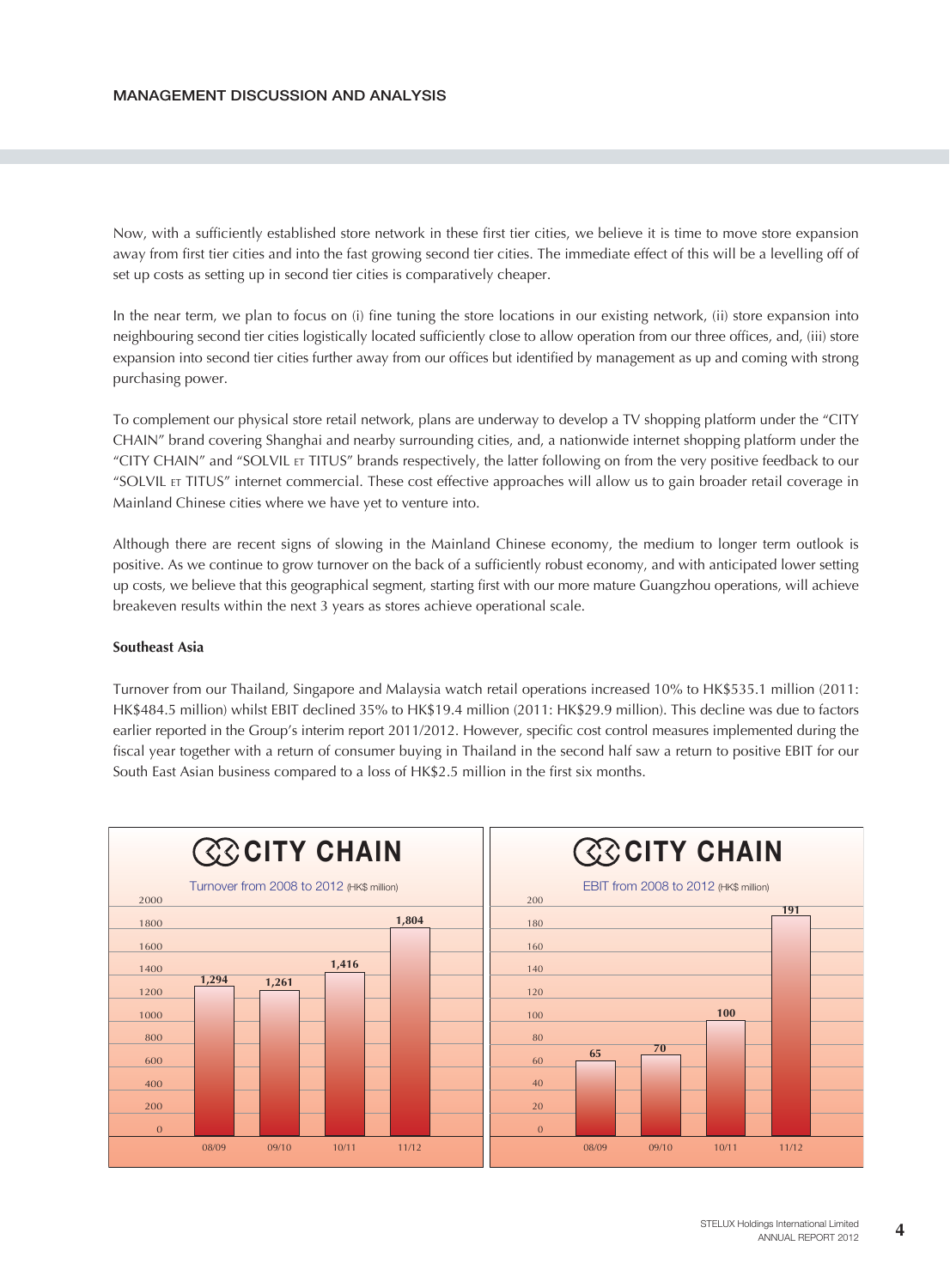Now, with a sufficiently established store network in these first tier cities, we believe it is time to move store expansion away from first tier cities and into the fast growing second tier cities. The immediate effect of this will be a levelling off of set up costs as setting up in second tier cities is comparatively cheaper.

In the near term, we plan to focus on (i) fine tuning the store locations in our existing network, (ii) store expansion into neighbouring second tier cities logistically located sufficiently close to allow operation from our three offices, and, (iii) store expansion into second tier cities further away from our offices but identified by management as up and coming with strong purchasing power.

To complement our physical store retail network, plans are underway to develop a TV shopping platform under the "CITY CHAIN" brand covering Shanghai and nearby surrounding cities, and, a nationwide internet shopping platform under the "CITY CHAIN" and "SOLVIL ET TITUS" brands respectively, the latter following on from the very positive feedback to our "SOLVIL ET TITUS" internet commercial. These cost effective approaches will allow us to gain broader retail coverage in Mainland Chinese cities where we have yet to venture into.

Although there are recent signs of slowing in the Mainland Chinese economy, the medium to longer term outlook is positive. As we continue to grow turnover on the back of a sufficiently robust economy, and with anticipated lower setting up costs, we believe that this geographical segment, starting first with our more mature Guangzhou operations, will achieve breakeven results within the next 3 years as stores achieve operational scale.

#### **Southeast Asia**

Turnover from our Thailand, Singapore and Malaysia watch retail operations increased 10% to HK\$535.1 million (2011: HK\$484.5 million) whilst EBIT declined 35% to HK\$19.4 million (2011: HK\$29.9 million). This decline was due to factors earlier reported in the Group's interim report 2011/2012. However, specific cost control measures implemented during the fiscal year together with a return of consumer buying in Thailand in the second half saw a return to positive EBIT for our South East Asian business compared to a loss of HK\$2.5 million in the first six months.

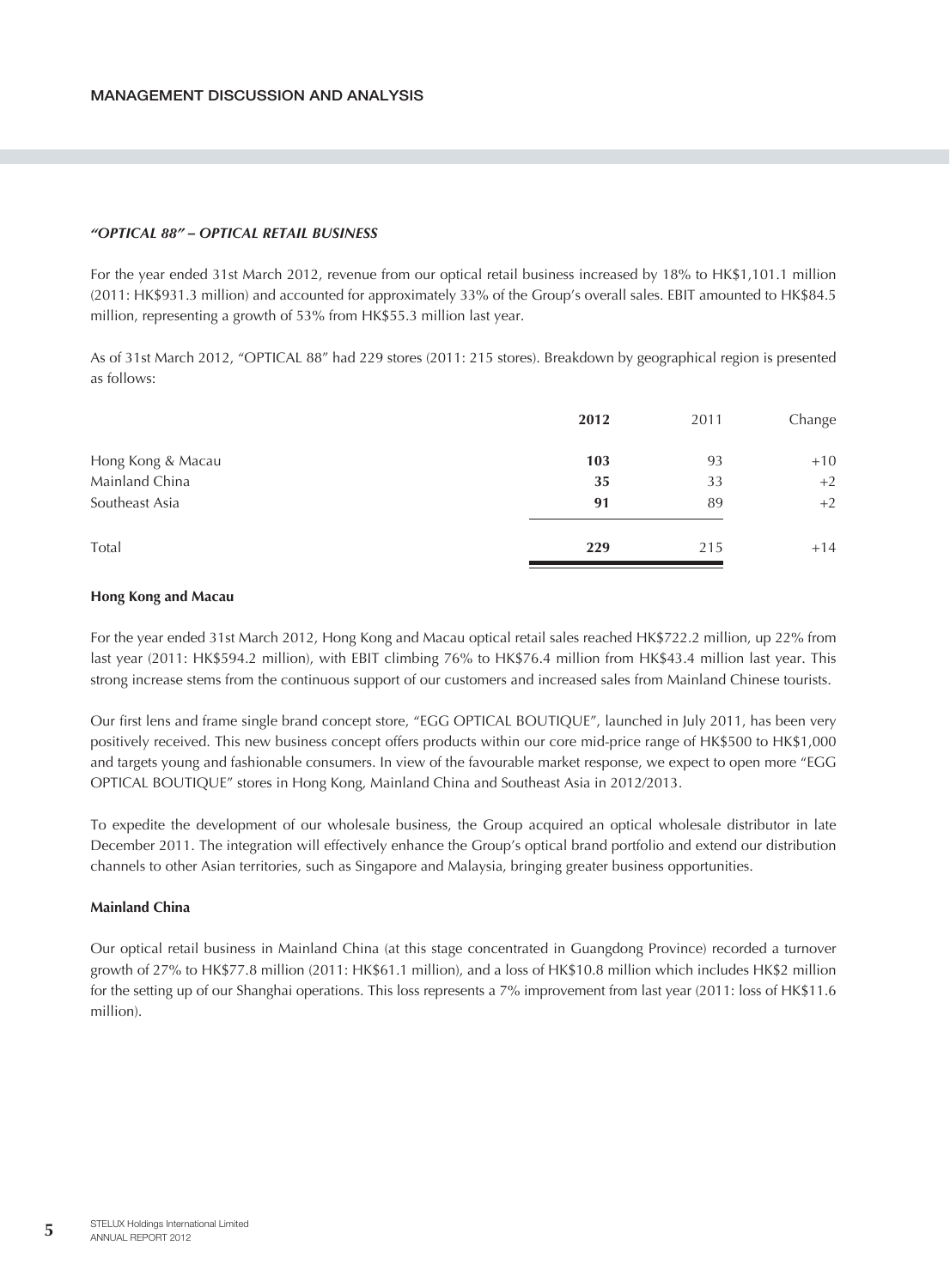## *"OPTICAL 88" – OPTICAL RETAIL BUSINESS*

For the year ended 31st March 2012, revenue from our optical retail business increased by 18% to HK\$1,101.1 million (2011: HK\$931.3 million) and accounted for approximately 33% of the Group's overall sales. EBIT amounted to HK\$84.5 million, representing a growth of 53% from HK\$55.3 million last year.

As of 31st March 2012, "OPTICAL 88" had 229 stores (2011: 215 stores). Breakdown by geographical region is presented as follows:

|                   | 2012 | 2011 | Change |
|-------------------|------|------|--------|
| Hong Kong & Macau | 103  | 93   | $+10$  |
| Mainland China    | 35   | 33   | $+2$   |
| Southeast Asia    | 91   | 89   | $+2$   |
| Total             | 229  | 215  | $+14$  |

#### **Hong Kong and Macau**

For the year ended 31st March 2012, Hong Kong and Macau optical retail sales reached HK\$722.2 million, up 22% from last year (2011: HK\$594.2 million), with EBIT climbing 76% to HK\$76.4 million from HK\$43.4 million last year. This strong increase stems from the continuous support of our customers and increased sales from Mainland Chinese tourists.

Our first lens and frame single brand concept store, "EGG OPTICAL BOUTIQUE", launched in July 2011, has been very positively received. This new business concept offers products within our core mid-price range of HK\$500 to HK\$1,000 and targets young and fashionable consumers. In view of the favourable market response, we expect to open more "EGG OPTICAL BOUTIQUE" stores in Hong Kong, Mainland China and Southeast Asia in 2012/2013.

To expedite the development of our wholesale business, the Group acquired an optical wholesale distributor in late December 2011. The integration will effectively enhance the Group's optical brand portfolio and extend our distribution channels to other Asian territories, such as Singapore and Malaysia, bringing greater business opportunities.

### **Mainland China**

Our optical retail business in Mainland China (at this stage concentrated in Guangdong Province) recorded a turnover growth of 27% to HK\$77.8 million (2011: HK\$61.1 million), and a loss of HK\$10.8 million which includes HK\$2 million for the setting up of our Shanghai operations. This loss represents a 7% improvement from last year (2011: loss of HK\$11.6 million).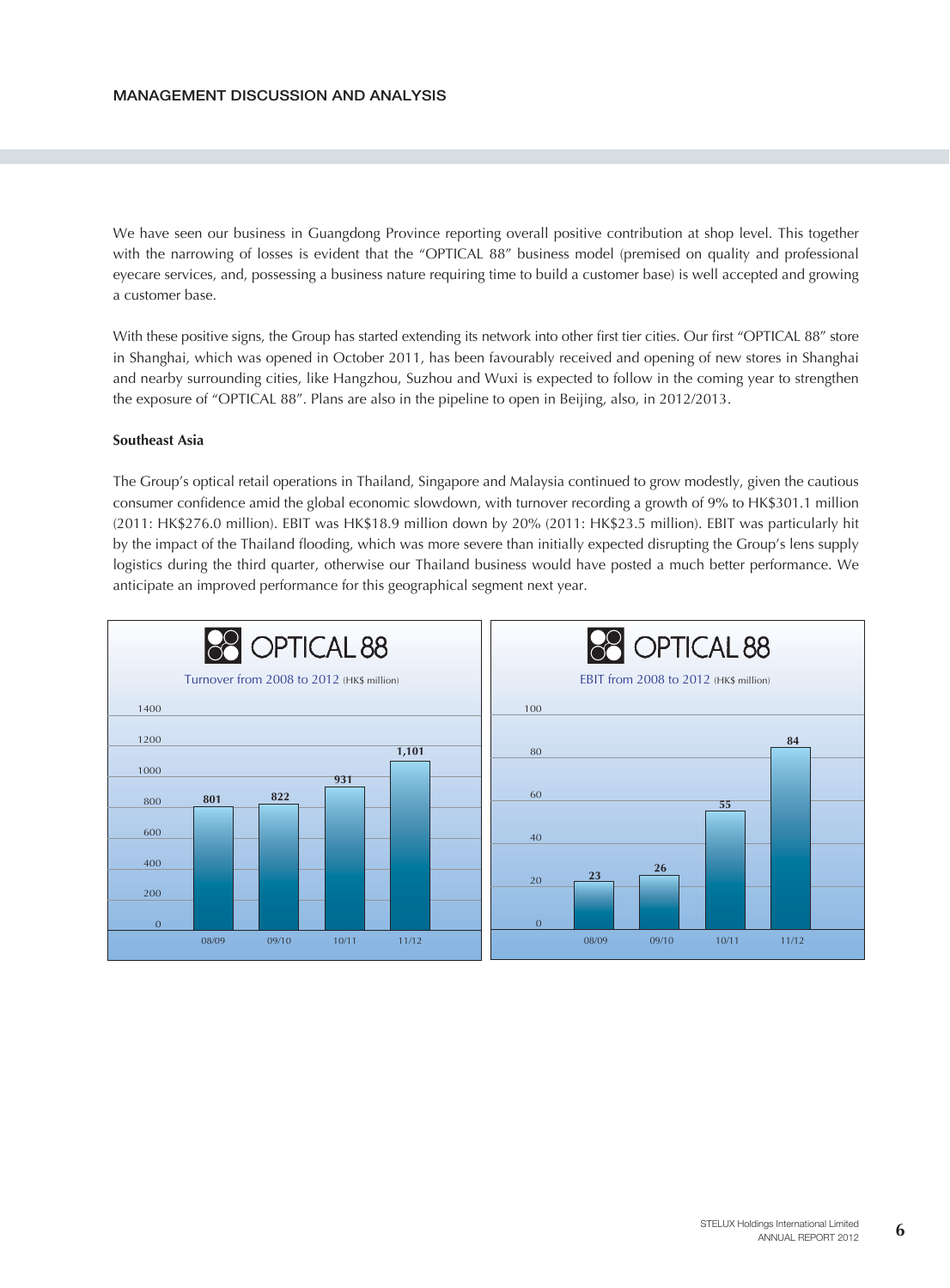We have seen our business in Guangdong Province reporting overall positive contribution at shop level. This together with the narrowing of losses is evident that the "OPTICAL 88" business model (premised on quality and professional eyecare services, and, possessing a business nature requiring time to build a customer base) is well accepted and growing a customer base.

With these positive signs, the Group has started extending its network into other first tier cities. Our first "OPTICAL 88" store in Shanghai, which was opened in October 2011, has been favourably received and opening of new stores in Shanghai and nearby surrounding cities, like Hangzhou, Suzhou and Wuxi is expected to follow in the coming year to strengthen the exposure of "OPTICAL 88". Plans are also in the pipeline to open in Beijing, also, in 2012/2013.

#### **Southeast Asia**

The Group's optical retail operations in Thailand, Singapore and Malaysia continued to grow modestly, given the cautious consumer confidence amid the global economic slowdown, with turnover recording a growth of 9% to HK\$301.1 million (2011: HK\$276.0 million). EBIT was HK\$18.9 million down by 20% (2011: HK\$23.5 million). EBIT was particularly hit by the impact of the Thailand flooding, which was more severe than initially expected disrupting the Group's lens supply logistics during the third quarter, otherwise our Thailand business would have posted a much better performance. We anticipate an improved performance for this geographical segment next year.

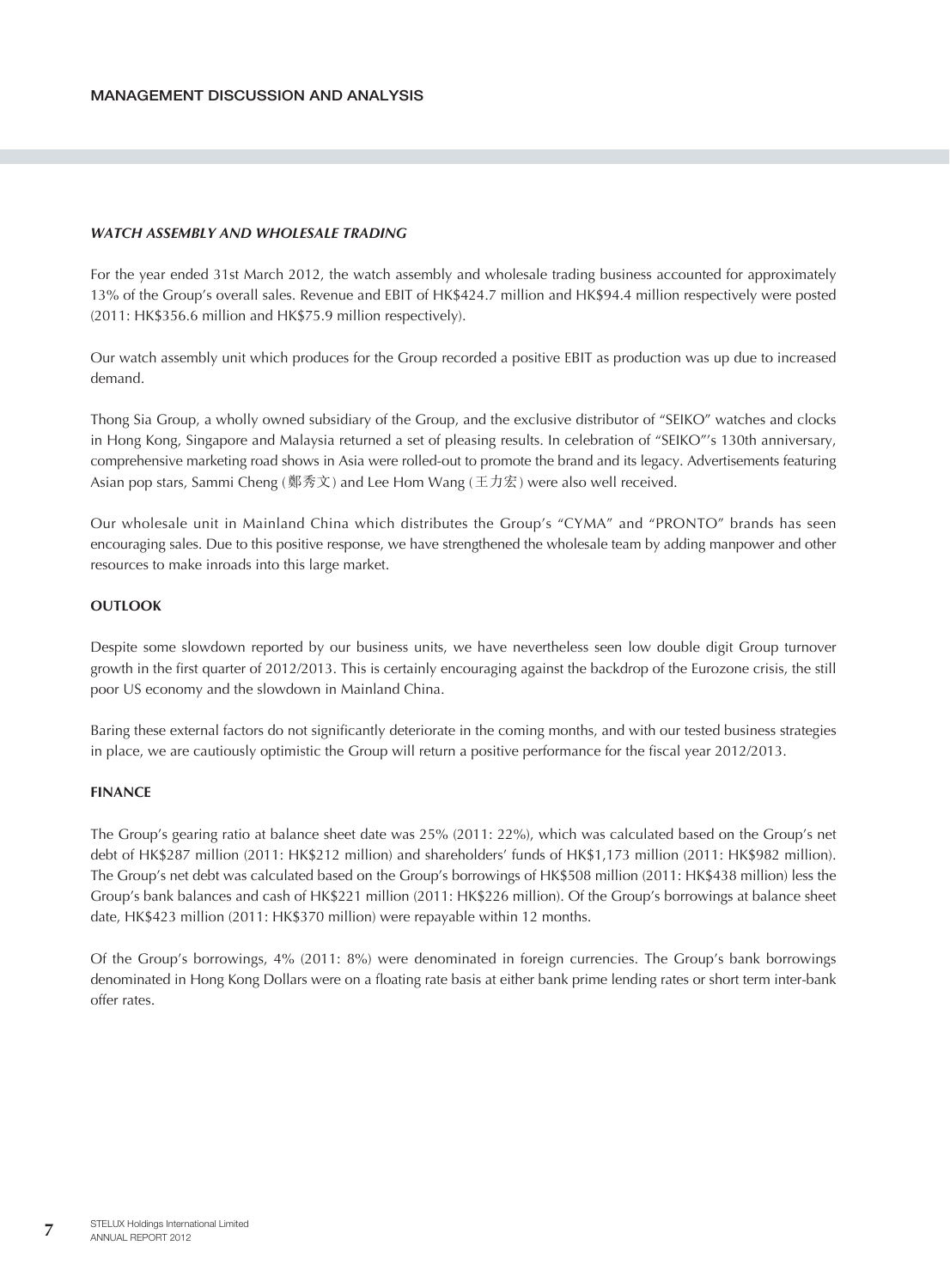## *WATCH ASSEMBLY AND WHOLESALE TRADING*

For the year ended 31st March 2012, the watch assembly and wholesale trading business accounted for approximately 13% of the Group's overall sales. Revenue and EBIT of HK\$424.7 million and HK\$94.4 million respectively were posted (2011: HK\$356.6 million and HK\$75.9 million respectively).

Our watch assembly unit which produces for the Group recorded a positive EBIT as production was up due to increased demand.

Thong Sia Group, a wholly owned subsidiary of the Group, and the exclusive distributor of "SEIKO" watches and clocks in Hong Kong, Singapore and Malaysia returned a set of pleasing results. In celebration of "SEIKO"'s 130th anniversary, comprehensive marketing road shows in Asia were rolled-out to promote the brand and its legacy. Advertisements featuring Asian pop stars, Sammi Cheng (鄭秀文) and Lee Hom Wang (王力宏) were also well received.

Our wholesale unit in Mainland China which distributes the Group's "CYMA" and "PRONTO" brands has seen encouraging sales. Due to this positive response, we have strengthened the wholesale team by adding manpower and other resources to make inroads into this large market.

## **OUTLOOK**

Despite some slowdown reported by our business units, we have nevertheless seen low double digit Group turnover growth in the first quarter of 2012/2013. This is certainly encouraging against the backdrop of the Eurozone crisis, the still poor US economy and the slowdown in Mainland China.

Baring these external factors do not significantly deteriorate in the coming months, and with our tested business strategies in place, we are cautiously optimistic the Group will return a positive performance for the fiscal year 2012/2013.

#### **FINANCE**

The Group's gearing ratio at balance sheet date was 25% (2011: 22%), which was calculated based on the Group's net debt of HK\$287 million (2011: HK\$212 million) and shareholders' funds of HK\$1,173 million (2011: HK\$982 million). The Group's net debt was calculated based on the Group's borrowings of HK\$508 million (2011: HK\$438 million) less the Group's bank balances and cash of HK\$221 million (2011: HK\$226 million). Of the Group's borrowings at balance sheet date, HK\$423 million (2011: HK\$370 million) were repayable within 12 months.

Of the Group's borrowings, 4% (2011: 8%) were denominated in foreign currencies. The Group's bank borrowings denominated in Hong Kong Dollars were on a floating rate basis at either bank prime lending rates or short term inter-bank offer rates.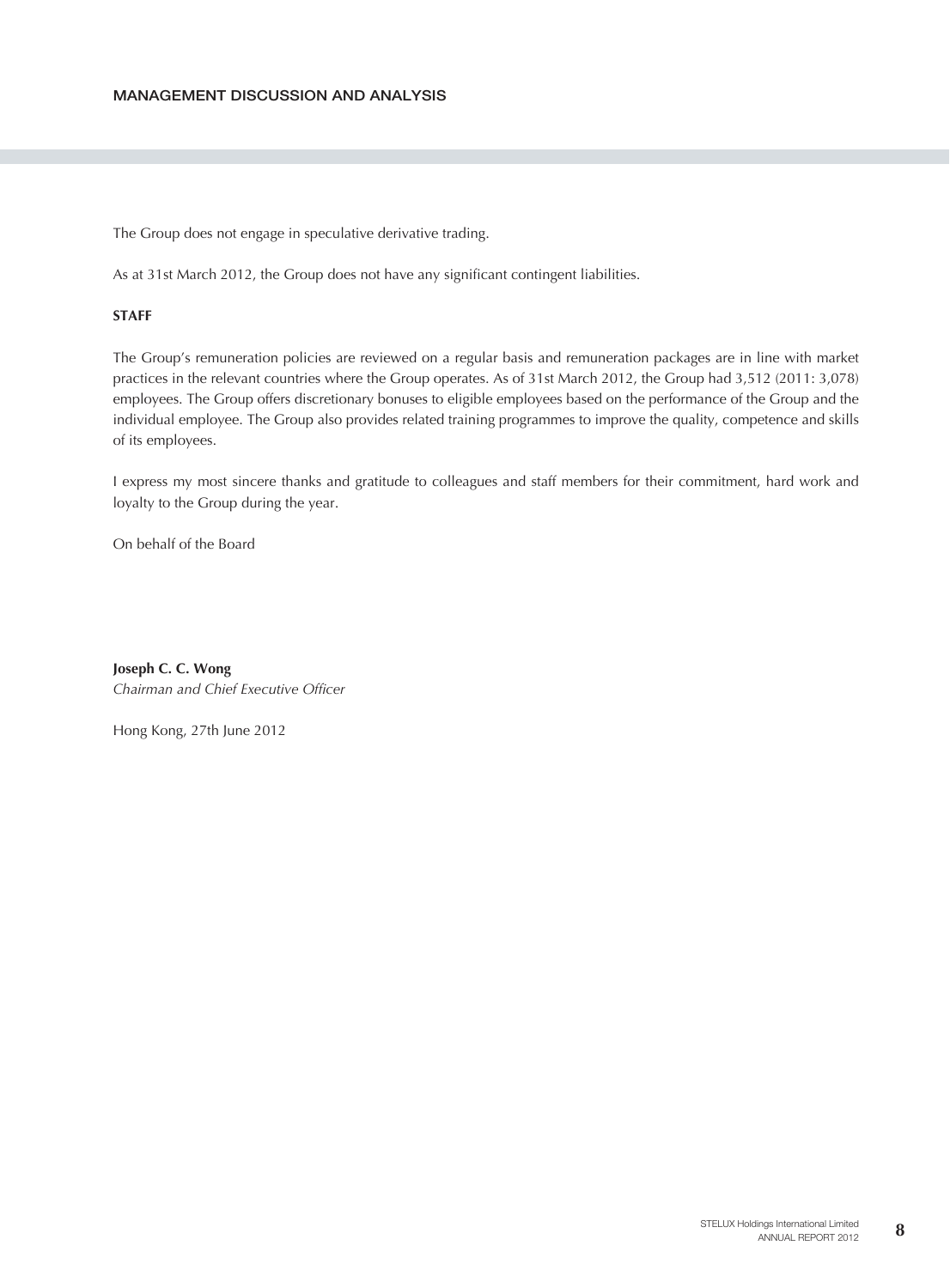## **MANAGEMENT DISCUSSION AND ANALYSIS**

The Group does not engage in speculative derivative trading.

As at 31st March 2012, the Group does not have any significant contingent liabilities.

## **STAFF**

The Group's remuneration policies are reviewed on a regular basis and remuneration packages are in line with market practices in the relevant countries where the Group operates. As of 31st March 2012, the Group had 3,512 (2011: 3,078) employees. The Group offers discretionary bonuses to eligible employees based on the performance of the Group and the individual employee. The Group also provides related training programmes to improve the quality, competence and skills of its employees.

I express my most sincere thanks and gratitude to colleagues and staff members for their commitment, hard work and loyalty to the Group during the year.

On behalf of the Board

**Joseph C. C. Wong Chairman and Chief Executive Officer** 

Hong Kong, 27th June 2012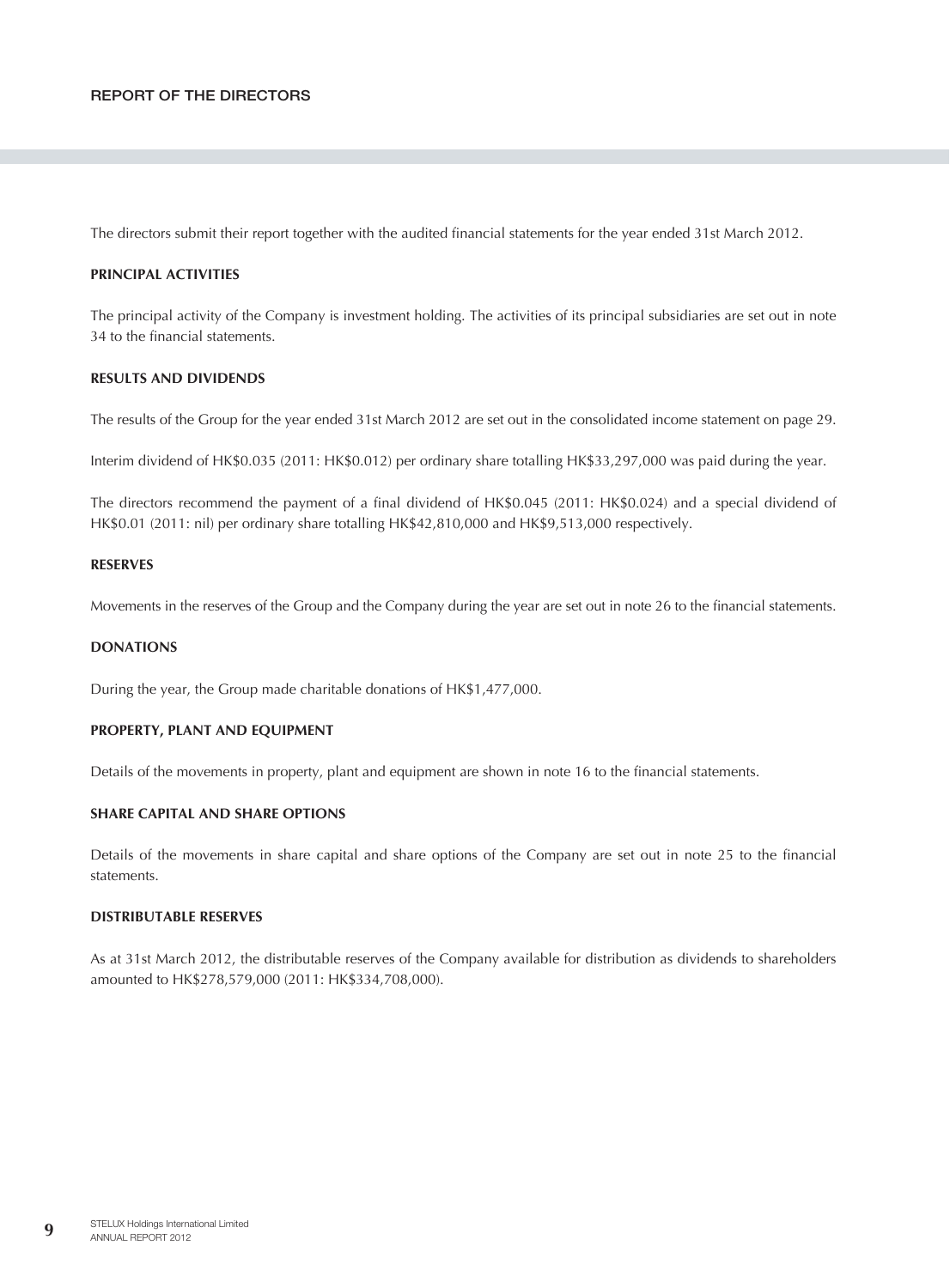The directors submit their report together with the audited financial statements for the year ended 31st March 2012.

## **PRINCIPAL ACTIVITIES**

The principal activity of the Company is investment holding. The activities of its principal subsidiaries are set out in note 34 to the financial statements.

## **RESULTS AND DIVIDENDS**

The results of the Group for the year ended 31st March 2012 are set out in the consolidated income statement on page 29.

Interim dividend of HK\$0.035 (2011: HK\$0.012) per ordinary share totalling HK\$33,297,000 was paid during the year.

The directors recommend the payment of a final dividend of HK\$0.045 (2011: HK\$0.024) and a special dividend of HK\$0.01 (2011: nil) per ordinary share totalling HK\$42,810,000 and HK\$9,513,000 respectively.

#### **RESERVES**

Movements in the reserves of the Group and the Company during the year are set out in note 26 to the financial statements.

#### **DONATIONS**

During the year, the Group made charitable donations of HK\$1,477,000.

## **PROPERTY, PLANT AND EQUIPMENT**

Details of the movements in property, plant and equipment are shown in note 16 to the financial statements.

## **SHARE CAPITAL AND SHARE OPTIONS**

Details of the movements in share capital and share options of the Company are set out in note 25 to the financial statements.

#### **DISTRIBUTABLE RESERVES**

As at 31st March 2012, the distributable reserves of the Company available for distribution as dividends to shareholders amounted to HK\$278,579,000 (2011: HK\$334,708,000).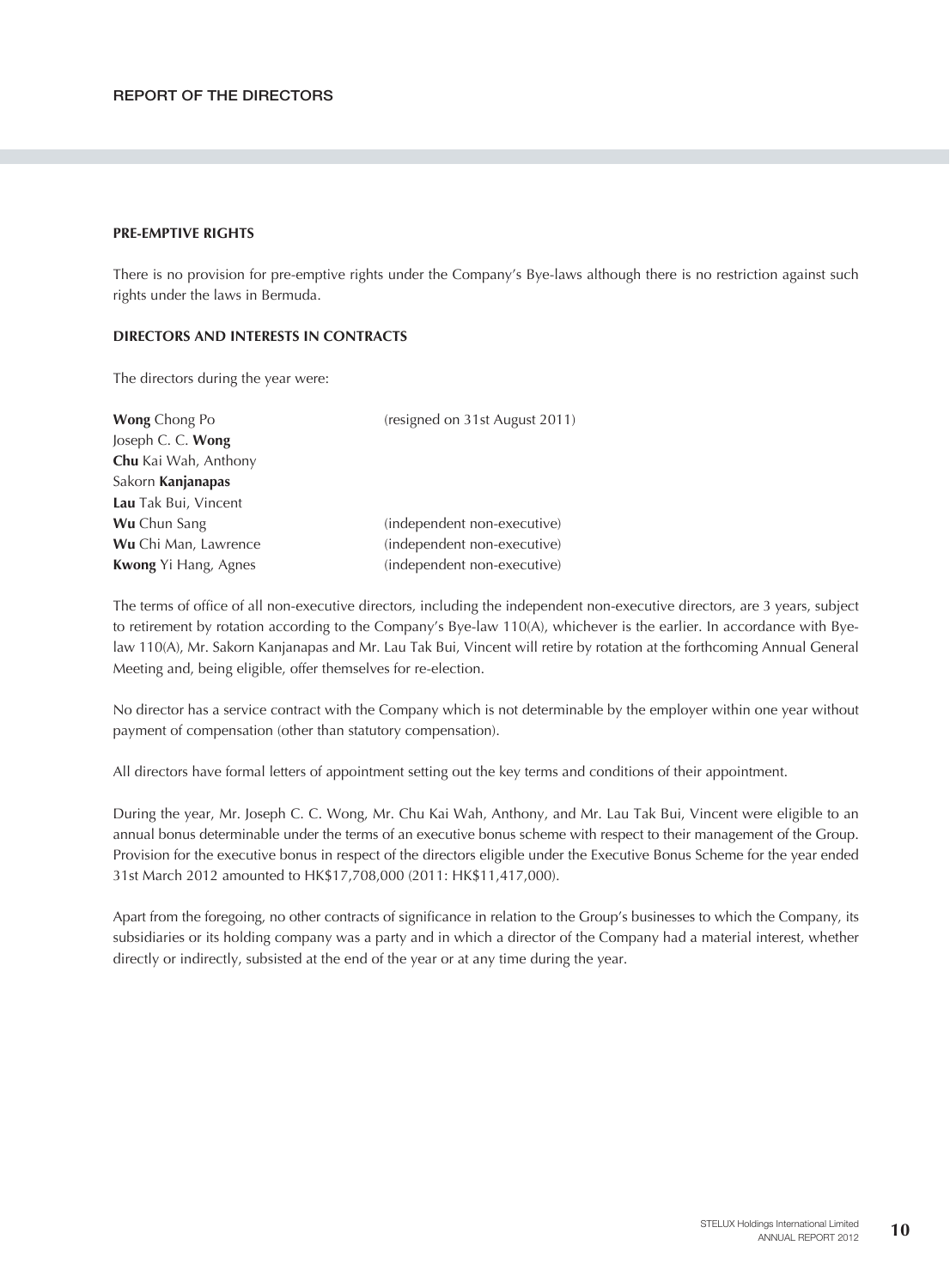## **PRE-EMPTIVE RIGHTS**

There is no provision for pre-emptive rights under the Company's Bye-laws although there is no restriction against such rights under the laws in Bermuda.

## **DIRECTORS AND INTERESTS IN CONTRACTS**

The directors during the year were:

| <b>Wong</b> Chong Po        | (resigned on 31st August 2011) |
|-----------------------------|--------------------------------|
| Joseph C. C. Wong           |                                |
| Chu Kai Wah, Anthony        |                                |
| Sakorn Kanjanapas           |                                |
| Lau Tak Bui, Vincent        |                                |
| <b>Wu</b> Chun Sang         | (independent non-executive)    |
| Wu Chi Man, Lawrence        | (independent non-executive)    |
| <b>Kwong</b> Yi Hang, Agnes | (independent non-executive)    |

The terms of office of all non-executive directors, including the independent non-executive directors, are 3 years, subject to retirement by rotation according to the Company's Bye-law 110(A), whichever is the earlier. In accordance with Byelaw 110(A), Mr. Sakorn Kanjanapas and Mr. Lau Tak Bui, Vincent will retire by rotation at the forthcoming Annual General Meeting and, being eligible, offer themselves for re-election.

No director has a service contract with the Company which is not determinable by the employer within one year without payment of compensation (other than statutory compensation).

All directors have formal letters of appointment setting out the key terms and conditions of their appointment.

During the year, Mr. Joseph C. C. Wong, Mr. Chu Kai Wah, Anthony, and Mr. Lau Tak Bui, Vincent were eligible to an annual bonus determinable under the terms of an executive bonus scheme with respect to their management of the Group. Provision for the executive bonus in respect of the directors eligible under the Executive Bonus Scheme for the year ended 31st March 2012 amounted to HK\$17,708,000 (2011: HK\$11,417,000).

Apart from the foregoing, no other contracts of significance in relation to the Group's businesses to which the Company, its subsidiaries or its holding company was a party and in which a director of the Company had a material interest, whether directly or indirectly, subsisted at the end of the year or at any time during the year.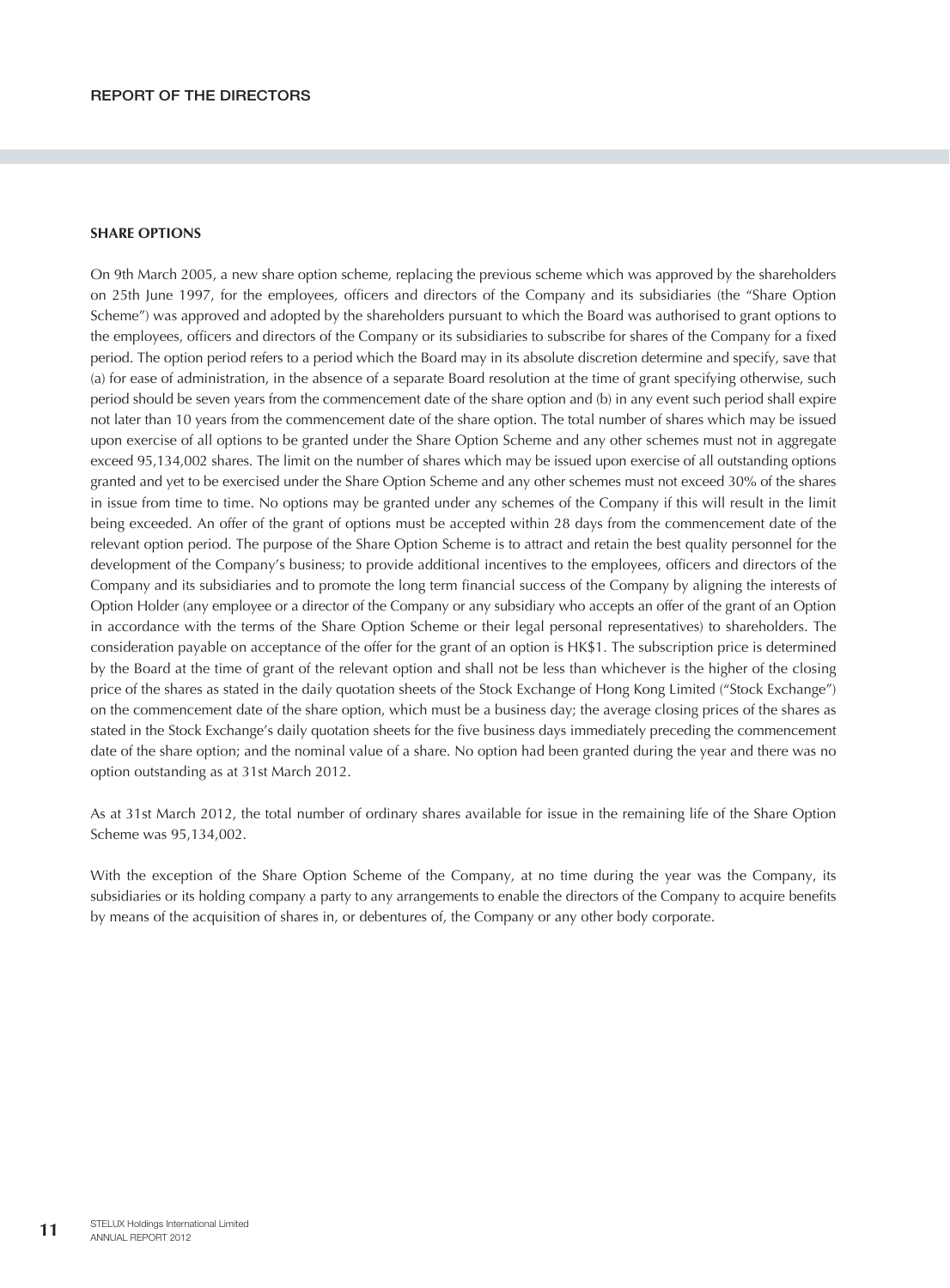#### **SHARE OPTIONS**

On 9th March 2005, a new share option scheme, replacing the previous scheme which was approved by the shareholders on 25th June 1997, for the employees, officers and directors of the Company and its subsidiaries (the "Share Option Scheme") was approved and adopted by the shareholders pursuant to which the Board was authorised to grant options to the employees, officers and directors of the Company or its subsidiaries to subscribe for shares of the Company for a fixed period. The option period refers to a period which the Board may in its absolute discretion determine and specify, save that (a) for ease of administration, in the absence of a separate Board resolution at the time of grant specifying otherwise, such period should be seven years from the commencement date of the share option and (b) in any event such period shall expire not later than 10 years from the commencement date of the share option. The total number of shares which may be issued upon exercise of all options to be granted under the Share Option Scheme and any other schemes must not in aggregate exceed 95,134,002 shares. The limit on the number of shares which may be issued upon exercise of all outstanding options granted and yet to be exercised under the Share Option Scheme and any other schemes must not exceed 30% of the shares in issue from time to time. No options may be granted under any schemes of the Company if this will result in the limit being exceeded. An offer of the grant of options must be accepted within 28 days from the commencement date of the relevant option period. The purpose of the Share Option Scheme is to attract and retain the best quality personnel for the development of the Company's business; to provide additional incentives to the employees, officers and directors of the Company and its subsidiaries and to promote the long term financial success of the Company by aligning the interests of Option Holder (any employee or a director of the Company or any subsidiary who accepts an offer of the grant of an Option in accordance with the terms of the Share Option Scheme or their legal personal representatives) to shareholders. The consideration payable on acceptance of the offer for the grant of an option is HK\$1. The subscription price is determined by the Board at the time of grant of the relevant option and shall not be less than whichever is the higher of the closing price of the shares as stated in the daily quotation sheets of the Stock Exchange of Hong Kong Limited ("Stock Exchange") on the commencement date of the share option, which must be a business day; the average closing prices of the shares as stated in the Stock Exchange's daily quotation sheets for the five business days immediately preceding the commencement date of the share option; and the nominal value of a share. No option had been granted during the year and there was no option outstanding as at 31st March 2012.

As at 31st March 2012, the total number of ordinary shares available for issue in the remaining life of the Share Option Scheme was 95,134,002.

With the exception of the Share Option Scheme of the Company, at no time during the year was the Company, its subsidiaries or its holding company a party to any arrangements to enable the directors of the Company to acquire benefits by means of the acquisition of shares in, or debentures of, the Company or any other body corporate.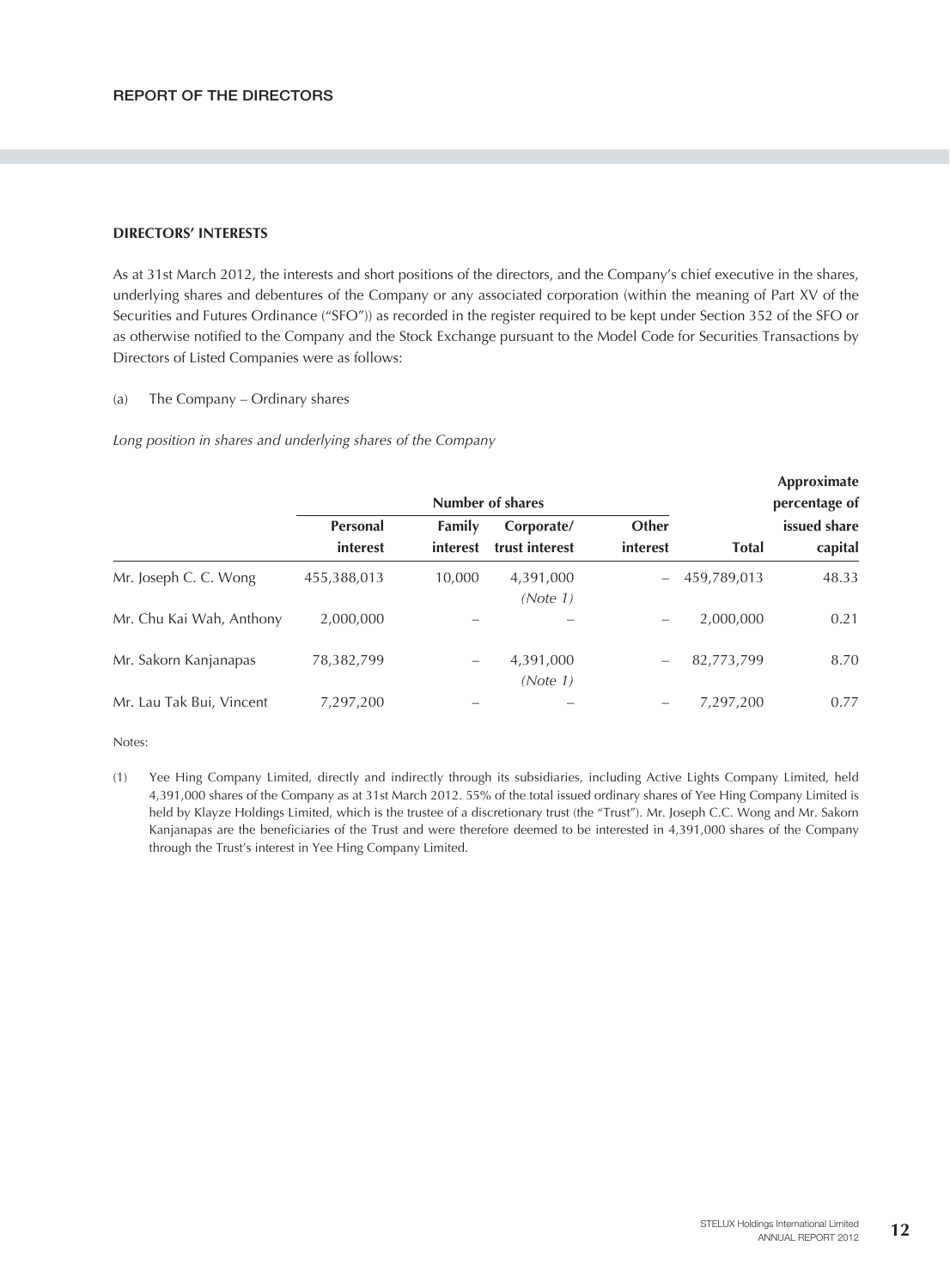## **DIRECTORS' INTERESTS**

As at 31st March 2012, the interests and short positions of the directors, and the Company's chief executive in the shares, underlying shares and debentures of the Company or any associated corporation (within the meaning of Part XV of the Securities and Futures Ordinance ("SFO")) as recorded in the register required to be kept under Section 352 of the SFO or as otherwise notified to the Company and the Stock Exchange pursuant to the Model Code for Securities Transactions by Directors of Listed Companies were as follows:

#### (a) The Company – Ordinary shares

#### *Long position in shares and underlying shares of the Company*

|                          | Number of shares            |                                |                              |                   |              | Approximate<br>percentage of |
|--------------------------|-----------------------------|--------------------------------|------------------------------|-------------------|--------------|------------------------------|
|                          | <b>Personal</b><br>interest | Family<br>interest             | Corporate/<br>trust interest | Other<br>interest | <b>Total</b> | issued share<br>capital      |
| Mr. Joseph C. C. Wong    | 455,388,013                 | 10.000                         | 4,391,000<br>(Note 1)        |                   | 459,789,013  | 48.33                        |
| Mr. Chu Kai Wah, Anthony | 2,000,000                   |                                |                              |                   | 2,000,000    | 0.21                         |
| Mr. Sakorn Kanjanapas    | 78,382,799                  | $\qquad \qquad \longleftarrow$ | 4,391,000<br>(Note 1)        |                   | 82,773,799   | 8.70                         |
| Mr. Lau Tak Bui, Vincent | 7,297,200                   |                                |                              |                   | 7,297,200    | 0.77                         |

Notes:

(1) Yee Hing Company Limited, directly and indirectly through its subsidiaries, including Active Lights Company Limited, held 4,391,000 shares of the Company as at 31st March 2012. 55% of the total issued ordinary shares of Yee Hing Company Limited is held by Klayze Holdings Limited, which is the trustee of a discretionary trust (the "Trust"). Mr. Joseph C.C. Wong and Mr. Sakorn Kanjanapas are the beneficiaries of the Trust and were therefore deemed to be interested in 4,391,000 shares of the Company through the Trust's interest in Yee Hing Company Limited.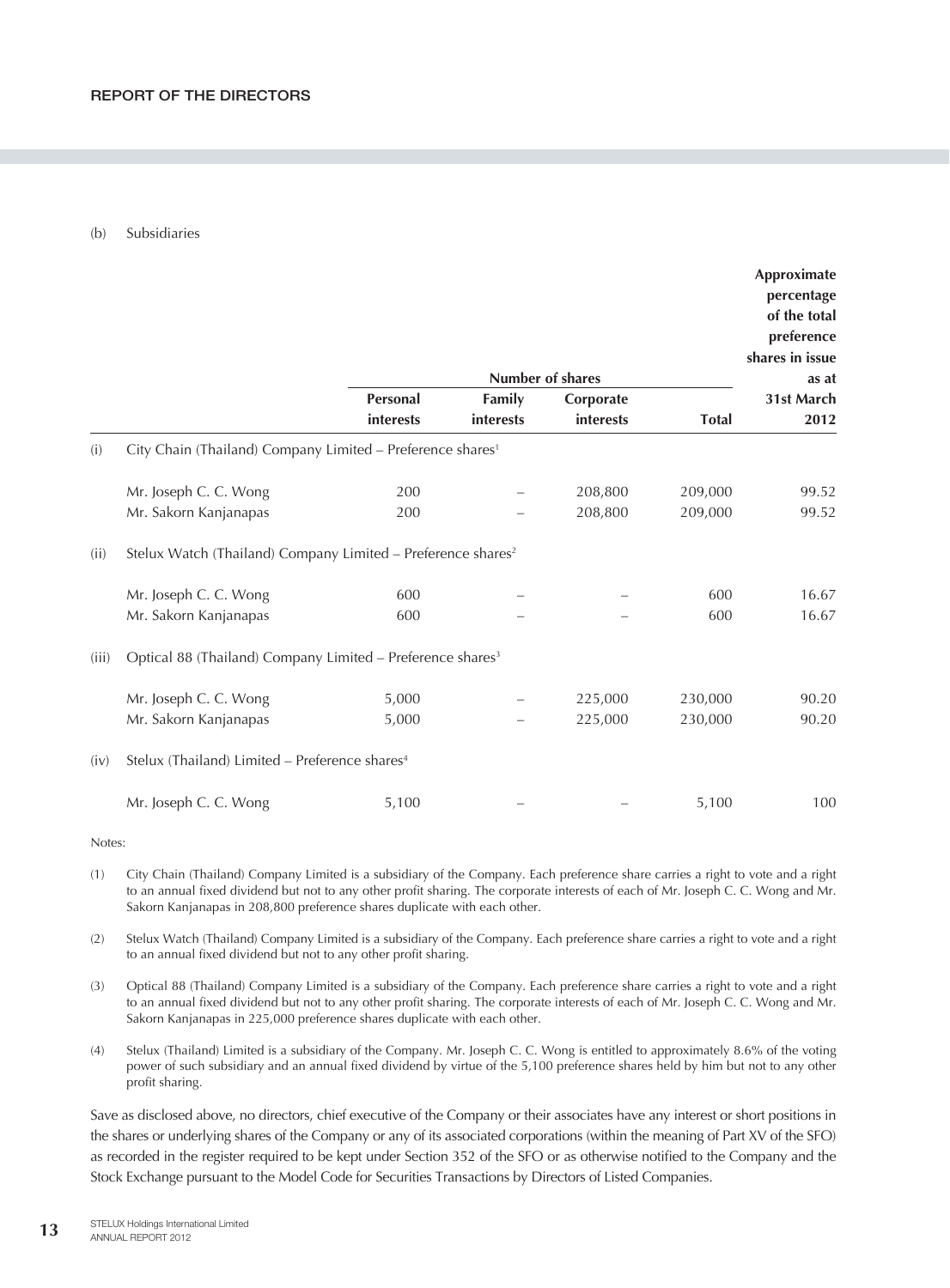## (b) Subsidiaries

|       |                                                                          |           |                  | <b>Number of shares</b> |              | Approximate<br>percentage<br>of the total<br>preference<br>shares in issue<br>as at |
|-------|--------------------------------------------------------------------------|-----------|------------------|-------------------------|--------------|-------------------------------------------------------------------------------------|
|       |                                                                          | Personal  | Family           | Corporate               |              | 31st March                                                                          |
|       |                                                                          | interests | <b>interests</b> | interests               | <b>Total</b> | 2012                                                                                |
| (i)   | City Chain (Thailand) Company Limited - Preference shares <sup>1</sup>   |           |                  |                         |              |                                                                                     |
|       | Mr. Joseph C. C. Wong                                                    | 200       |                  | 208,800                 | 209,000      | 99.52                                                                               |
|       | Mr. Sakorn Kanjanapas                                                    | 200       |                  | 208,800                 | 209,000      | 99.52                                                                               |
| (ii)  | Stelux Watch (Thailand) Company Limited - Preference shares <sup>2</sup> |           |                  |                         |              |                                                                                     |
|       | Mr. Joseph C. C. Wong                                                    | 600       |                  |                         | 600          | 16.67                                                                               |
|       | Mr. Sakorn Kanjanapas                                                    | 600       |                  |                         | 600          | 16.67                                                                               |
| (iii) | Optical 88 (Thailand) Company Limited - Preference shares <sup>3</sup>   |           |                  |                         |              |                                                                                     |
|       | Mr. Joseph C. C. Wong                                                    | 5,000     |                  | 225,000                 | 230,000      | 90.20                                                                               |
|       | Mr. Sakorn Kanjanapas                                                    | 5,000     |                  | 225,000                 | 230,000      | 90.20                                                                               |
| (iv)  | Stelux (Thailand) Limited - Preference shares <sup>4</sup>               |           |                  |                         |              |                                                                                     |
|       | Mr. Joseph C. C. Wong                                                    | 5,100     |                  |                         | 5,100        | 100                                                                                 |

Notes:

(1) City Chain (Thailand) Company Limited is a subsidiary of the Company. Each preference share carries a right to vote and a right to an annual fixed dividend but not to any other profit sharing. The corporate interests of each of Mr. Joseph C. C. Wong and Mr. Sakorn Kanjanapas in 208,800 preference shares duplicate with each other.

(2) Stelux Watch (Thailand) Company Limited is a subsidiary of the Company. Each preference share carries a right to vote and a right to an annual fixed dividend but not to any other profit sharing.

(3) Optical 88 (Thailand) Company Limited is a subsidiary of the Company. Each preference share carries a right to vote and a right to an annual fixed dividend but not to any other profit sharing. The corporate interests of each of Mr. Joseph C. C. Wong and Mr. Sakorn Kanjanapas in 225,000 preference shares duplicate with each other.

(4) Stelux (Thailand) Limited is a subsidiary of the Company. Mr. Joseph C. C. Wong is entitled to approximately 8.6% of the voting power of such subsidiary and an annual fixed dividend by virtue of the 5,100 preference shares held by him but not to any other profit sharing.

Save as disclosed above, no directors, chief executive of the Company or their associates have any interest or short positions in the shares or underlying shares of the Company or any of its associated corporations (within the meaning of Part XV of the SFO) as recorded in the register required to be kept under Section 352 of the SFO or as otherwise notified to the Company and the Stock Exchange pursuant to the Model Code for Securities Transactions by Directors of Listed Companies.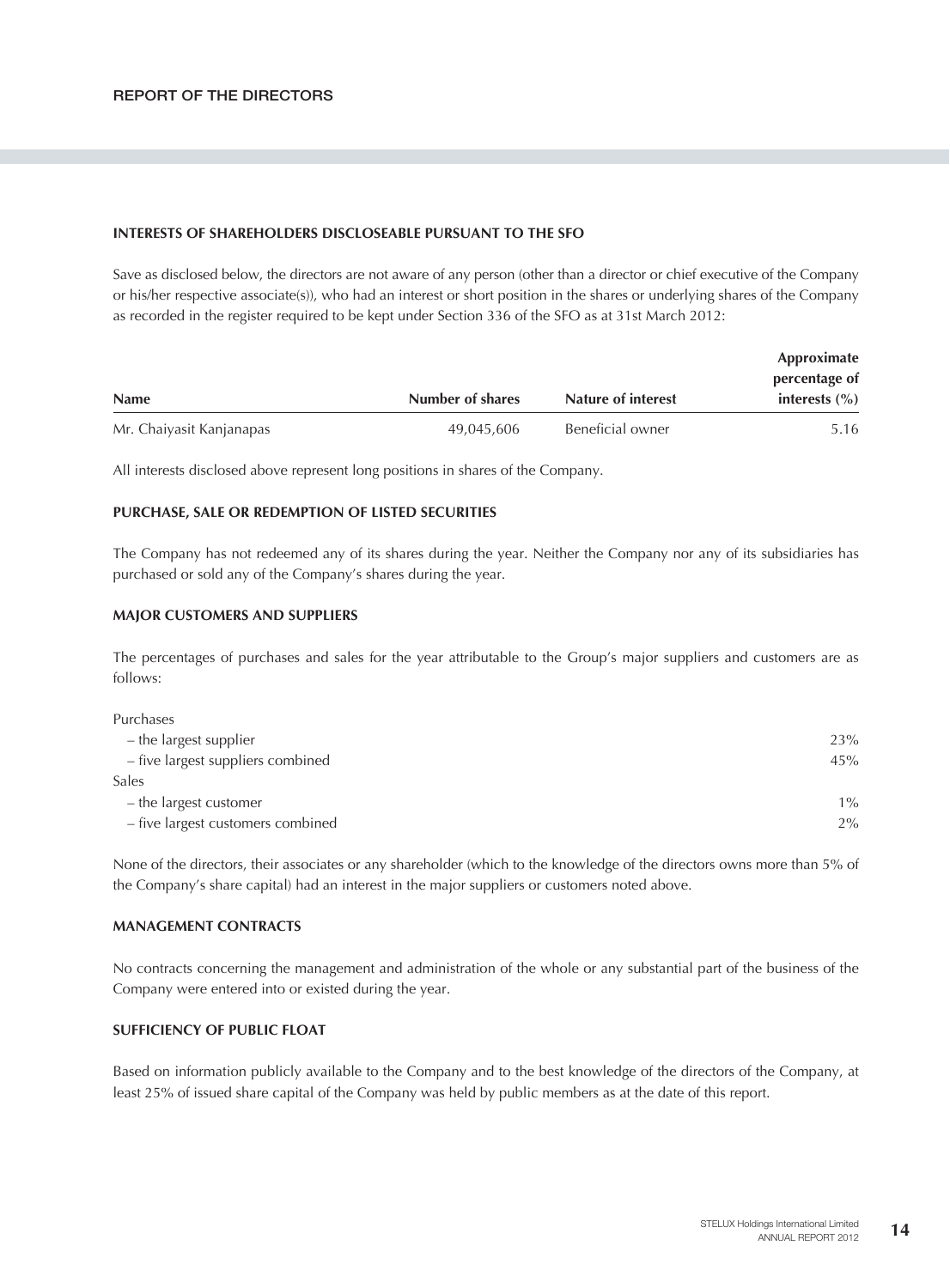## **INTERESTS OF SHAREHOLDERS DISCLOSEABLE PURSUANT TO THE SFO**

Save as disclosed below, the directors are not aware of any person (other than a director or chief executive of the Company or his/her respective associate(s)), who had an interest or short position in the shares or underlying shares of the Company as recorded in the register required to be kept under Section 336 of the SFO as at 31st March 2012:

|                          |                  |                    | Approximate<br>percentage of |
|--------------------------|------------------|--------------------|------------------------------|
| <b>Name</b>              | Number of shares | Nature of interest | interests $(\% )$            |
| Mr. Chaiyasit Kanjanapas | 49,045,606       | Beneficial owner   | 5.16                         |

All interests disclosed above represent long positions in shares of the Company.

#### **PURCHASE, SALE OR REDEMPTION OF LISTED SECURITIES**

The Company has not redeemed any of its shares during the year. Neither the Company nor any of its subsidiaries has purchased or sold any of the Company's shares during the year.

## **MAJOR CUSTOMERS AND SUPPLIERS**

The percentages of purchases and sales for the year attributable to the Group's major suppliers and customers are as follows:

Purchases

| – the largest supplier            | 23%   |
|-----------------------------------|-------|
| - five largest suppliers combined | 45%   |
| Sales                             |       |
| – the largest customer            | $1\%$ |
| - five largest customers combined | 2%    |

None of the directors, their associates or any shareholder (which to the knowledge of the directors owns more than 5% of the Company's share capital) had an interest in the major suppliers or customers noted above.

#### **MANAGEMENT CONTRACTS**

No contracts concerning the management and administration of the whole or any substantial part of the business of the Company were entered into or existed during the year.

## **SUFFICIENCY OF PUBLIC FLOAT**

Based on information publicly available to the Company and to the best knowledge of the directors of the Company, at least 25% of issued share capital of the Company was held by public members as at the date of this report.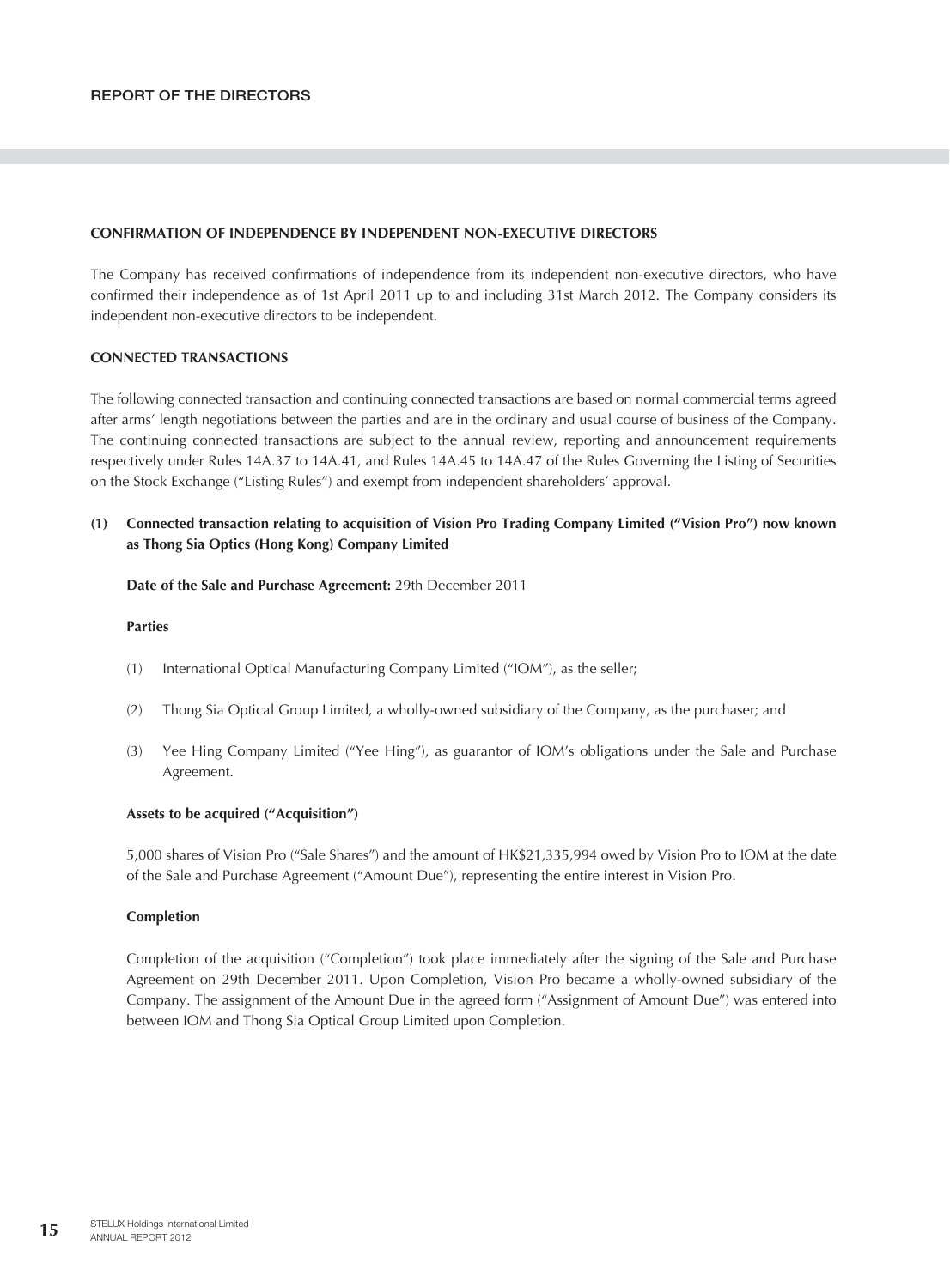## **CONFIRMATION OF INDEPENDENCE BY INDEPENDENT NON-EXECUTIVE DIRECTORS**

The Company has received confirmations of independence from its independent non-executive directors, who have confirmed their independence as of 1st April 2011 up to and including 31st March 2012. The Company considers its independent non-executive directors to be independent.

## **CONNECTED TRANSACTIONS**

The following connected transaction and continuing connected transactions are based on normal commercial terms agreed after arms' length negotiations between the parties and are in the ordinary and usual course of business of the Company. The continuing connected transactions are subject to the annual review, reporting and announcement requirements respectively under Rules 14A.37 to 14A.41, and Rules 14A.45 to 14A.47 of the Rules Governing the Listing of Securities on the Stock Exchange ("Listing Rules") and exempt from independent shareholders' approval.

**(1) Connected transaction relating to acquisition of Vision Pro Trading Company Limited ("Vision Pro") now known as Thong Sia Optics (Hong Kong) Company Limited**

#### **Date of the Sale and Purchase Agreement:** 29th December 2011

#### **Parties**

- (1) International Optical Manufacturing Company Limited ("IOM"), as the seller;
- (2) Thong Sia Optical Group Limited, a wholly-owned subsidiary of the Company, as the purchaser; and
- (3) Yee Hing Company Limited ("Yee Hing"), as guarantor of IOM's obligations under the Sale and Purchase Agreement.

#### **Assets to be acquired ("Acquisition")**

5,000 shares of Vision Pro ("Sale Shares") and the amount of HK\$21,335,994 owed by Vision Pro to IOM at the date of the Sale and Purchase Agreement ("Amount Due"), representing the entire interest in Vision Pro.

#### **Completion**

Completion of the acquisition ("Completion") took place immediately after the signing of the Sale and Purchase Agreement on 29th December 2011. Upon Completion, Vision Pro became a wholly-owned subsidiary of the Company. The assignment of the Amount Due in the agreed form ("Assignment of Amount Due") was entered into between IOM and Thong Sia Optical Group Limited upon Completion.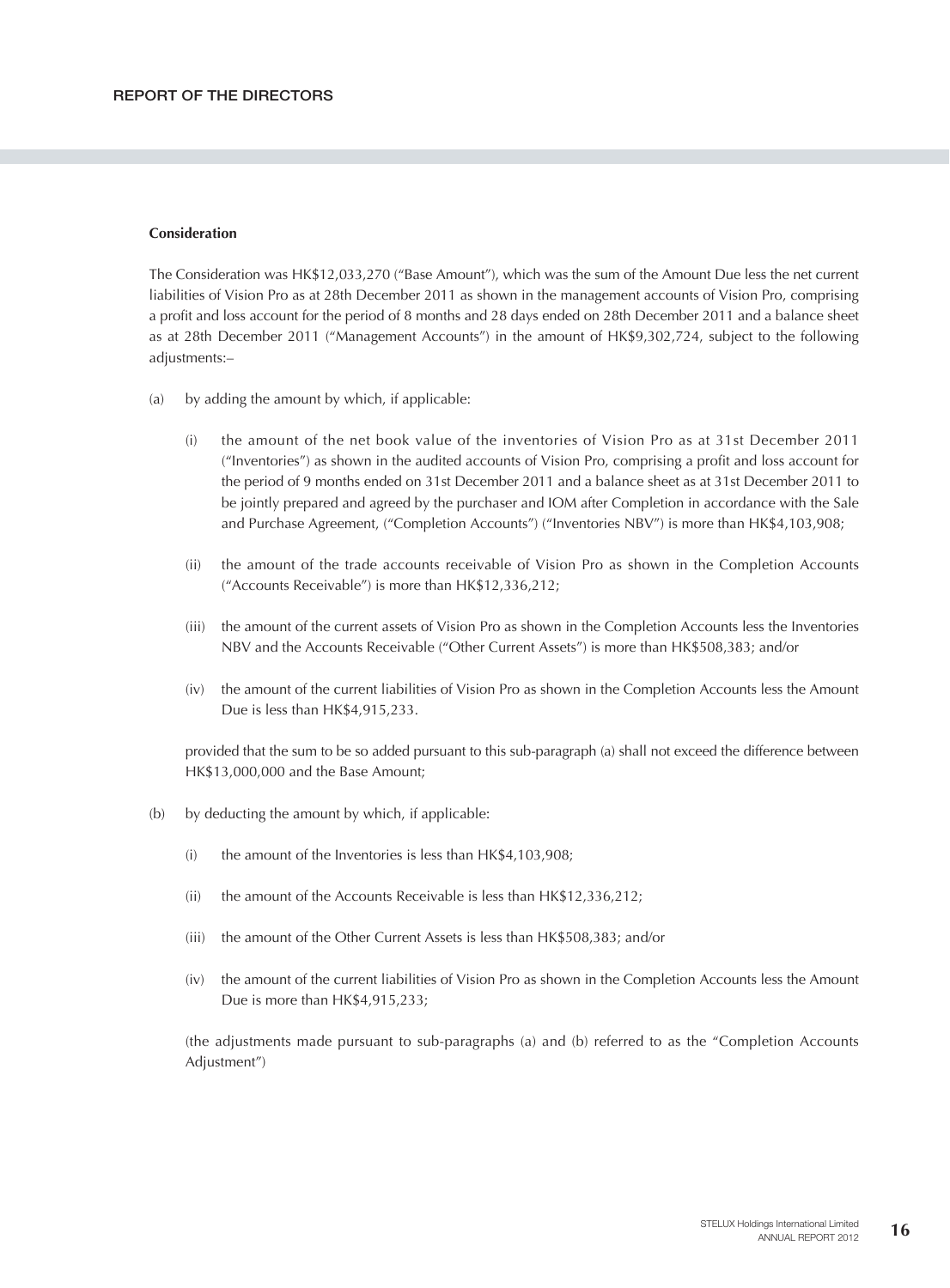## **Consideration**

The Consideration was HK\$12,033,270 ("Base Amount"), which was the sum of the Amount Due less the net current liabilities of Vision Pro as at 28th December 2011 as shown in the management accounts of Vision Pro, comprising a profit and loss account for the period of 8 months and 28 days ended on 28th December 2011 and a balance sheet as at 28th December 2011 ("Management Accounts") in the amount of HK\$9,302,724, subject to the following adjustments:–

- (a) by adding the amount by which, if applicable:
	- (i) the amount of the net book value of the inventories of Vision Pro as at 31st December 2011 ("Inventories") as shown in the audited accounts of Vision Pro, comprising a profit and loss account for the period of 9 months ended on 31st December 2011 and a balance sheet as at 31st December 2011 to be jointly prepared and agreed by the purchaser and IOM after Completion in accordance with the Sale and Purchase Agreement, ("Completion Accounts") ("Inventories NBV") is more than HK\$4,103,908;
	- (ii) the amount of the trade accounts receivable of Vision Pro as shown in the Completion Accounts ("Accounts Receivable") is more than HK\$12,336,212;
	- (iii) the amount of the current assets of Vision Pro as shown in the Completion Accounts less the Inventories NBV and the Accounts Receivable ("Other Current Assets") is more than HK\$508,383; and/or
	- (iv) the amount of the current liabilities of Vision Pro as shown in the Completion Accounts less the Amount Due is less than HK\$4,915,233.

provided that the sum to be so added pursuant to this sub-paragraph (a) shall not exceed the difference between HK\$13,000,000 and the Base Amount;

- (b) by deducting the amount by which, if applicable:
	- (i) the amount of the Inventories is less than HK\$4,103,908;
	- (ii) the amount of the Accounts Receivable is less than HK\$12,336,212;
	- (iii) the amount of the Other Current Assets is less than HK\$508,383; and/or
	- (iv) the amount of the current liabilities of Vision Pro as shown in the Completion Accounts less the Amount Due is more than HK\$4,915,233;

(the adjustments made pursuant to sub-paragraphs (a) and (b) referred to as the "Completion Accounts Adjustment")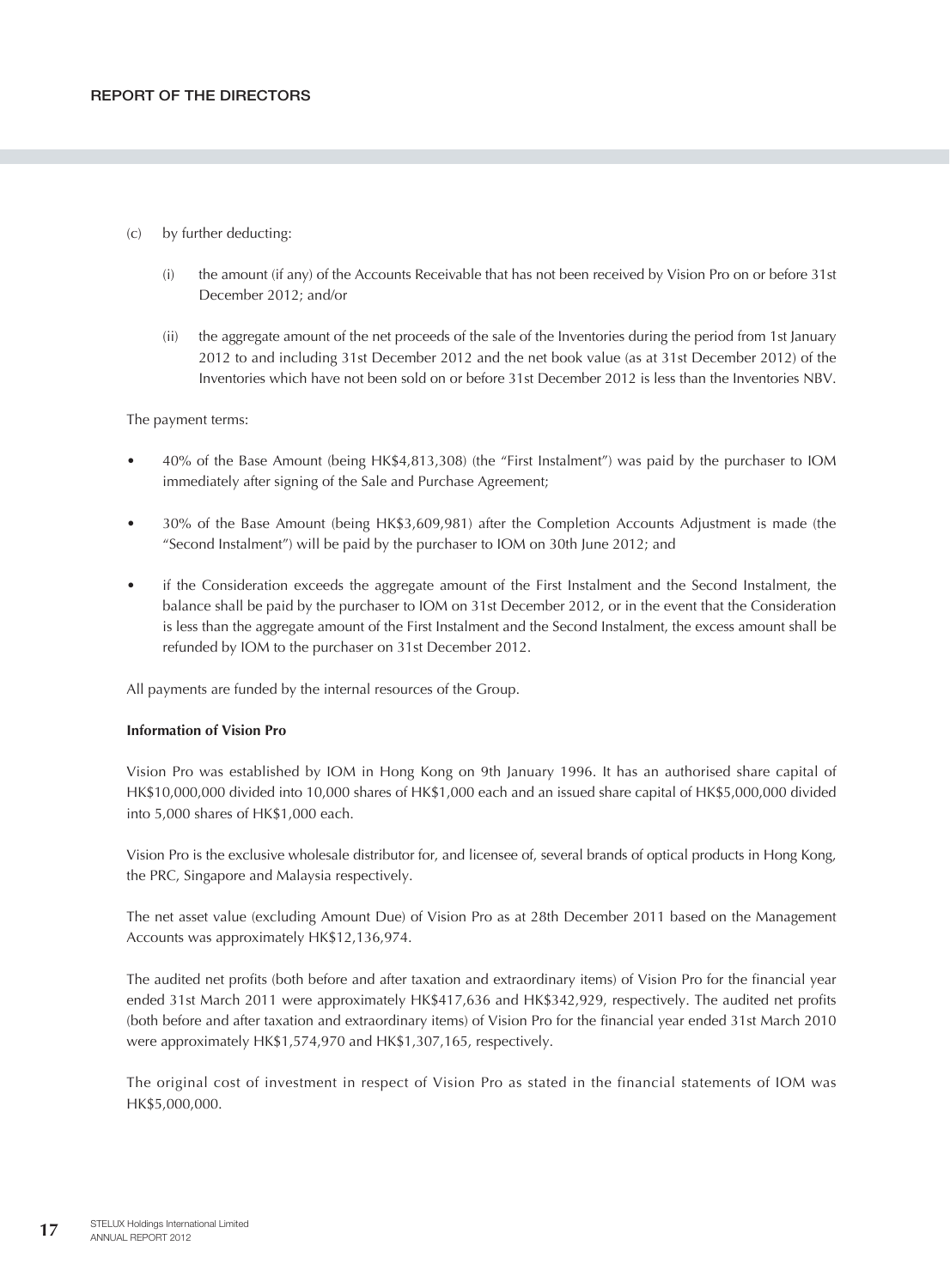#### (c) by further deducting:

- (i) the amount (if any) of the Accounts Receivable that has not been received by Vision Pro on or before 31st December 2012; and/or
- (ii) the aggregate amount of the net proceeds of the sale of the Inventories during the period from 1st January 2012 to and including 31st December 2012 and the net book value (as at 31st December 2012) of the Inventories which have not been sold on or before 31st December 2012 is less than the Inventories NBV.

The payment terms:

- 40% of the Base Amount (being HK\$4,813,308) (the "First Instalment") was paid by the purchaser to IOM immediately after signing of the Sale and Purchase Agreement;
- 30% of the Base Amount (being HK\$3,609,981) after the Completion Accounts Adjustment is made (the "Second Instalment") will be paid by the purchaser to IOM on 30th June 2012; and
- if the Consideration exceeds the aggregate amount of the First Instalment and the Second Instalment, the balance shall be paid by the purchaser to IOM on 31st December 2012, or in the event that the Consideration is less than the aggregate amount of the First Instalment and the Second Instalment, the excess amount shall be refunded by IOM to the purchaser on 31st December 2012.

All payments are funded by the internal resources of the Group.

## **Information of Vision Pro**

Vision Pro was established by IOM in Hong Kong on 9th January 1996. It has an authorised share capital of HK\$10,000,000 divided into 10,000 shares of HK\$1,000 each and an issued share capital of HK\$5,000,000 divided into 5,000 shares of HK\$1,000 each.

Vision Pro is the exclusive wholesale distributor for, and licensee of, several brands of optical products in Hong Kong, the PRC, Singapore and Malaysia respectively.

The net asset value (excluding Amount Due) of Vision Pro as at 28th December 2011 based on the Management Accounts was approximately HK\$12,136,974.

The audited net profits (both before and after taxation and extraordinary items) of Vision Pro for the financial year ended 31st March 2011 were approximately HK\$417,636 and HK\$342,929, respectively. The audited net profits (both before and after taxation and extraordinary items) of Vision Pro for the financial year ended 31st March 2010 were approximately HK\$1,574,970 and HK\$1,307,165, respectively.

The original cost of investment in respect of Vision Pro as stated in the financial statements of IOM was HK\$5,000,000.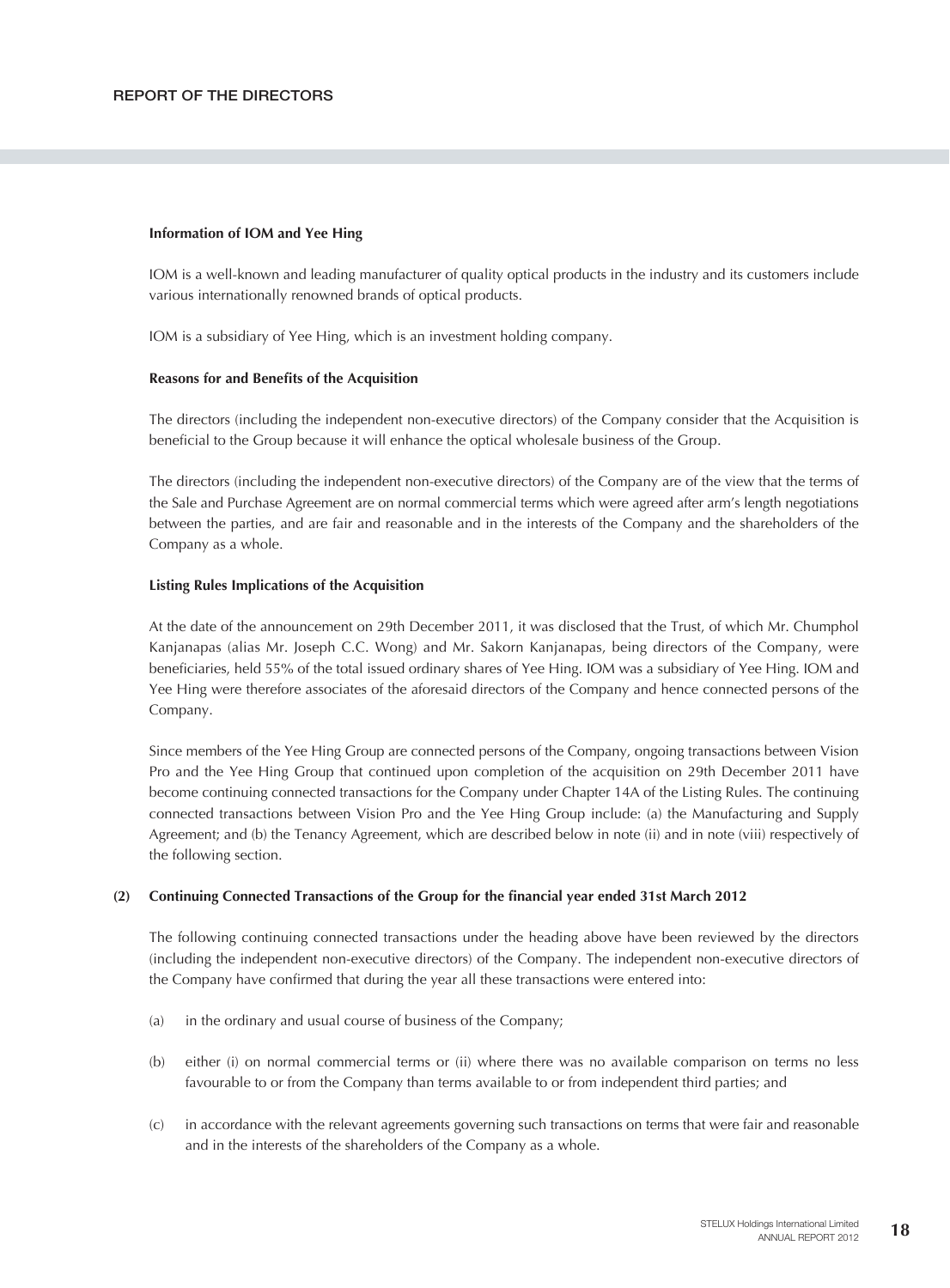#### **Information of IOM and Yee Hing**

IOM is a well-known and leading manufacturer of quality optical products in the industry and its customers include various internationally renowned brands of optical products.

IOM is a subsidiary of Yee Hing, which is an investment holding company.

#### **Reasons for and Benefits of the Acquisition**

The directors (including the independent non-executive directors) of the Company consider that the Acquisition is beneficial to the Group because it will enhance the optical wholesale business of the Group.

The directors (including the independent non-executive directors) of the Company are of the view that the terms of the Sale and Purchase Agreement are on normal commercial terms which were agreed after arm's length negotiations between the parties, and are fair and reasonable and in the interests of the Company and the shareholders of the Company as a whole.

#### **Listing Rules Implications of the Acquisition**

At the date of the announcement on 29th December 2011, it was disclosed that the Trust, of which Mr. Chumphol Kanjanapas (alias Mr. Joseph C.C. Wong) and Mr. Sakorn Kanjanapas, being directors of the Company, were beneficiaries, held 55% of the total issued ordinary shares of Yee Hing. IOM was a subsidiary of Yee Hing. IOM and Yee Hing were therefore associates of the aforesaid directors of the Company and hence connected persons of the Company.

Since members of the Yee Hing Group are connected persons of the Company, ongoing transactions between Vision Pro and the Yee Hing Group that continued upon completion of the acquisition on 29th December 2011 have become continuing connected transactions for the Company under Chapter 14A of the Listing Rules. The continuing connected transactions between Vision Pro and the Yee Hing Group include: (a) the Manufacturing and Supply Agreement; and (b) the Tenancy Agreement, which are described below in note (ii) and in note (viii) respectively of the following section.

#### (2) Continuing Connected Transactions of the Group for the financial year ended 31st March 2012

The following continuing connected transactions under the heading above have been reviewed by the directors (including the independent non-executive directors) of the Company. The independent non-executive directors of the Company have confirmed that during the year all these transactions were entered into:

- (a) in the ordinary and usual course of business of the Company;
- (b) either (i) on normal commercial terms or (ii) where there was no available comparison on terms no less favourable to or from the Company than terms available to or from independent third parties; and
- (c) in accordance with the relevant agreements governing such transactions on terms that were fair and reasonable and in the interests of the shareholders of the Company as a whole.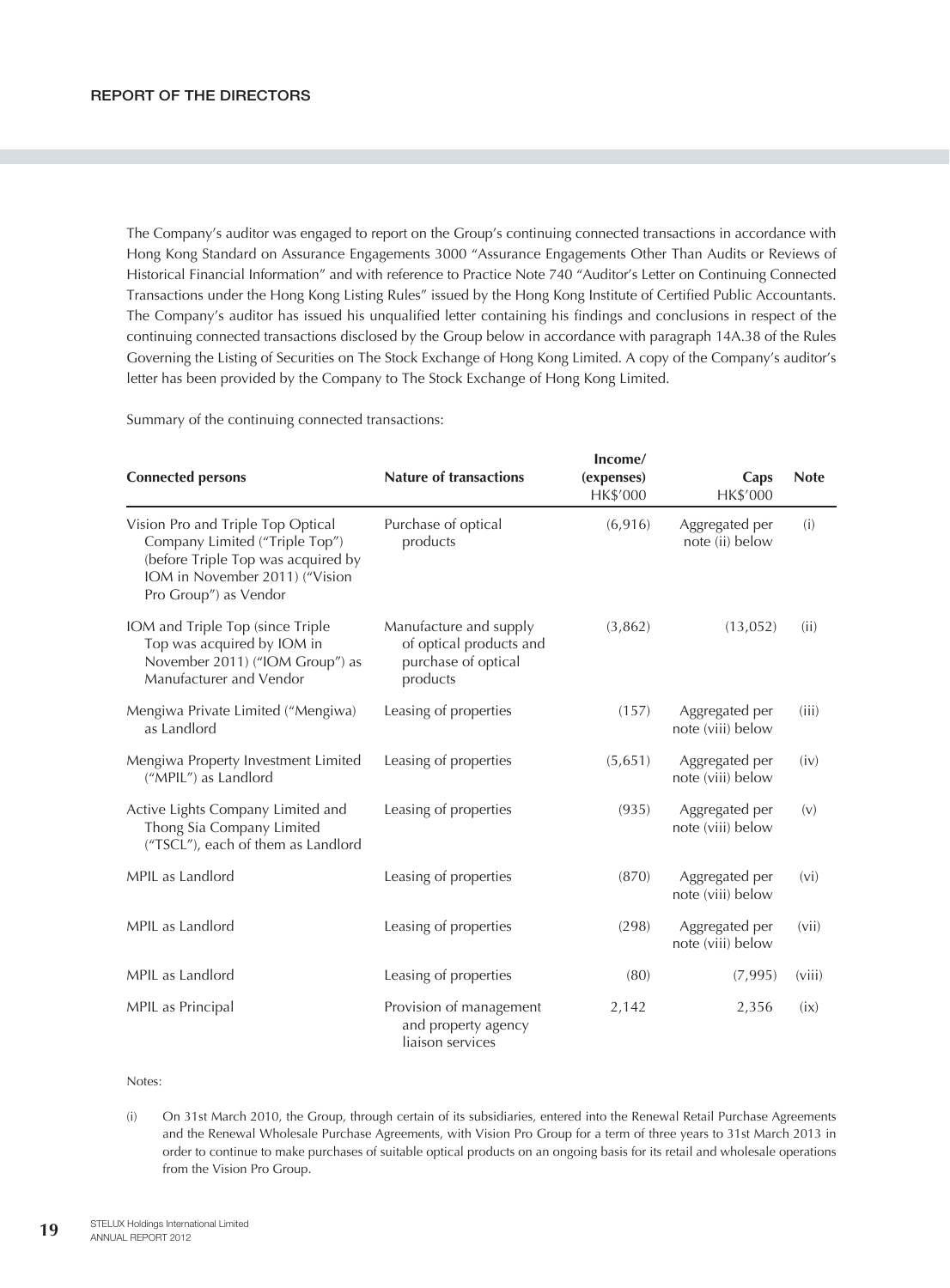The Company's auditor was engaged to report on the Group's continuing connected transactions in accordance with Hong Kong Standard on Assurance Engagements 3000 "Assurance Engagements Other Than Audits or Reviews of Historical Financial Information" and with reference to Practice Note 740 "Auditor's Letter on Continuing Connected Transactions under the Hong Kong Listing Rules" issued by the Hong Kong Institute of Certified Public Accountants. The Company's auditor has issued his unqualified letter containing his findings and conclusions in respect of the continuing connected transactions disclosed by the Group below in accordance with paragraph 14A.38 of the Rules Governing the Listing of Securities on The Stock Exchange of Hong Kong Limited. A copy of the Company's auditor's letter has been provided by the Company to The Stock Exchange of Hong Kong Limited.

Summary of the continuing connected transactions:

| <b>Connected persons</b>                                                                                                                                             | <b>Nature of transactions</b>                                                        | Income/<br>(expenses)<br>HK\$'000 | Caps<br>HK\$'000                    | <b>Note</b>       |
|----------------------------------------------------------------------------------------------------------------------------------------------------------------------|--------------------------------------------------------------------------------------|-----------------------------------|-------------------------------------|-------------------|
| Vision Pro and Triple Top Optical<br>Company Limited ("Triple Top")<br>(before Triple Top was acquired by<br>IOM in November 2011) ("Vision<br>Pro Group") as Vendor | Purchase of optical<br>products                                                      | (6,916)                           | Aggregated per<br>note (ii) below   | (i)               |
| IOM and Triple Top (since Triple<br>Top was acquired by IOM in<br>November 2011) ("IOM Group") as<br>Manufacturer and Vendor                                         | Manufacture and supply<br>of optical products and<br>purchase of optical<br>products | (3,862)                           | (13,052)                            | (ii)              |
| Mengiwa Private Limited ("Mengiwa)<br>as Landlord                                                                                                                    | Leasing of properties                                                                | (157)                             | Aggregated per<br>note (viii) below | (iii)             |
| Mengiwa Property Investment Limited<br>("MPIL") as Landlord                                                                                                          | Leasing of properties                                                                | (5,651)                           | Aggregated per<br>note (viii) below | (iv)              |
| Active Lights Company Limited and<br>Thong Sia Company Limited<br>("TSCL"), each of them as Landlord                                                                 | Leasing of properties                                                                | (935)                             | Aggregated per<br>note (viii) below | (v)               |
| MPIL as Landlord                                                                                                                                                     | Leasing of properties                                                                | (870)                             | Aggregated per<br>note (viii) below | (v <sub>i</sub> ) |
| MPIL as Landlord                                                                                                                                                     | Leasing of properties                                                                | (298)                             | Aggregated per<br>note (viii) below | (vii)             |
| MPIL as Landlord                                                                                                                                                     | Leasing of properties                                                                | (80)                              | (7,995)                             | (viii)            |
| MPIL as Principal                                                                                                                                                    | Provision of management<br>and property agency<br>liaison services                   | 2,142                             | 2,356                               | (ix)              |

Notes:

(i) On 31st March 2010, the Group, through certain of its subsidiaries, entered into the Renewal Retail Purchase Agreements and the Renewal Wholesale Purchase Agreements, with Vision Pro Group for a term of three years to 31st March 2013 in order to continue to make purchases of suitable optical products on an ongoing basis for its retail and wholesale operations from the Vision Pro Group.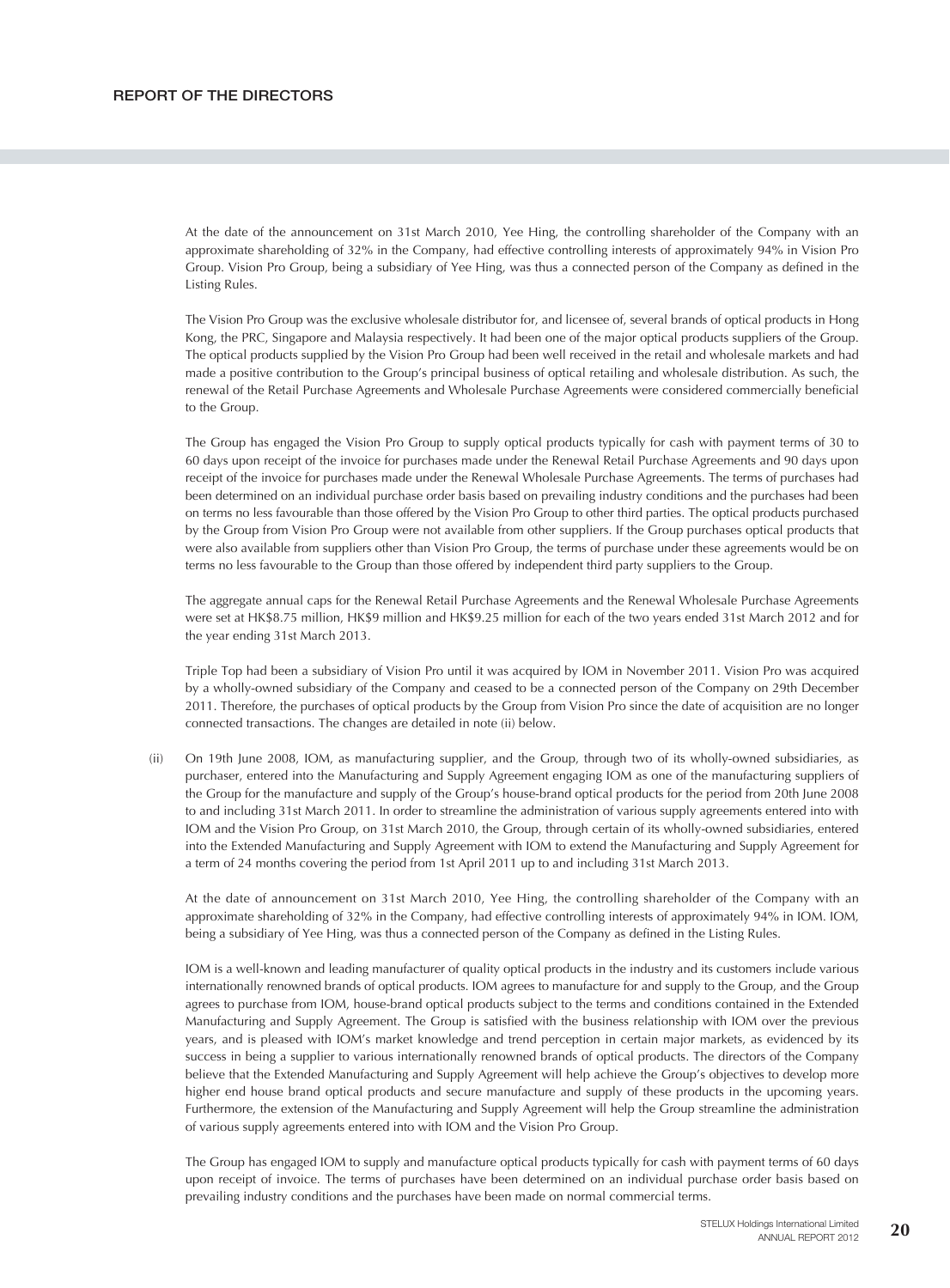At the date of the announcement on 31st March 2010, Yee Hing, the controlling shareholder of the Company with an approximate shareholding of 32% in the Company, had effective controlling interests of approximately 94% in Vision Pro Group. Vision Pro Group, being a subsidiary of Yee Hing, was thus a connected person of the Company as defined in the Listing Rules.

The Vision Pro Group was the exclusive wholesale distributor for, and licensee of, several brands of optical products in Hong Kong, the PRC, Singapore and Malaysia respectively. It had been one of the major optical products suppliers of the Group. The optical products supplied by the Vision Pro Group had been well received in the retail and wholesale markets and had made a positive contribution to the Group's principal business of optical retailing and wholesale distribution. As such, the renewal of the Retail Purchase Agreements and Wholesale Purchase Agreements were considered commercially beneficial to the Group.

The Group has engaged the Vision Pro Group to supply optical products typically for cash with payment terms of 30 to 60 days upon receipt of the invoice for purchases made under the Renewal Retail Purchase Agreements and 90 days upon receipt of the invoice for purchases made under the Renewal Wholesale Purchase Agreements. The terms of purchases had been determined on an individual purchase order basis based on prevailing industry conditions and the purchases had been on terms no less favourable than those offered by the Vision Pro Group to other third parties. The optical products purchased by the Group from Vision Pro Group were not available from other suppliers. If the Group purchases optical products that were also available from suppliers other than Vision Pro Group, the terms of purchase under these agreements would be on terms no less favourable to the Group than those offered by independent third party suppliers to the Group.

The aggregate annual caps for the Renewal Retail Purchase Agreements and the Renewal Wholesale Purchase Agreements were set at HK\$8.75 million, HK\$9 million and HK\$9.25 million for each of the two years ended 31st March 2012 and for the year ending 31st March 2013.

Triple Top had been a subsidiary of Vision Pro until it was acquired by IOM in November 2011. Vision Pro was acquired by a wholly-owned subsidiary of the Company and ceased to be a connected person of the Company on 29th December 2011. Therefore, the purchases of optical products by the Group from Vision Pro since the date of acquisition are no longer connected transactions. The changes are detailed in note (ii) below.

(ii) On 19th June 2008, IOM, as manufacturing supplier, and the Group, through two of its wholly-owned subsidiaries, as purchaser, entered into the Manufacturing and Supply Agreement engaging IOM as one of the manufacturing suppliers of the Group for the manufacture and supply of the Group's house-brand optical products for the period from 20th June 2008 to and including 31st March 2011. In order to streamline the administration of various supply agreements entered into with IOM and the Vision Pro Group, on 31st March 2010, the Group, through certain of its wholly-owned subsidiaries, entered into the Extended Manufacturing and Supply Agreement with IOM to extend the Manufacturing and Supply Agreement for a term of 24 months covering the period from 1st April 2011 up to and including 31st March 2013.

At the date of announcement on 31st March 2010, Yee Hing, the controlling shareholder of the Company with an approximate shareholding of 32% in the Company, had effective controlling interests of approximately 94% in IOM. IOM, being a subsidiary of Yee Hing, was thus a connected person of the Company as defined in the Listing Rules.

IOM is a well-known and leading manufacturer of quality optical products in the industry and its customers include various internationally renowned brands of optical products. IOM agrees to manufacture for and supply to the Group, and the Group agrees to purchase from IOM, house-brand optical products subject to the terms and conditions contained in the Extended Manufacturing and Supply Agreement. The Group is satisfied with the business relationship with IOM over the previous years, and is pleased with IOM's market knowledge and trend perception in certain major markets, as evidenced by its success in being a supplier to various internationally renowned brands of optical products. The directors of the Company believe that the Extended Manufacturing and Supply Agreement will help achieve the Group's objectives to develop more higher end house brand optical products and secure manufacture and supply of these products in the upcoming years. Furthermore, the extension of the Manufacturing and Supply Agreement will help the Group streamline the administration of various supply agreements entered into with IOM and the Vision Pro Group.

The Group has engaged IOM to supply and manufacture optical products typically for cash with payment terms of 60 days upon receipt of invoice. The terms of purchases have been determined on an individual purchase order basis based on prevailing industry conditions and the purchases have been made on normal commercial terms.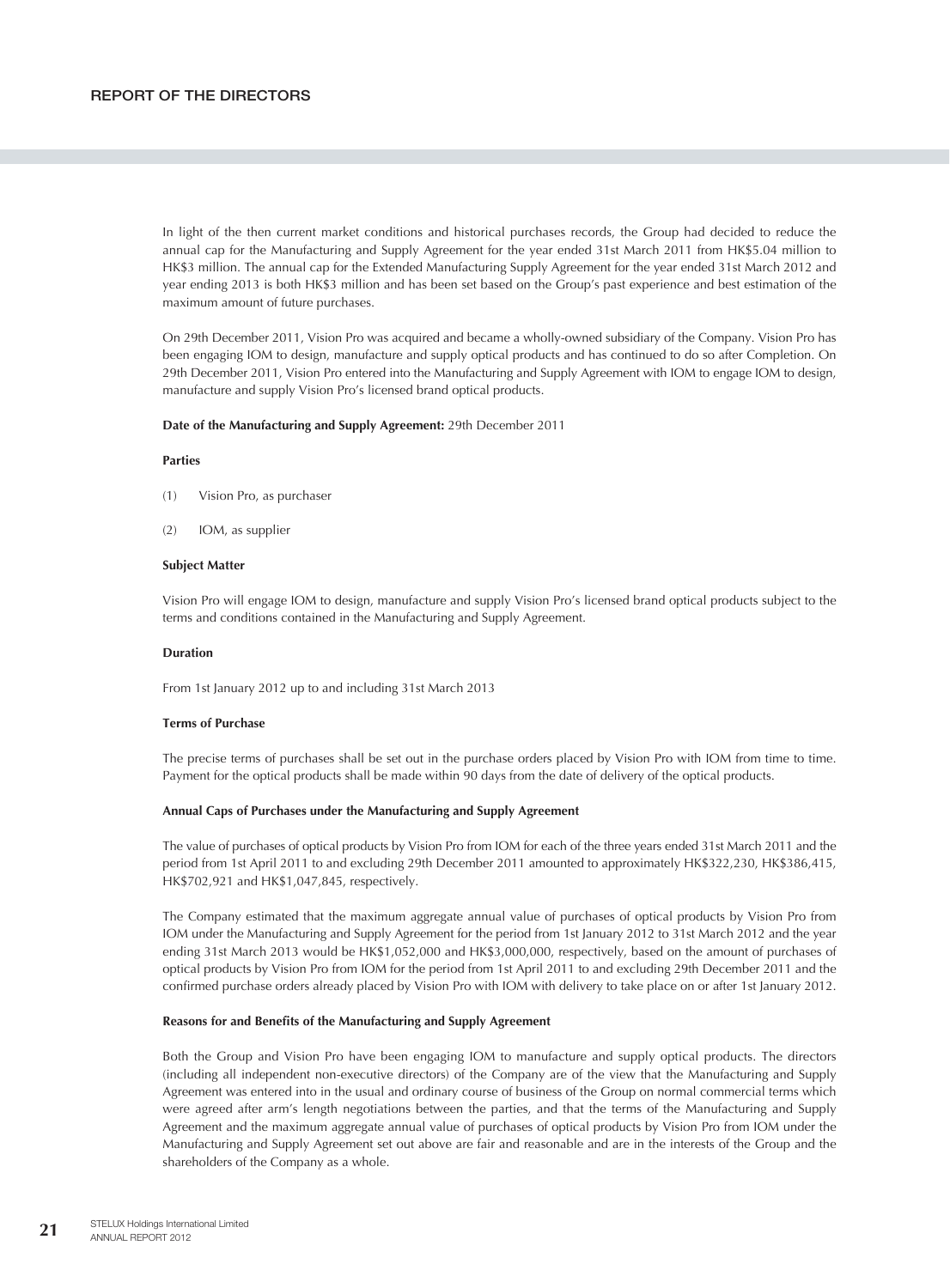In light of the then current market conditions and historical purchases records, the Group had decided to reduce the annual cap for the Manufacturing and Supply Agreement for the year ended 31st March 2011 from HK\$5.04 million to HK\$3 million. The annual cap for the Extended Manufacturing Supply Agreement for the year ended 31st March 2012 and year ending 2013 is both HK\$3 million and has been set based on the Group's past experience and best estimation of the maximum amount of future purchases.

On 29th December 2011, Vision Pro was acquired and became a wholly-owned subsidiary of the Company. Vision Pro has been engaging IOM to design, manufacture and supply optical products and has continued to do so after Completion. On 29th December 2011, Vision Pro entered into the Manufacturing and Supply Agreement with IOM to engage IOM to design, manufacture and supply Vision Pro's licensed brand optical products.

#### **Date of the Manufacturing and Supply Agreement:** 29th December 2011

#### **Parties**

- (1) Vision Pro, as purchaser
- (2) IOM, as supplier

#### **Subject Matter**

Vision Pro will engage IOM to design, manufacture and supply Vision Pro's licensed brand optical products subject to the terms and conditions contained in the Manufacturing and Supply Agreement.

#### **Duration**

From 1st January 2012 up to and including 31st March 2013

#### **Terms of Purchase**

The precise terms of purchases shall be set out in the purchase orders placed by Vision Pro with IOM from time to time. Payment for the optical products shall be made within 90 days from the date of delivery of the optical products.

#### **Annual Caps of Purchases under the Manufacturing and Supply Agreement**

The value of purchases of optical products by Vision Pro from IOM for each of the three years ended 31st March 2011 and the period from 1st April 2011 to and excluding 29th December 2011 amounted to approximately HK\$322,230, HK\$386,415, HK\$702,921 and HK\$1,047,845, respectively.

The Company estimated that the maximum aggregate annual value of purchases of optical products by Vision Pro from IOM under the Manufacturing and Supply Agreement for the period from 1st January 2012 to 31st March 2012 and the year ending 31st March 2013 would be HK\$1,052,000 and HK\$3,000,000, respectively, based on the amount of purchases of optical products by Vision Pro from IOM for the period from 1st April 2011 to and excluding 29th December 2011 and the confirmed purchase orders already placed by Vision Pro with IOM with delivery to take place on or after 1st January 2012.

#### **Reasons for and Benefits of the Manufacturing and Supply Agreement**

Both the Group and Vision Pro have been engaging IOM to manufacture and supply optical products. The directors (including all independent non-executive directors) of the Company are of the view that the Manufacturing and Supply Agreement was entered into in the usual and ordinary course of business of the Group on normal commercial terms which were agreed after arm's length negotiations between the parties, and that the terms of the Manufacturing and Supply Agreement and the maximum aggregate annual value of purchases of optical products by Vision Pro from IOM under the Manufacturing and Supply Agreement set out above are fair and reasonable and are in the interests of the Group and the shareholders of the Company as a whole.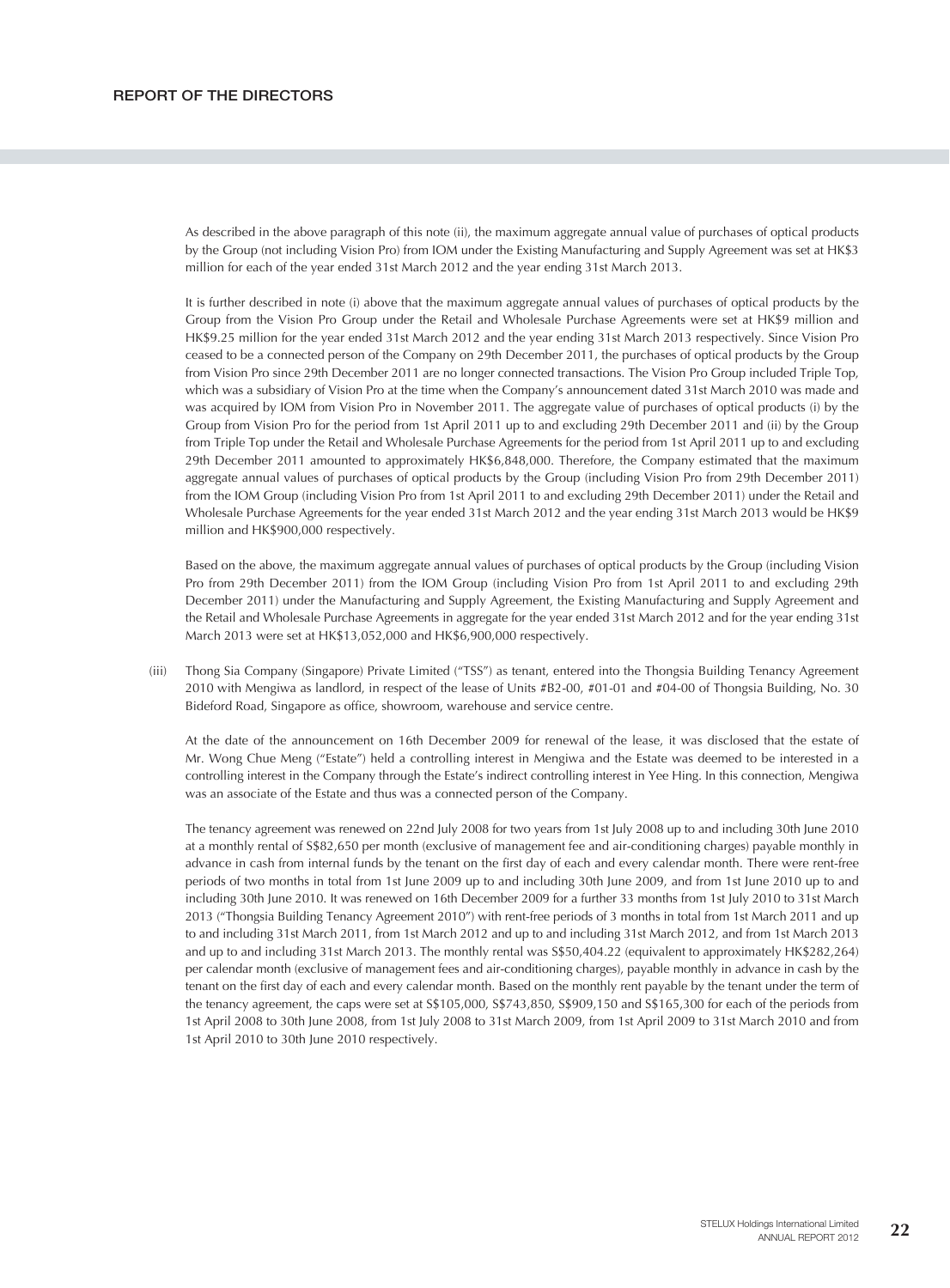As described in the above paragraph of this note (ii), the maximum aggregate annual value of purchases of optical products by the Group (not including Vision Pro) from IOM under the Existing Manufacturing and Supply Agreement was set at HK\$3 million for each of the year ended 31st March 2012 and the year ending 31st March 2013.

It is further described in note (i) above that the maximum aggregate annual values of purchases of optical products by the Group from the Vision Pro Group under the Retail and Wholesale Purchase Agreements were set at HK\$9 million and HK\$9.25 million for the year ended 31st March 2012 and the year ending 31st March 2013 respectively. Since Vision Pro ceased to be a connected person of the Company on 29th December 2011, the purchases of optical products by the Group from Vision Pro since 29th December 2011 are no longer connected transactions. The Vision Pro Group included Triple Top, which was a subsidiary of Vision Pro at the time when the Company's announcement dated 31st March 2010 was made and was acquired by IOM from Vision Pro in November 2011. The aggregate value of purchases of optical products (i) by the Group from Vision Pro for the period from 1st April 2011 up to and excluding 29th December 2011 and (ii) by the Group from Triple Top under the Retail and Wholesale Purchase Agreements for the period from 1st April 2011 up to and excluding 29th December 2011 amounted to approximately HK\$6,848,000. Therefore, the Company estimated that the maximum aggregate annual values of purchases of optical products by the Group (including Vision Pro from 29th December 2011) from the IOM Group (including Vision Pro from 1st April 2011 to and excluding 29th December 2011) under the Retail and Wholesale Purchase Agreements for the year ended 31st March 2012 and the year ending 31st March 2013 would be HK\$9 million and HK\$900,000 respectively.

Based on the above, the maximum aggregate annual values of purchases of optical products by the Group (including Vision Pro from 29th December 2011) from the IOM Group (including Vision Pro from 1st April 2011 to and excluding 29th December 2011) under the Manufacturing and Supply Agreement, the Existing Manufacturing and Supply Agreement and the Retail and Wholesale Purchase Agreements in aggregate for the year ended 31st March 2012 and for the year ending 31st March 2013 were set at HK\$13,052,000 and HK\$6,900,000 respectively.

(iii) Thong Sia Company (Singapore) Private Limited ("TSS") as tenant, entered into the Thongsia Building Tenancy Agreement 2010 with Mengiwa as landlord, in respect of the lease of Units #B2-00, #01-01 and #04-00 of Thongsia Building, No. 30 Bideford Road, Singapore as office, showroom, warehouse and service centre.

At the date of the announcement on 16th December 2009 for renewal of the lease, it was disclosed that the estate of Mr. Wong Chue Meng ("Estate") held a controlling interest in Mengiwa and the Estate was deemed to be interested in a controlling interest in the Company through the Estate's indirect controlling interest in Yee Hing. In this connection, Mengiwa was an associate of the Estate and thus was a connected person of the Company.

The tenancy agreement was renewed on 22nd July 2008 for two years from 1st July 2008 up to and including 30th June 2010 at a monthly rental of S\$82,650 per month (exclusive of management fee and air-conditioning charges) payable monthly in advance in cash from internal funds by the tenant on the first day of each and every calendar month. There were rent-free periods of two months in total from 1st June 2009 up to and including 30th June 2009, and from 1st June 2010 up to and including 30th June 2010. It was renewed on 16th December 2009 for a further 33 months from 1st July 2010 to 31st March 2013 ("Thongsia Building Tenancy Agreement 2010") with rent-free periods of 3 months in total from 1st March 2011 and up to and including 31st March 2011, from 1st March 2012 and up to and including 31st March 2012, and from 1st March 2013 and up to and including 31st March 2013. The monthly rental was S\$50,404.22 (equivalent to approximately HK\$282,264) per calendar month (exclusive of management fees and air-conditioning charges), payable monthly in advance in cash by the tenant on the first day of each and every calendar month. Based on the monthly rent payable by the tenant under the term of the tenancy agreement, the caps were set at S\$105,000, S\$743,850, S\$909,150 and S\$165,300 for each of the periods from 1st April 2008 to 30th June 2008, from 1st July 2008 to 31st March 2009, from 1st April 2009 to 31st March 2010 and from 1st April 2010 to 30th June 2010 respectively.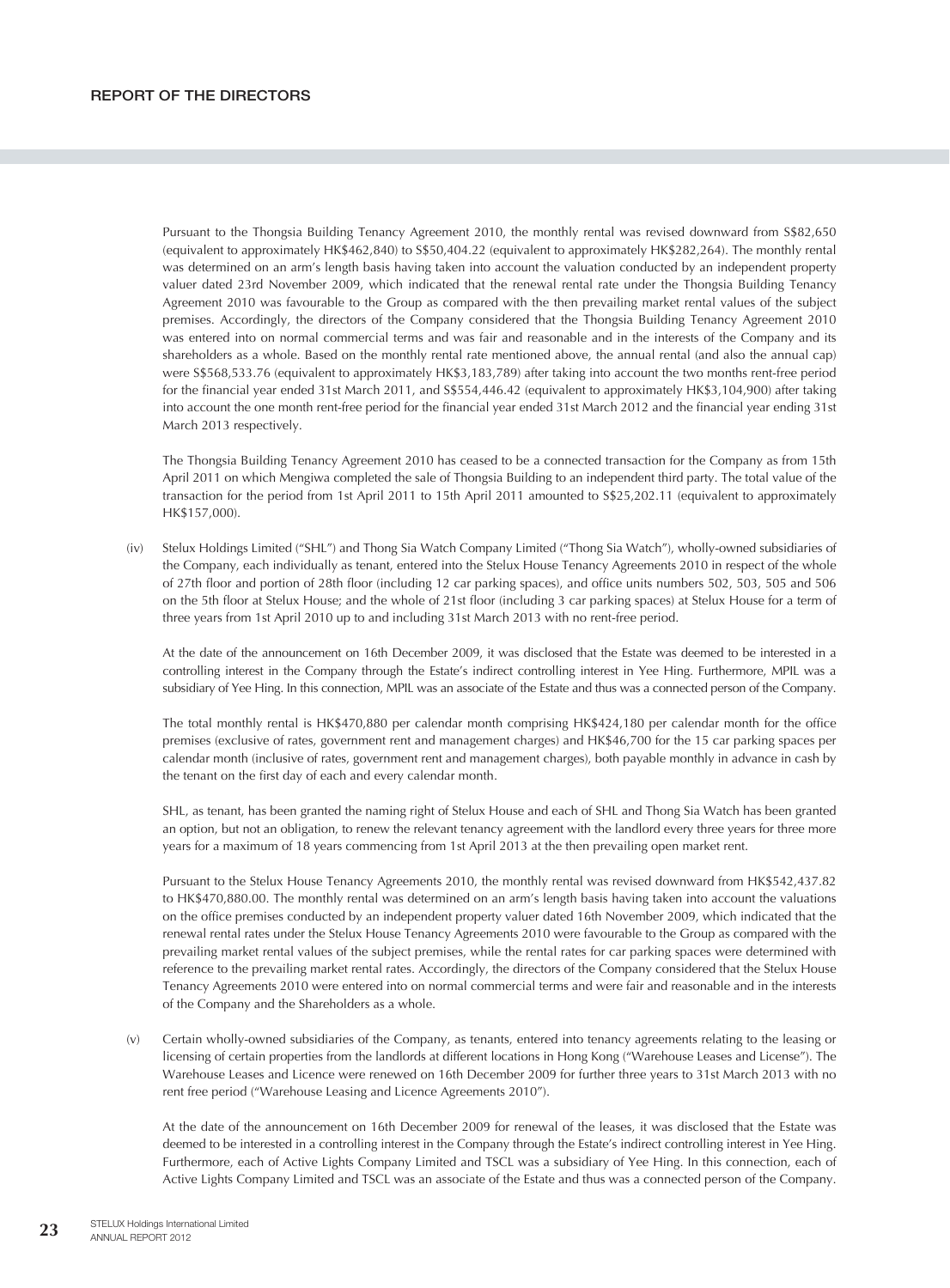Pursuant to the Thongsia Building Tenancy Agreement 2010, the monthly rental was revised downward from S\$82,650 (equivalent to approximately HK\$462,840) to S\$50,404.22 (equivalent to approximately HK\$282,264). The monthly rental was determined on an arm's length basis having taken into account the valuation conducted by an independent property valuer dated 23rd November 2009, which indicated that the renewal rental rate under the Thongsia Building Tenancy Agreement 2010 was favourable to the Group as compared with the then prevailing market rental values of the subject premises. Accordingly, the directors of the Company considered that the Thongsia Building Tenancy Agreement 2010 was entered into on normal commercial terms and was fair and reasonable and in the interests of the Company and its shareholders as a whole. Based on the monthly rental rate mentioned above, the annual rental (and also the annual cap) were S\$568,533.76 (equivalent to approximately HK\$3,183,789) after taking into account the two months rent-free period for the financial year ended 31st March 2011, and S\$554,446.42 (equivalent to approximately HK\$3,104,900) after taking into account the one month rent-free period for the financial year ended 31st March 2012 and the financial year ending 31st March 2013 respectively.

The Thongsia Building Tenancy Agreement 2010 has ceased to be a connected transaction for the Company as from 15th April 2011 on which Mengiwa completed the sale of Thongsia Building to an independent third party. The total value of the transaction for the period from 1st April 2011 to 15th April 2011 amounted to S\$25,202.11 (equivalent to approximately HK\$157,000).

(iv) Stelux Holdings Limited ("SHL") and Thong Sia Watch Company Limited ("Thong Sia Watch"), wholly-owned subsidiaries of the Company, each individually as tenant, entered into the Stelux House Tenancy Agreements 2010 in respect of the whole of 27th floor and portion of 28th floor (including 12 car parking spaces), and office units numbers 502, 503, 505 and 506 on the 5th floor at Stelux House; and the whole of 21st floor (including 3 car parking spaces) at Stelux House for a term of three years from 1st April 2010 up to and including 31st March 2013 with no rent-free period.

At the date of the announcement on 16th December 2009, it was disclosed that the Estate was deemed to be interested in a controlling interest in the Company through the Estate's indirect controlling interest in Yee Hing. Furthermore, MPIL was a subsidiary of Yee Hing. In this connection, MPIL was an associate of the Estate and thus was a connected person of the Company.

The total monthly rental is HK\$470,880 per calendar month comprising HK\$424,180 per calendar month for the office premises (exclusive of rates, government rent and management charges) and HK\$46,700 for the 15 car parking spaces per calendar month (inclusive of rates, government rent and management charges), both payable monthly in advance in cash by the tenant on the first day of each and every calendar month.

SHL, as tenant, has been granted the naming right of Stelux House and each of SHL and Thong Sia Watch has been granted an option, but not an obligation, to renew the relevant tenancy agreement with the landlord every three years for three more years for a maximum of 18 years commencing from 1st April 2013 at the then prevailing open market rent.

Pursuant to the Stelux House Tenancy Agreements 2010, the monthly rental was revised downward from HK\$542,437.82 to HK\$470,880.00. The monthly rental was determined on an arm's length basis having taken into account the valuations on the office premises conducted by an independent property valuer dated 16th November 2009, which indicated that the renewal rental rates under the Stelux House Tenancy Agreements 2010 were favourable to the Group as compared with the prevailing market rental values of the subject premises, while the rental rates for car parking spaces were determined with reference to the prevailing market rental rates. Accordingly, the directors of the Company considered that the Stelux House Tenancy Agreements 2010 were entered into on normal commercial terms and were fair and reasonable and in the interests of the Company and the Shareholders as a whole.

(v) Certain wholly-owned subsidiaries of the Company, as tenants, entered into tenancy agreements relating to the leasing or licensing of certain properties from the landlords at different locations in Hong Kong ("Warehouse Leases and License"). The Warehouse Leases and Licence were renewed on 16th December 2009 for further three years to 31st March 2013 with no rent free period ("Warehouse Leasing and Licence Agreements 2010").

At the date of the announcement on 16th December 2009 for renewal of the leases, it was disclosed that the Estate was deemed to be interested in a controlling interest in the Company through the Estate's indirect controlling interest in Yee Hing. Furthermore, each of Active Lights Company Limited and TSCL was a subsidiary of Yee Hing. In this connection, each of Active Lights Company Limited and TSCL was an associate of the Estate and thus was a connected person of the Company.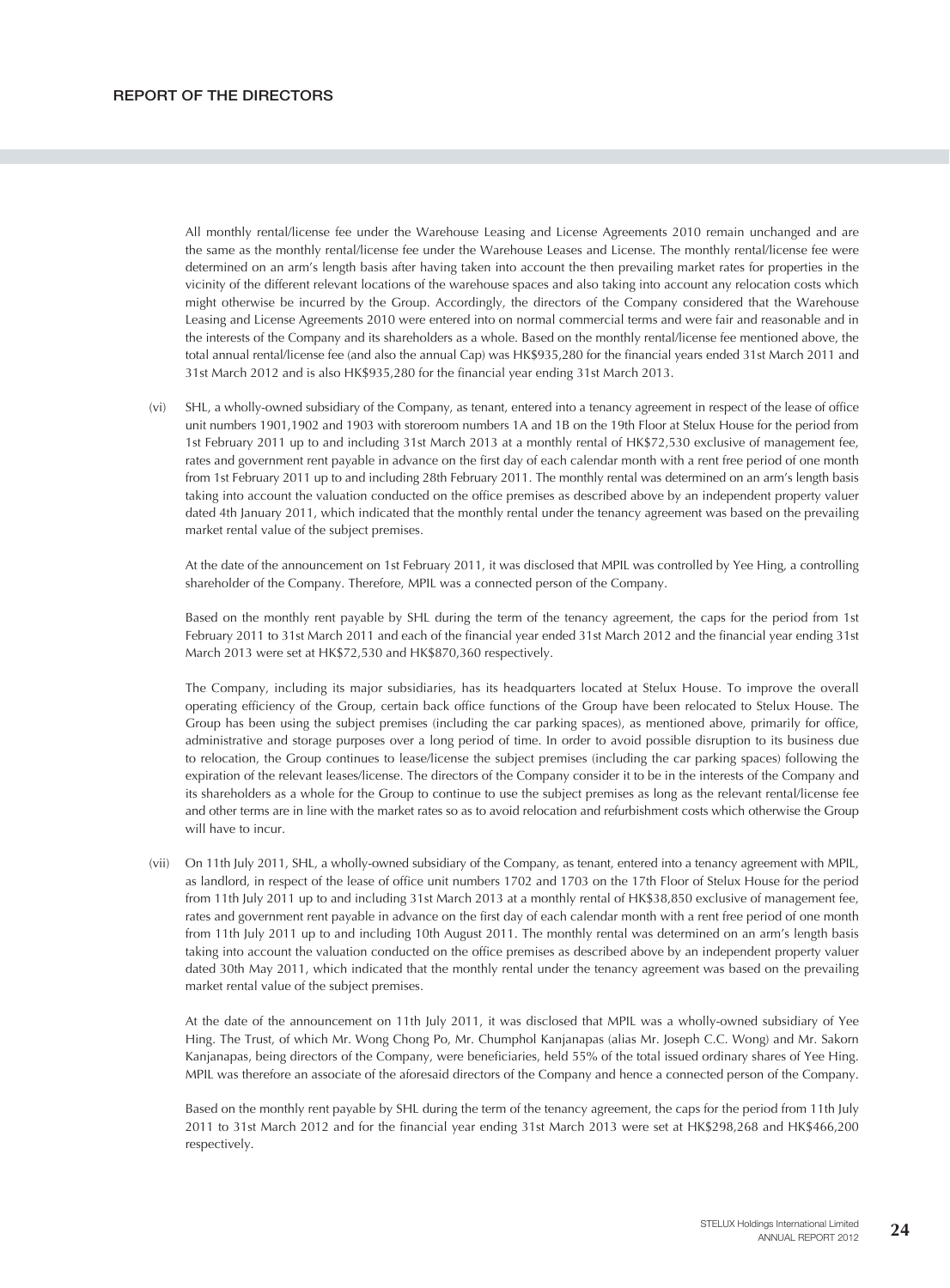All monthly rental/license fee under the Warehouse Leasing and License Agreements 2010 remain unchanged and are the same as the monthly rental/license fee under the Warehouse Leases and License. The monthly rental/license fee were determined on an arm's length basis after having taken into account the then prevailing market rates for properties in the vicinity of the different relevant locations of the warehouse spaces and also taking into account any relocation costs which might otherwise be incurred by the Group. Accordingly, the directors of the Company considered that the Warehouse Leasing and License Agreements 2010 were entered into on normal commercial terms and were fair and reasonable and in the interests of the Company and its shareholders as a whole. Based on the monthly rental/license fee mentioned above, the total annual rental/license fee (and also the annual Cap) was HK\$935,280 for the financial years ended 31st March 2011 and 31st March 2012 and is also HK\$935,280 for the financial year ending 31st March 2013.

(vi) SHL, a wholly-owned subsidiary of the Company, as tenant, entered into a tenancy agreement in respect of the lease of office unit numbers 1901,1902 and 1903 with storeroom numbers 1A and 1B on the 19th Floor at Stelux House for the period from 1st February 2011 up to and including 31st March 2013 at a monthly rental of HK\$72,530 exclusive of management fee, rates and government rent payable in advance on the first day of each calendar month with a rent free period of one month from 1st February 2011 up to and including 28th February 2011. The monthly rental was determined on an arm's length basis taking into account the valuation conducted on the office premises as described above by an independent property valuer dated 4th January 2011, which indicated that the monthly rental under the tenancy agreement was based on the prevailing market rental value of the subject premises.

At the date of the announcement on 1st February 2011, it was disclosed that MPIL was controlled by Yee Hing, a controlling shareholder of the Company. Therefore, MPIL was a connected person of the Company.

Based on the monthly rent payable by SHL during the term of the tenancy agreement, the caps for the period from 1st February 2011 to 31st March 2011 and each of the financial year ended 31st March 2012 and the financial year ending 31st March 2013 were set at HK\$72,530 and HK\$870,360 respectively.

The Company, including its major subsidiaries, has its headquarters located at Stelux House. To improve the overall operating efficiency of the Group, certain back office functions of the Group have been relocated to Stelux House. The Group has been using the subject premises (including the car parking spaces), as mentioned above, primarily for office, administrative and storage purposes over a long period of time. In order to avoid possible disruption to its business due to relocation, the Group continues to lease/license the subject premises (including the car parking spaces) following the expiration of the relevant leases/license. The directors of the Company consider it to be in the interests of the Company and its shareholders as a whole for the Group to continue to use the subject premises as long as the relevant rental/license fee and other terms are in line with the market rates so as to avoid relocation and refurbishment costs which otherwise the Group will have to incur.

(vii) On 11th July 2011, SHL, a wholly-owned subsidiary of the Company, as tenant, entered into a tenancy agreement with MPIL, as landlord, in respect of the lease of office unit numbers 1702 and 1703 on the 17th Floor of Stelux House for the period from 11th July 2011 up to and including 31st March 2013 at a monthly rental of HK\$38,850 exclusive of management fee, rates and government rent payable in advance on the first day of each calendar month with a rent free period of one month from 11th July 2011 up to and including 10th August 2011. The monthly rental was determined on an arm's length basis taking into account the valuation conducted on the office premises as described above by an independent property valuer dated 30th May 2011, which indicated that the monthly rental under the tenancy agreement was based on the prevailing market rental value of the subject premises.

At the date of the announcement on 11th July 2011, it was disclosed that MPIL was a wholly-owned subsidiary of Yee Hing. The Trust, of which Mr. Wong Chong Po, Mr. Chumphol Kanjanapas (alias Mr. Joseph C.C. Wong) and Mr. Sakorn Kanjanapas, being directors of the Company, were beneficiaries, held 55% of the total issued ordinary shares of Yee Hing. MPIL was therefore an associate of the aforesaid directors of the Company and hence a connected person of the Company.

Based on the monthly rent payable by SHL during the term of the tenancy agreement, the caps for the period from 11th July 2011 to 31st March 2012 and for the financial year ending 31st March 2013 were set at HK\$298,268 and HK\$466,200 respectively.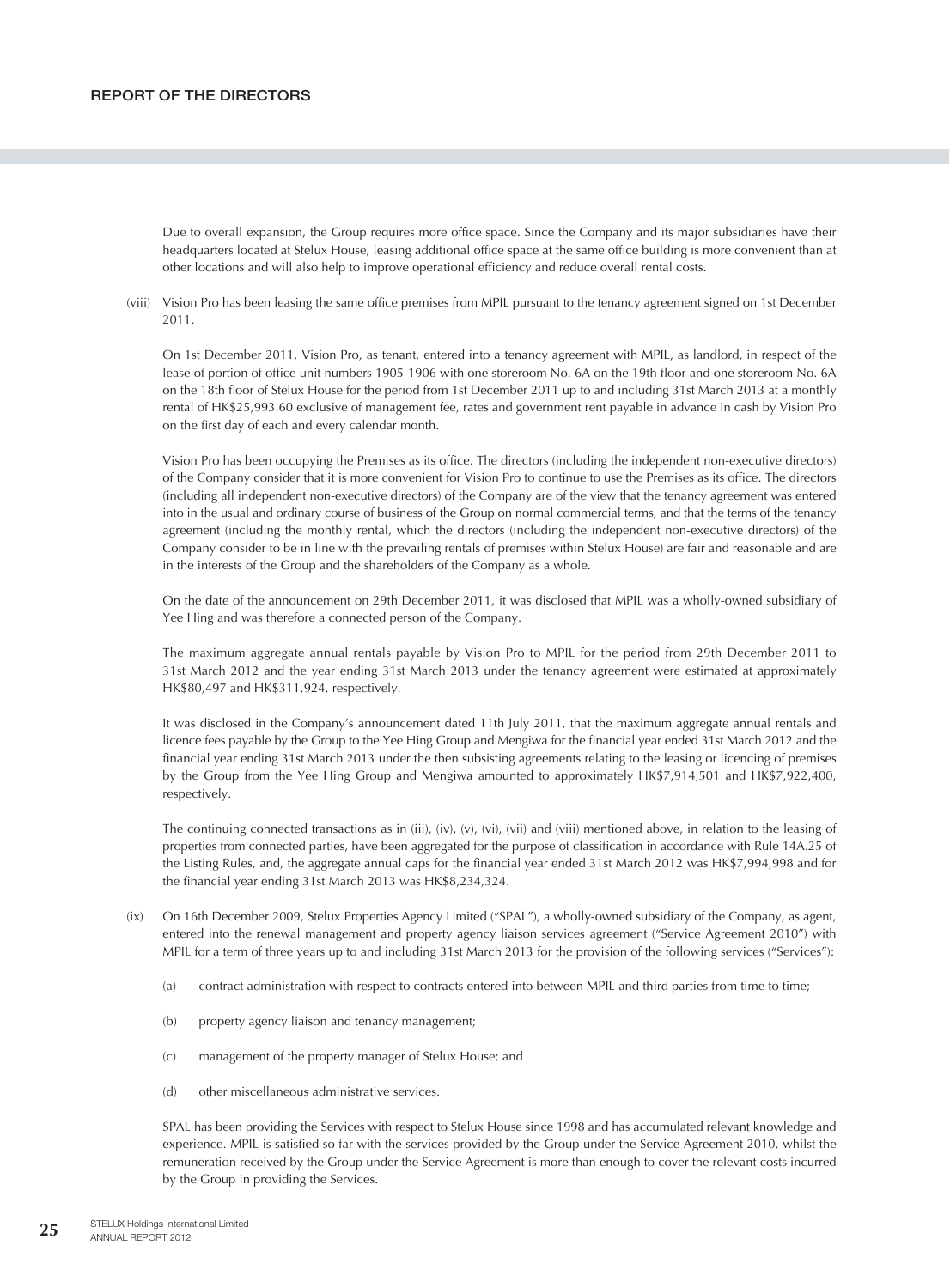Due to overall expansion, the Group requires more office space. Since the Company and its major subsidiaries have their headquarters located at Stelux House, leasing additional office space at the same office building is more convenient than at other locations and will also help to improve operational efficiency and reduce overall rental costs.

(viii) Vision Pro has been leasing the same office premises from MPIL pursuant to the tenancy agreement signed on 1st December 2011.

On 1st December 2011, Vision Pro, as tenant, entered into a tenancy agreement with MPIL, as landlord, in respect of the lease of portion of office unit numbers 1905-1906 with one storeroom No. 6A on the 19th floor and one storeroom No. 6A on the 18th floor of Stelux House for the period from 1st December 2011 up to and including 31st March 2013 at a monthly rental of HK\$25,993.60 exclusive of management fee, rates and government rent payable in advance in cash by Vision Pro on the first day of each and every calendar month.

Vision Pro has been occupying the Premises as its office. The directors (including the independent non-executive directors) of the Company consider that it is more convenient for Vision Pro to continue to use the Premises as its office. The directors (including all independent non-executive directors) of the Company are of the view that the tenancy agreement was entered into in the usual and ordinary course of business of the Group on normal commercial terms, and that the terms of the tenancy agreement (including the monthly rental, which the directors (including the independent non-executive directors) of the Company consider to be in line with the prevailing rentals of premises within Stelux House) are fair and reasonable and are in the interests of the Group and the shareholders of the Company as a whole.

On the date of the announcement on 29th December 2011, it was disclosed that MPIL was a wholly-owned subsidiary of Yee Hing and was therefore a connected person of the Company.

The maximum aggregate annual rentals payable by Vision Pro to MPIL for the period from 29th December 2011 to 31st March 2012 and the year ending 31st March 2013 under the tenancy agreement were estimated at approximately HK\$80,497 and HK\$311,924, respectively.

It was disclosed in the Company's announcement dated 11th July 2011, that the maximum aggregate annual rentals and licence fees payable by the Group to the Yee Hing Group and Mengiwa for the financial year ended 31st March 2012 and the financial year ending 31st March 2013 under the then subsisting agreements relating to the leasing or licencing of premises by the Group from the Yee Hing Group and Mengiwa amounted to approximately HK\$7,914,501 and HK\$7,922,400, respectively.

The continuing connected transactions as in (iii), (iv), (v), (vi), (vii) and (viii) mentioned above, in relation to the leasing of properties from connected parties, have been aggregated for the purpose of classification in accordance with Rule 14A.25 of the Listing Rules, and, the aggregate annual caps for the financial year ended 31st March 2012 was HK\$7,994,998 and for the financial year ending 31st March 2013 was HK\$8,234,324.

- (ix) On 16th December 2009, Stelux Properties Agency Limited ("SPAL"), a wholly-owned subsidiary of the Company, as agent, entered into the renewal management and property agency liaison services agreement ("Service Agreement 2010") with MPIL for a term of three years up to and including 31st March 2013 for the provision of the following services ("Services"):
	- (a) contract administration with respect to contracts entered into between MPIL and third parties from time to time;
	- (b) property agency liaison and tenancy management;
	- (c) management of the property manager of Stelux House; and
	- (d) other miscellaneous administrative services.

SPAL has been providing the Services with respect to Stelux House since 1998 and has accumulated relevant knowledge and experience. MPIL is satisfied so far with the services provided by the Group under the Service Agreement 2010, whilst the remuneration received by the Group under the Service Agreement is more than enough to cover the relevant costs incurred by the Group in providing the Services.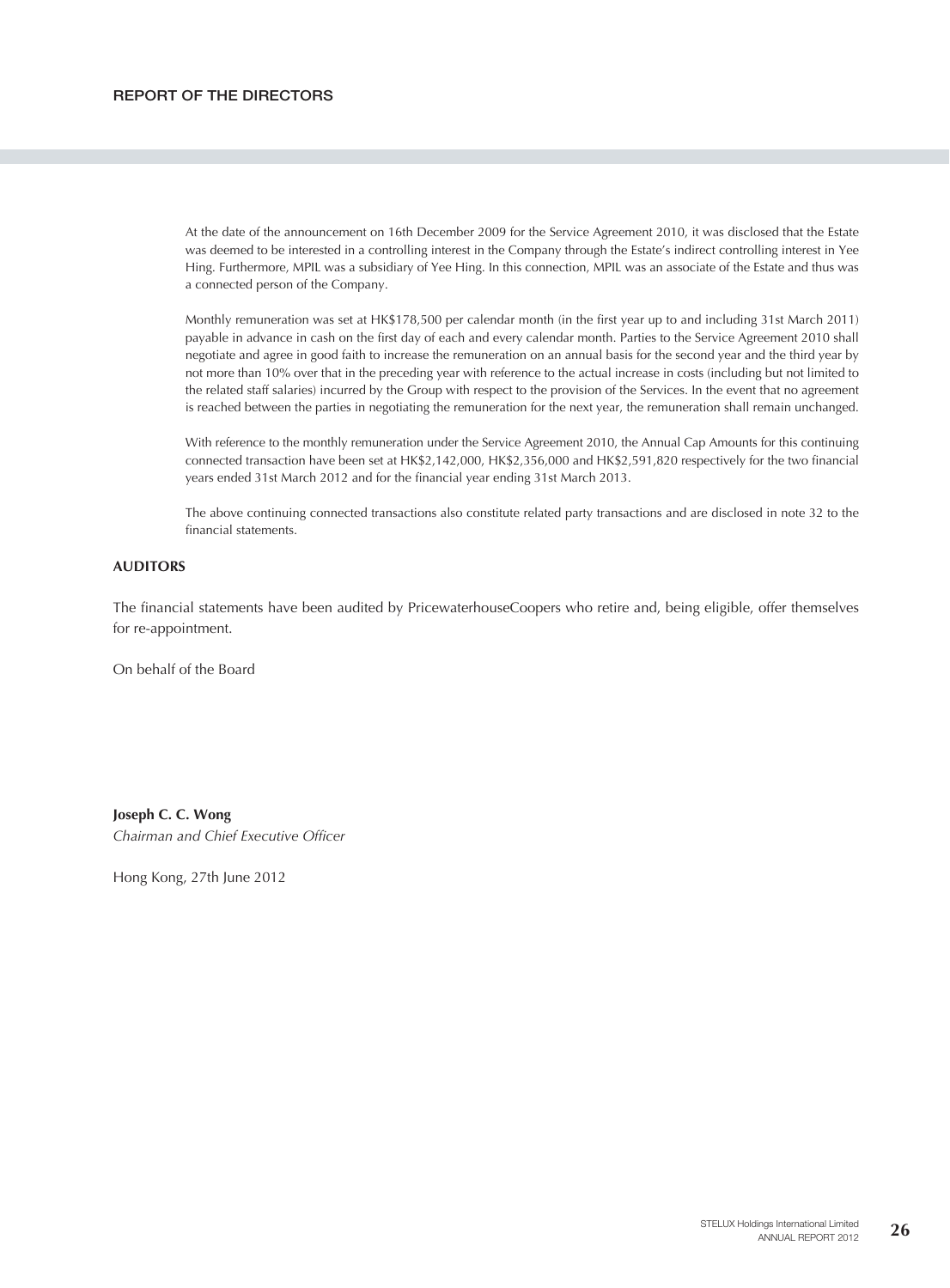At the date of the announcement on 16th December 2009 for the Service Agreement 2010, it was disclosed that the Estate was deemed to be interested in a controlling interest in the Company through the Estate's indirect controlling interest in Yee Hing. Furthermore, MPIL was a subsidiary of Yee Hing. In this connection, MPIL was an associate of the Estate and thus was a connected person of the Company.

Monthly remuneration was set at HK\$178,500 per calendar month (in the first year up to and including 31st March 2011) payable in advance in cash on the first day of each and every calendar month. Parties to the Service Agreement 2010 shall negotiate and agree in good faith to increase the remuneration on an annual basis for the second year and the third year by not more than 10% over that in the preceding year with reference to the actual increase in costs (including but not limited to the related staff salaries) incurred by the Group with respect to the provision of the Services. In the event that no agreement is reached between the parties in negotiating the remuneration for the next year, the remuneration shall remain unchanged.

With reference to the monthly remuneration under the Service Agreement 2010, the Annual Cap Amounts for this continuing connected transaction have been set at HK\$2,142,000, HK\$2,356,000 and HK\$2,591,820 respectively for the two financial years ended 31st March 2012 and for the financial year ending 31st March 2013.

The above continuing connected transactions also constitute related party transactions and are disclosed in note 32 to the financial statements.

#### **AUDITORS**

The financial statements have been audited by PricewaterhouseCoopers who retire and, being eligible, offer themselves for re-appointment.

On behalf of the Board

**Joseph C. C. Wong Chairman and Chief Executive Officer** 

Hong Kong, 27th June 2012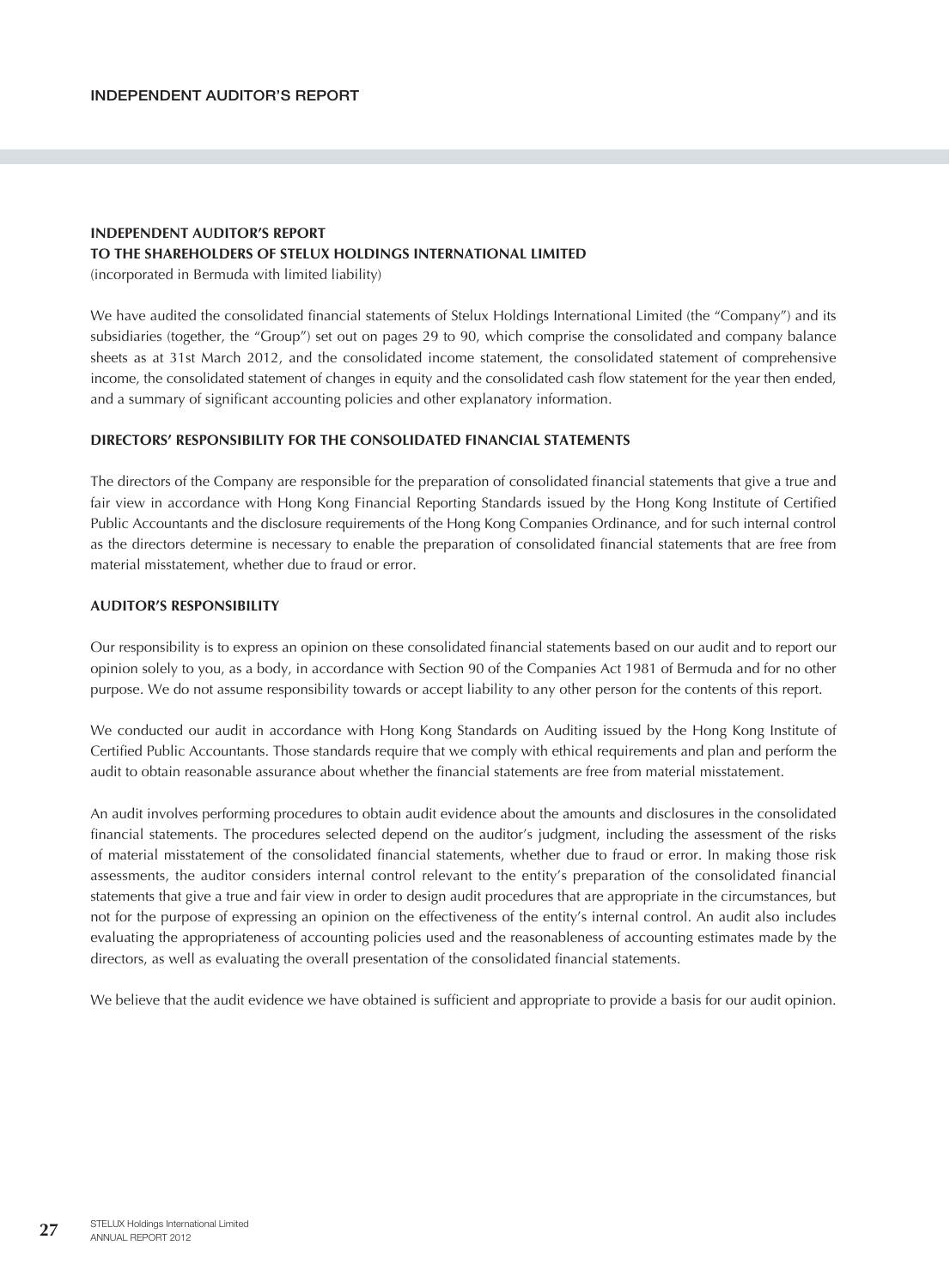# **INDEPENDENT AUDITOR'S REPORT TO THE SHAREHOLDERS OF STELUX HOLDINGS INTERNATIONAL LIMITED**

(incorporated in Bermuda with limited liability)

We have audited the consolidated financial statements of Stelux Holdings International Limited (the "Company") and its subsidiaries (together, the "Group") set out on pages 29 to 90, which comprise the consolidated and company balance sheets as at 31st March 2012, and the consolidated income statement, the consolidated statement of comprehensive income, the consolidated statement of changes in equity and the consolidated cash flow statement for the year then ended, and a summary of significant accounting policies and other explanatory information.

#### **DIRECTORS' RESPONSIBILITY FOR THE CONSOLIDATED FINANCIAL STATEMENTS**

The directors of the Company are responsible for the preparation of consolidated financial statements that give a true and fair view in accordance with Hong Kong Financial Reporting Standards issued by the Hong Kong Institute of Certified Public Accountants and the disclosure requirements of the Hong Kong Companies Ordinance, and for such internal control as the directors determine is necessary to enable the preparation of consolidated financial statements that are free from material misstatement, whether due to fraud or error.

#### **AUDITOR'S RESPONSIBILITY**

Our responsibility is to express an opinion on these consolidated financial statements based on our audit and to report our opinion solely to you, as a body, in accordance with Section 90 of the Companies Act 1981 of Bermuda and for no other purpose. We do not assume responsibility towards or accept liability to any other person for the contents of this report.

We conducted our audit in accordance with Hong Kong Standards on Auditing issued by the Hong Kong Institute of Certified Public Accountants. Those standards require that we comply with ethical requirements and plan and perform the audit to obtain reasonable assurance about whether the financial statements are free from material misstatement.

An audit involves performing procedures to obtain audit evidence about the amounts and disclosures in the consolidated financial statements. The procedures selected depend on the auditor's judgment, including the assessment of the risks of material misstatement of the consolidated financial statements, whether due to fraud or error. In making those risk assessments, the auditor considers internal control relevant to the entity's preparation of the consolidated financial statements that give a true and fair view in order to design audit procedures that are appropriate in the circumstances, but not for the purpose of expressing an opinion on the effectiveness of the entity's internal control. An audit also includes evaluating the appropriateness of accounting policies used and the reasonableness of accounting estimates made by the directors, as well as evaluating the overall presentation of the consolidated financial statements.

We believe that the audit evidence we have obtained is sufficient and appropriate to provide a basis for our audit opinion.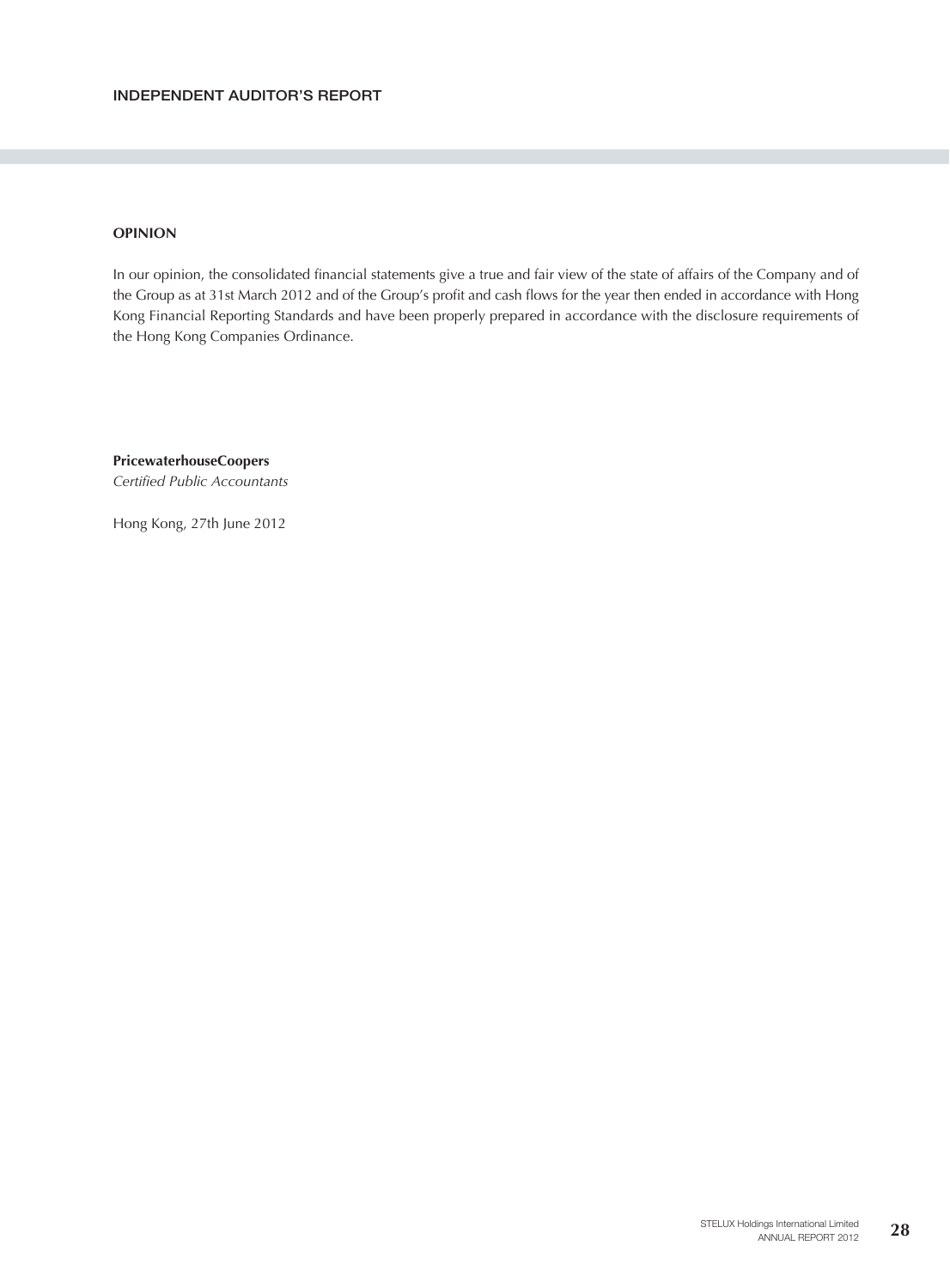## **OPINION**

In our opinion, the consolidated financial statements give a true and fair view of the state of affairs of the Company and of the Group as at 31st March 2012 and of the Group's profit and cash flows for the year then ended in accordance with Hong Kong Financial Reporting Standards and have been properly prepared in accordance with the disclosure requirements of the Hong Kong Companies Ordinance.

**PricewaterhouseCoopers Certified Public Accountants** 

Hong Kong, 27th June 2012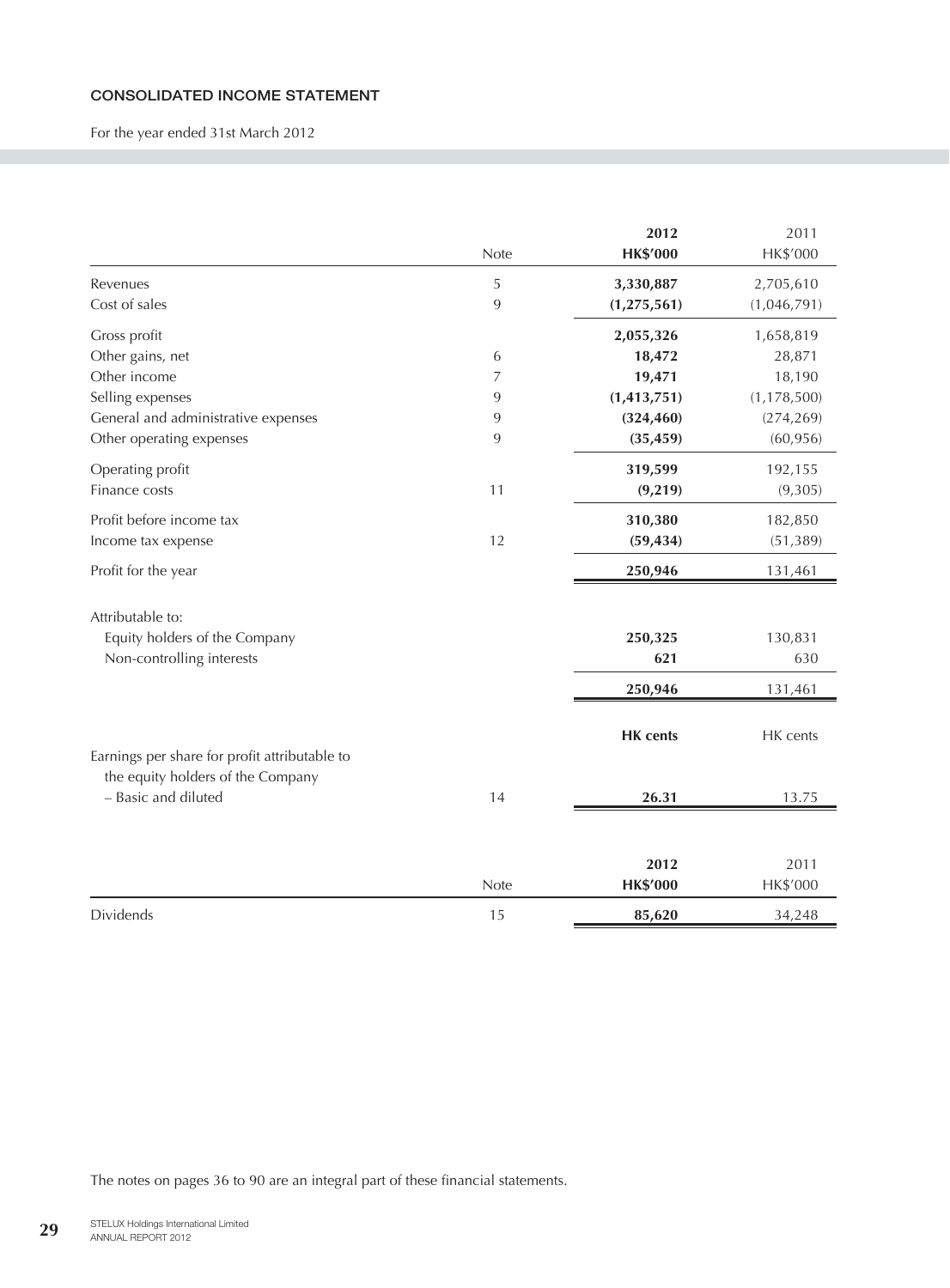# **CONSOLIDATED INCOME STATEMENT**

For the year ended 31st March 2012

|                                               | Note        | 2012<br><b>HK\$'000</b> | 2011<br>HK\$'000         |
|-----------------------------------------------|-------------|-------------------------|--------------------------|
| Revenues                                      | 5           | 3,330,887               |                          |
| Cost of sales                                 | 9           | (1, 275, 561)           | 2,705,610<br>(1,046,791) |
| Gross profit                                  |             | 2,055,326               | 1,658,819                |
| Other gains, net                              | 6           | 18,472                  | 28,871                   |
| Other income                                  | 7           | 19,471                  | 18,190                   |
| Selling expenses                              | 9           | (1, 413, 751)           | (1, 178, 500)            |
| General and administrative expenses           | 9           | (324, 460)              | (274, 269)               |
| Other operating expenses                      | 9           | (35, 459)               | (60, 956)                |
| Operating profit                              |             | 319,599                 | 192,155                  |
| Finance costs                                 | 11          | (9, 219)                | (9,305)                  |
| Profit before income tax                      |             | 310,380                 | 182,850                  |
| Income tax expense                            | 12          | (59, 434)               | (51, 389)                |
| Profit for the year                           |             | 250,946                 | 131,461                  |
| Attributable to:                              |             |                         |                          |
| Equity holders of the Company                 |             | 250,325                 | 130,831                  |
| Non-controlling interests                     |             | 621                     | 630                      |
|                                               |             |                         |                          |
|                                               |             | 250,946                 | 131,461                  |
|                                               |             | <b>HK</b> cents         | HK cents                 |
| Earnings per share for profit attributable to |             |                         |                          |
| the equity holders of the Company             |             |                         |                          |
| - Basic and diluted                           | 14          | 26.31                   | 13.75                    |
|                                               |             |                         |                          |
|                                               |             | 2012                    | 2011                     |
|                                               | <b>Note</b> | <b>HK\$'000</b>         | HK\$'000                 |
| Dividends                                     | 15          | 85,620                  | 34,248                   |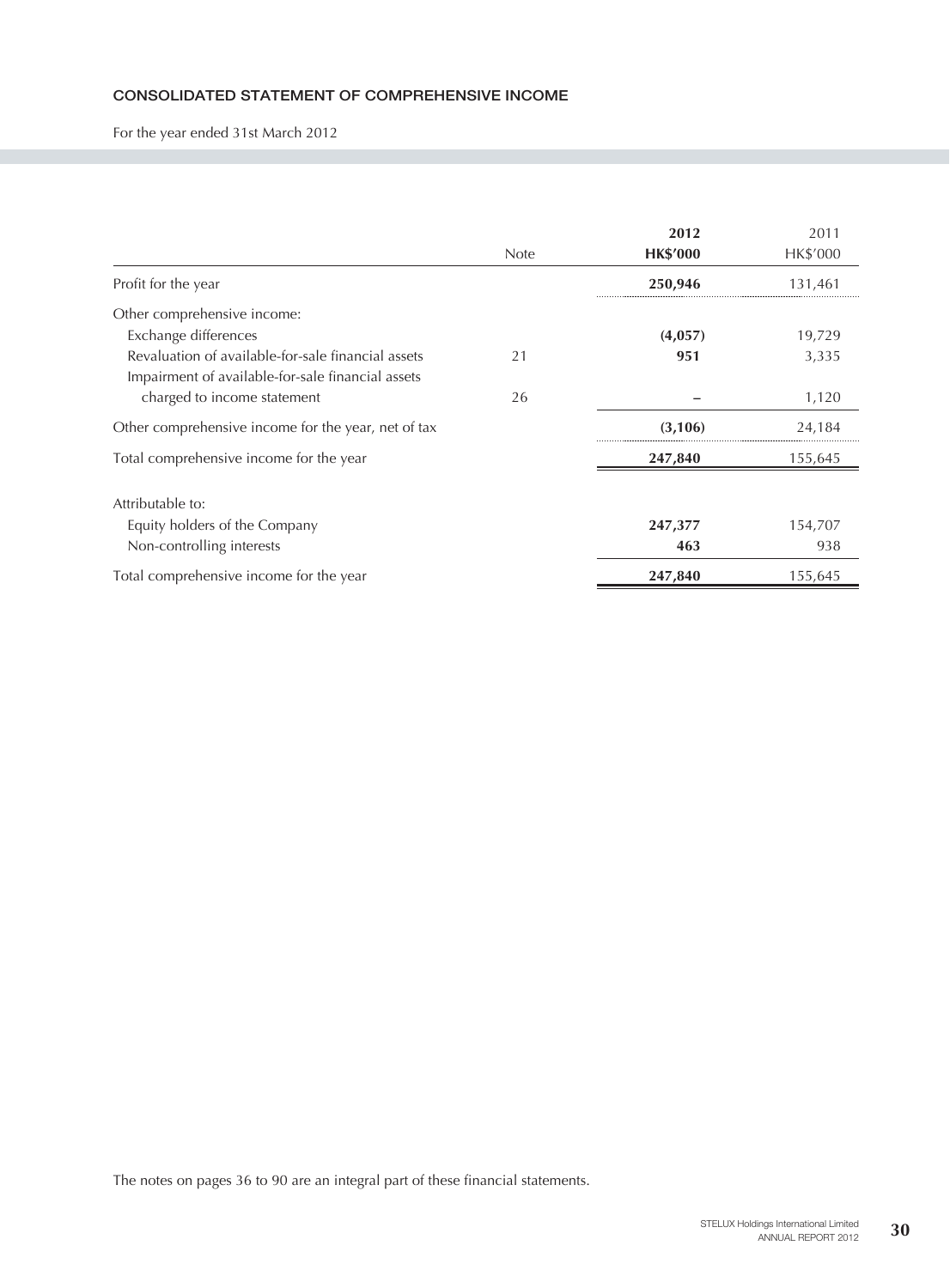# **CONSOLIDATED STATEMENT OF COMPREHENSIVE INCOME**

For the year ended 31st March 2012

|                                                                                                         |             | 2012            | 2011     |
|---------------------------------------------------------------------------------------------------------|-------------|-----------------|----------|
|                                                                                                         | <b>Note</b> | <b>HK\$'000</b> | HK\$'000 |
| Profit for the year                                                                                     |             | 250,946         | 131,461  |
| Other comprehensive income:                                                                             |             |                 |          |
| Exchange differences                                                                                    |             | (4,057)         | 19,729   |
| Revaluation of available-for-sale financial assets<br>Impairment of available-for-sale financial assets | 21          | 951             | 3,335    |
| charged to income statement                                                                             | 26          |                 | 1,120    |
| Other comprehensive income for the year, net of tax                                                     |             | (3, 106)        | 24,184   |
| Total comprehensive income for the year                                                                 |             | 247,840         | 155,645  |
| Attributable to:                                                                                        |             |                 |          |
| Equity holders of the Company                                                                           |             | 247,377         | 154,707  |
| Non-controlling interests                                                                               |             | 463             | 938      |
| Total comprehensive income for the year                                                                 |             | 247,840         | 155,645  |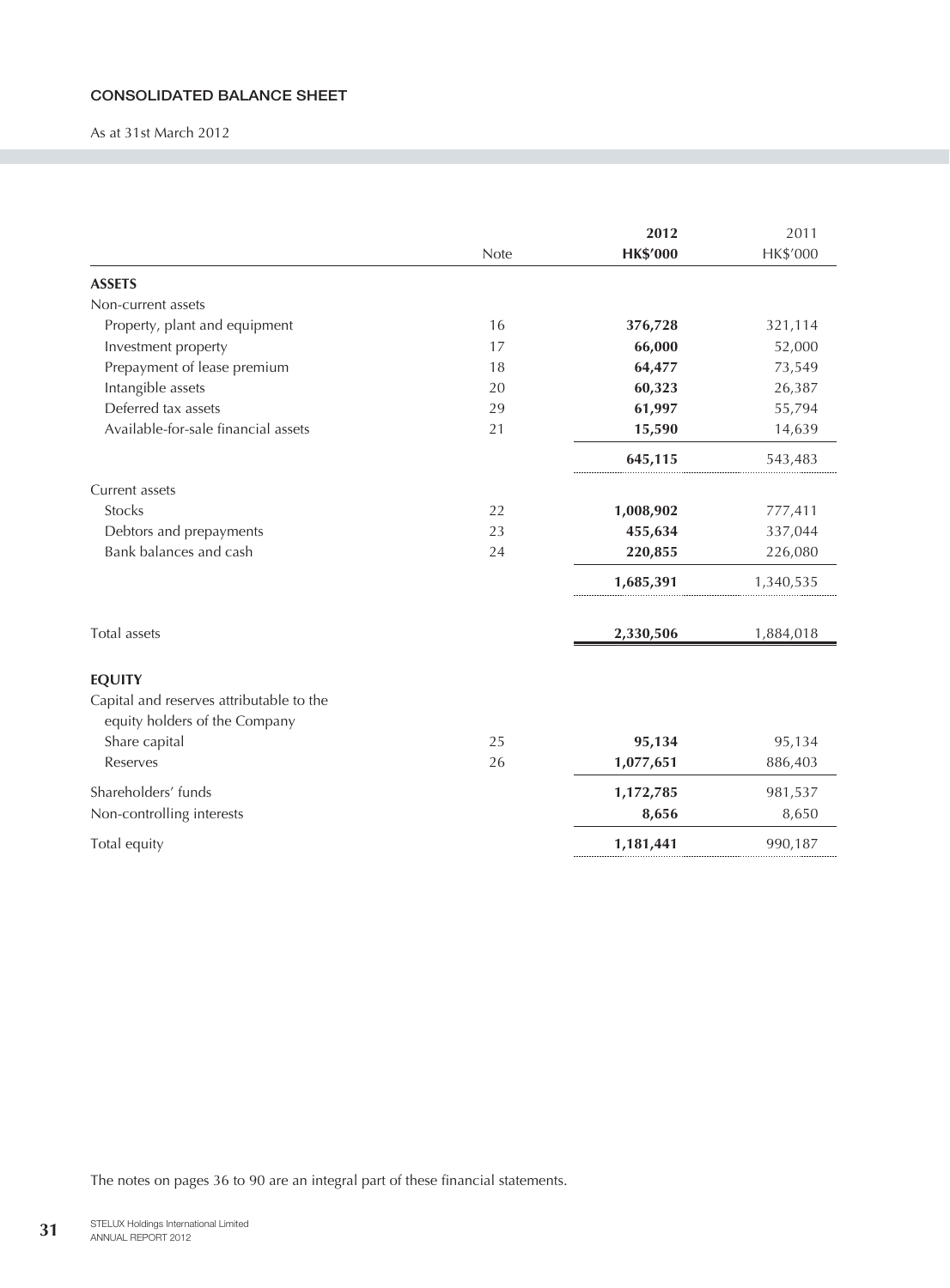# **CONSOLIDATED BALANCE SHEET**

As at 31st March 2012

|                                                                           | <b>Note</b> | 2012<br><b>HK\$'000</b> | 2011<br>HK\$'000 |
|---------------------------------------------------------------------------|-------------|-------------------------|------------------|
| <b>ASSETS</b>                                                             |             |                         |                  |
| Non-current assets                                                        |             |                         |                  |
| Property, plant and equipment                                             | 16          | 376,728                 | 321,114          |
| Investment property                                                       | 17          | 66,000                  | 52,000           |
| Prepayment of lease premium                                               | 18          | 64,477                  | 73,549           |
| Intangible assets                                                         | 20          | 60,323                  | 26,387           |
| Deferred tax assets                                                       | 29          | 61,997                  | 55,794           |
| Available-for-sale financial assets                                       | 21          | 15,590                  | 14,639           |
|                                                                           |             | 645,115                 | 543,483          |
| Current assets                                                            |             |                         |                  |
| <b>Stocks</b>                                                             | 22          | 1,008,902               | 777,411          |
| Debtors and prepayments                                                   | 23          | 455,634                 | 337,044          |
| Bank balances and cash                                                    | 24          | 220,855                 | 226,080          |
|                                                                           |             | 1,685,391               | 1,340,535        |
| Total assets                                                              |             | 2,330,506               | 1,884,018        |
| <b>EQUITY</b>                                                             |             |                         |                  |
| Capital and reserves attributable to the<br>equity holders of the Company |             |                         |                  |
| Share capital                                                             | 25          | 95,134                  | 95,134           |
| Reserves                                                                  | 26          | 1,077,651               | 886,403          |
| Shareholders' funds                                                       |             | 1,172,785               | 981,537          |
| Non-controlling interests                                                 |             | 8,656                   | 8,650            |
| Total equity                                                              |             | 1,181,441               | 990,187          |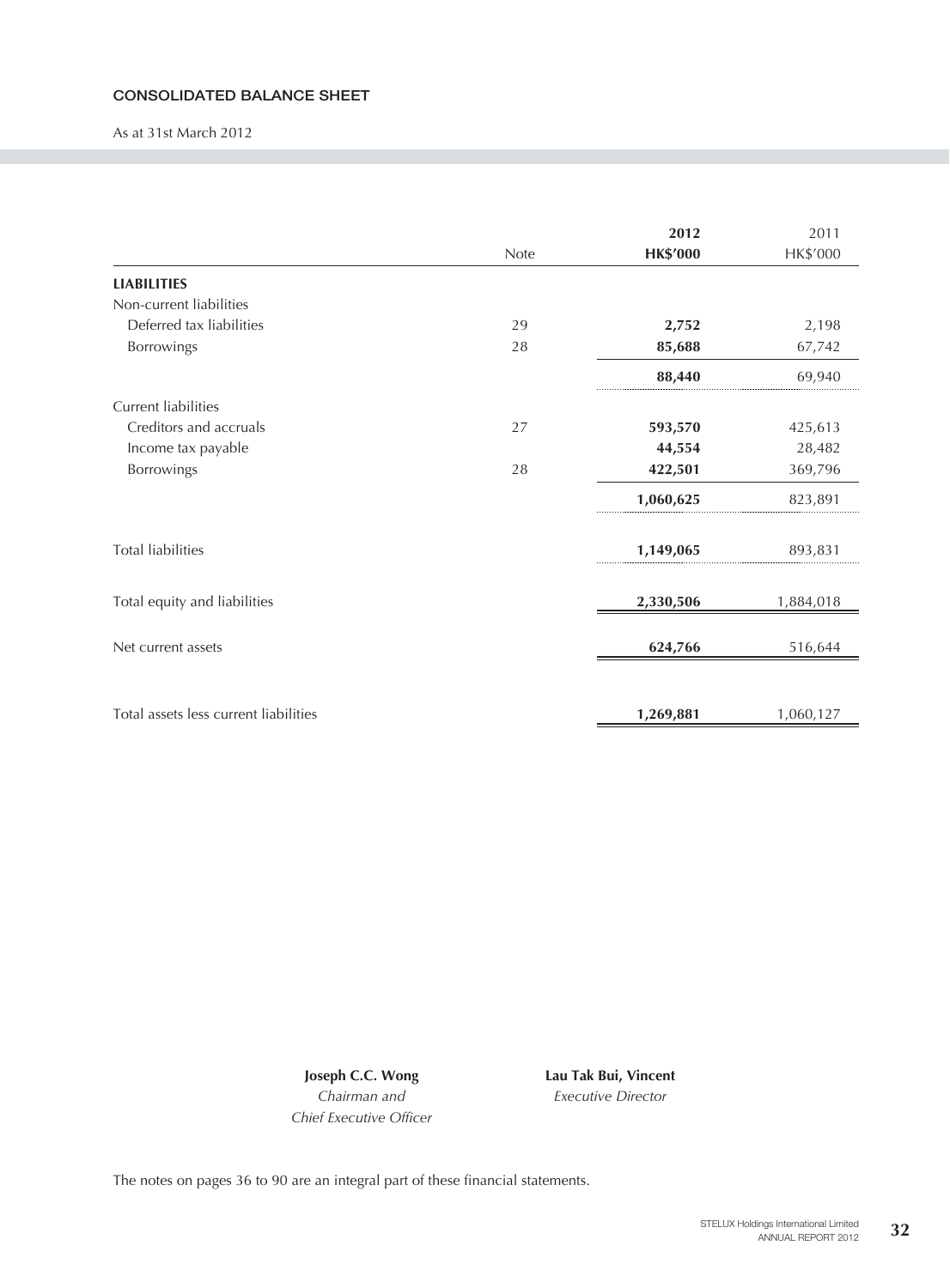# **CONSOLIDATED BALANCE SHEET**

#### As at 31st March 2012

|                                       | <b>Note</b> | 2012<br><b>HK\$'000</b> | 2011<br>HK\$'000 |
|---------------------------------------|-------------|-------------------------|------------------|
| <b>LIABILITIES</b>                    |             |                         |                  |
| Non-current liabilities               |             |                         |                  |
| Deferred tax liabilities              | 29          | 2,752                   | 2,198            |
| Borrowings                            | 28          | 85,688                  | 67,742           |
|                                       |             | 88,440                  | 69,940           |
| Current liabilities                   |             |                         |                  |
| Creditors and accruals                | 27          | 593,570                 | 425,613          |
| Income tax payable                    |             | 44,554                  | 28,482           |
| Borrowings                            | 28          | 422,501                 | 369,796          |
|                                       |             | 1,060,625               | 823,891          |
| <b>Total liabilities</b>              |             | 1,149,065               | 893,831          |
| Total equity and liabilities          |             | 2,330,506               | 1,884,018        |
| Net current assets                    |             | 624,766                 | 516,644          |
|                                       |             |                         |                  |
| Total assets less current liabilities |             | 1,269,881               | 1,060,127        |

 **Joseph C.C. Wong Lau Tak Bui, Vincent** *Chief Executive Officer* 

 *Chairman and Executive Director*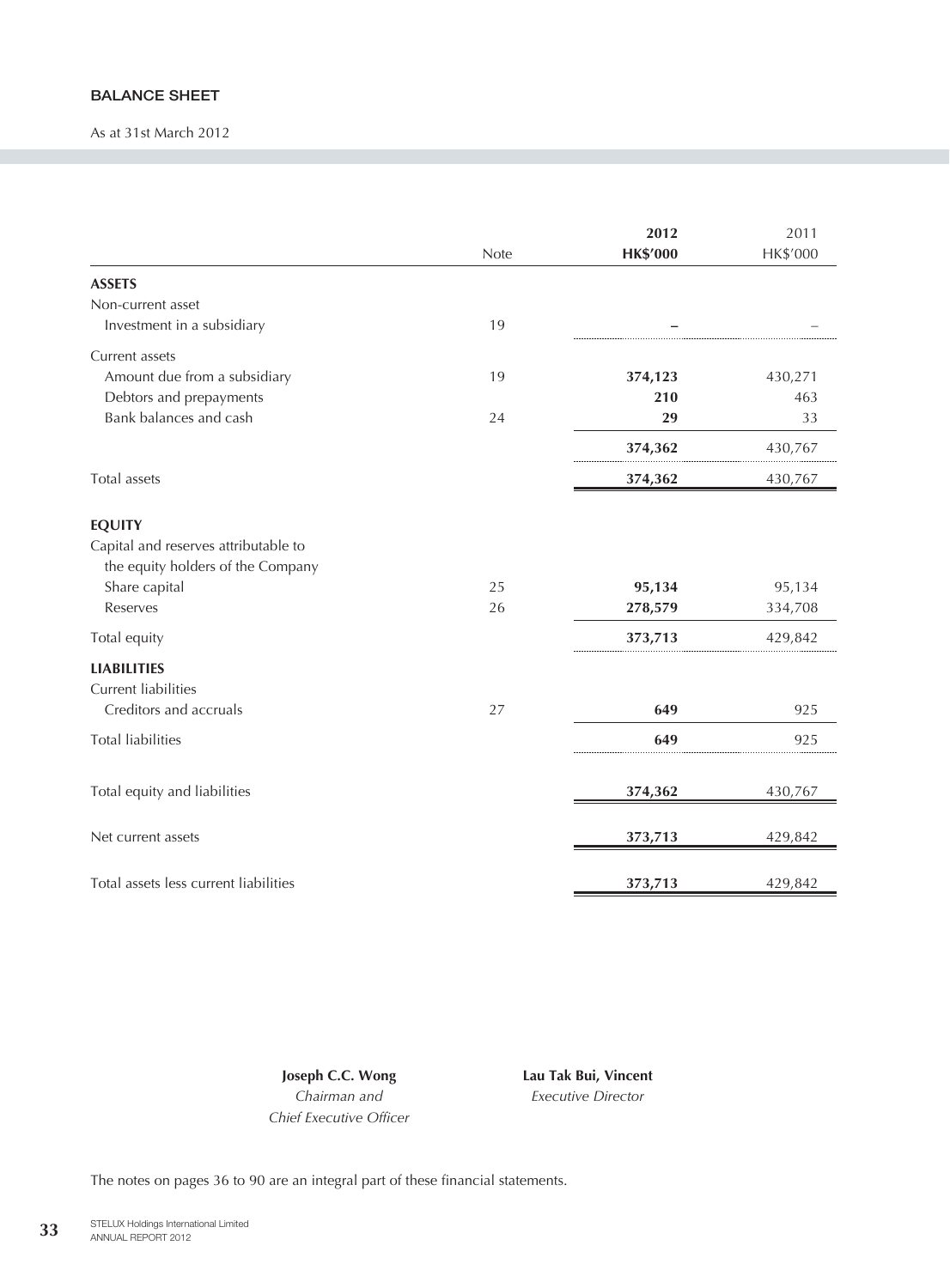# **BALANCE SHEET**

As at 31st March 2012

|                                                       | Note | 2012<br>HK\$'000 | 2011<br>HK\$'000 |
|-------------------------------------------------------|------|------------------|------------------|
| <b>ASSETS</b>                                         |      |                  |                  |
| Non-current asset                                     |      |                  |                  |
| Investment in a subsidiary                            | 19   |                  |                  |
| Current assets                                        |      |                  |                  |
| Amount due from a subsidiary                          | 19   | 374,123          | 430,271          |
| Debtors and prepayments                               |      | 210              | 463              |
| Bank balances and cash                                | 24   | 29               | 33               |
|                                                       |      | 374,362          | 430,767          |
| Total assets                                          |      | 374,362          | 430,767          |
| <b>EQUITY</b><br>Capital and reserves attributable to |      |                  |                  |
| the equity holders of the Company                     |      |                  |                  |
| Share capital                                         | 25   | 95,134           | 95,134           |
| Reserves                                              | 26   | 278,579          | 334,708          |
| Total equity                                          |      | 373,713          | 429,842          |
| <b>LIABILITIES</b>                                    |      |                  |                  |
| <b>Current liabilities</b>                            |      |                  |                  |
| Creditors and accruals                                | 27   | 649              | 925              |
| <b>Total liabilities</b>                              |      | 649              | 925              |
| Total equity and liabilities                          |      | 374,362          | 430,767          |
|                                                       |      |                  |                  |
| Net current assets                                    |      | 373,713          | 429,842          |
| Total assets less current liabilities                 |      | 373,713          | 429,842          |

 *Chairman and Executive Director Chief Executive Officer* 

 **Joseph C.C. Wong Lau Tak Bui, Vincent**

The notes on pages 36 to 90 are an integral part of these financial statements.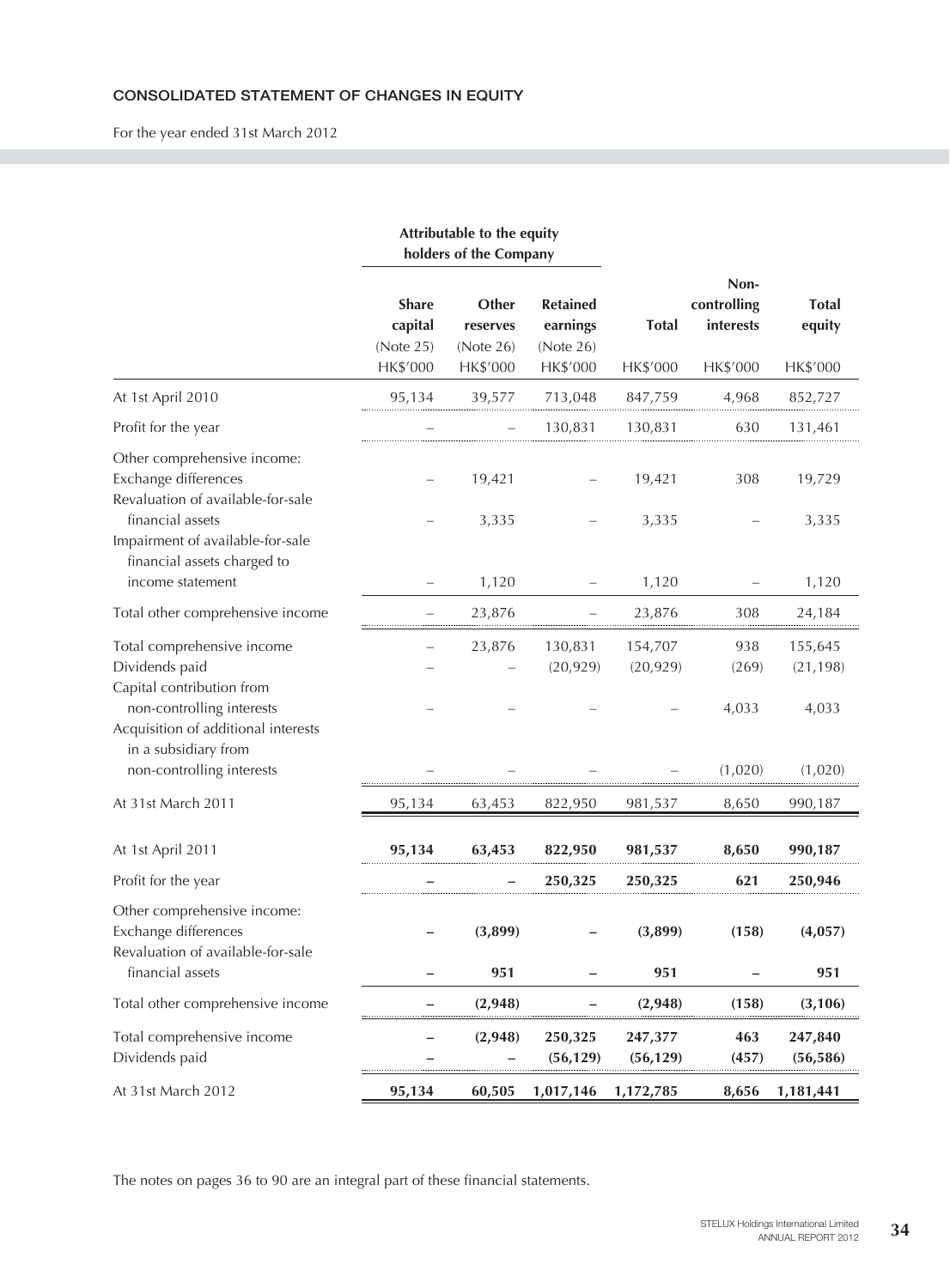# **CONSOLIDATED STATEMENT OF CHANGES IN EQUITY**

For the year ended 31st March 2012

|                                                                                                                       |                                                  | Attributable to the equity<br>holders of the Company |                                                      |                          |                                              |                                    |
|-----------------------------------------------------------------------------------------------------------------------|--------------------------------------------------|------------------------------------------------------|------------------------------------------------------|--------------------------|----------------------------------------------|------------------------------------|
|                                                                                                                       | <b>Share</b><br>capital<br>(Note 25)<br>HK\$'000 | Other<br>reserves<br>(Note 26)<br>HK\$'000           | <b>Retained</b><br>earnings<br>(Note 26)<br>HK\$'000 | <b>Total</b><br>HK\$'000 | Non-<br>controlling<br>interests<br>HK\$'000 | <b>Total</b><br>equity<br>HK\$'000 |
| At 1st April 2010                                                                                                     | 95,134                                           | 39,577                                               | 713,048                                              | 847,759                  | 4,968                                        | 852,727                            |
| Profit for the year                                                                                                   |                                                  |                                                      | 130,831                                              | 130,831                  | 630                                          | 131,461                            |
| Other comprehensive income:<br>Exchange differences<br>Revaluation of available-for-sale<br>financial assets          |                                                  | 19,421<br>3,335                                      |                                                      | 19,421<br>3,335          | 308                                          | 19,729<br>3,335                    |
| Impairment of available-for-sale<br>financial assets charged to<br>income statement                                   |                                                  | 1,120                                                |                                                      | 1,120                    |                                              | 1,120                              |
| Total other comprehensive income                                                                                      |                                                  | 23,876                                               |                                                      | 23,876                   | 308                                          | 24,184                             |
| Total comprehensive income<br>Dividends paid<br>Capital contribution from                                             |                                                  | 23,876                                               | 130,831<br>(20, 929)                                 | 154,707<br>(20, 929)     | 938<br>(269)                                 | 155,645<br>(21, 198)               |
| non-controlling interests<br>Acquisition of additional interests<br>in a subsidiary from<br>non-controlling interests |                                                  |                                                      |                                                      |                          | 4,033<br>(1,020)                             | 4,033<br>(1,020)                   |
| At 31st March 2011                                                                                                    | 95,134                                           | 63,453                                               | 822,950                                              | 981,537                  | 8,650                                        | 990,187                            |
|                                                                                                                       |                                                  |                                                      |                                                      |                          |                                              |                                    |
| At 1st April 2011                                                                                                     | 95,134                                           | 63,453                                               | 822,950                                              | 981,537                  | 8,650                                        | 990,187                            |
| Profit for the year                                                                                                   |                                                  |                                                      | 250,325                                              | 250,325                  | 621                                          | 250,946                            |
| Other comprehensive income:<br>Exchange differences<br>Revaluation of available-for-sale                              |                                                  | (3,899)                                              |                                                      | (3,899)                  | (158)                                        | (4,057)                            |
| financial assets                                                                                                      |                                                  | 951                                                  |                                                      | 951                      |                                              | 951                                |
| Total other comprehensive income                                                                                      |                                                  | (2,948)                                              |                                                      | (2,948)                  | (158)                                        | (3, 106)                           |
| Total comprehensive income<br>Dividends paid                                                                          |                                                  | (2,948)                                              | 250,325<br>(56, 129)                                 | 247,377<br>(56, 129)     | 463<br>(457)                                 | 247,840<br>(56, 586)               |
| At 31st March 2012                                                                                                    | 95,134                                           | 60,505                                               | 1,017,146                                            | 1,172,785                | 8,656                                        | 1,181,441                          |

The notes on pages 36 to 90 are an integral part of these financial statements.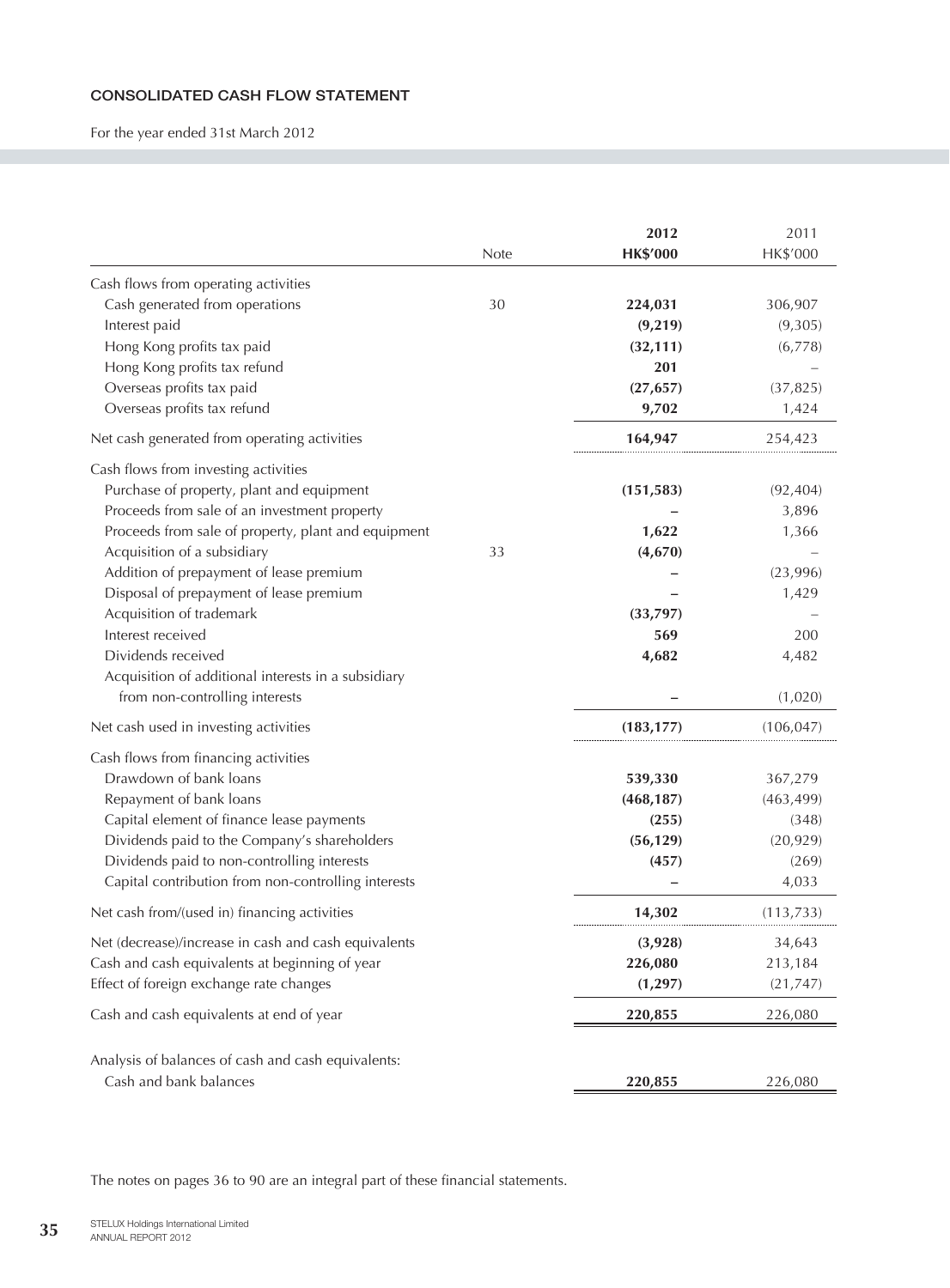# **CONSOLIDATED CASH FLOW STATEMENT**

For the year ended 31st March 2012

|                                                      | <b>Note</b> | 2012<br><b>HK\$'000</b> | 2011<br>HK\$'000 |
|------------------------------------------------------|-------------|-------------------------|------------------|
| Cash flows from operating activities                 |             |                         |                  |
| Cash generated from operations                       | 30          | 224,031                 | 306,907          |
| Interest paid                                        |             | (9, 219)                | (9,305)          |
| Hong Kong profits tax paid                           |             | (32, 111)               | (6,778)          |
| Hong Kong profits tax refund                         |             | 201                     |                  |
| Overseas profits tax paid                            |             | (27, 657)               | (37, 825)        |
| Overseas profits tax refund                          |             | 9,702                   | 1,424            |
| Net cash generated from operating activities         |             | 164,947                 | 254,423          |
| Cash flows from investing activities                 |             |                         |                  |
| Purchase of property, plant and equipment            |             | (151, 583)              | (92, 404)        |
| Proceeds from sale of an investment property         |             |                         | 3,896            |
| Proceeds from sale of property, plant and equipment  |             | 1,622                   | 1,366            |
| Acquisition of a subsidiary                          | 33          | (4,670)                 |                  |
| Addition of prepayment of lease premium              |             |                         | (23,996)         |
| Disposal of prepayment of lease premium              |             |                         | 1,429            |
| Acquisition of trademark                             |             | (33,797)                |                  |
| Interest received                                    |             | 569                     | 200              |
| Dividends received                                   |             | 4,682                   | 4,482            |
| Acquisition of additional interests in a subsidiary  |             |                         |                  |
| from non-controlling interests                       |             |                         | (1,020)          |
| Net cash used in investing activities                |             | (183, 177)              | (106, 047)       |
| Cash flows from financing activities                 |             |                         |                  |
| Drawdown of bank loans                               |             | 539,330                 | 367,279          |
| Repayment of bank loans                              |             | (468, 187)              | (463, 499)       |
| Capital element of finance lease payments            |             | (255)                   | (348)            |
| Dividends paid to the Company's shareholders         |             | (56, 129)               | (20, 929)        |
| Dividends paid to non-controlling interests          |             | (457)                   | (269)            |
| Capital contribution from non-controlling interests  |             |                         | 4,033            |
| Net cash from/(used in) financing activities         |             | 14,302                  | (113, 733)       |
| Net (decrease)/increase in cash and cash equivalents |             | (3,928)                 | 34,643           |
| Cash and cash equivalents at beginning of year       |             | 226,080                 | 213,184          |
| Effect of foreign exchange rate changes              |             | (1, 297)                | (21, 747)        |
| Cash and cash equivalents at end of year             |             | 220,855                 | 226,080          |
| Analysis of balances of cash and cash equivalents:   |             |                         |                  |
| Cash and bank balances                               |             | 220,855                 | 226,080          |

The notes on pages 36 to 90 are an integral part of these financial statements.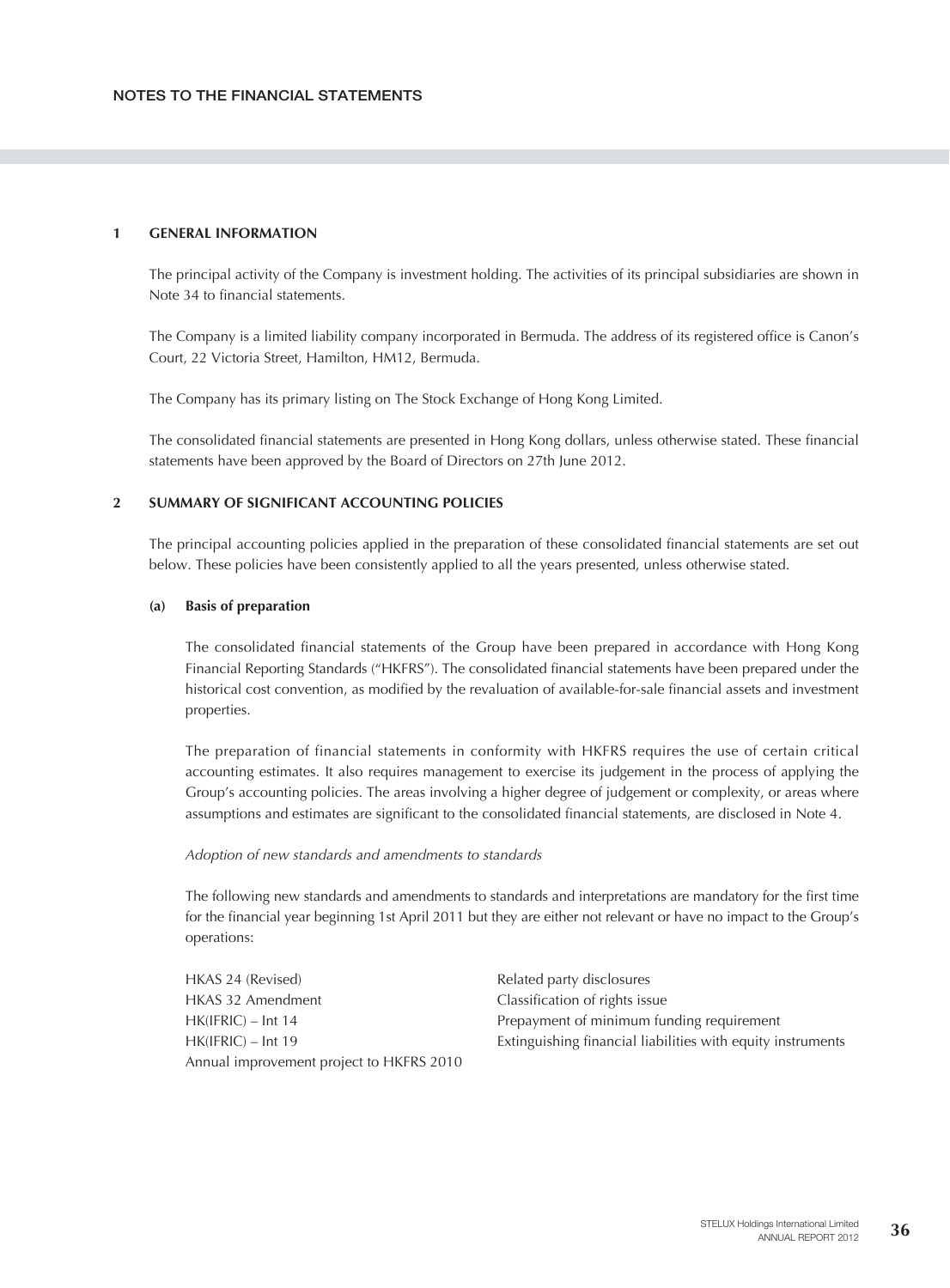## **1 GENERAL INFORMATION**

The principal activity of the Company is investment holding. The activities of its principal subsidiaries are shown in Note 34 to financial statements.

The Company is a limited liability company incorporated in Bermuda. The address of its registered office is Canon's Court, 22 Victoria Street, Hamilton, HM12, Bermuda.

The Company has its primary listing on The Stock Exchange of Hong Kong Limited.

The consolidated financial statements are presented in Hong Kong dollars, unless otherwise stated. These financial statements have been approved by the Board of Directors on 27th June 2012.

## **2 SUMMARY OF SIGNIFICANT ACCOUNTING POLICIES**

The principal accounting policies applied in the preparation of these consolidated financial statements are set out below. These policies have been consistently applied to all the years presented, unless otherwise stated.

#### **(a) Basis of preparation**

The consolidated financial statements of the Group have been prepared in accordance with Hong Kong Financial Reporting Standards ("HKFRS"). The consolidated financial statements have been prepared under the historical cost convention, as modified by the revaluation of available-for-sale financial assets and investment properties.

The preparation of financial statements in conformity with HKFRS requires the use of certain critical accounting estimates. It also requires management to exercise its judgement in the process of applying the Group's accounting policies. The areas involving a higher degree of judgement or complexity, or areas where assumptions and estimates are significant to the consolidated financial statements, are disclosed in Note 4.

#### *Adoption of new standards and amendments to standards*

The following new standards and amendments to standards and interpretations are mandatory for the first time for the financial year beginning 1st April 2011 but they are either not relevant or have no impact to the Group's operations:

HKAS 24 (Revised) Related party disclosures HKAS 32 Amendment Classification of rights issue Annual improvement project to HKFRS 2010

HK(IFRIC) – Int 14 Prepayment of minimum funding requirement HK(IFRIC) – Int 19 Extinguishing financial liabilities with equity instruments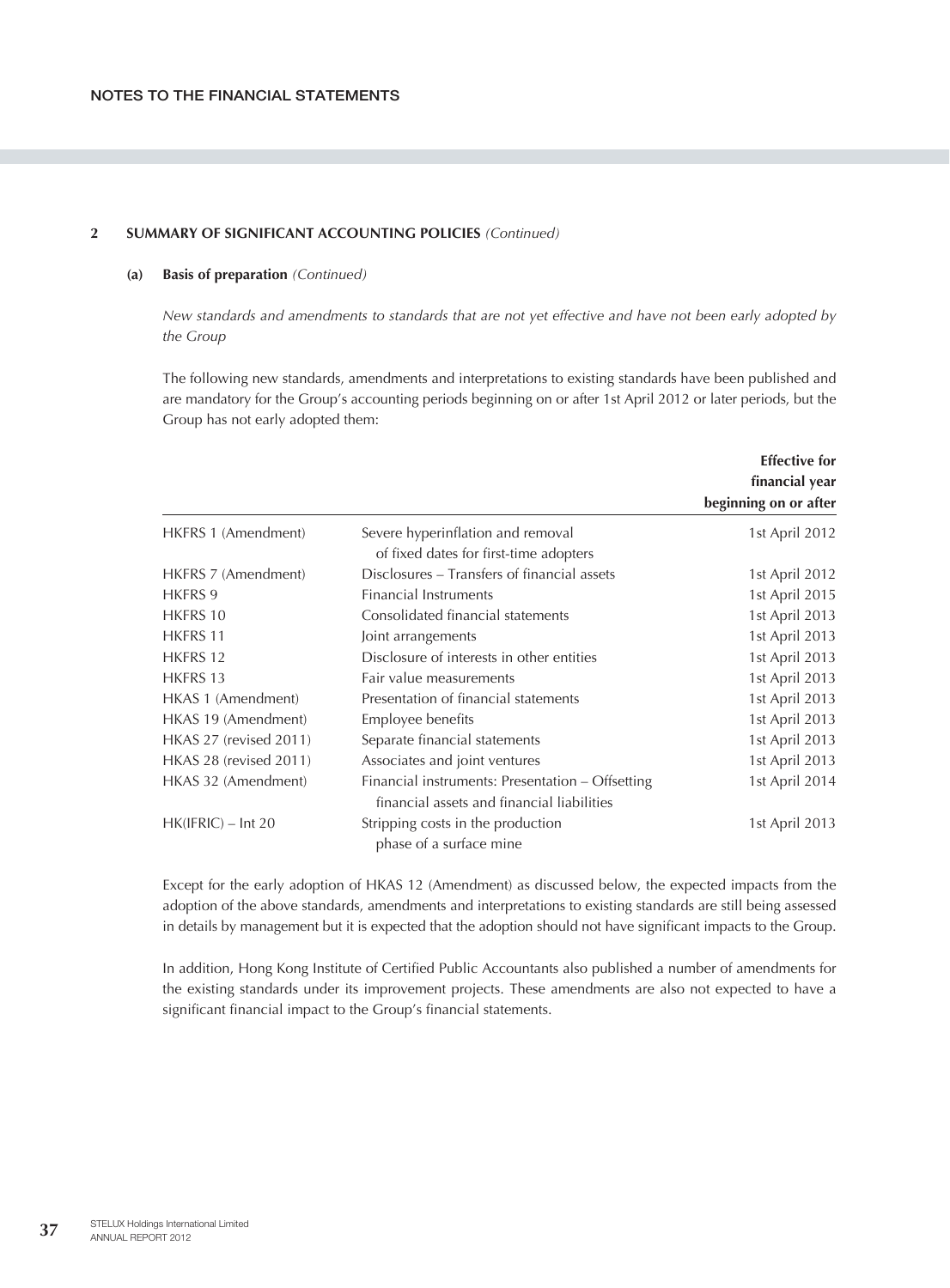## **(a) Basis of preparation** *(Continued)*

*New standards and amendments to standards that are not yet effective and have not been early adopted by the Group*

The following new standards, amendments and interpretations to existing standards have been published and are mandatory for the Group's accounting periods beginning on or after 1st April 2012 or later periods, but the Group has not early adopted them:

|                        |                                                                                                | <b>Effective for</b>  |
|------------------------|------------------------------------------------------------------------------------------------|-----------------------|
|                        |                                                                                                | financial year        |
|                        |                                                                                                | beginning on or after |
| HKFRS 1 (Amendment)    | Severe hyperinflation and removal                                                              | 1st April 2012        |
|                        | of fixed dates for first-time adopters                                                         |                       |
| HKFRS 7 (Amendment)    | Disclosures – Transfers of financial assets                                                    | 1st April 2012        |
| <b>HKFRS 9</b>         | <b>Financial Instruments</b>                                                                   | 1st April 2015        |
| <b>HKFRS 10</b>        | Consolidated financial statements                                                              | 1st April 2013        |
| <b>HKFRS 11</b>        | Joint arrangements                                                                             | 1st April 2013        |
| HKFRS 12               | Disclosure of interests in other entities                                                      | 1st April 2013        |
| HKFRS 13               | Fair value measurements                                                                        | 1st April 2013        |
| HKAS 1 (Amendment)     | Presentation of financial statements                                                           | 1st April 2013        |
| HKAS 19 (Amendment)    | Employee benefits                                                                              | 1st April 2013        |
| HKAS 27 (revised 2011) | Separate financial statements                                                                  | 1st April 2013        |
| HKAS 28 (revised 2011) | Associates and joint ventures                                                                  | 1st April 2013        |
| HKAS 32 (Amendment)    | Financial instruments: Presentation – Offsetting<br>financial assets and financial liabilities | 1st April 2014        |
| $HK(IFRIC) - Int 20$   | Stripping costs in the production<br>phase of a surface mine                                   | 1st April 2013        |

Except for the early adoption of HKAS 12 (Amendment) as discussed below, the expected impacts from the adoption of the above standards, amendments and interpretations to existing standards are still being assessed in details by management but it is expected that the adoption should not have significant impacts to the Group.

In addition, Hong Kong Institute of Certified Public Accountants also published a number of amendments for the existing standards under its improvement projects. These amendments are also not expected to have a significant financial impact to the Group's financial statements.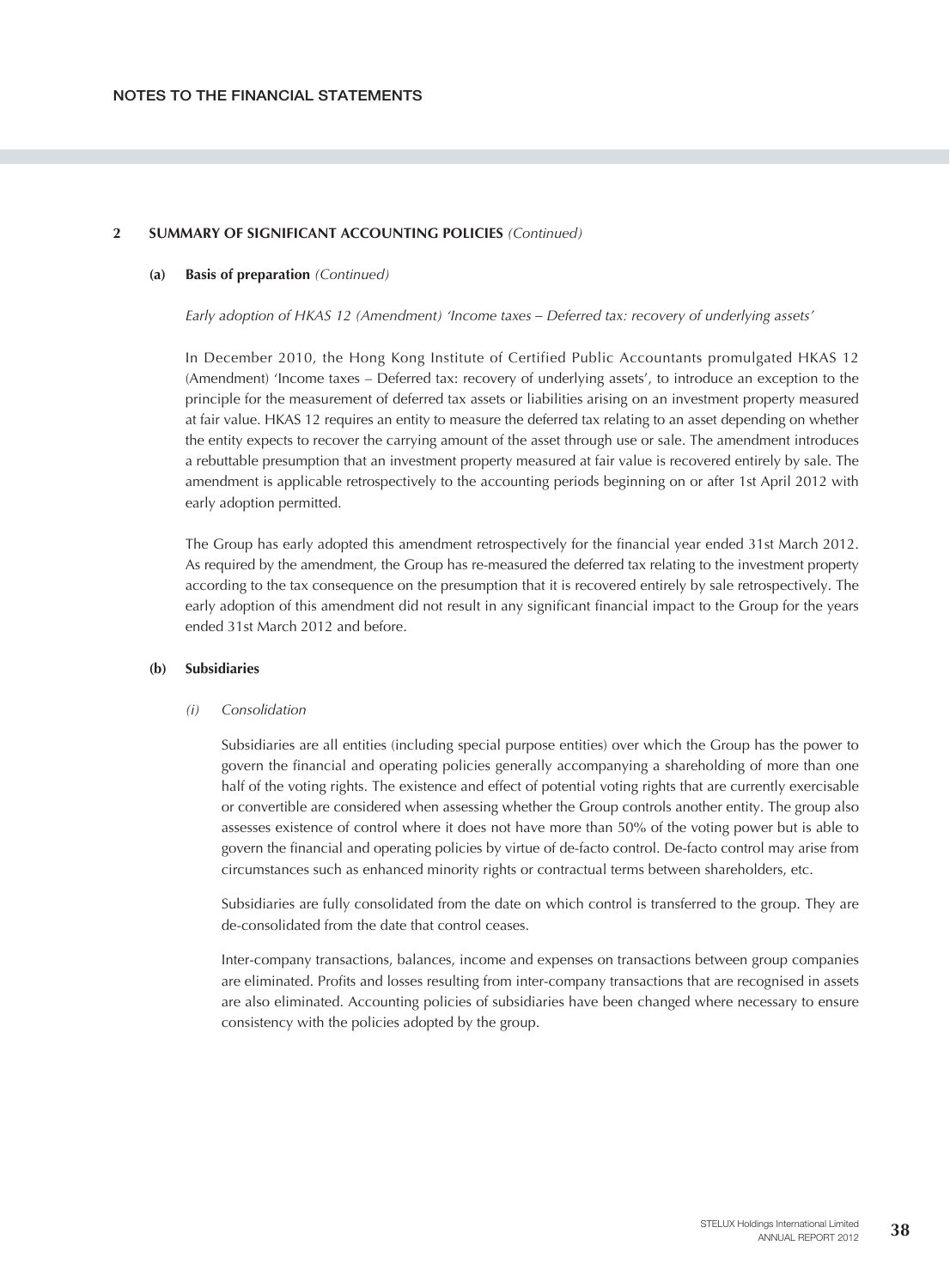## **(a) Basis of preparation** *(Continued)*

*Early adoption of HKAS 12 (Amendment) 'Income taxes – Deferred tax: recovery of underlying assets'*

In December 2010, the Hong Kong Institute of Certified Public Accountants promulgated HKAS 12 (Amendment) 'Income taxes – Deferred tax: recovery of underlying assets', to introduce an exception to the principle for the measurement of deferred tax assets or liabilities arising on an investment property measured at fair value. HKAS 12 requires an entity to measure the deferred tax relating to an asset depending on whether the entity expects to recover the carrying amount of the asset through use or sale. The amendment introduces a rebuttable presumption that an investment property measured at fair value is recovered entirely by sale. The amendment is applicable retrospectively to the accounting periods beginning on or after 1st April 2012 with early adoption permitted.

The Group has early adopted this amendment retrospectively for the financial year ended 31st March 2012. As required by the amendment, the Group has re-measured the deferred tax relating to the investment property according to the tax consequence on the presumption that it is recovered entirely by sale retrospectively. The early adoption of this amendment did not result in any significant financial impact to the Group for the years ended 31st March 2012 and before.

## **(b) Subsidiaries**

### *(i) Consolidation*

Subsidiaries are all entities (including special purpose entities) over which the Group has the power to govern the financial and operating policies generally accompanying a shareholding of more than one half of the voting rights. The existence and effect of potential voting rights that are currently exercisable or convertible are considered when assessing whether the Group controls another entity. The group also assesses existence of control where it does not have more than 50% of the voting power but is able to govern the financial and operating policies by virtue of de-facto control. De-facto control may arise from circumstances such as enhanced minority rights or contractual terms between shareholders, etc.

Subsidiaries are fully consolidated from the date on which control is transferred to the group. They are de-consolidated from the date that control ceases.

Inter-company transactions, balances, income and expenses on transactions between group companies are eliminated. Profits and losses resulting from inter-company transactions that are recognised in assets are also eliminated. Accounting policies of subsidiaries have been changed where necessary to ensure consistency with the policies adopted by the group.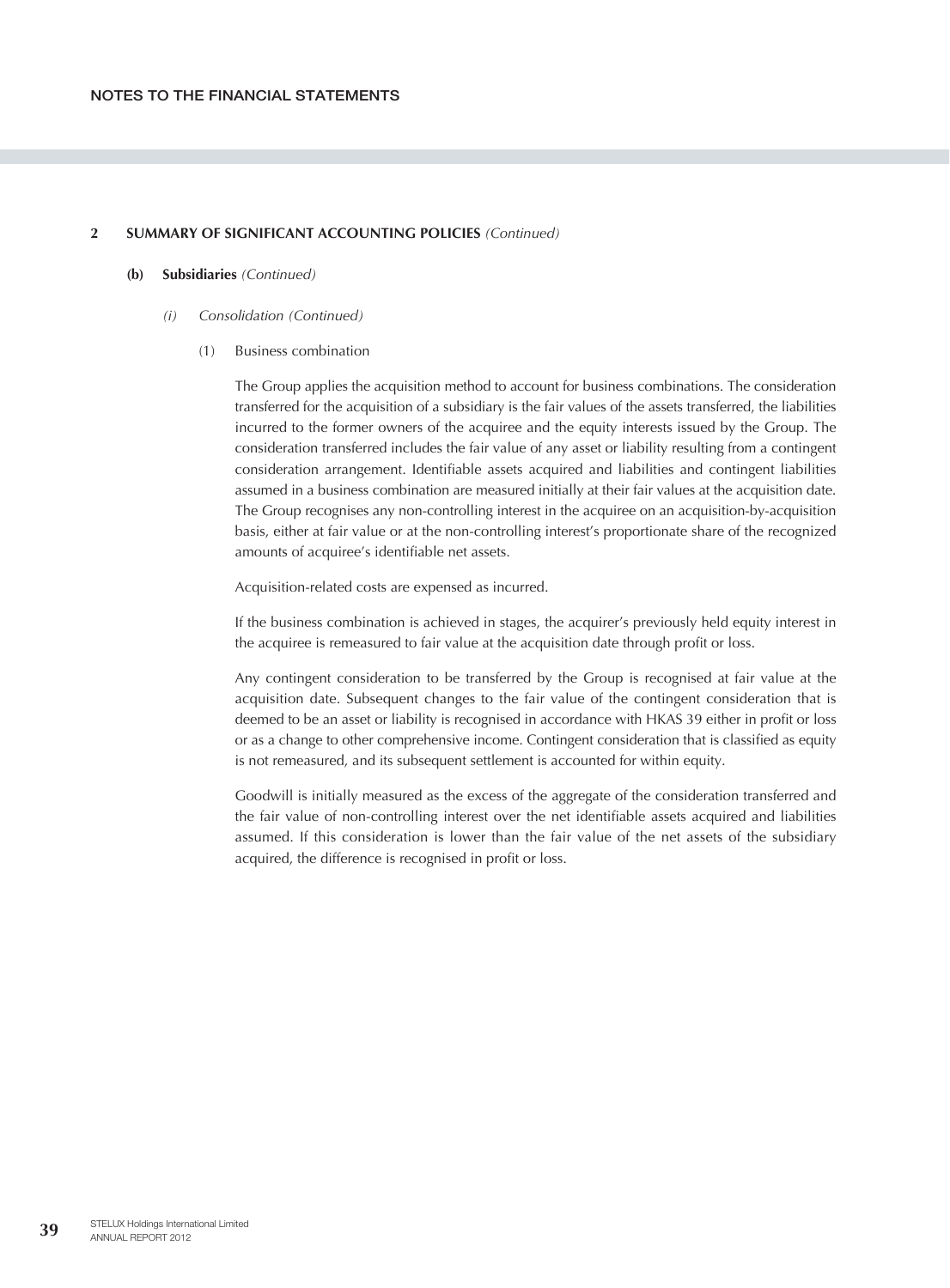### **(b) Subsidiaries** *(Continued)*

- *(i) Consolidation (Continued)*
	- (1) Business combination

The Group applies the acquisition method to account for business combinations. The consideration transferred for the acquisition of a subsidiary is the fair values of the assets transferred, the liabilities incurred to the former owners of the acquiree and the equity interests issued by the Group. The consideration transferred includes the fair value of any asset or liability resulting from a contingent consideration arrangement. Identifiable assets acquired and liabilities and contingent liabilities assumed in a business combination are measured initially at their fair values at the acquisition date. The Group recognises any non-controlling interest in the acquiree on an acquisition-by-acquisition basis, either at fair value or at the non-controlling interest's proportionate share of the recognized amounts of acquiree's identifiable net assets.

Acquisition-related costs are expensed as incurred.

If the business combination is achieved in stages, the acquirer's previously held equity interest in the acquiree is remeasured to fair value at the acquisition date through profit or loss.

Any contingent consideration to be transferred by the Group is recognised at fair value at the acquisition date. Subsequent changes to the fair value of the contingent consideration that is deemed to be an asset or liability is recognised in accordance with HKAS 39 either in profit or loss or as a change to other comprehensive income. Contingent consideration that is classified as equity is not remeasured, and its subsequent settlement is accounted for within equity.

Goodwill is initially measured as the excess of the aggregate of the consideration transferred and the fair value of non-controlling interest over the net identifiable assets acquired and liabilities assumed. If this consideration is lower than the fair value of the net assets of the subsidiary acquired, the difference is recognised in profit or loss.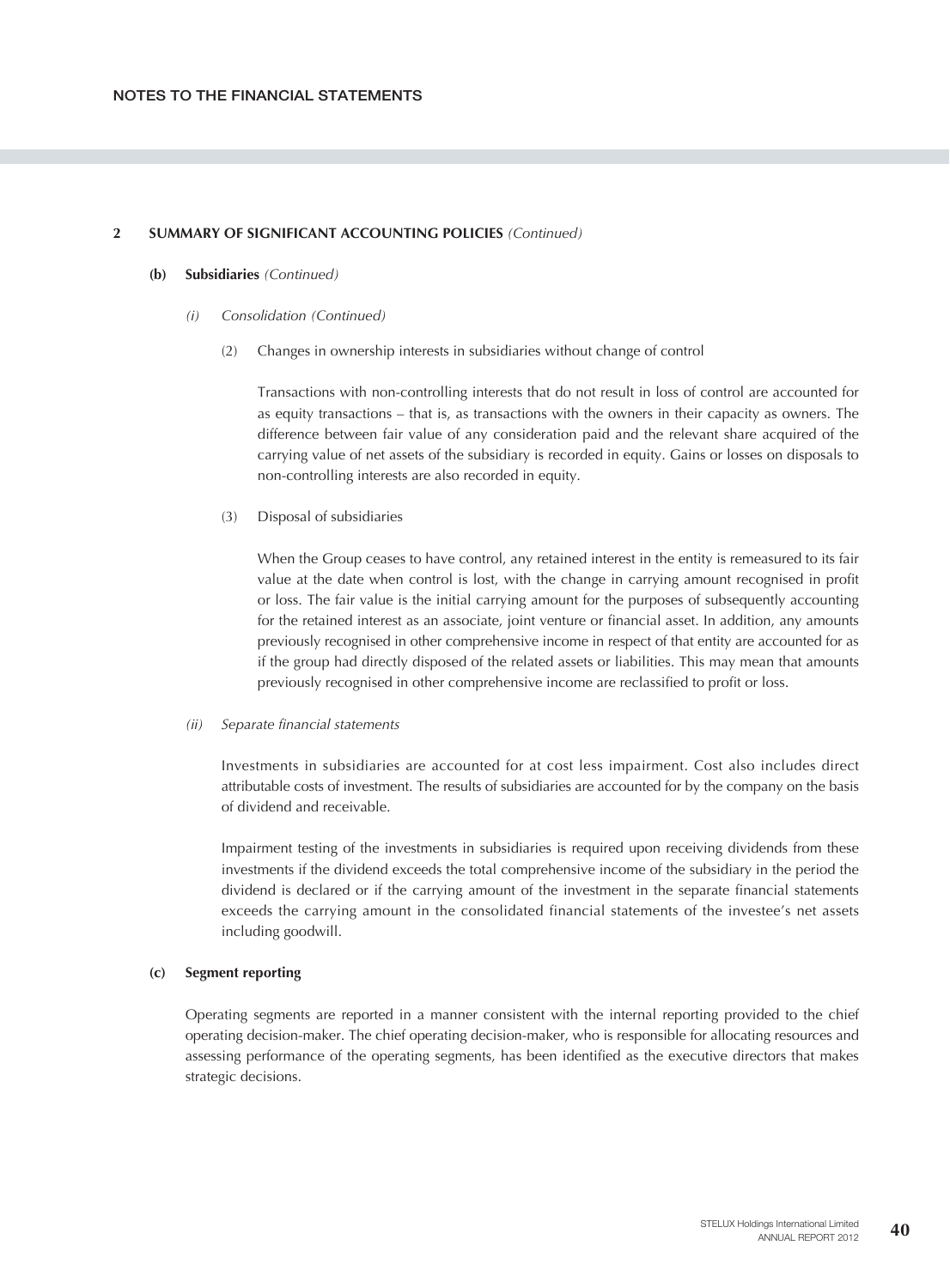### **(b) Subsidiaries** *(Continued)*

- *(i) Consolidation (Continued)*
	- (2) Changes in ownership interests in subsidiaries without change of control

Transactions with non-controlling interests that do not result in loss of control are accounted for as equity transactions – that is, as transactions with the owners in their capacity as owners. The difference between fair value of any consideration paid and the relevant share acquired of the carrying value of net assets of the subsidiary is recorded in equity. Gains or losses on disposals to non-controlling interests are also recorded in equity.

(3) Disposal of subsidiaries

When the Group ceases to have control, any retained interest in the entity is remeasured to its fair value at the date when control is lost, with the change in carrying amount recognised in profit or loss. The fair value is the initial carrying amount for the purposes of subsequently accounting for the retained interest as an associate, joint venture or financial asset. In addition, any amounts previously recognised in other comprehensive income in respect of that entity are accounted for as if the group had directly disposed of the related assets or liabilities. This may mean that amounts previously recognised in other comprehensive income are reclassified to profit or loss.

#### *(ii)* Separate financial statements

Investments in subsidiaries are accounted for at cost less impairment. Cost also includes direct attributable costs of investment. The results of subsidiaries are accounted for by the company on the basis of dividend and receivable.

Impairment testing of the investments in subsidiaries is required upon receiving dividends from these investments if the dividend exceeds the total comprehensive income of the subsidiary in the period the dividend is declared or if the carrying amount of the investment in the separate financial statements exceeds the carrying amount in the consolidated financial statements of the investee's net assets including goodwill.

#### **(c) Segment reporting**

Operating segments are reported in a manner consistent with the internal reporting provided to the chief operating decision-maker. The chief operating decision-maker, who is responsible for allocating resources and assessing performance of the operating segments, has been identified as the executive directors that makes strategic decisions.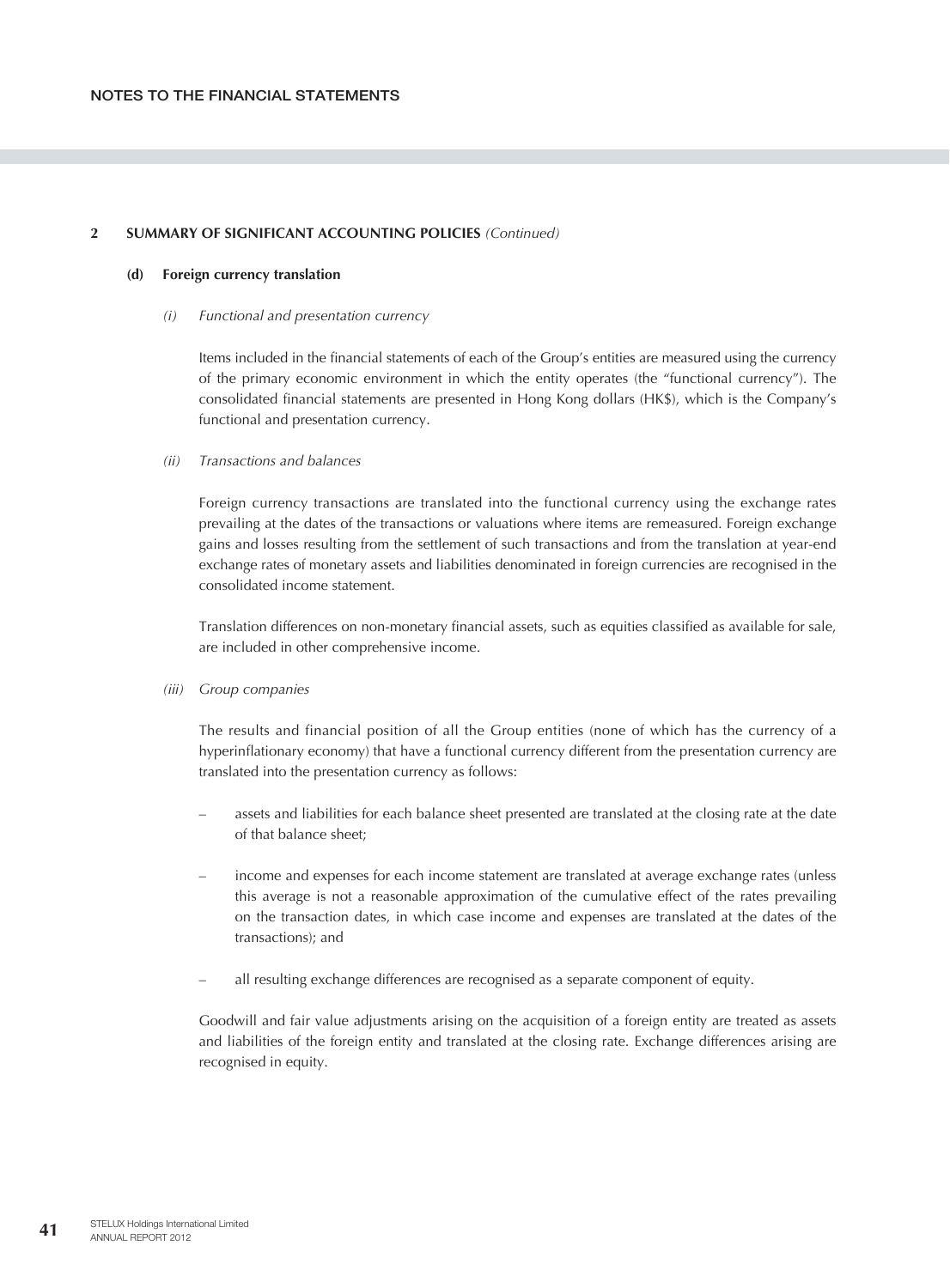### **(d) Foreign currency translation**

#### *(i) Functional and presentation currency*

Items included in the financial statements of each of the Group's entities are measured using the currency of the primary economic environment in which the entity operates (the "functional currency"). The consolidated financial statements are presented in Hong Kong dollars (HK\$), which is the Company's functional and presentation currency.

## *(ii) Transactions and balances*

Foreign currency transactions are translated into the functional currency using the exchange rates prevailing at the dates of the transactions or valuations where items are remeasured. Foreign exchange gains and losses resulting from the settlement of such transactions and from the translation at year-end exchange rates of monetary assets and liabilities denominated in foreign currencies are recognised in the consolidated income statement.

Translation differences on non-monetary financial assets, such as equities classified as available for sale, are included in other comprehensive income.

## *(iii) Group companies*

The results and financial position of all the Group entities (none of which has the currency of a hyperinflationary economy) that have a functional currency different from the presentation currency are translated into the presentation currency as follows:

- assets and liabilities for each balance sheet presented are translated at the closing rate at the date of that balance sheet;
- income and expenses for each income statement are translated at average exchange rates (unless this average is not a reasonable approximation of the cumulative effect of the rates prevailing on the transaction dates, in which case income and expenses are translated at the dates of the transactions); and
- all resulting exchange differences are recognised as a separate component of equity.

Goodwill and fair value adjustments arising on the acquisition of a foreign entity are treated as assets and liabilities of the foreign entity and translated at the closing rate. Exchange differences arising are recognised in equity.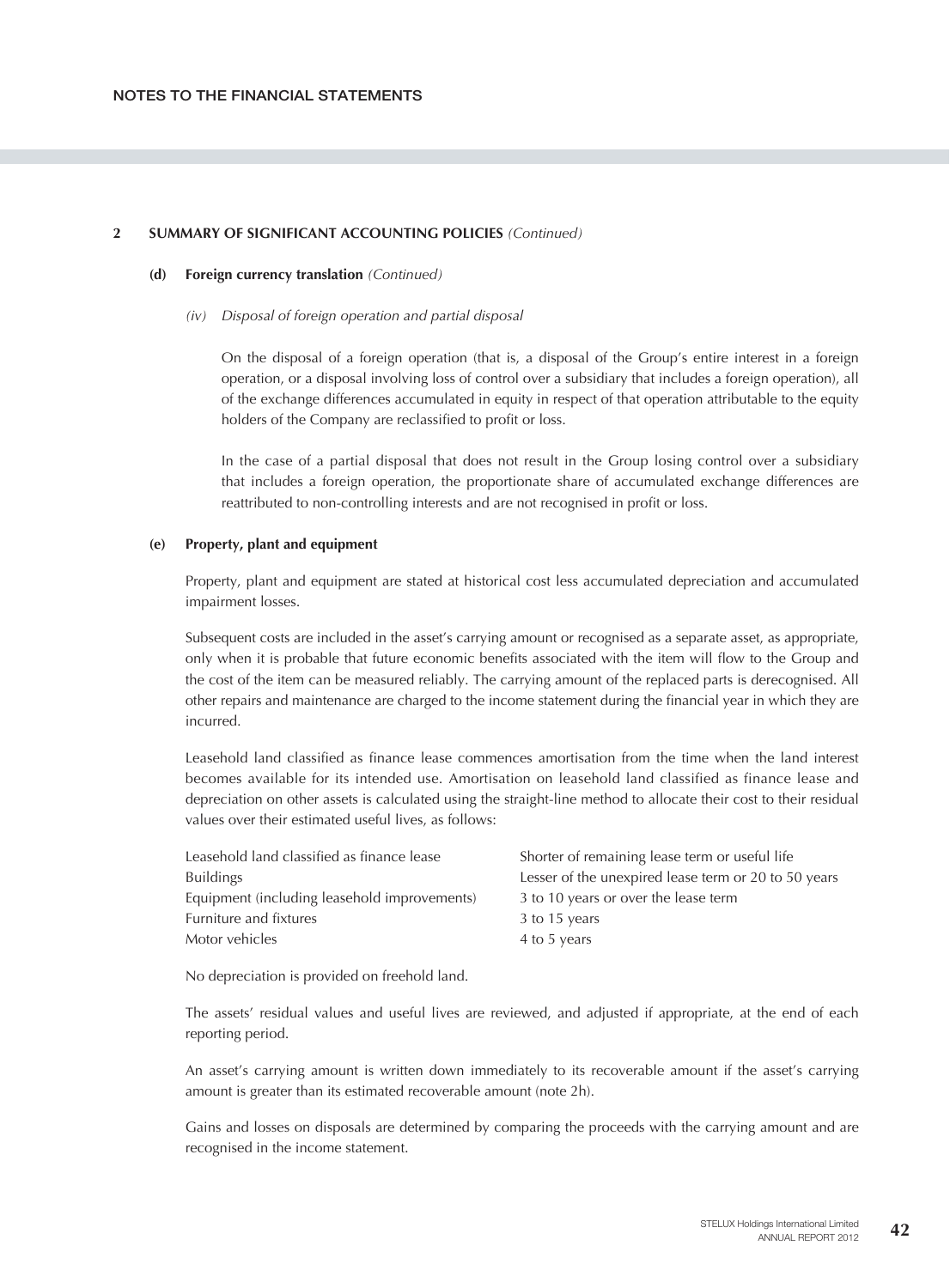### **(d) Foreign currency translation** *(Continued)*

#### *(iv) Disposal of foreign operation and partial disposal*

On the disposal of a foreign operation (that is, a disposal of the Group's entire interest in a foreign operation, or a disposal involving loss of control over a subsidiary that includes a foreign operation), all of the exchange differences accumulated in equity in respect of that operation attributable to the equity holders of the Company are reclassified to profit or loss.

In the case of a partial disposal that does not result in the Group losing control over a subsidiary that includes a foreign operation, the proportionate share of accumulated exchange differences are reattributed to non-controlling interests and are not recognised in profit or loss.

#### **(e) Property, plant and equipment**

Property, plant and equipment are stated at historical cost less accumulated depreciation and accumulated impairment losses.

Subsequent costs are included in the asset's carrying amount or recognised as a separate asset, as appropriate, only when it is probable that future economic benefits associated with the item will flow to the Group and the cost of the item can be measured reliably. The carrying amount of the replaced parts is derecognised. All other repairs and maintenance are charged to the income statement during the financial year in which they are incurred.

Leasehold land classified as finance lease commences amortisation from the time when the land interest becomes available for its intended use. Amortisation on leasehold land classified as finance lease and depreciation on other assets is calculated using the straight-line method to allocate their cost to their residual values over their estimated useful lives, as follows:

| Leasehold land classified as finance lease   | Shorter of remaining lease term or useful life       |
|----------------------------------------------|------------------------------------------------------|
| <b>Buildings</b>                             | Lesser of the unexpired lease term or 20 to 50 years |
| Equipment (including leasehold improvements) | 3 to 10 years or over the lease term                 |
| Furniture and fixtures                       | 3 to 15 years                                        |
| Motor vehicles                               | 4 to 5 years                                         |

No depreciation is provided on freehold land.

The assets' residual values and useful lives are reviewed, and adjusted if appropriate, at the end of each reporting period.

An asset's carrying amount is written down immediately to its recoverable amount if the asset's carrying amount is greater than its estimated recoverable amount (note 2h).

Gains and losses on disposals are determined by comparing the proceeds with the carrying amount and are recognised in the income statement.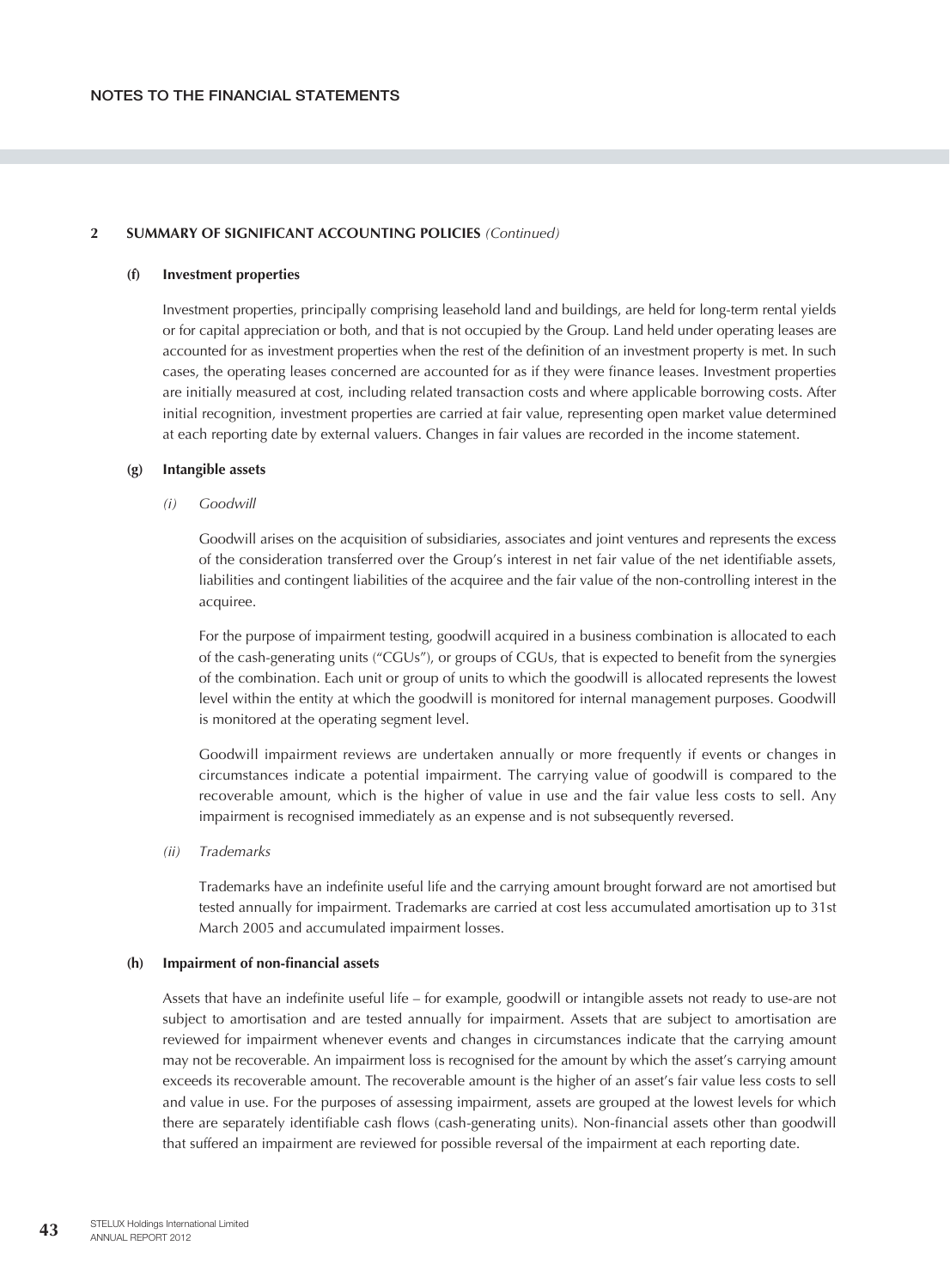## **(f) Investment properties**

Investment properties, principally comprising leasehold land and buildings, are held for long-term rental yields or for capital appreciation or both, and that is not occupied by the Group. Land held under operating leases are accounted for as investment properties when the rest of the definition of an investment property is met. In such cases, the operating leases concerned are accounted for as if they were finance leases. Investment properties are initially measured at cost, including related transaction costs and where applicable borrowing costs. After initial recognition, investment properties are carried at fair value, representing open market value determined at each reporting date by external valuers. Changes in fair values are recorded in the income statement.

### **(g) Intangible assets**

### *(i) Goodwill*

Goodwill arises on the acquisition of subsidiaries, associates and joint ventures and represents the excess of the consideration transferred over the Group's interest in net fair value of the net identifiable assets, liabilities and contingent liabilities of the acquiree and the fair value of the non-controlling interest in the acquiree.

For the purpose of impairment testing, goodwill acquired in a business combination is allocated to each of the cash-generating units ("CGUs"), or groups of CGUs, that is expected to benefit from the synergies of the combination. Each unit or group of units to which the goodwill is allocated represents the lowest level within the entity at which the goodwill is monitored for internal management purposes. Goodwill is monitored at the operating segment level.

Goodwill impairment reviews are undertaken annually or more frequently if events or changes in circumstances indicate a potential impairment. The carrying value of goodwill is compared to the recoverable amount, which is the higher of value in use and the fair value less costs to sell. Any impairment is recognised immediately as an expense and is not subsequently reversed.

#### *(ii) Trademarks*

Trademarks have an indefinite useful life and the carrying amount brought forward are not amortised but tested annually for impairment. Trademarks are carried at cost less accumulated amortisation up to 31st March 2005 and accumulated impairment losses.

#### (h) Impairment of non-financial assets

Assets that have an indefinite useful life – for example, goodwill or intangible assets not ready to use-are not subject to amortisation and are tested annually for impairment. Assets that are subject to amortisation are reviewed for impairment whenever events and changes in circumstances indicate that the carrying amount may not be recoverable. An impairment loss is recognised for the amount by which the asset's carrying amount exceeds its recoverable amount. The recoverable amount is the higher of an asset's fair value less costs to sell and value in use. For the purposes of assessing impairment, assets are grouped at the lowest levels for which there are separately identifiable cash flows (cash-generating units). Non-financial assets other than goodwill that suffered an impairment are reviewed for possible reversal of the impairment at each reporting date.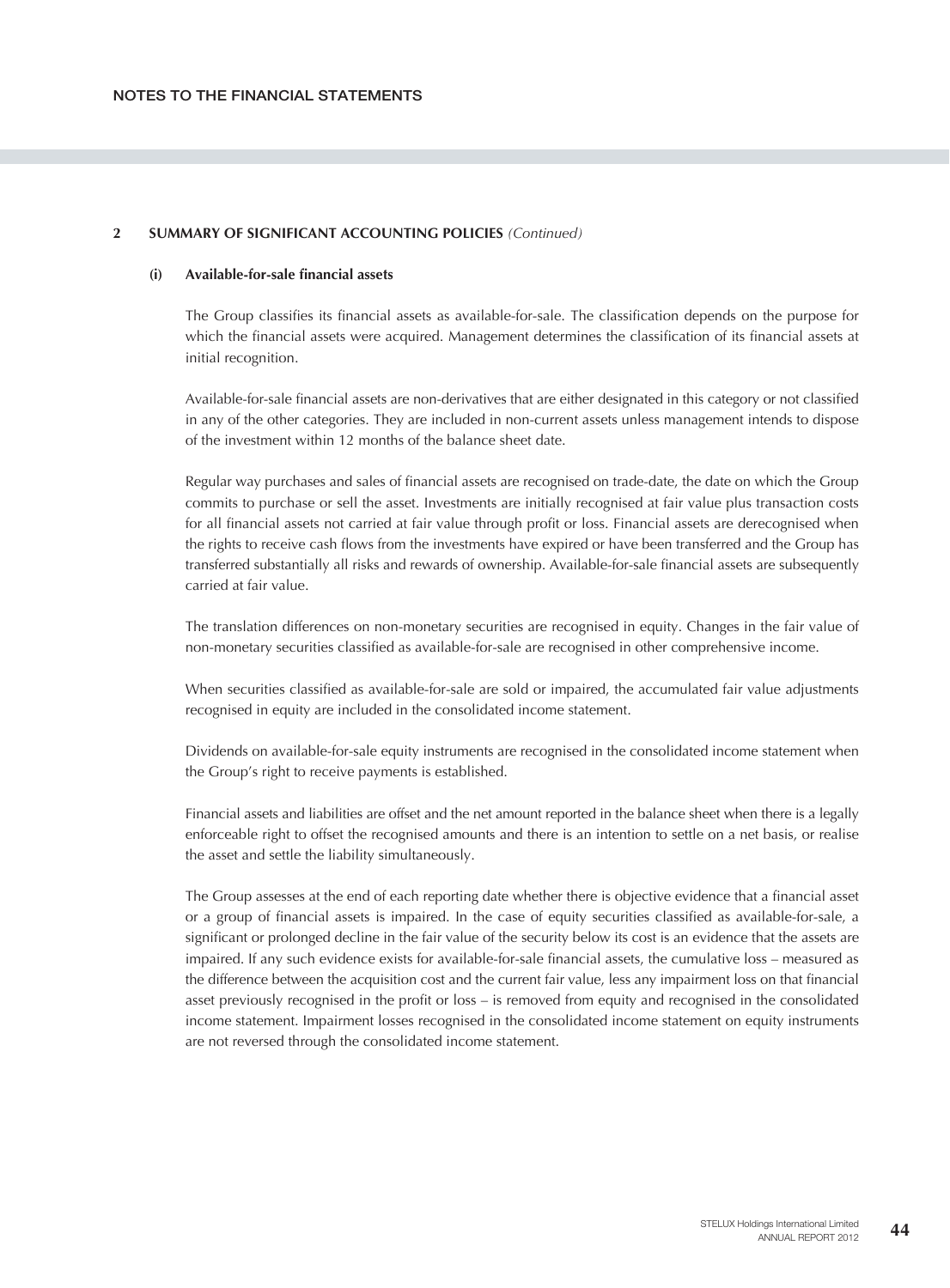## $(i)$  Available-for-sale financial assets

The Group classifies its financial assets as available-for-sale. The classification depends on the purpose for which the financial assets were acquired. Management determines the classification of its financial assets at initial recognition.

Available-for-sale financial assets are non-derivatives that are either designated in this category or not classified in any of the other categories. They are included in non-current assets unless management intends to dispose of the investment within 12 months of the balance sheet date.

Regular way purchases and sales of financial assets are recognised on trade-date, the date on which the Group commits to purchase or sell the asset. Investments are initially recognised at fair value plus transaction costs for all financial assets not carried at fair value through profit or loss. Financial assets are derecognised when the rights to receive cash flows from the investments have expired or have been transferred and the Group has transferred substantially all risks and rewards of ownership. Available-for-sale financial assets are subsequently carried at fair value.

The translation differences on non-monetary securities are recognised in equity. Changes in the fair value of non-monetary securities classified as available-for-sale are recognised in other comprehensive income.

When securities classified as available-for-sale are sold or impaired, the accumulated fair value adjustments recognised in equity are included in the consolidated income statement.

Dividends on available-for-sale equity instruments are recognised in the consolidated income statement when the Group's right to receive payments is established.

Financial assets and liabilities are offset and the net amount reported in the balance sheet when there is a legally enforceable right to offset the recognised amounts and there is an intention to settle on a net basis, or realise the asset and settle the liability simultaneously.

The Group assesses at the end of each reporting date whether there is objective evidence that a financial asset or a group of financial assets is impaired. In the case of equity securities classified as available-for-sale, a significant or prolonged decline in the fair value of the security below its cost is an evidence that the assets are impaired. If any such evidence exists for available-for-sale financial assets, the cumulative loss – measured as the difference between the acquisition cost and the current fair value, less any impairment loss on that financial asset previously recognised in the profit or loss – is removed from equity and recognised in the consolidated income statement. Impairment losses recognised in the consolidated income statement on equity instruments are not reversed through the consolidated income statement.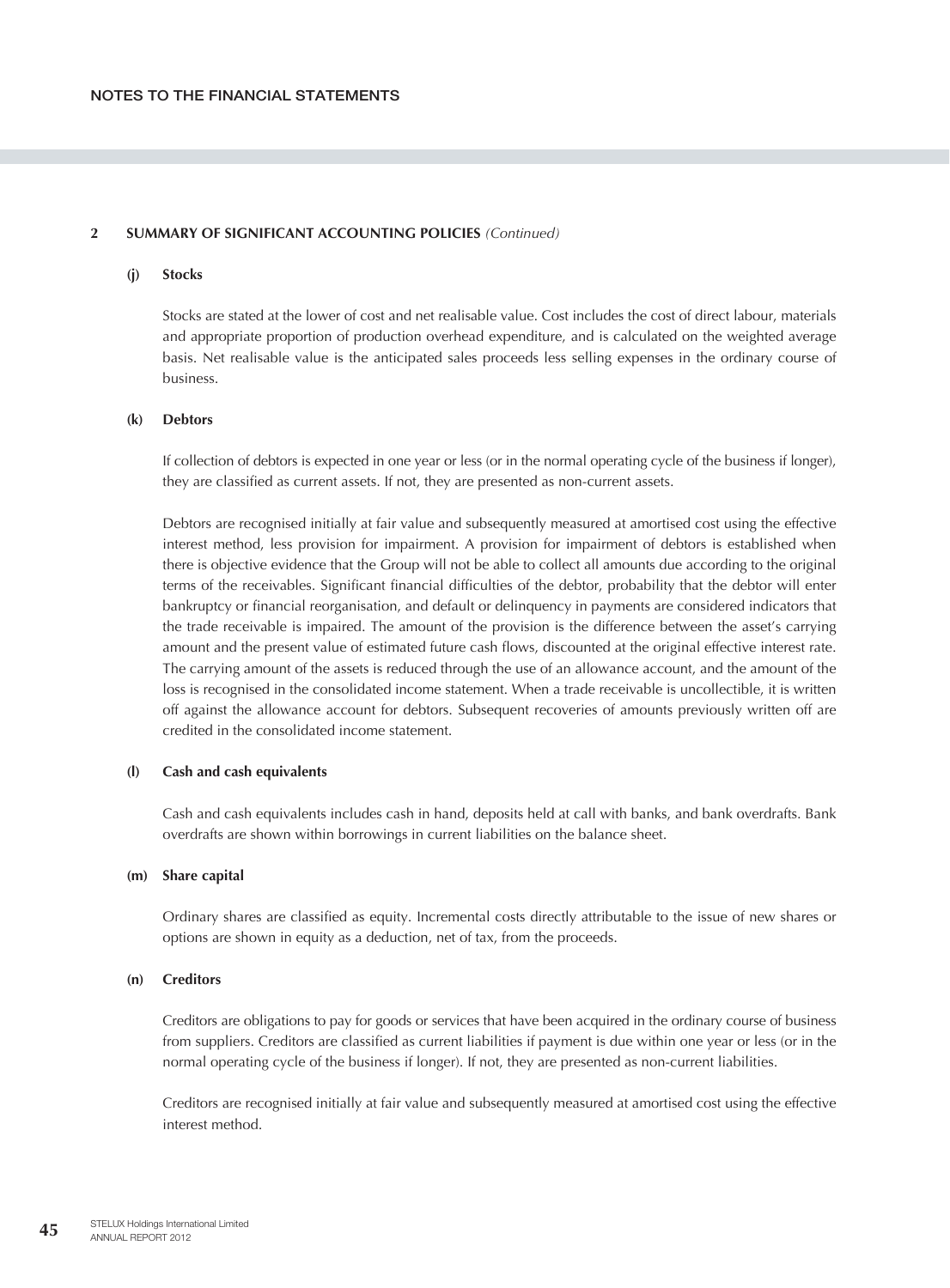## **(j) Stocks**

Stocks are stated at the lower of cost and net realisable value. Cost includes the cost of direct labour, materials and appropriate proportion of production overhead expenditure, and is calculated on the weighted average basis. Net realisable value is the anticipated sales proceeds less selling expenses in the ordinary course of business.

## **(k) Debtors**

If collection of debtors is expected in one year or less (or in the normal operating cycle of the business if longer), they are classified as current assets. If not, they are presented as non-current assets.

Debtors are recognised initially at fair value and subsequently measured at amortised cost using the effective interest method, less provision for impairment. A provision for impairment of debtors is established when there is objective evidence that the Group will not be able to collect all amounts due according to the original terms of the receivables. Significant financial difficulties of the debtor, probability that the debtor will enter bankruptcy or financial reorganisation, and default or delinquency in payments are considered indicators that the trade receivable is impaired. The amount of the provision is the difference between the asset's carrying amount and the present value of estimated future cash flows, discounted at the original effective interest rate. The carrying amount of the assets is reduced through the use of an allowance account, and the amount of the loss is recognised in the consolidated income statement. When a trade receivable is uncollectible, it is written off against the allowance account for debtors. Subsequent recoveries of amounts previously written off are credited in the consolidated income statement.

#### **(l) Cash and cash equivalents**

Cash and cash equivalents includes cash in hand, deposits held at call with banks, and bank overdrafts. Bank overdrafts are shown within borrowings in current liabilities on the balance sheet.

#### **(m) Share capital**

Ordinary shares are classified as equity. Incremental costs directly attributable to the issue of new shares or options are shown in equity as a deduction, net of tax, from the proceeds.

#### **(n) Creditors**

Creditors are obligations to pay for goods or services that have been acquired in the ordinary course of business from suppliers. Creditors are classified as current liabilities if payment is due within one year or less (or in the normal operating cycle of the business if longer). If not, they are presented as non-current liabilities.

Creditors are recognised initially at fair value and subsequently measured at amortised cost using the effective interest method.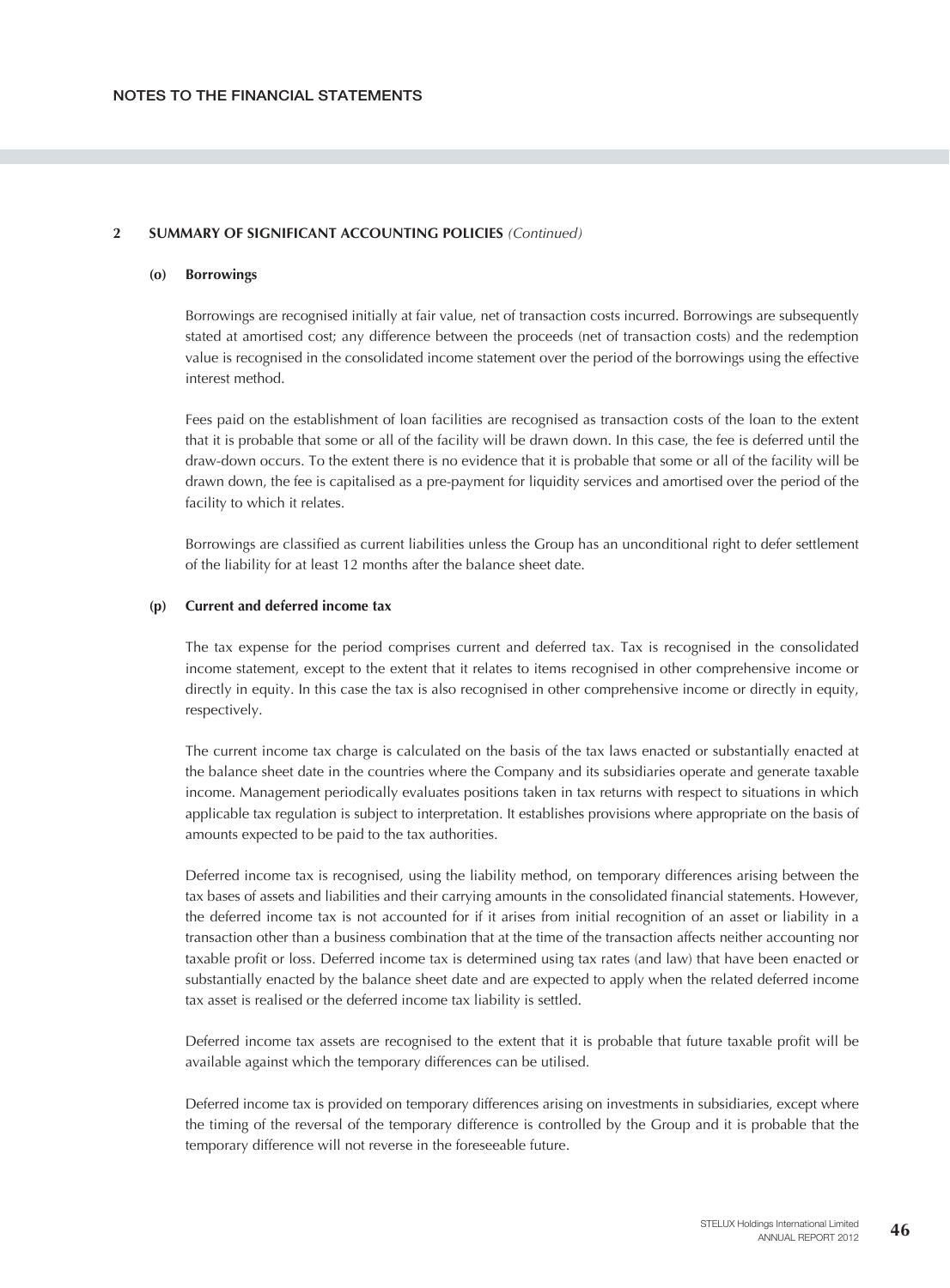### **(o) Borrowings**

Borrowings are recognised initially at fair value, net of transaction costs incurred. Borrowings are subsequently stated at amortised cost; any difference between the proceeds (net of transaction costs) and the redemption value is recognised in the consolidated income statement over the period of the borrowings using the effective interest method.

Fees paid on the establishment of loan facilities are recognised as transaction costs of the loan to the extent that it is probable that some or all of the facility will be drawn down. In this case, the fee is deferred until the draw-down occurs. To the extent there is no evidence that it is probable that some or all of the facility will be drawn down, the fee is capitalised as a pre-payment for liquidity services and amortised over the period of the facility to which it relates.

Borrowings are classified as current liabilities unless the Group has an unconditional right to defer settlement of the liability for at least 12 months after the balance sheet date.

### **(p) Current and deferred income tax**

The tax expense for the period comprises current and deferred tax. Tax is recognised in the consolidated income statement, except to the extent that it relates to items recognised in other comprehensive income or directly in equity. In this case the tax is also recognised in other comprehensive income or directly in equity, respectively.

The current income tax charge is calculated on the basis of the tax laws enacted or substantially enacted at the balance sheet date in the countries where the Company and its subsidiaries operate and generate taxable income. Management periodically evaluates positions taken in tax returns with respect to situations in which applicable tax regulation is subject to interpretation. It establishes provisions where appropriate on the basis of amounts expected to be paid to the tax authorities.

Deferred income tax is recognised, using the liability method, on temporary differences arising between the tax bases of assets and liabilities and their carrying amounts in the consolidated financial statements. However, the deferred income tax is not accounted for if it arises from initial recognition of an asset or liability in a transaction other than a business combination that at the time of the transaction affects neither accounting nor taxable profit or loss. Deferred income tax is determined using tax rates (and law) that have been enacted or substantially enacted by the balance sheet date and are expected to apply when the related deferred income tax asset is realised or the deferred income tax liability is settled.

Deferred income tax assets are recognised to the extent that it is probable that future taxable profit will be available against which the temporary differences can be utilised.

Deferred income tax is provided on temporary differences arising on investments in subsidiaries, except where the timing of the reversal of the temporary difference is controlled by the Group and it is probable that the temporary difference will not reverse in the foreseeable future.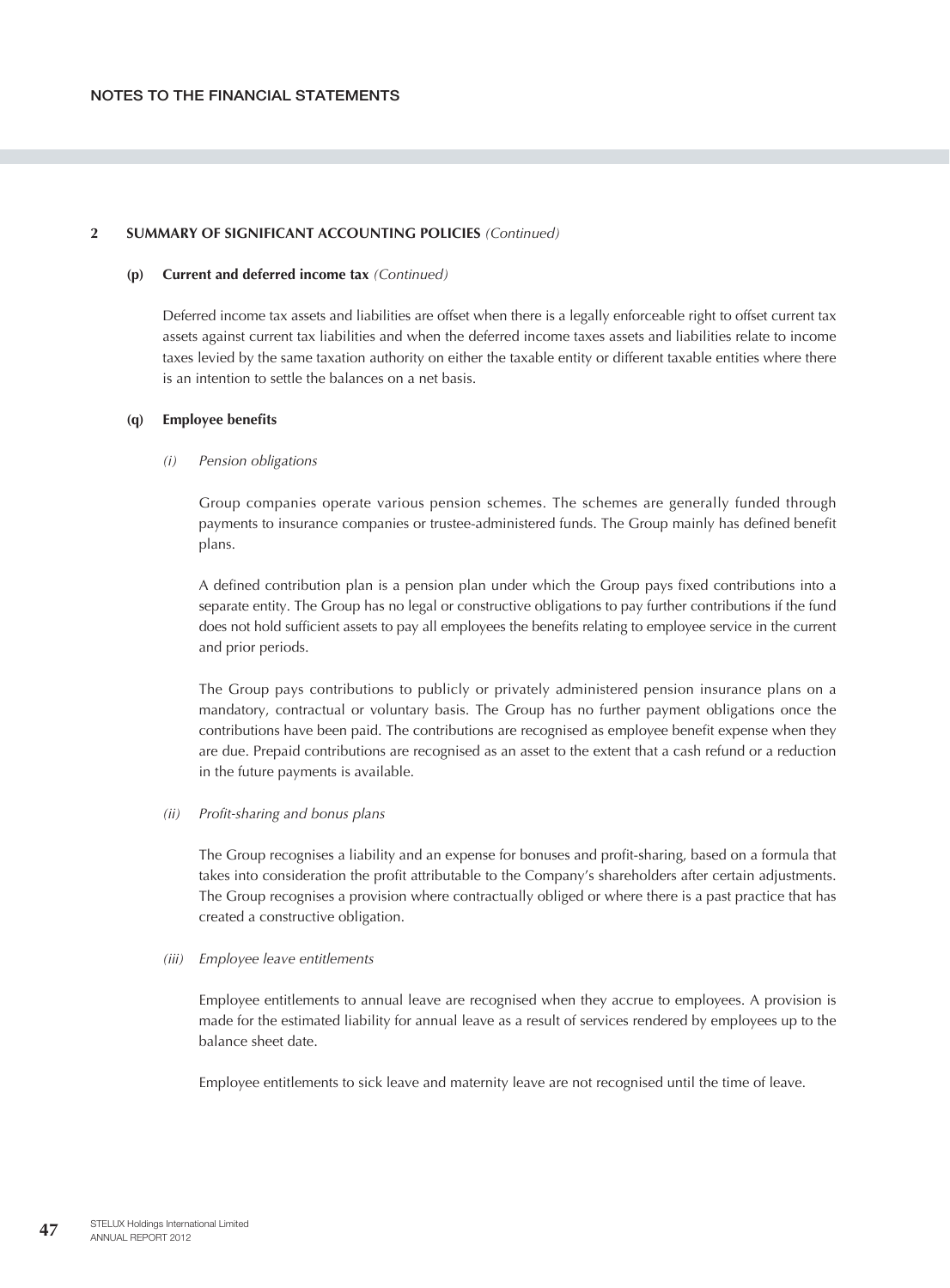## **(p) Current and deferred income tax** *(Continued)*

Deferred income tax assets and liabilities are offset when there is a legally enforceable right to offset current tax assets against current tax liabilities and when the deferred income taxes assets and liabilities relate to income taxes levied by the same taxation authority on either the taxable entity or different taxable entities where there is an intention to settle the balances on a net basis.

### (q) Employee benefits

### *(i) Pension obligations*

Group companies operate various pension schemes. The schemes are generally funded through payments to insurance companies or trustee-administered funds. The Group mainly has defined benefit plans.

A defined contribution plan is a pension plan under which the Group pays fixed contributions into a separate entity. The Group has no legal or constructive obligations to pay further contributions if the fund does not hold sufficient assets to pay all employees the benefits relating to employee service in the current and prior periods.

The Group pays contributions to publicly or privately administered pension insurance plans on a mandatory, contractual or voluntary basis. The Group has no further payment obligations once the contributions have been paid. The contributions are recognised as employee benefit expense when they are due. Prepaid contributions are recognised as an asset to the extent that a cash refund or a reduction in the future payments is available.

## *(ii)* Profit-sharing and bonus plans

The Group recognises a liability and an expense for bonuses and profit-sharing, based on a formula that takes into consideration the profit attributable to the Company's shareholders after certain adjustments. The Group recognises a provision where contractually obliged or where there is a past practice that has created a constructive obligation.

### *(iii) Employee leave entitlements*

Employee entitlements to annual leave are recognised when they accrue to employees. A provision is made for the estimated liability for annual leave as a result of services rendered by employees up to the balance sheet date.

Employee entitlements to sick leave and maternity leave are not recognised until the time of leave.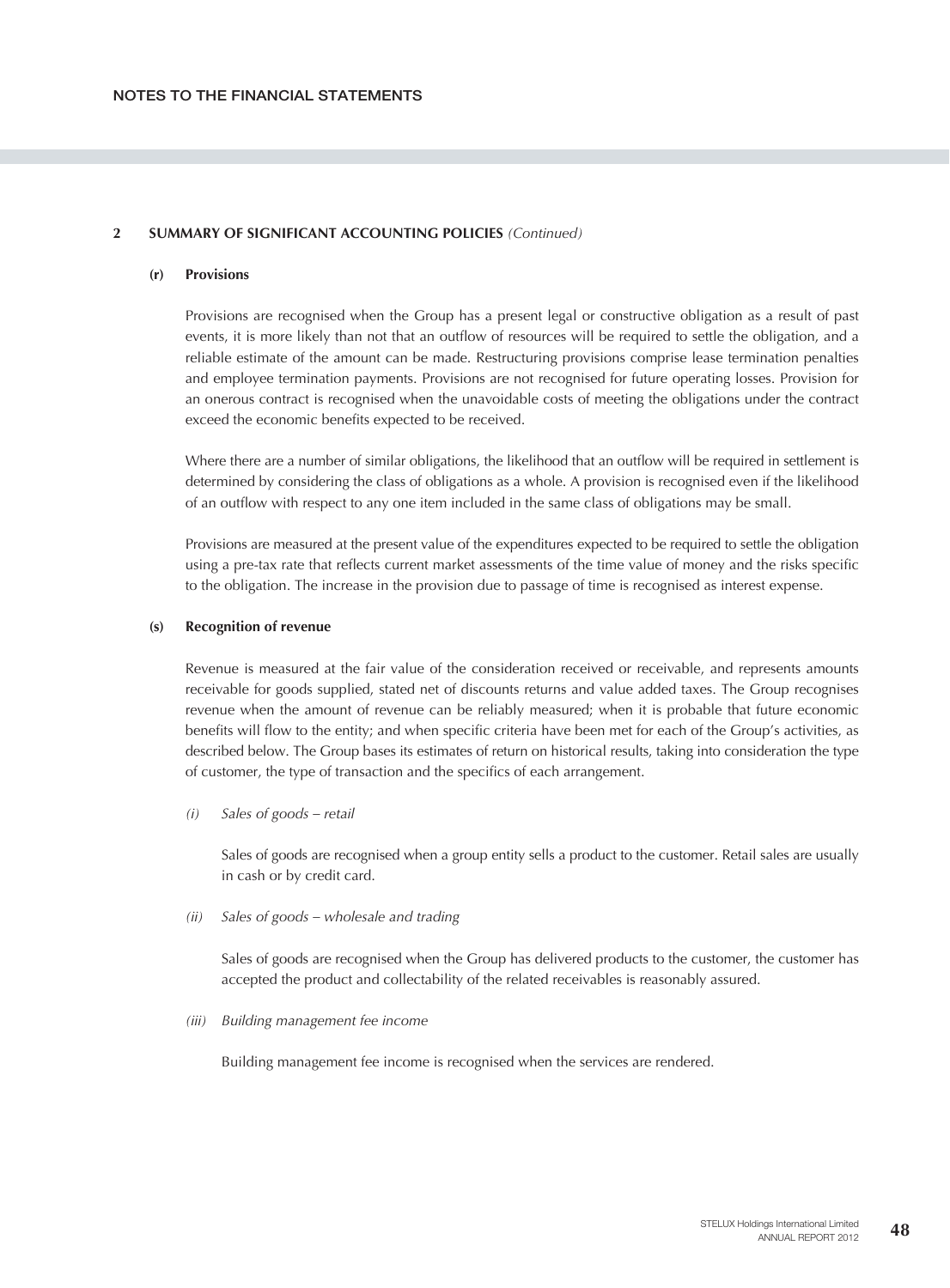### **(r) Provisions**

Provisions are recognised when the Group has a present legal or constructive obligation as a result of past events, it is more likely than not that an outflow of resources will be required to settle the obligation, and a reliable estimate of the amount can be made. Restructuring provisions comprise lease termination penalties and employee termination payments. Provisions are not recognised for future operating losses. Provision for an onerous contract is recognised when the unavoidable costs of meeting the obligations under the contract exceed the economic benefits expected to be received.

Where there are a number of similar obligations, the likelihood that an outflow will be required in settlement is determined by considering the class of obligations as a whole. A provision is recognised even if the likelihood of an outflow with respect to any one item included in the same class of obligations may be small.

Provisions are measured at the present value of the expenditures expected to be required to settle the obligation using a pre-tax rate that reflects current market assessments of the time value of money and the risks specific to the obligation. The increase in the provision due to passage of time is recognised as interest expense.

### **(s) Recognition of revenue**

Revenue is measured at the fair value of the consideration received or receivable, and represents amounts receivable for goods supplied, stated net of discounts returns and value added taxes. The Group recognises revenue when the amount of revenue can be reliably measured; when it is probable that future economic benefits will flow to the entity; and when specific criteria have been met for each of the Group's activities, as described below. The Group bases its estimates of return on historical results, taking into consideration the type of customer, the type of transaction and the specifics of each arrangement.

*(i) Sales of goods – retail*

Sales of goods are recognised when a group entity sells a product to the customer. Retail sales are usually in cash or by credit card.

*(ii) Sales of goods – wholesale and trading*

Sales of goods are recognised when the Group has delivered products to the customer, the customer has accepted the product and collectability of the related receivables is reasonably assured.

*(iii) Building management fee income*

Building management fee income is recognised when the services are rendered.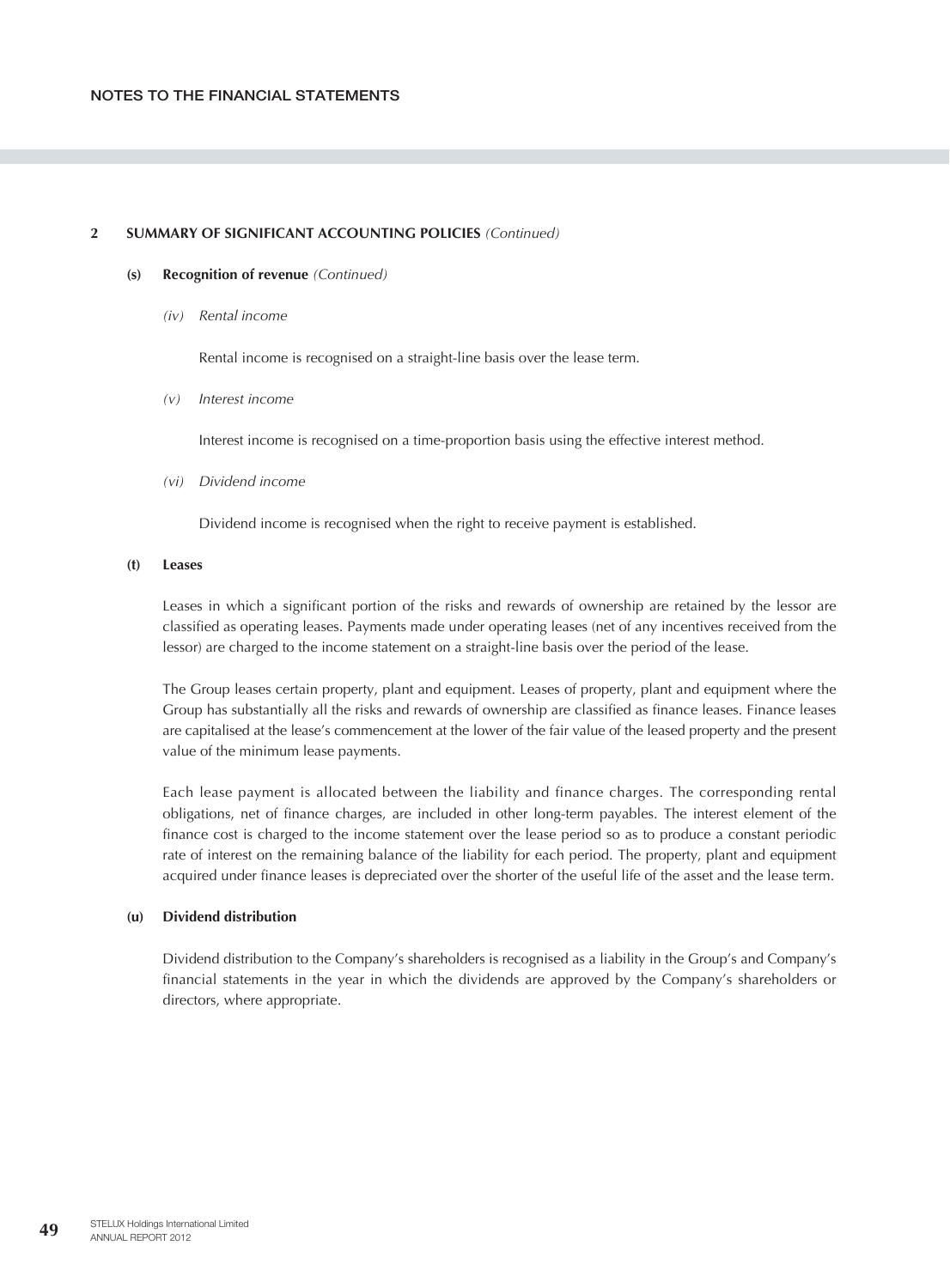## **(s) Recognition of revenue** *(Continued)*

#### *(iv) Rental income*

Rental income is recognised on a straight-line basis over the lease term.

### *(v) Interest income*

Interest income is recognised on a time-proportion basis using the effective interest method.

### *(vi) Dividend income*

Dividend income is recognised when the right to receive payment is established.

#### **(t) Leases**

Leases in which a significant portion of the risks and rewards of ownership are retained by the lessor are classified as operating leases. Payments made under operating leases (net of any incentives received from the lessor) are charged to the income statement on a straight-line basis over the period of the lease.

The Group leases certain property, plant and equipment. Leases of property, plant and equipment where the Group has substantially all the risks and rewards of ownership are classified as finance leases. Finance leases are capitalised at the lease's commencement at the lower of the fair value of the leased property and the present value of the minimum lease payments.

Each lease payment is allocated between the liability and finance charges. The corresponding rental obligations, net of finance charges, are included in other long-term payables. The interest element of the finance cost is charged to the income statement over the lease period so as to produce a constant periodic rate of interest on the remaining balance of the liability for each period. The property, plant and equipment acquired under finance leases is depreciated over the shorter of the useful life of the asset and the lease term.

#### **(u) Dividend distribution**

Dividend distribution to the Company's shareholders is recognised as a liability in the Group's and Company's financial statements in the year in which the dividends are approved by the Company's shareholders or directors, where appropriate.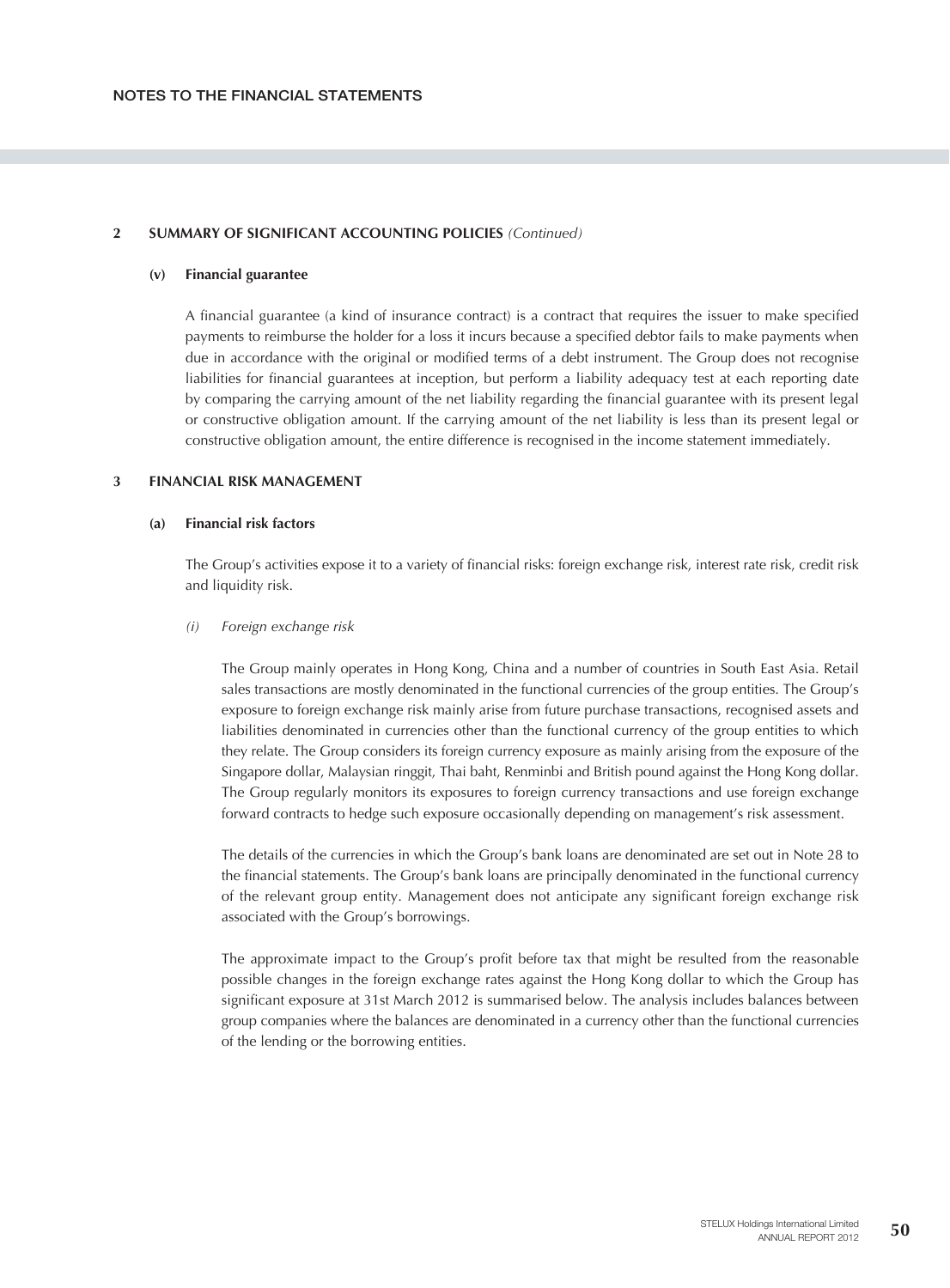## **(v) Financial guarantee**

A financial guarantee (a kind of insurance contract) is a contract that requires the issuer to make specified payments to reimburse the holder for a loss it incurs because a specified debtor fails to make payments when due in accordance with the original or modified terms of a debt instrument. The Group does not recognise liabilities for financial guarantees at inception, but perform a liability adequacy test at each reporting date by comparing the carrying amount of the net liability regarding the financial guarantee with its present legal or constructive obligation amount. If the carrying amount of the net liability is less than its present legal or constructive obligation amount, the entire difference is recognised in the income statement immediately.

### **3 FINANCIAL RISK MANAGEMENT**

#### **(a) Financial risk factors**

The Group's activities expose it to a variety of financial risks: foreign exchange risk, interest rate risk, credit risk and liquidity risk.

#### *(i) Foreign exchange risk*

The Group mainly operates in Hong Kong, China and a number of countries in South East Asia. Retail sales transactions are mostly denominated in the functional currencies of the group entities. The Group's exposure to foreign exchange risk mainly arise from future purchase transactions, recognised assets and liabilities denominated in currencies other than the functional currency of the group entities to which they relate. The Group considers its foreign currency exposure as mainly arising from the exposure of the Singapore dollar, Malaysian ringgit, Thai baht, Renminbi and British pound against the Hong Kong dollar. The Group regularly monitors its exposures to foreign currency transactions and use foreign exchange forward contracts to hedge such exposure occasionally depending on management's risk assessment.

The details of the currencies in which the Group's bank loans are denominated are set out in Note 28 to the financial statements. The Group's bank loans are principally denominated in the functional currency of the relevant group entity. Management does not anticipate any significant foreign exchange risk associated with the Group's borrowings.

The approximate impact to the Group's profit before tax that might be resulted from the reasonable possible changes in the foreign exchange rates against the Hong Kong dollar to which the Group has significant exposure at 31st March 2012 is summarised below. The analysis includes balances between group companies where the balances are denominated in a currency other than the functional currencies of the lending or the borrowing entities.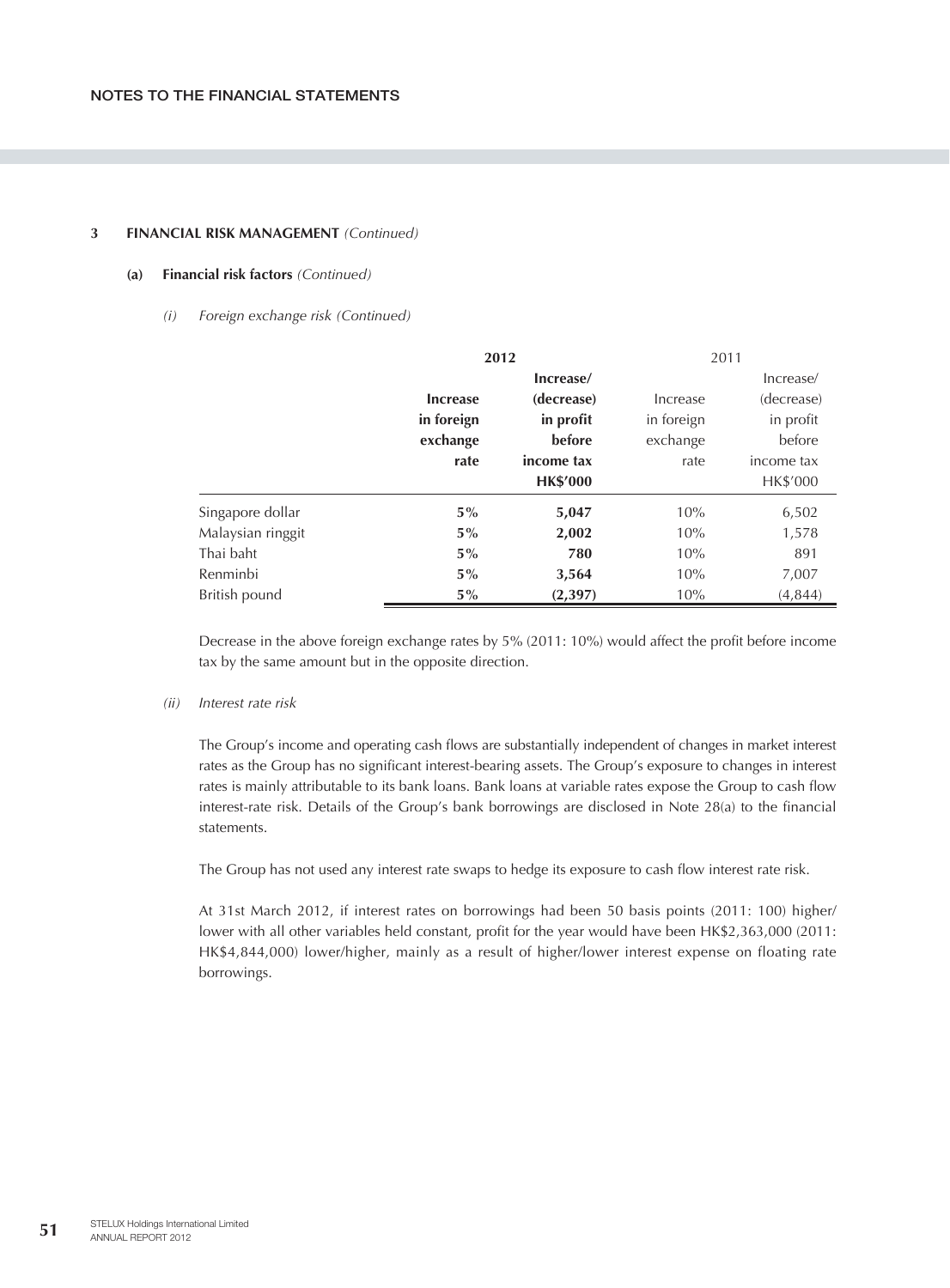## **(a) Financial risk factors** *(Continued)*

### *(i) Foreign exchange risk (Continued)*

|                   | 2012            |                 | 2011       |            |
|-------------------|-----------------|-----------------|------------|------------|
|                   |                 | Increase/       |            | Increase/  |
|                   | <b>Increase</b> | (decrease)      | Increase   | (decrease) |
|                   | in foreign      | in profit       | in foreign | in profit  |
|                   | exchange        | before          | exchange   | before     |
|                   | rate            | income tax      | rate       | income tax |
|                   |                 | <b>HK\$'000</b> |            | HK\$'000   |
| Singapore dollar  | $5\%$           | 5,047           | 10%        | 6,502      |
| Malaysian ringgit | $5\%$           | 2,002           | 10%        | 1,578      |
| Thai baht         | $5\%$           | 780             | 10%        | 891        |
| Renminbi          | $5\%$           | 3,564           | 10%        | 7,007      |
| British pound     | $5\%$           | (2,397)         | 10%        | (4, 844)   |

Decrease in the above foreign exchange rates by 5% (2011: 10%) would affect the profit before income tax by the same amount but in the opposite direction.

#### *(ii) Interest rate risk*

The Group's income and operating cash flows are substantially independent of changes in market interest rates as the Group has no significant interest-bearing assets. The Group's exposure to changes in interest rates is mainly attributable to its bank loans. Bank loans at variable rates expose the Group to cash flow interest-rate risk. Details of the Group's bank borrowings are disclosed in Note  $28(a)$  to the financial statements.

The Group has not used any interest rate swaps to hedge its exposure to cash flow interest rate risk.

At 31st March 2012, if interest rates on borrowings had been 50 basis points (2011: 100) higher/ lower with all other variables held constant, profit for the year would have been HK\$2,363,000 (2011: HK\$4,844,000) lower/higher, mainly as a result of higher/lower interest expense on floating rate borrowings.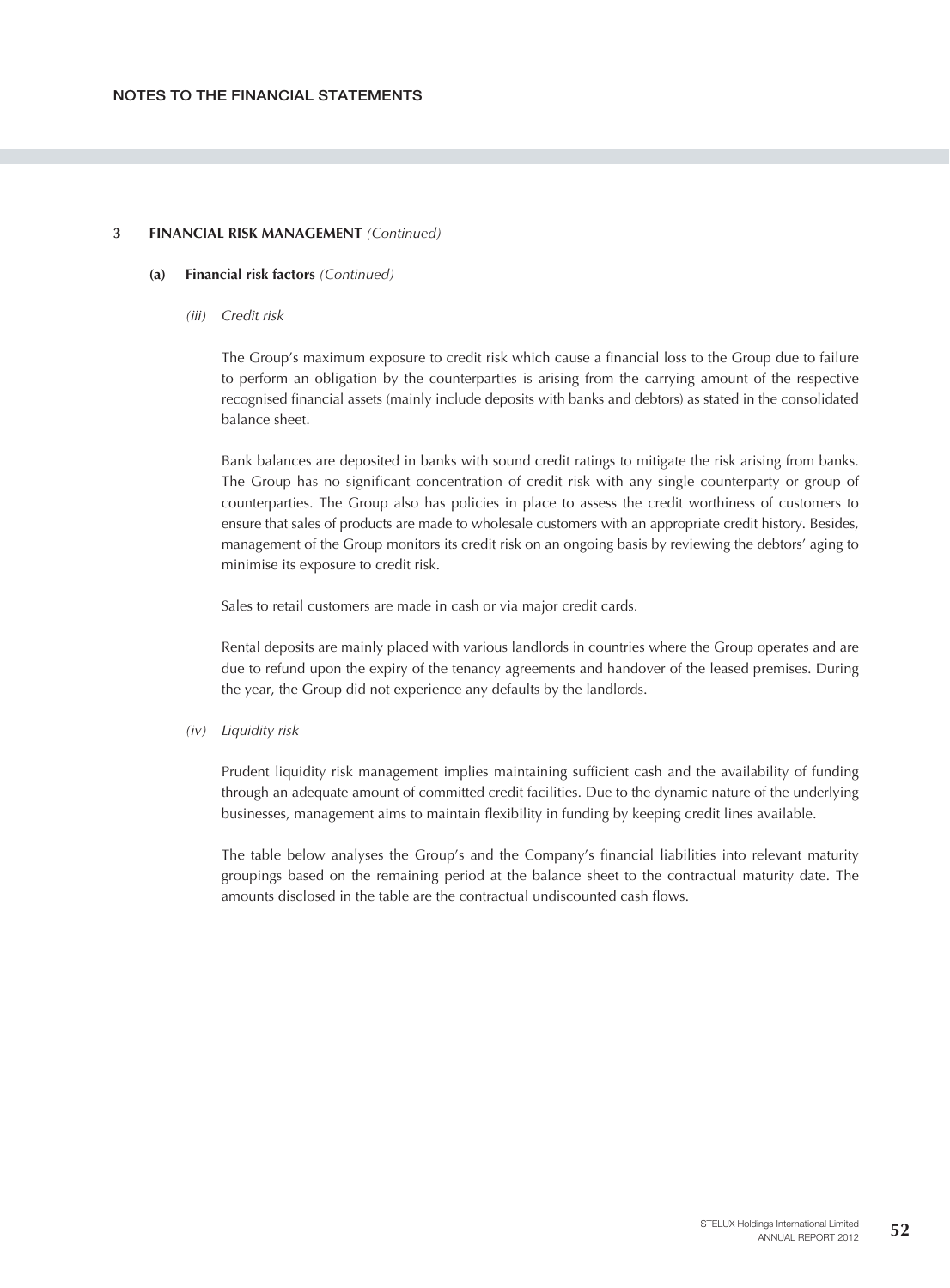#### **(a) Financial risk factors** *(Continued)*

*(iii) Credit risk*

The Group's maximum exposure to credit risk which cause a financial loss to the Group due to failure to perform an obligation by the counterparties is arising from the carrying amount of the respective recognised financial assets (mainly include deposits with banks and debtors) as stated in the consolidated balance sheet.

Bank balances are deposited in banks with sound credit ratings to mitigate the risk arising from banks. The Group has no significant concentration of credit risk with any single counterparty or group of counterparties. The Group also has policies in place to assess the credit worthiness of customers to ensure that sales of products are made to wholesale customers with an appropriate credit history. Besides, management of the Group monitors its credit risk on an ongoing basis by reviewing the debtors' aging to minimise its exposure to credit risk.

Sales to retail customers are made in cash or via major credit cards.

Rental deposits are mainly placed with various landlords in countries where the Group operates and are due to refund upon the expiry of the tenancy agreements and handover of the leased premises. During the year, the Group did not experience any defaults by the landlords.

*(iv) Liquidity risk*

Prudent liquidity risk management implies maintaining sufficient cash and the availability of funding through an adequate amount of committed credit facilities. Due to the dynamic nature of the underlying businesses, management aims to maintain flexibility in funding by keeping credit lines available.

The table below analyses the Group's and the Company's financial liabilities into relevant maturity groupings based on the remaining period at the balance sheet to the contractual maturity date. The amounts disclosed in the table are the contractual undiscounted cash flows.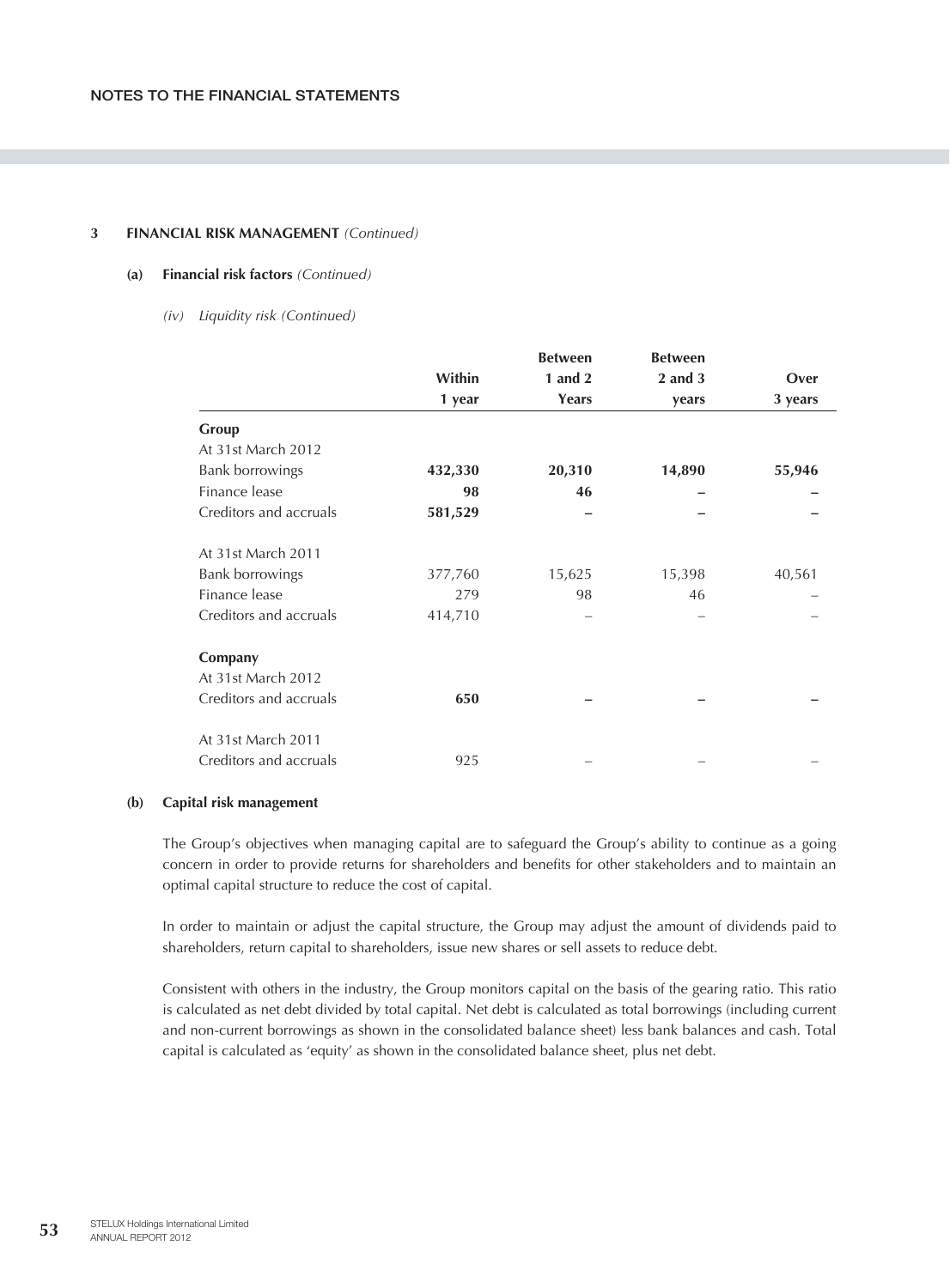## **(a) Financial risk factors** *(Continued)*

## *(iv) Liquidity risk (Continued)*

|                        |         | <b>Between</b> | <b>Between</b> |         |
|------------------------|---------|----------------|----------------|---------|
|                        | Within  | 1 and $2$      | $2$ and $3$    | Over    |
|                        | 1 year  | <b>Years</b>   | years          | 3 years |
| Group                  |         |                |                |         |
| At 31st March 2012     |         |                |                |         |
| <b>Bank borrowings</b> | 432,330 | 20,310         | 14,890         | 55,946  |
| Finance lease          | 98      | 46             |                |         |
| Creditors and accruals | 581,529 |                |                |         |
| At 31st March 2011     |         |                |                |         |
| <b>Bank borrowings</b> | 377,760 | 15,625         | 15,398         | 40,561  |
| Finance lease          | 279     | 98             | 46             |         |
| Creditors and accruals | 414,710 |                |                |         |
| Company                |         |                |                |         |
| At 31st March 2012     |         |                |                |         |
| Creditors and accruals | 650     |                |                |         |
| At 31st March 2011     |         |                |                |         |
| Creditors and accruals | 925     |                |                |         |

### **(b) Capital risk management**

The Group's objectives when managing capital are to safeguard the Group's ability to continue as a going concern in order to provide returns for shareholders and benefits for other stakeholders and to maintain an optimal capital structure to reduce the cost of capital.

In order to maintain or adjust the capital structure, the Group may adjust the amount of dividends paid to shareholders, return capital to shareholders, issue new shares or sell assets to reduce debt.

Consistent with others in the industry, the Group monitors capital on the basis of the gearing ratio. This ratio is calculated as net debt divided by total capital. Net debt is calculated as total borrowings (including current and non-current borrowings as shown in the consolidated balance sheet) less bank balances and cash. Total capital is calculated as 'equity' as shown in the consolidated balance sheet, plus net debt.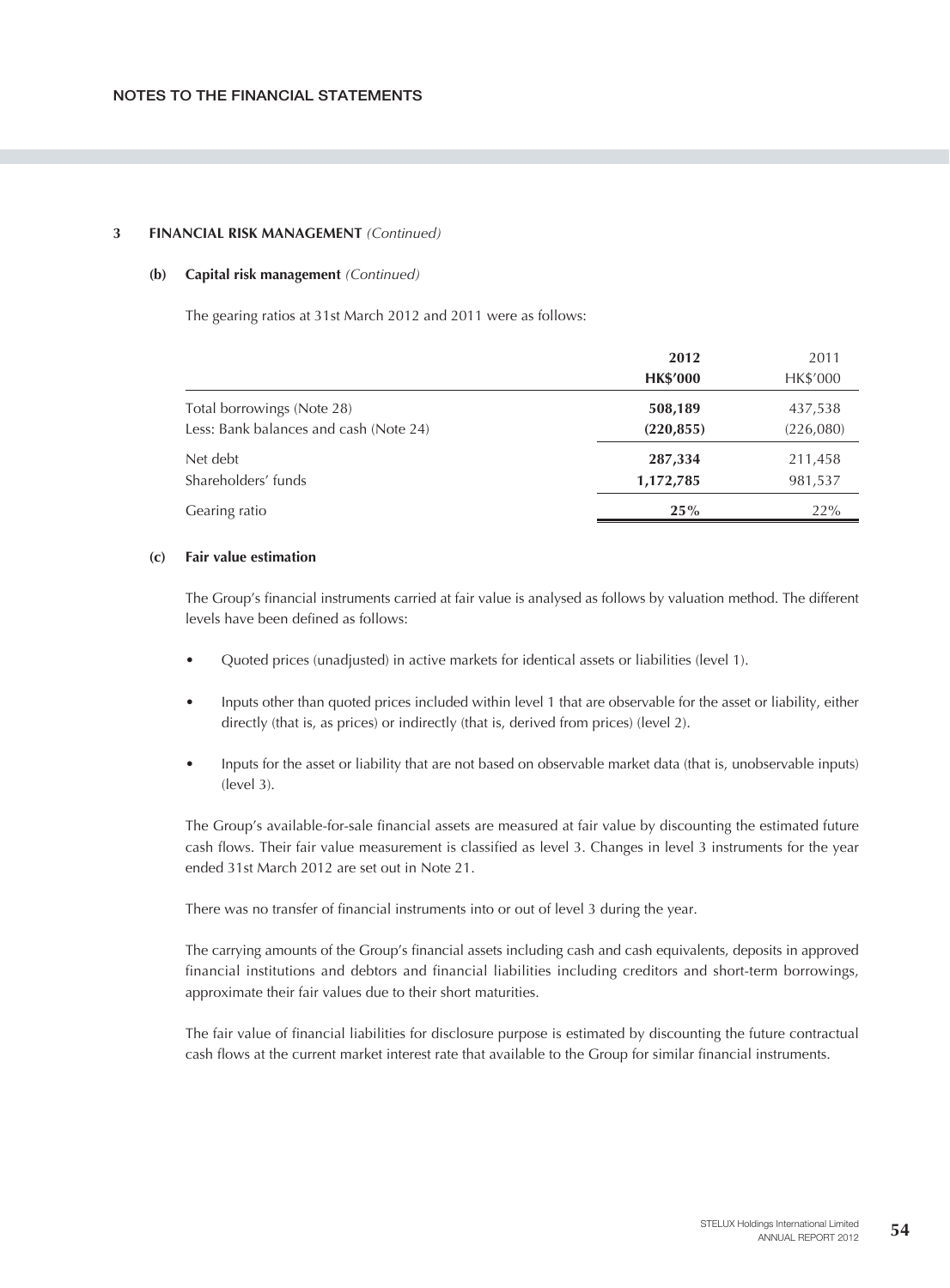## **(b) Capital risk management** *(Continued)*

The gearing ratios at 31st March 2012 and 2011 were as follows:

|                                        | 2012            | 2011            |
|----------------------------------------|-----------------|-----------------|
|                                        | <b>HK\$'000</b> | <b>HK\$'000</b> |
| Total borrowings (Note 28)             | 508,189         | 437,538         |
| Less: Bank balances and cash (Note 24) | (220, 855)      | (226,080)       |
| Net debt                               | 287,334         | 211,458         |
| Shareholders' funds                    | 1,172,785       | 981,537         |
| Gearing ratio                          | 25%             | 22%             |

## **(c) Fair value estimation**

The Group's financial instruments carried at fair value is analysed as follows by valuation method. The different levels have been defined as follows:

- Quoted prices (unadjusted) in active markets for identical assets or liabilities (level 1).
- Inputs other than quoted prices included within level 1 that are observable for the asset or liability, either directly (that is, as prices) or indirectly (that is, derived from prices) (level 2).
- Inputs for the asset or liability that are not based on observable market data (that is, unobservable inputs) (level 3).

The Group's available-for-sale financial assets are measured at fair value by discounting the estimated future cash flows. Their fair value measurement is classified as level 3. Changes in level 3 instruments for the year ended 31st March 2012 are set out in Note 21.

There was no transfer of financial instruments into or out of level 3 during the year.

The carrying amounts of the Group's financial assets including cash and cash equivalents, deposits in approved financial institutions and debtors and financial liabilities including creditors and short-term borrowings, approximate their fair values due to their short maturities.

The fair value of financial liabilities for disclosure purpose is estimated by discounting the future contractual cash flows at the current market interest rate that available to the Group for similar financial instruments.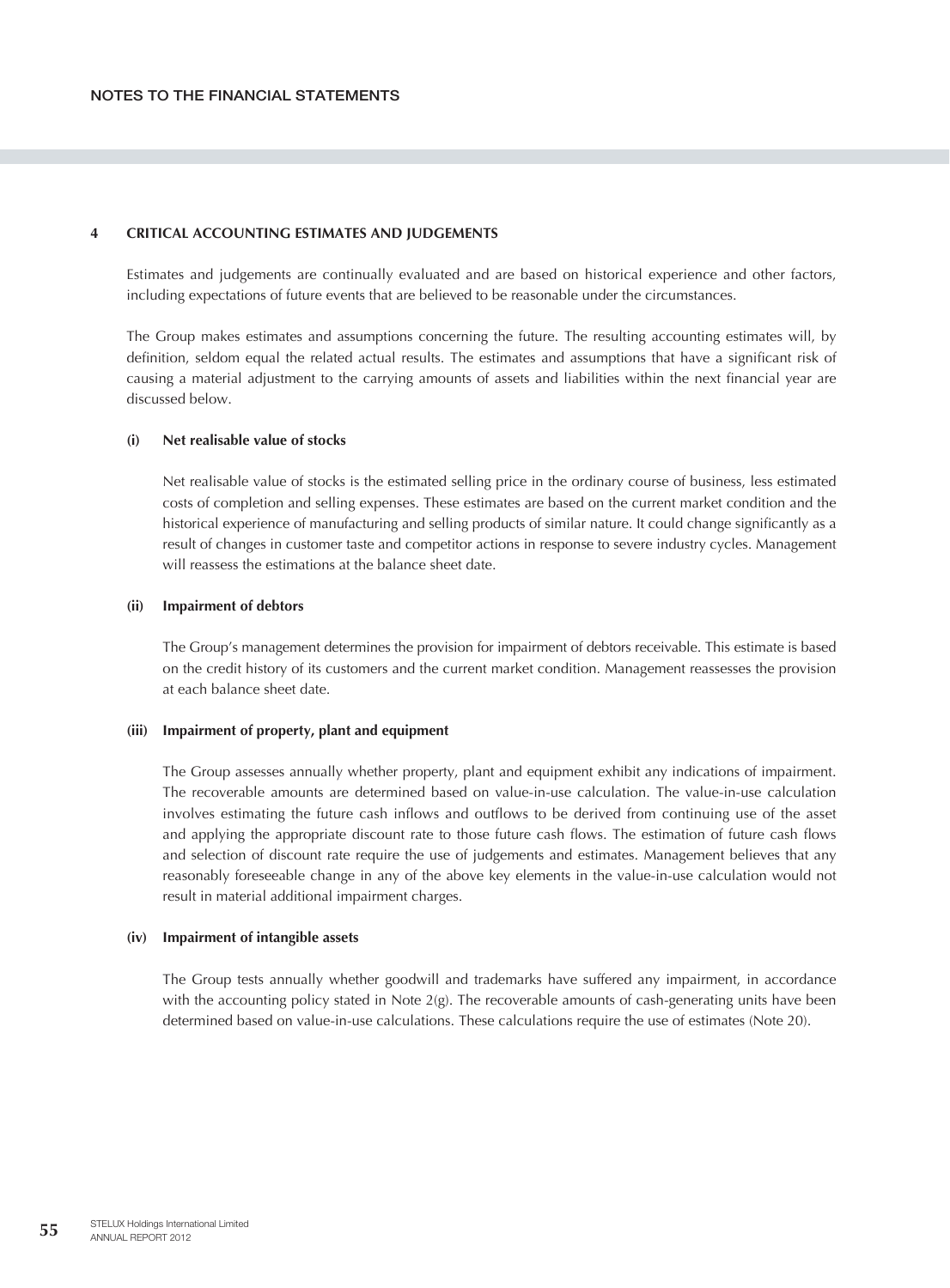## **4 CRITICAL ACCOUNTING ESTIMATES AND JUDGEMENTS**

Estimates and judgements are continually evaluated and are based on historical experience and other factors, including expectations of future events that are believed to be reasonable under the circumstances.

The Group makes estimates and assumptions concerning the future. The resulting accounting estimates will, by definition, seldom equal the related actual results. The estimates and assumptions that have a significant risk of causing a material adjustment to the carrying amounts of assets and liabilities within the next financial year are discussed below.

### **(i) Net realisable value of stocks**

Net realisable value of stocks is the estimated selling price in the ordinary course of business, less estimated costs of completion and selling expenses. These estimates are based on the current market condition and the historical experience of manufacturing and selling products of similar nature. It could change significantly as a result of changes in customer taste and competitor actions in response to severe industry cycles. Management will reassess the estimations at the balance sheet date.

### **(ii) Impairment of debtors**

The Group's management determines the provision for impairment of debtors receivable. This estimate is based on the credit history of its customers and the current market condition. Management reassesses the provision at each balance sheet date.

### **(iii) Impairment of property, plant and equipment**

The Group assesses annually whether property, plant and equipment exhibit any indications of impairment. The recoverable amounts are determined based on value-in-use calculation. The value-in-use calculation involves estimating the future cash inflows and outflows to be derived from continuing use of the asset and applying the appropriate discount rate to those future cash flows. The estimation of future cash flows and selection of discount rate require the use of judgements and estimates. Management believes that any reasonably foreseeable change in any of the above key elements in the value-in-use calculation would not result in material additional impairment charges.

#### **(iv) Impairment of intangible assets**

The Group tests annually whether goodwill and trademarks have suffered any impairment, in accordance with the accounting policy stated in Note 2(g). The recoverable amounts of cash-generating units have been determined based on value-in-use calculations. These calculations require the use of estimates (Note 20).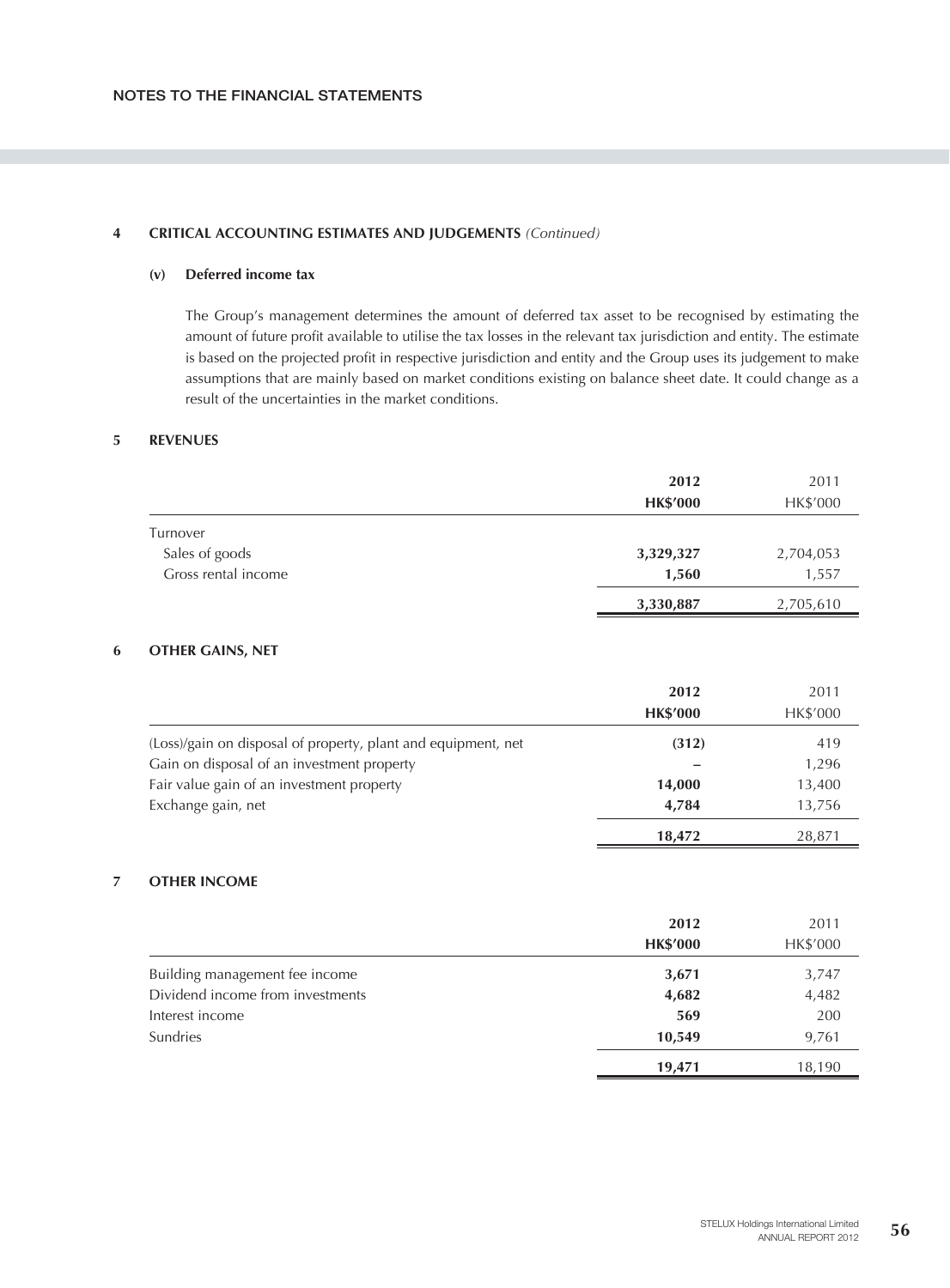## **4 CRITICAL ACCOUNTING ESTIMATES AND JUDGEMENTS** *(Continued)*

## **(v) Deferred income tax**

The Group's management determines the amount of deferred tax asset to be recognised by estimating the amount of future profit available to utilise the tax losses in the relevant tax jurisdiction and entity. The estimate is based on the projected profit in respective jurisdiction and entity and the Group uses its judgement to make assumptions that are mainly based on market conditions existing on balance sheet date. It could change as a result of the uncertainties in the market conditions.

## **5 REVENUES**

|                     | 2012            | 2011      |
|---------------------|-----------------|-----------|
|                     | <b>HK\$'000</b> | HK\$'000  |
| Turnover            |                 |           |
| Sales of goods      | 3,329,327       | 2,704,053 |
| Gross rental income | 1,560           | 1,557     |
|                     | 3,330,887       | 2,705,610 |

## **6 OTHER GAINS, NET**

|                                                               | 2012            | 2011     |
|---------------------------------------------------------------|-----------------|----------|
|                                                               | <b>HK\$'000</b> | HK\$'000 |
| (Loss)/gain on disposal of property, plant and equipment, net | (312)           | 419      |
| Gain on disposal of an investment property                    |                 | 1,296    |
| Fair value gain of an investment property                     | 14,000          | 13,400   |
| Exchange gain, net                                            | 4,784           | 13,756   |
|                                                               | 18,472          | 28,871   |

## **7 OTHER INCOME**

|                                  | 2012            | 2011            |
|----------------------------------|-----------------|-----------------|
|                                  | <b>HK\$'000</b> | <b>HK\$'000</b> |
| Building management fee income   | 3,671           | 3,747           |
| Dividend income from investments | 4,682           | 4,482           |
| Interest income                  | 569             | 200             |
| Sundries                         | 10,549          | 9,761           |
|                                  | 19,471          | 18,190          |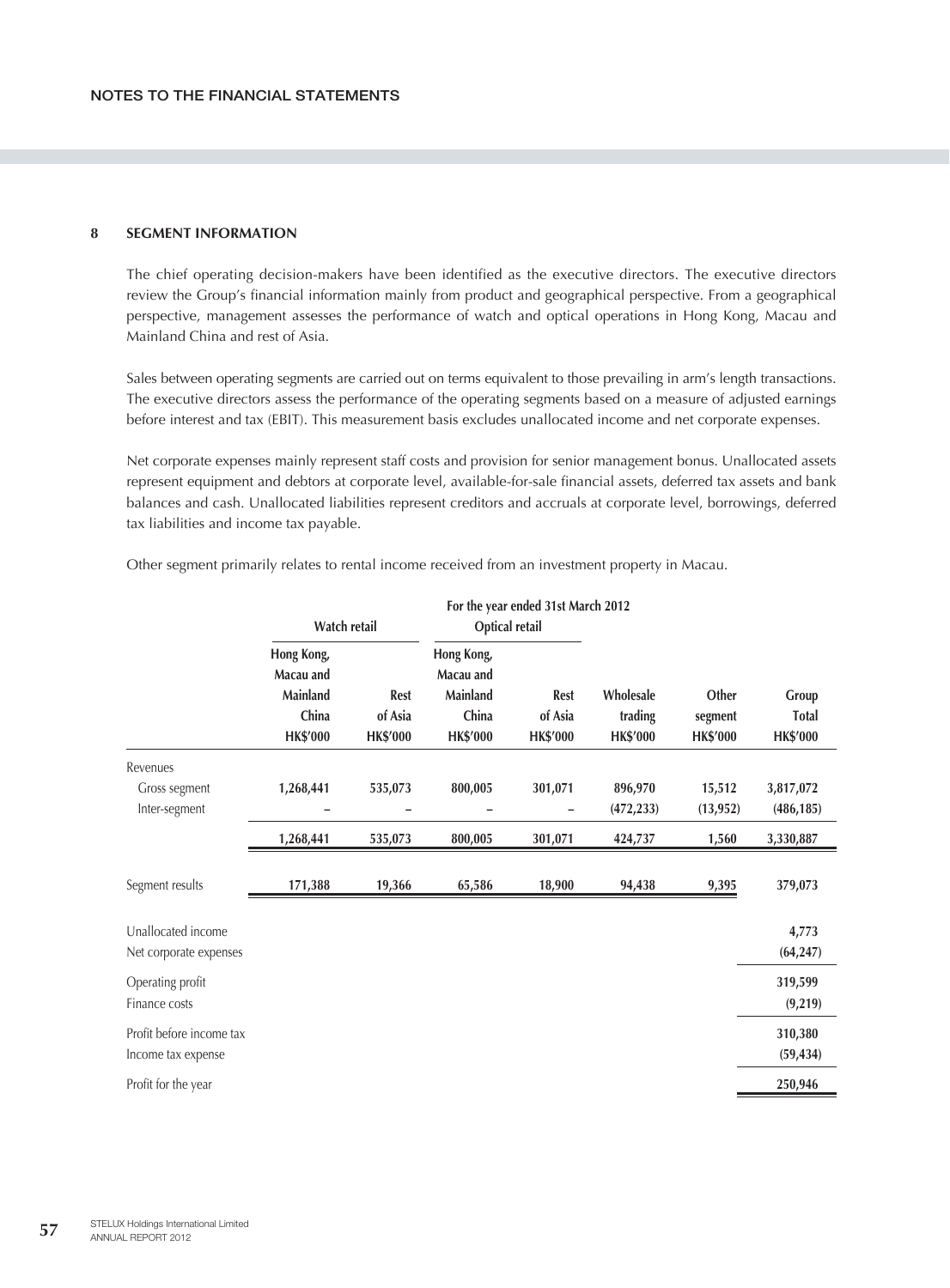## **8 SEGMENT INFORMATION**

The chief operating decision-makers have been identified as the executive directors. The executive directors review the Group's financial information mainly from product and geographical perspective. From a geographical perspective, management assesses the performance of watch and optical operations in Hong Kong, Macau and Mainland China and rest of Asia.

Sales between operating segments are carried out on terms equivalent to those prevailing in arm's length transactions. The executive directors assess the performance of the operating segments based on a measure of adjusted earnings before interest and tax (EBIT). This measurement basis excludes unallocated income and net corporate expenses.

Net corporate expenses mainly represent staff costs and provision for senior management bonus. Unallocated assets represent equipment and debtors at corporate level, available-for-sale financial assets, deferred tax assets and bank balances and cash. Unallocated liabilities represent creditors and accruals at corporate level, borrowings, deferred tax liabilities and income tax payable.

|                          | For the year ended 31st March 2012                              |                                           |                                                                 |                                           |                                         |                                     |                                          |
|--------------------------|-----------------------------------------------------------------|-------------------------------------------|-----------------------------------------------------------------|-------------------------------------------|-----------------------------------------|-------------------------------------|------------------------------------------|
|                          | Watch retail                                                    |                                           | Optical retail                                                  |                                           |                                         |                                     |                                          |
|                          | Hong Kong,<br>Macau and<br>Mainland<br>China<br><b>HK\$'000</b> | <b>Rest</b><br>of Asia<br><b>HK\$'000</b> | Hong Kong,<br>Macau and<br>Mainland<br>China<br><b>HK\$'000</b> | <b>Rest</b><br>of Asia<br><b>HK\$'000</b> | Wholesale<br>trading<br><b>HK\$'000</b> | Other<br>segment<br><b>HK\$'000</b> | Group<br><b>Total</b><br><b>HK\$'000</b> |
| Revenues                 |                                                                 |                                           |                                                                 |                                           |                                         |                                     |                                          |
| Gross segment            | 1,268,441                                                       | 535,073                                   | 800,005                                                         | 301,071                                   | 896,970                                 | 15,512                              | 3,817,072                                |
| Inter-segment            |                                                                 |                                           |                                                                 |                                           | (472, 233)                              | (13, 952)                           | (486, 185)                               |
|                          | 1,268,441                                                       | 535,073                                   | 800,005                                                         | 301,071                                   | 424,737                                 | 1,560                               | 3,330,887                                |
| Segment results          | 171,388                                                         | 19,366                                    | 65,586                                                          | 18,900                                    | 94,438                                  | 9,395                               | 379,073                                  |
| Unallocated income       |                                                                 |                                           |                                                                 |                                           |                                         |                                     | 4,773                                    |
| Net corporate expenses   |                                                                 |                                           |                                                                 |                                           |                                         |                                     | (64, 247)                                |
| Operating profit         |                                                                 |                                           |                                                                 |                                           |                                         |                                     | 319,599                                  |
| Finance costs            |                                                                 |                                           |                                                                 |                                           |                                         |                                     | (9,219)                                  |
| Profit before income tax |                                                                 |                                           |                                                                 |                                           |                                         |                                     | 310,380                                  |
| Income tax expense       |                                                                 |                                           |                                                                 |                                           |                                         |                                     | (59, 434)                                |
| Profit for the year      |                                                                 |                                           |                                                                 |                                           |                                         |                                     | 250,946                                  |

Other segment primarily relates to rental income received from an investment property in Macau.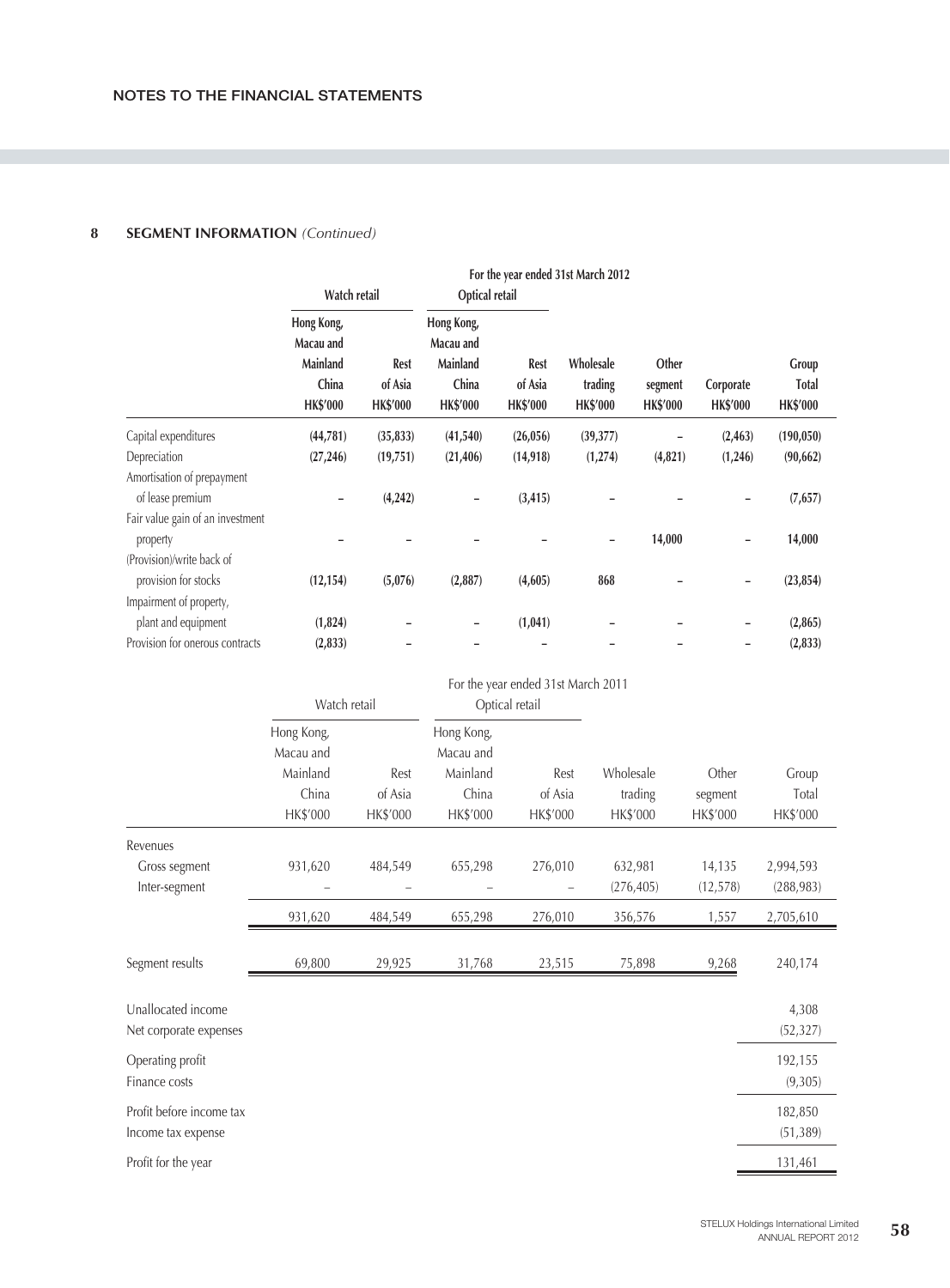# **8 SEGMENT INFORMATION** *(Continued)*

|                                  |                                                                 |                                    | For the year ended 31st March 2012                              |                                           |                                         |                                     |                              |                                          |
|----------------------------------|-----------------------------------------------------------------|------------------------------------|-----------------------------------------------------------------|-------------------------------------------|-----------------------------------------|-------------------------------------|------------------------------|------------------------------------------|
|                                  |                                                                 | Watch retail                       |                                                                 | Optical retail                            |                                         |                                     |                              |                                          |
|                                  | Hong Kong,<br>Macau and<br>Mainland<br>China<br><b>HK\$'000</b> | Rest<br>of Asia<br><b>HK\$'000</b> | Hong Kong,<br>Macau and<br>Mainland<br>China<br><b>HK\$'000</b> | <b>Rest</b><br>of Asia<br><b>HK\$'000</b> | Wholesale<br>trading<br><b>HK\$'000</b> | Other<br>segment<br><b>HK\$'000</b> | Corporate<br><b>HK\$'000</b> | Group<br><b>Total</b><br><b>HK\$'000</b> |
| Capital expenditures             | (44, 781)                                                       | (35, 833)                          | (41, 540)                                                       | (26, 056)                                 | (39,377)                                |                                     | (2, 463)                     | (190, 050)                               |
| Depreciation                     | (27, 246)                                                       | (19,751)                           | (21, 406)                                                       | (14, 918)                                 | (1,274)                                 | (4,821)                             | (1,246)                      | (90, 662)                                |
| Amortisation of prepayment       |                                                                 |                                    |                                                                 |                                           |                                         |                                     |                              |                                          |
| of lease premium                 |                                                                 | (4, 242)                           | -                                                               | (3, 415)                                  |                                         |                                     |                              | (7, 657)                                 |
| Fair value gain of an investment |                                                                 |                                    |                                                                 |                                           |                                         |                                     |                              |                                          |
| property                         |                                                                 |                                    |                                                                 |                                           |                                         | 14,000                              | -                            | 14,000                                   |
| (Provision)/write back of        |                                                                 |                                    |                                                                 |                                           |                                         |                                     |                              |                                          |
| provision for stocks             | (12, 154)                                                       | (5,076)                            | (2,887)                                                         | (4,605)                                   | 868                                     |                                     |                              | (23, 854)                                |
| Impairment of property,          |                                                                 |                                    |                                                                 |                                           |                                         |                                     |                              |                                          |
| plant and equipment              | (1,824)                                                         |                                    |                                                                 | (1,041)                                   |                                         |                                     |                              | (2,865)                                  |
| Provision for onerous contracts  | (2,833)                                                         |                                    |                                                                 |                                           |                                         |                                     |                              | (2,833)                                  |

|                                                | For the year ended 31st March 2011 |                 |                         |                 |                      |                  |                      |  |
|------------------------------------------------|------------------------------------|-----------------|-------------------------|-----------------|----------------------|------------------|----------------------|--|
|                                                | Watch retail                       |                 |                         | Optical retail  |                      |                  |                      |  |
|                                                | Hong Kong,<br>Macau and            |                 | Hong Kong,<br>Macau and |                 |                      |                  |                      |  |
|                                                | Mainland<br>China                  | Rest<br>of Asia | Mainland<br>China       | Rest<br>of Asia | Wholesale<br>trading | Other<br>segment | Group<br>Total       |  |
|                                                | HK\$'000                           | HK\$'000        | HK\$'000                | HK\$'000        | HK\$'000             | HK\$'000         | HK\$'000             |  |
| Revenues                                       |                                    |                 |                         |                 |                      |                  |                      |  |
| Gross segment                                  | 931,620                            | 484,549         | 655,298                 | 276,010         | 632,981              | 14,135           | 2,994,593            |  |
| Inter-segment                                  |                                    |                 |                         |                 | (276, 405)           | (12, 578)        | (288, 983)           |  |
|                                                | 931,620                            | 484,549         | 655,298                 | 276,010         | 356,576              | 1,557            | 2,705,610            |  |
| Segment results                                | 69,800                             | 29,925          | 31,768                  | 23,515          | 75,898               | 9,268            | 240,174              |  |
| Unallocated income<br>Net corporate expenses   |                                    |                 |                         |                 |                      |                  | 4,308<br>(52, 327)   |  |
| Operating profit<br>Finance costs              |                                    |                 |                         |                 |                      |                  | 192,155<br>(9,305)   |  |
| Profit before income tax<br>Income tax expense |                                    |                 |                         |                 |                      |                  | 182,850<br>(51, 389) |  |
| Profit for the year                            |                                    |                 |                         |                 |                      |                  | 131,461              |  |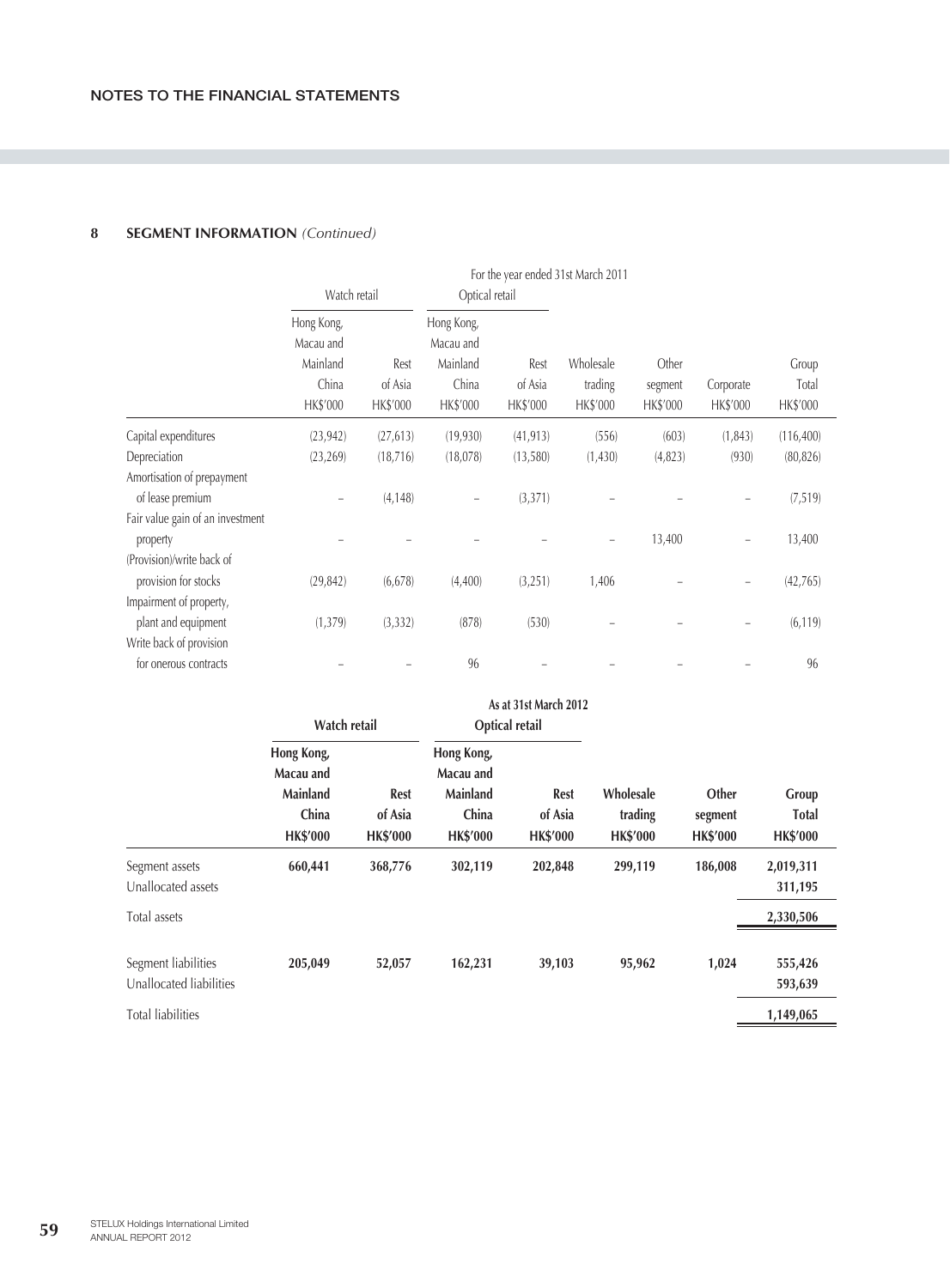# **8 SEGMENT INFORMATION** *(Continued)*

|                                                   |                                                          | For the year ended 31st March 2011 |                                                          |                             |                                  |                              |                          |                            |
|---------------------------------------------------|----------------------------------------------------------|------------------------------------|----------------------------------------------------------|-----------------------------|----------------------------------|------------------------------|--------------------------|----------------------------|
|                                                   | Watch retail                                             |                                    | Optical retail                                           |                             |                                  |                              |                          |                            |
|                                                   | Hong Kong,<br>Macau and<br>Mainland<br>China<br>HK\$'000 | Rest<br>of Asia<br>HK\$'000        | Hong Kong,<br>Macau and<br>Mainland<br>China<br>HK\$'000 | Rest<br>of Asia<br>HK\$'000 | Wholesale<br>trading<br>HK\$'000 | Other<br>segment<br>HK\$'000 | Corporate<br>HK\$'000    | Group<br>Total<br>HK\$'000 |
| Capital expenditures                              | (23, 942)                                                | (27, 613)                          | (19, 930)                                                | (41, 913)                   | (556)                            | (603)                        | (1,843)                  | (116, 400)                 |
| Depreciation                                      | (23, 269)                                                | (18, 716)                          | (18,078)                                                 | (13,580)                    | (1,430)                          | (4, 823)                     | (930)                    | (80, 826)                  |
| Amortisation of prepayment<br>of lease premium    |                                                          | (4, 148)                           |                                                          | (3,371)                     |                                  |                              |                          | (7, 519)                   |
| Fair value gain of an investment<br>property      |                                                          |                                    |                                                          |                             |                                  | 13,400                       | $\qquad \qquad -$        | 13,400                     |
| (Provision)/write back of<br>provision for stocks | (29, 842)                                                | (6,678)                            | (4,400)                                                  | (3,251)                     | 1,406                            |                              | $\overline{\phantom{m}}$ | (42, 765)                  |
| Impairment of property,<br>plant and equipment    | (1, 379)                                                 | (3, 332)                           | (878)                                                    | (530)                       |                                  |                              |                          | (6, 119)                   |
| Write back of provision<br>for onerous contracts  |                                                          |                                    | 96                                                       |                             |                                  |                              |                          | 96                         |

|                                                | As at 31st March 2012                                                  |                                           |                                                                        |                                           |                                         |                                     |                                          |  |
|------------------------------------------------|------------------------------------------------------------------------|-------------------------------------------|------------------------------------------------------------------------|-------------------------------------------|-----------------------------------------|-------------------------------------|------------------------------------------|--|
|                                                | Watch retail                                                           |                                           | Optical retail                                                         |                                           |                                         |                                     |                                          |  |
|                                                | Hong Kong,<br>Macau and<br><b>Mainland</b><br>China<br><b>HK\$'000</b> | <b>Rest</b><br>of Asia<br><b>HK\$'000</b> | Hong Kong,<br>Macau and<br><b>Mainland</b><br>China<br><b>HK\$'000</b> | <b>Rest</b><br>of Asia<br><b>HK\$'000</b> | Wholesale<br>trading<br><b>HK\$'000</b> | Other<br>segment<br><b>HK\$'000</b> | Group<br><b>Total</b><br><b>HK\$'000</b> |  |
| Segment assets<br>Unallocated assets           | 660,441                                                                | 368,776                                   | 302,119                                                                | 202,848                                   | 299,119                                 | 186,008                             | 2,019,311<br>311,195                     |  |
| Total assets                                   |                                                                        |                                           |                                                                        |                                           |                                         |                                     | 2,330,506                                |  |
| Segment liabilities<br>Unallocated liabilities | 205,049                                                                | 52,057                                    | 162,231                                                                | 39,103                                    | 95,962                                  | 1,024                               | 555,426<br>593,639                       |  |
| <b>Total liabilities</b>                       |                                                                        |                                           |                                                                        |                                           |                                         |                                     | 1,149,065                                |  |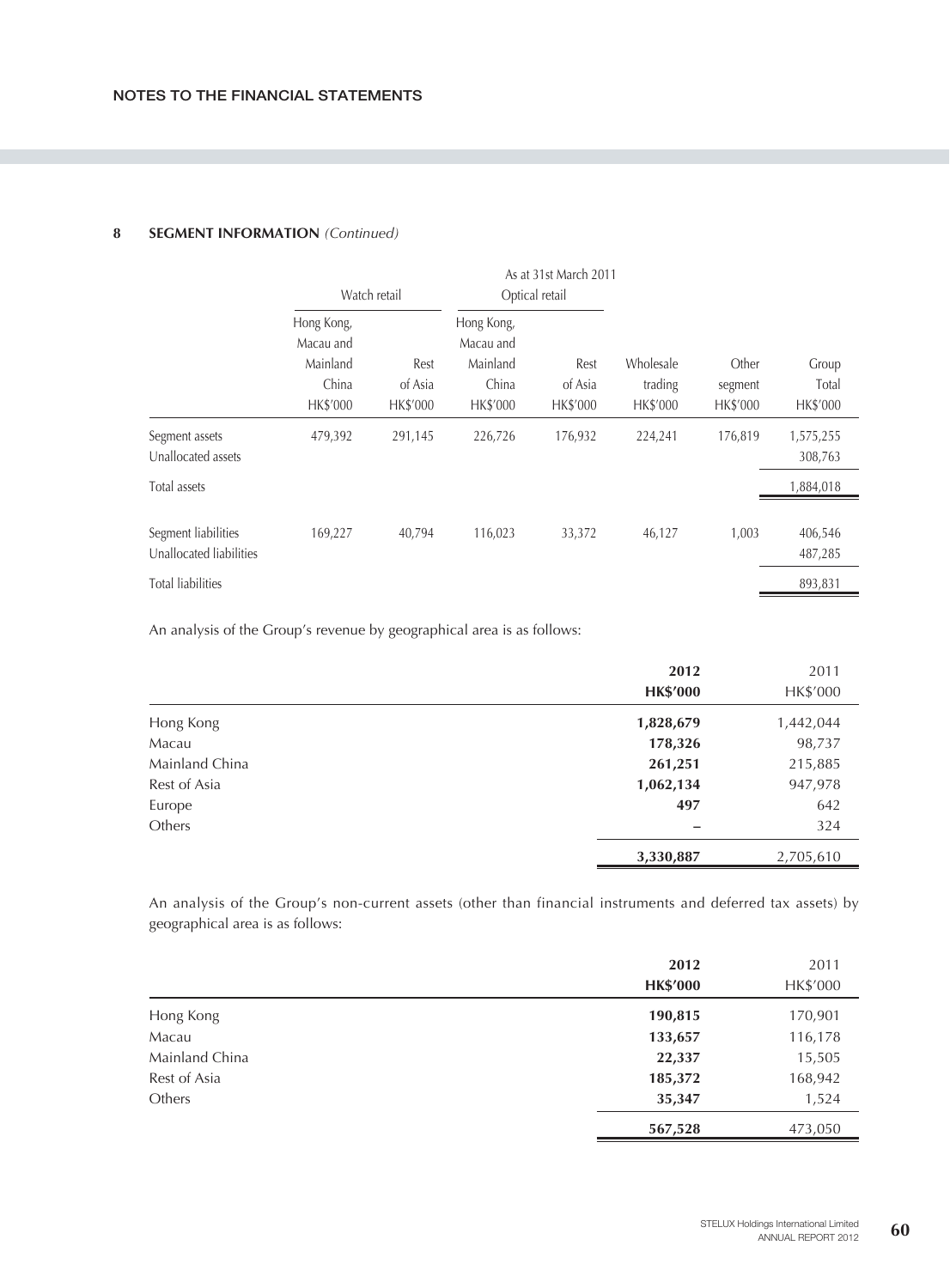## **8 SEGMENT INFORMATION** *(Continued)*

|                                                |                                                          | Watch retail                       | As at 31st March 2011<br>Optical retail                  |                             |                                  |                              |                            |
|------------------------------------------------|----------------------------------------------------------|------------------------------------|----------------------------------------------------------|-----------------------------|----------------------------------|------------------------------|----------------------------|
|                                                | Hong Kong,<br>Macau and<br>Mainland<br>China<br>HK\$'000 | Rest<br>of Asia<br><b>HK\$'000</b> | Hong Kong,<br>Macau and<br>Mainland<br>China<br>HK\$'000 | Rest<br>of Asia<br>HK\$'000 | Wholesale<br>trading<br>HK\$'000 | Other<br>segment<br>HK\$'000 | Group<br>Total<br>HK\$'000 |
| Segment assets<br>Unallocated assets           | 479,392                                                  | 291,145                            | 226,726                                                  | 176,932                     | 224,241                          | 176,819                      | 1,575,255<br>308,763       |
| Total assets                                   |                                                          |                                    |                                                          |                             |                                  |                              | 1,884,018                  |
| Segment liabilities<br>Unallocated liabilities | 169,227                                                  | 40,794                             | 116,023                                                  | 33,372                      | 46,127                           | 1,003                        | 406,546<br>487,285         |
| <b>Total liabilities</b>                       |                                                          |                                    |                                                          |                             |                                  |                              | 893,831                    |

An analysis of the Group's revenue by geographical area is as follows:

|                | 2012                     | 2011      |
|----------------|--------------------------|-----------|
|                | <b>HK\$'000</b>          | HK\$'000  |
| Hong Kong      | 1,828,679                | 1,442,044 |
| Macau          | 178,326                  | 98,737    |
| Mainland China | 261,251                  | 215,885   |
| Rest of Asia   | 1,062,134                | 947,978   |
| Europe         | 497                      | 642       |
| Others         | $\overline{\phantom{m}}$ | 324       |
|                | 3,330,887                | 2,705,610 |

An analysis of the Group's non-current assets (other than financial instruments and deferred tax assets) by geographical area is as follows:

|                | 2012            | 2011     |
|----------------|-----------------|----------|
|                | <b>HK\$'000</b> | HK\$'000 |
| Hong Kong      | 190,815         | 170,901  |
| Macau          | 133,657         | 116,178  |
| Mainland China | 22,337          | 15,505   |
| Rest of Asia   | 185,372         | 168,942  |
| Others         | 35,347          | 1,524    |
|                | 567,528         | 473,050  |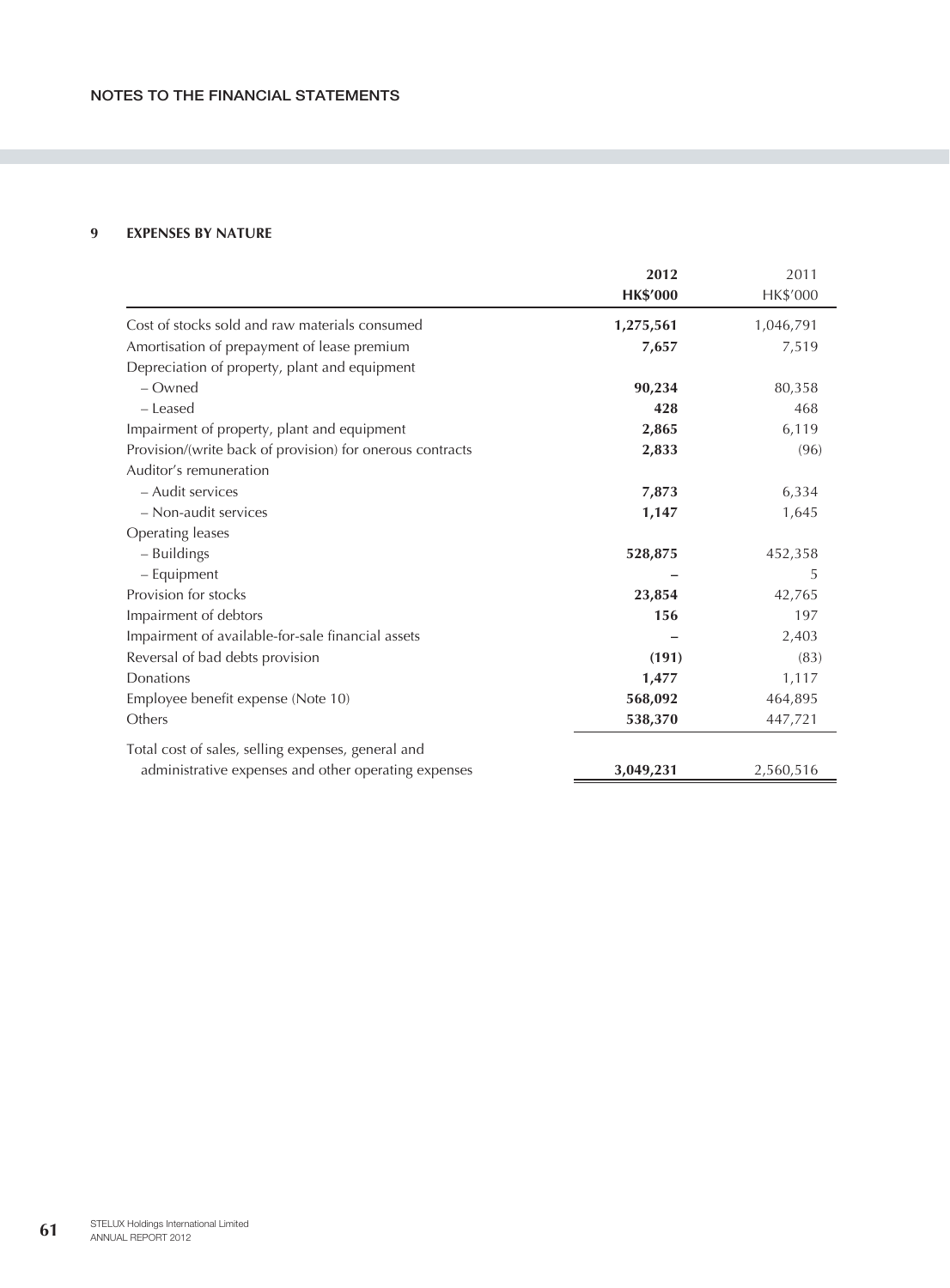## **9 EXPENSES BY NATURE**

|                                                           | 2012<br><b>HK\$'000</b> | 2011<br>HK\$'000 |
|-----------------------------------------------------------|-------------------------|------------------|
| Cost of stocks sold and raw materials consumed            | 1,275,561               | 1,046,791        |
| Amortisation of prepayment of lease premium               | 7,657                   | 7,519            |
| Depreciation of property, plant and equipment             |                         |                  |
| - Owned                                                   | 90,234                  | 80,358           |
| – Leased                                                  | 428                     | 468              |
| Impairment of property, plant and equipment               | 2,865                   | 6,119            |
| Provision/(write back of provision) for onerous contracts | 2,833                   | (96)             |
| Auditor's remuneration                                    |                         |                  |
| - Audit services                                          | 7,873                   | 6,334            |
| - Non-audit services                                      | 1,147                   | 1,645            |
| Operating leases                                          |                         |                  |
| - Buildings                                               | 528,875                 | 452,358          |
| - Equipment                                               |                         | 5                |
| Provision for stocks                                      | 23,854                  | 42,765           |
| Impairment of debtors                                     | 156                     | 197              |
| Impairment of available-for-sale financial assets         |                         | 2,403            |
| Reversal of bad debts provision                           | (191)                   | (83)             |
| Donations                                                 | 1,477                   | 1,117            |
| Employee benefit expense (Note 10)                        | 568,092                 | 464,895          |
| Others                                                    | 538,370                 | 447,721          |
| Total cost of sales, selling expenses, general and        |                         |                  |
| administrative expenses and other operating expenses      | 3,049,231               | 2,560,516        |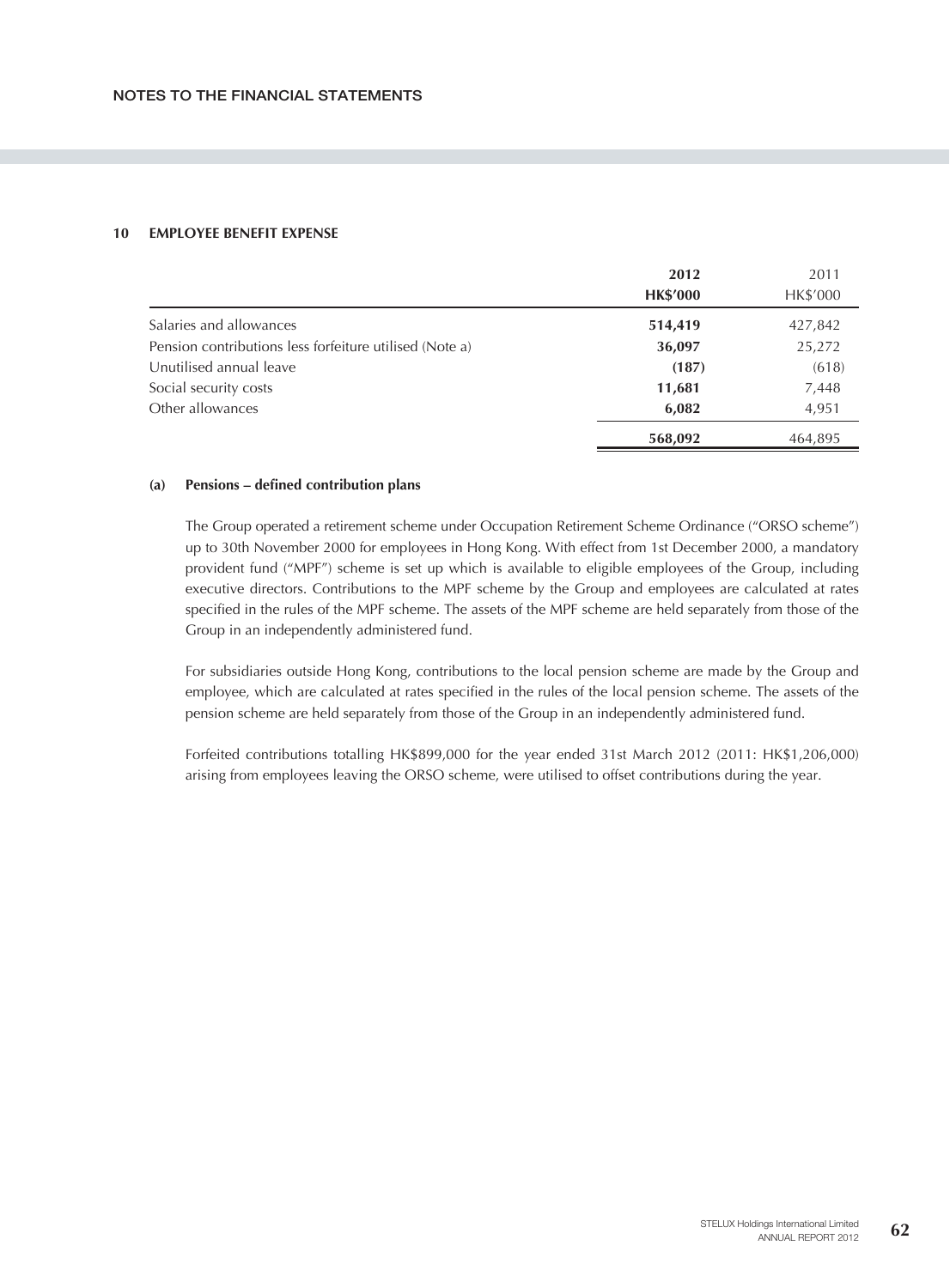## **10 EMPLOYEE BENEFIT EXPENSE**

|                                                         | 2012            | 2011            |
|---------------------------------------------------------|-----------------|-----------------|
|                                                         | <b>HK\$'000</b> | <b>HK\$'000</b> |
| Salaries and allowances                                 | 514,419         | 427,842         |
| Pension contributions less forfeiture utilised (Note a) | 36,097          | 25,272          |
| Unutilised annual leave                                 | (187)           | (618)           |
| Social security costs                                   | 11,681          | 7,448           |
| Other allowances                                        | 6,082           | 4,951           |
|                                                         | 568,092         | 464,895         |

#### (a) Pensions – defined contribution plans

The Group operated a retirement scheme under Occupation Retirement Scheme Ordinance ("ORSO scheme") up to 30th November 2000 for employees in Hong Kong. With effect from 1st December 2000, a mandatory provident fund ("MPF") scheme is set up which is available to eligible employees of the Group, including executive directors. Contributions to the MPF scheme by the Group and employees are calculated at rates specified in the rules of the MPF scheme. The assets of the MPF scheme are held separately from those of the Group in an independently administered fund.

For subsidiaries outside Hong Kong, contributions to the local pension scheme are made by the Group and employee, which are calculated at rates specified in the rules of the local pension scheme. The assets of the pension scheme are held separately from those of the Group in an independently administered fund.

Forfeited contributions totalling HK\$899,000 for the year ended 31st March 2012 (2011: HK\$1,206,000) arising from employees leaving the ORSO scheme, were utilised to offset contributions during the year.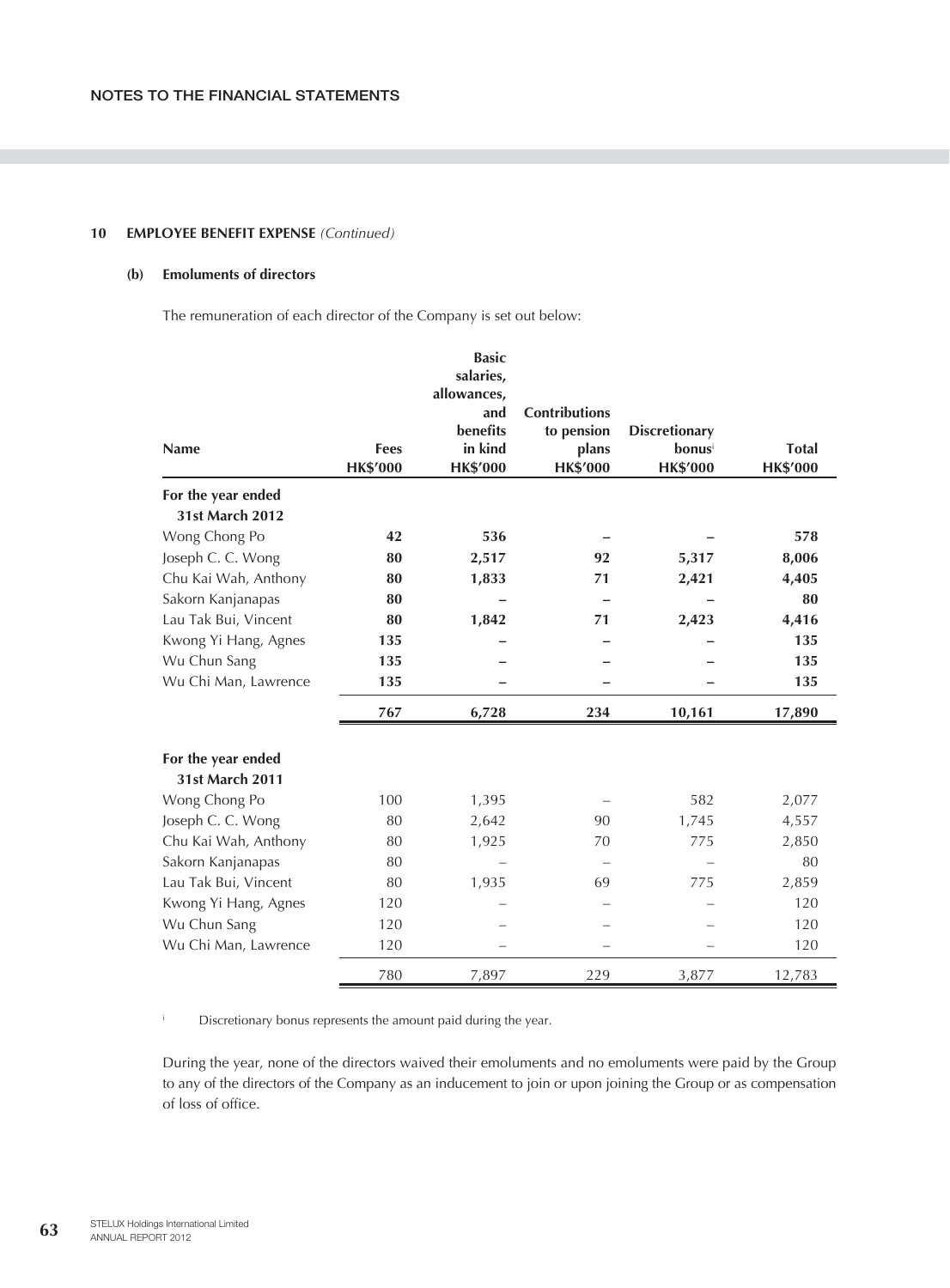## **10 EMPLOYEE BENEFIT EXPENSE** *(Continued)*

## **(b) Emoluments of directors**

The remuneration of each director of the Company is set out below:

|                      |             | <b>Basic</b><br>salaries, |                      |                      |              |
|----------------------|-------------|---------------------------|----------------------|----------------------|--------------|
|                      |             | allowances,<br>and        | <b>Contributions</b> |                      |              |
|                      |             | benefits                  | to pension           | <b>Discretionary</b> |              |
| <b>Name</b>          | <b>Fees</b> | in kind                   | plans                | bonus                | <b>Total</b> |
|                      | HK\$'000    | <b>HK\$'000</b>           | HK\$'000             | HK\$'000             | HK\$'000     |
| For the year ended   |             |                           |                      |                      |              |
| 31st March 2012      |             |                           |                      |                      |              |
| Wong Chong Po        | 42          | 536                       |                      |                      | 578          |
| Joseph C. C. Wong    | 80          | 2,517                     | 92                   | 5,317                | 8,006        |
| Chu Kai Wah, Anthony | 80          | 1,833                     | 71                   | 2,421                | 4,405        |
| Sakorn Kanjanapas    | 80          |                           |                      |                      | 80           |
| Lau Tak Bui, Vincent | 80          | 1,842                     | 71                   | 2,423                | 4,416        |
| Kwong Yi Hang, Agnes | 135         |                           |                      |                      | 135          |
| Wu Chun Sang         | 135         |                           |                      |                      | 135          |
| Wu Chi Man, Lawrence | 135         |                           |                      |                      | 135          |
|                      | 767         | 6,728                     | 234                  | 10,161               | 17,890       |
| For the year ended   |             |                           |                      |                      |              |
| 31st March 2011      |             |                           |                      |                      |              |
| Wong Chong Po        | 100         | 1,395                     |                      | 582                  | 2,077        |
| Joseph C. C. Wong    | 80          | 2,642                     | 90                   | 1,745                | 4,557        |
| Chu Kai Wah, Anthony | 80          | 1,925                     | 70                   | 775                  | 2,850        |
| Sakorn Kanjanapas    | 80          |                           |                      |                      | 80           |
| Lau Tak Bui, Vincent | 80          | 1,935                     | 69                   | 775                  | 2,859        |
| Kwong Yi Hang, Agnes | 120         |                           |                      |                      | 120          |
| Wu Chun Sang         | 120         |                           |                      |                      | 120          |
| Wu Chi Man, Lawrence | 120         |                           |                      |                      | 120          |
|                      | 780         | 7,897                     | 229                  | 3,877                | 12,783       |

i Discretionary bonus represents the amount paid during the year.

During the year, none of the directors waived their emoluments and no emoluments were paid by the Group to any of the directors of the Company as an inducement to join or upon joining the Group or as compensation of loss of office.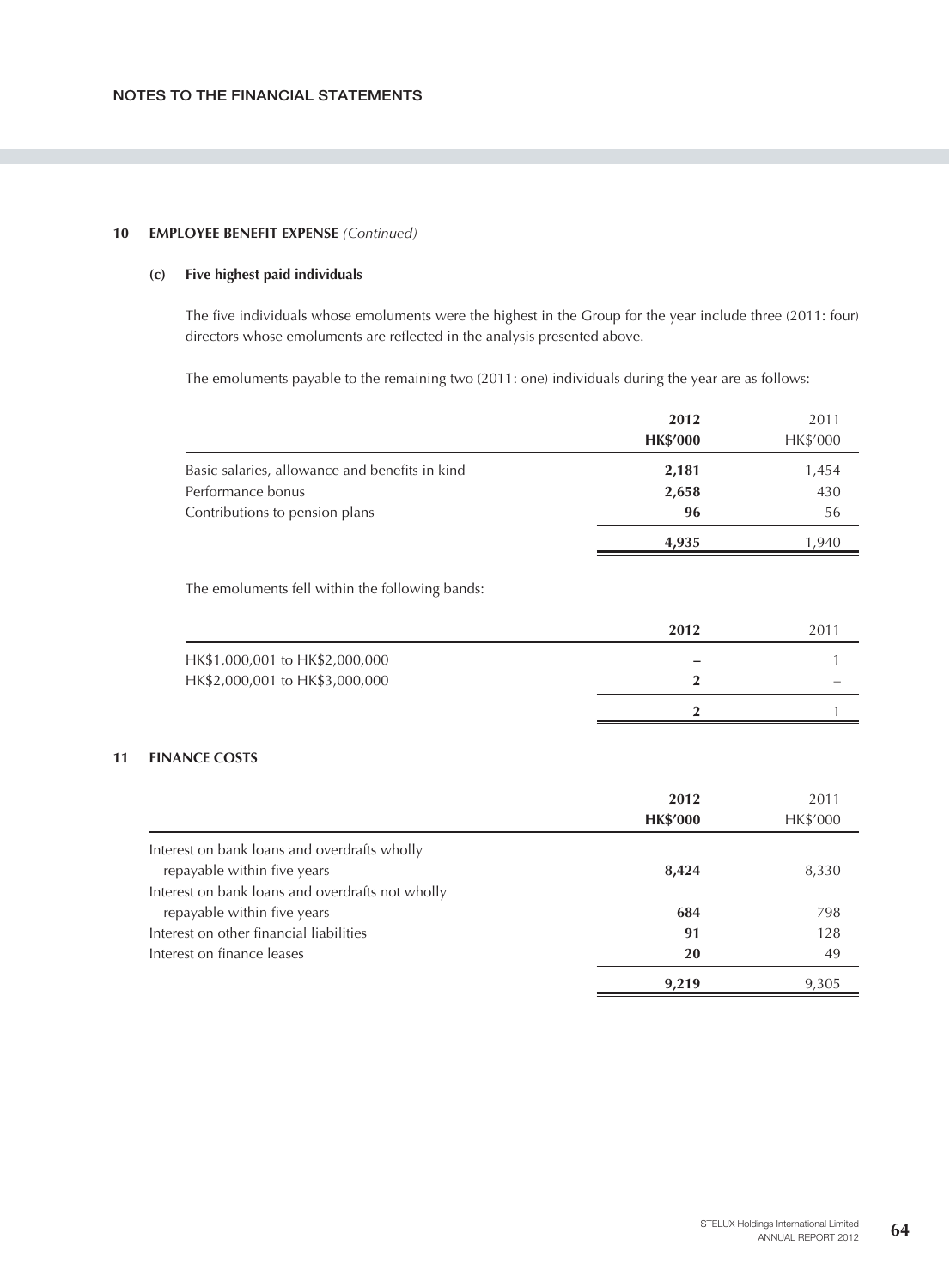## **10 EMPLOYEE BENEFIT EXPENSE** *(Continued)*

## **(c) Five highest paid individuals**

The five individuals whose emoluments were the highest in the Group for the year include three (2011: four) directors whose emoluments are reflected in the analysis presented above.

The emoluments payable to the remaining two (2011: one) individuals during the year are as follows:

|                                                 | 2012            | 2011     |
|-------------------------------------------------|-----------------|----------|
|                                                 | <b>HK\$'000</b> | HK\$'000 |
| Basic salaries, allowance and benefits in kind  | 2,181           | 1,454    |
| Performance bonus                               | 2,658           | 430      |
| Contributions to pension plans                  | 96              | 56       |
|                                                 | 4,935           | 1,940    |
| The emoluments fell within the following bands: |                 |          |
|                                                 | 2012            | 2011     |
| HK\$1,000,001 to HK\$2,000,000                  |                 |          |

| HK\$1,000,001 to HK\$2,000,000 |  |
|--------------------------------|--|
| HK\$2,000,001 to HK\$3,000,000 |  |
|                                |  |

## **11 FINANCE COSTS**

|                                                  | 2012            | 2011            |
|--------------------------------------------------|-----------------|-----------------|
|                                                  | <b>HK\$'000</b> | <b>HK\$'000</b> |
| Interest on bank loans and overdrafts wholly     |                 |                 |
| repayable within five years                      | 8,424           | 8,330           |
| Interest on bank loans and overdrafts not wholly |                 |                 |
| repayable within five years                      | 684             | 798             |
| Interest on other financial liabilities          | 91              | 128             |
| Interest on finance leases                       | 20              | 49              |
|                                                  | 9,219           | 9,305           |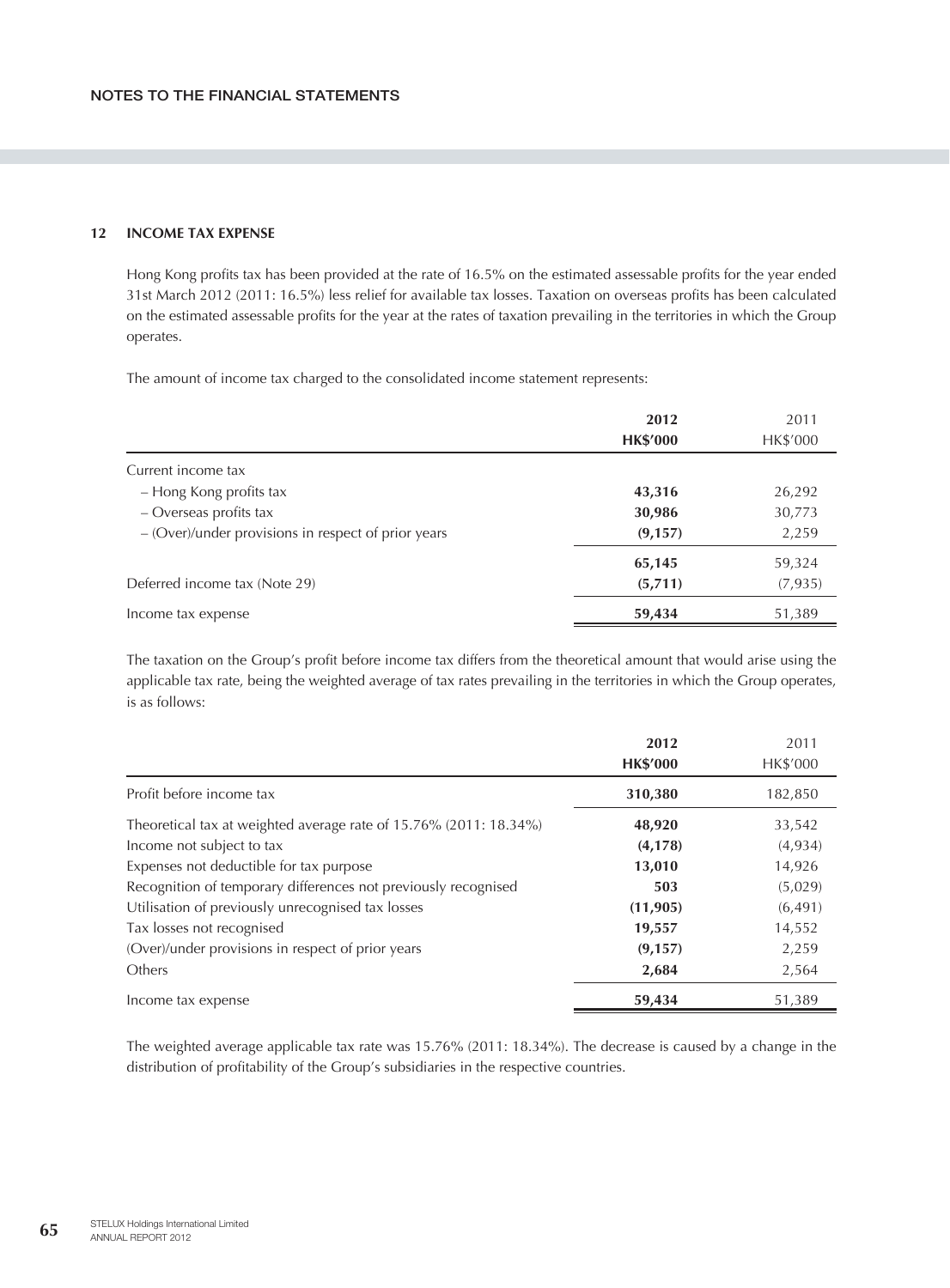## **12 INCOME TAX EXPENSE**

Hong Kong profits tax has been provided at the rate of 16.5% on the estimated assessable profits for the year ended 31st March 2012 (2011: 16.5%) less relief for available tax losses. Taxation on overseas profits has been calculated on the estimated assessable profits for the year at the rates of taxation prevailing in the territories in which the Group operates.

The amount of income tax charged to the consolidated income statement represents:

|                                                       | 2012            | 2011     |
|-------------------------------------------------------|-----------------|----------|
|                                                       | <b>HK\$'000</b> | HK\$'000 |
| Current income tax                                    |                 |          |
| – Hong Kong profits tax                               | 43,316          | 26,292   |
| $-$ Overseas profits tax                              | 30,986          | 30,773   |
| $-$ (Over)/under provisions in respect of prior years | (9, 157)        | 2,259    |
|                                                       | 65,145          | 59,324   |
| Deferred income tax (Note 29)                         | (5,711)         | (7,935)  |
| Income tax expense                                    | 59,434          | 51,389   |

The taxation on the Group's profit before income tax differs from the theoretical amount that would arise using the applicable tax rate, being the weighted average of tax rates prevailing in the territories in which the Group operates, is as follows:

|                                                                   | 2012            | 2011     |
|-------------------------------------------------------------------|-----------------|----------|
|                                                                   | <b>HK\$'000</b> | HK\$'000 |
| Profit before income tax                                          | 310,380         | 182,850  |
| Theoretical tax at weighted average rate of 15.76% (2011: 18.34%) | 48,920          | 33,542   |
| Income not subject to tax                                         | (4, 178)        | (4,934)  |
| Expenses not deductible for tax purpose                           | 13,010          | 14,926   |
| Recognition of temporary differences not previously recognised    | 503             | (5,029)  |
| Utilisation of previously unrecognised tax losses                 | (11, 905)       | (6, 491) |
| Tax losses not recognised                                         | 19,557          | 14,552   |
| (Over)/under provisions in respect of prior years                 | (9, 157)        | 2,259    |
| Others                                                            | 2,684           | 2,564    |
| Income tax expense                                                | 59,434          | 51,389   |

The weighted average applicable tax rate was 15.76% (2011: 18.34%). The decrease is caused by a change in the distribution of profitability of the Group's subsidiaries in the respective countries.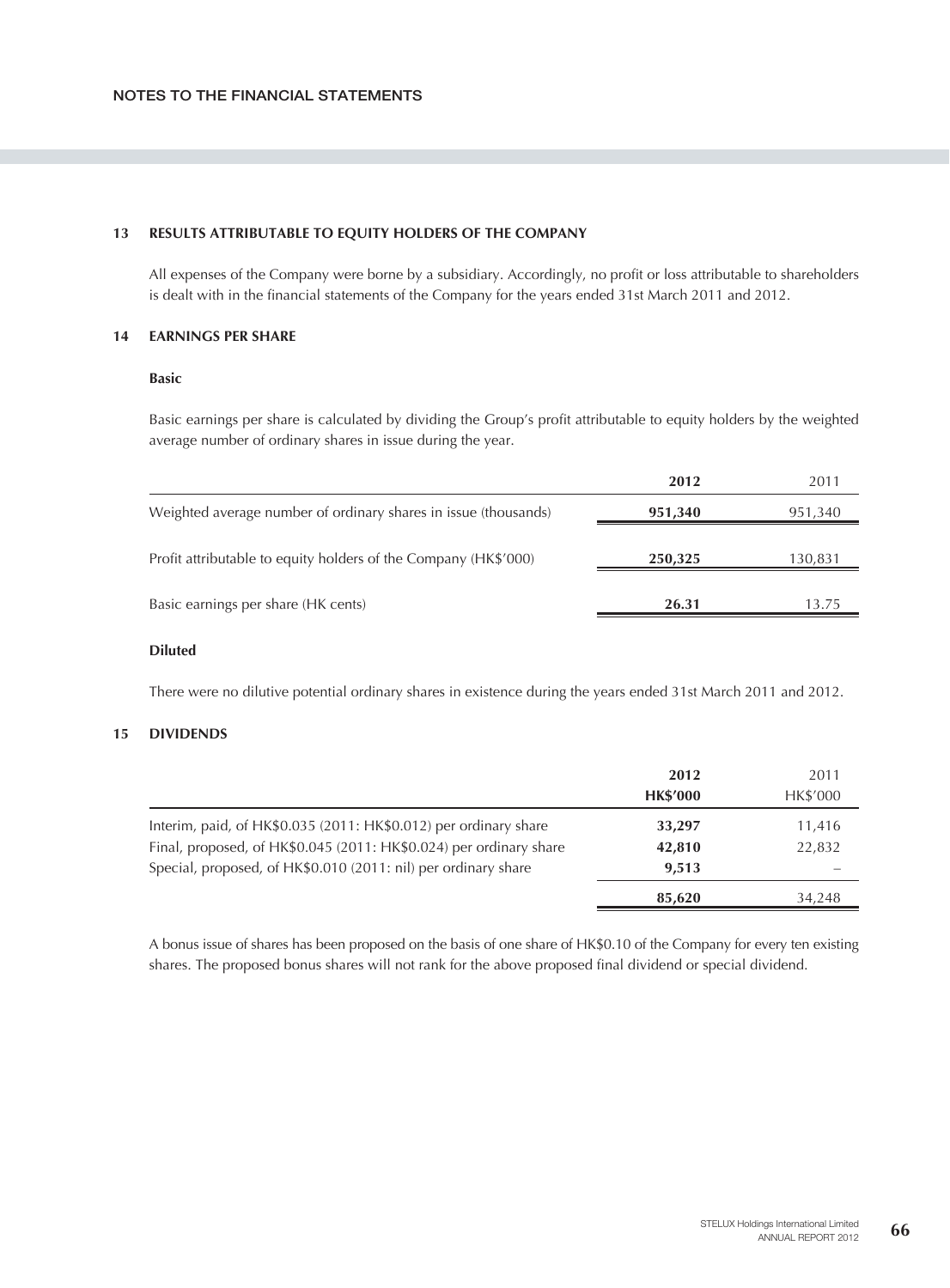## **13 RESULTS ATTRIBUTABLE TO EQUITY HOLDERS OF THE COMPANY**

All expenses of the Company were borne by a subsidiary. Accordingly, no profit or loss attributable to shareholders is dealt with in the financial statements of the Company for the years ended 31st March 2011 and 2012.

# **14 EARNINGS PER SHARE**

## **Basic**

Basic earnings per share is calculated by dividing the Group's profit attributable to equity holders by the weighted average number of ordinary shares in issue during the year.

|                                                                 | 2012    | 2011    |
|-----------------------------------------------------------------|---------|---------|
| Weighted average number of ordinary shares in issue (thousands) | 951,340 | 951,340 |
| Profit attributable to equity holders of the Company (HK\$'000) | 250,325 | 130,831 |
| Basic earnings per share (HK cents)                             | 26.31   | 13.75   |
|                                                                 |         |         |

## **Diluted**

There were no dilutive potential ordinary shares in existence during the years ended 31st March 2011 and 2012.

## **15 DIVIDENDS**

|                                                                                                                                                                                                          | 2012<br><b>HK\$'000</b>   | 2011<br>HK\$'000 |
|----------------------------------------------------------------------------------------------------------------------------------------------------------------------------------------------------------|---------------------------|------------------|
| Interim, paid, of HK\$0.035 (2011: HK\$0.012) per ordinary share<br>Final, proposed, of HK\$0.045 (2011: HK\$0.024) per ordinary share<br>Special, proposed, of HK\$0.010 (2011: nil) per ordinary share | 33,297<br>42,810<br>9,513 | 11,416<br>22,832 |
|                                                                                                                                                                                                          | 85,620                    | 34,248           |

A bonus issue of shares has been proposed on the basis of one share of HK\$0.10 of the Company for every ten existing shares. The proposed bonus shares will not rank for the above proposed final dividend or special dividend.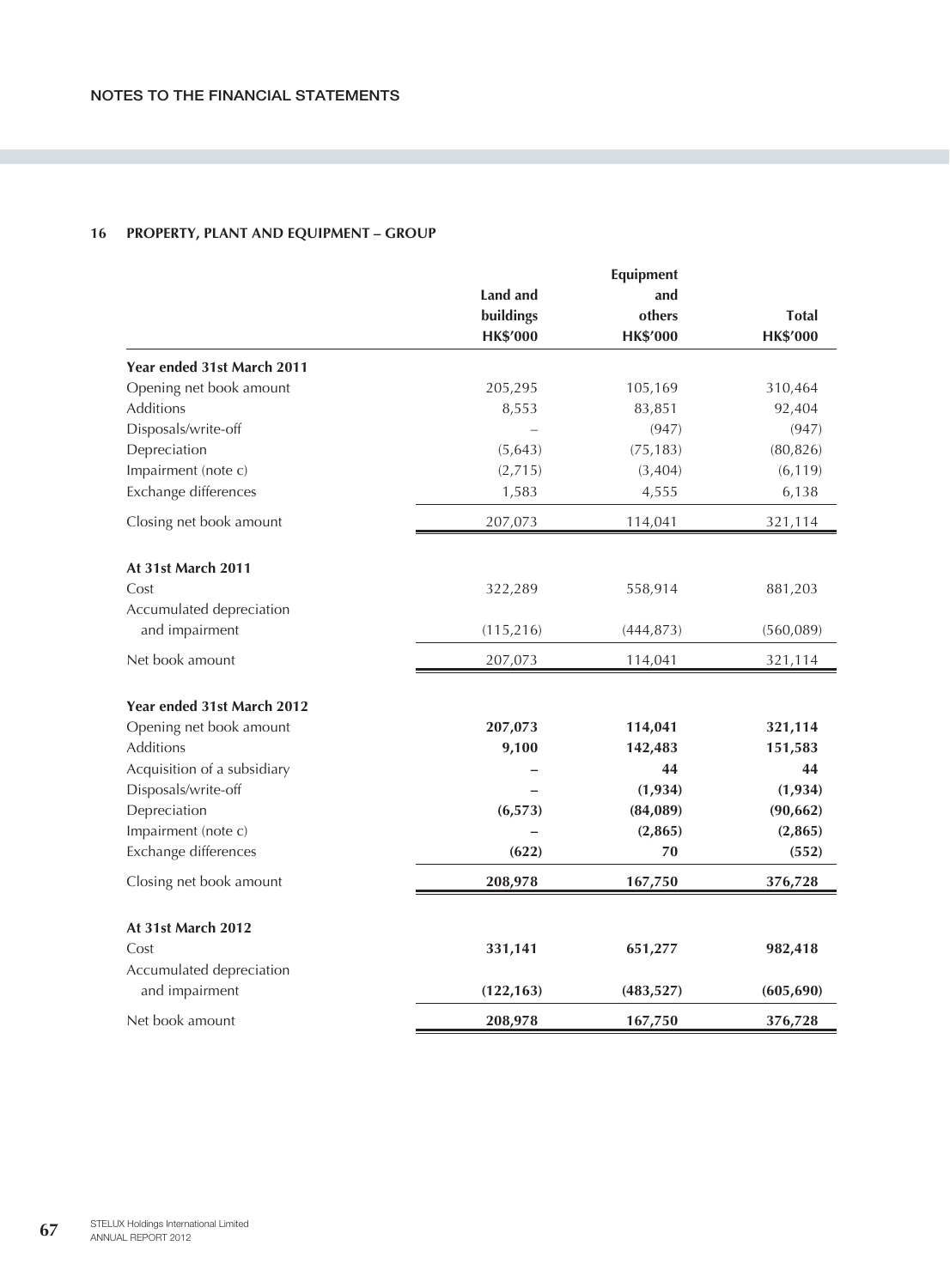# **16 PROPERTY, PLANT AND EQUIPMENT – GROUP**

|                             | Equipment       |                 |                 |
|-----------------------------|-----------------|-----------------|-----------------|
|                             | Land and        | and             | <b>Total</b>    |
|                             | buildings       | others          |                 |
|                             | <b>HK\$'000</b> | <b>HK\$'000</b> | <b>HK\$'000</b> |
| Year ended 31st March 2011  |                 |                 |                 |
| Opening net book amount     | 205,295         | 105,169         | 310,464         |
| Additions                   | 8,553           | 83,851          | 92,404          |
| Disposals/write-off         |                 | (947)           | (947)           |
| Depreciation                | (5, 643)        | (75, 183)       | (80, 826)       |
| Impairment (note c)         | (2,715)         | (3, 404)        | (6, 119)        |
| Exchange differences        | 1,583           | 4,555           | 6,138           |
| Closing net book amount     | 207,073         | 114,041         | 321,114         |
| At 31st March 2011          |                 |                 |                 |
| Cost                        | 322,289         | 558,914         | 881,203         |
| Accumulated depreciation    |                 |                 |                 |
| and impairment              | (115, 216)      | (444, 873)      | (560, 089)      |
| Net book amount             | 207,073         | 114,041         | 321,114         |
| Year ended 31st March 2012  |                 |                 |                 |
| Opening net book amount     | 207,073         | 114,041         | 321,114         |
| <b>Additions</b>            | 9,100           | 142,483         | 151,583         |
| Acquisition of a subsidiary |                 | 44              | 44              |
| Disposals/write-off         |                 | (1, 934)        | (1,934)         |
| Depreciation                | (6, 573)        | (84,089)        | (90, 662)       |
| Impairment (note c)         |                 | (2, 865)        | (2, 865)        |
| Exchange differences        | (622)           | 70              | (552)           |
| Closing net book amount     | 208,978         | 167,750         | 376,728         |
| At 31st March 2012          |                 |                 |                 |
| Cost                        | 331,141         | 651,277         | 982,418         |
| Accumulated depreciation    |                 |                 |                 |
| and impairment              | (122, 163)      | (483, 527)      | (605, 690)      |
| Net book amount             | 208,978         | 167,750         | 376,728         |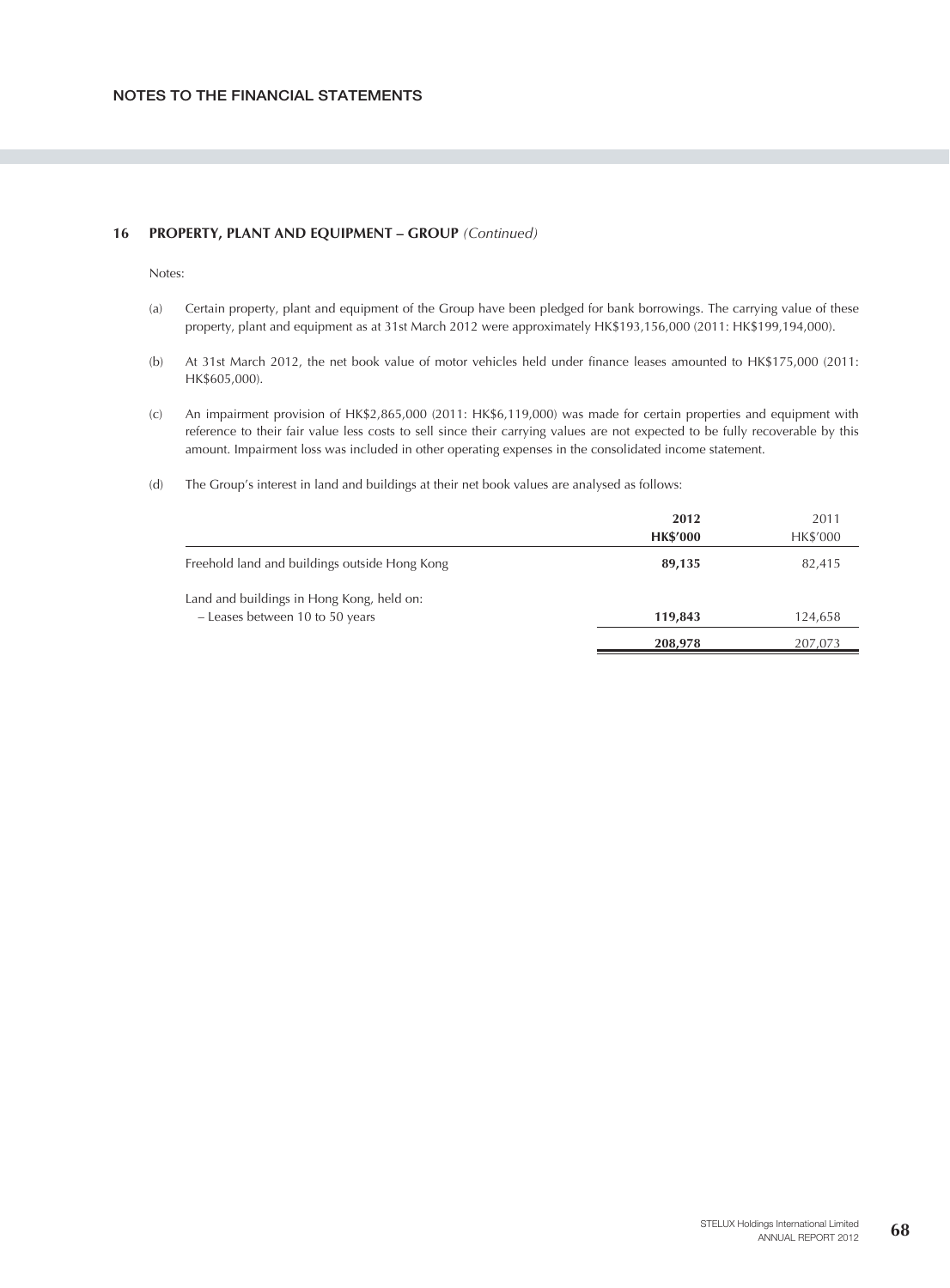## **16 PROPERTY, PLANT AND EQUIPMENT – GROUP** *(Continued)*

#### Notes:

- (a) Certain property, plant and equipment of the Group have been pledged for bank borrowings. The carrying value of these property, plant and equipment as at 31st March 2012 were approximately HK\$193,156,000 (2011: HK\$199,194,000).
- (b) At 31st March 2012, the net book value of motor vehicles held under finance leases amounted to HK\$175,000 (2011: HK\$605,000).
- (c) An impairment provision of HK\$2,865,000 (2011: HK\$6,119,000) was made for certain properties and equipment with reference to their fair value less costs to sell since their carrying values are not expected to be fully recoverable by this amount. Impairment loss was included in other operating expenses in the consolidated income statement.
- (d) The Group's interest in land and buildings at their net book values are analysed as follows:

|                                               | 2012            | 2011            |
|-----------------------------------------------|-----------------|-----------------|
|                                               | <b>HK\$'000</b> | <b>HK\$'000</b> |
| Freehold land and buildings outside Hong Kong | 89,135          | 82,415          |
| Land and buildings in Hong Kong, held on:     |                 |                 |
| $-$ Leases between 10 to 50 years             | 119,843         | 124,658         |
|                                               | 208,978         | 207,073         |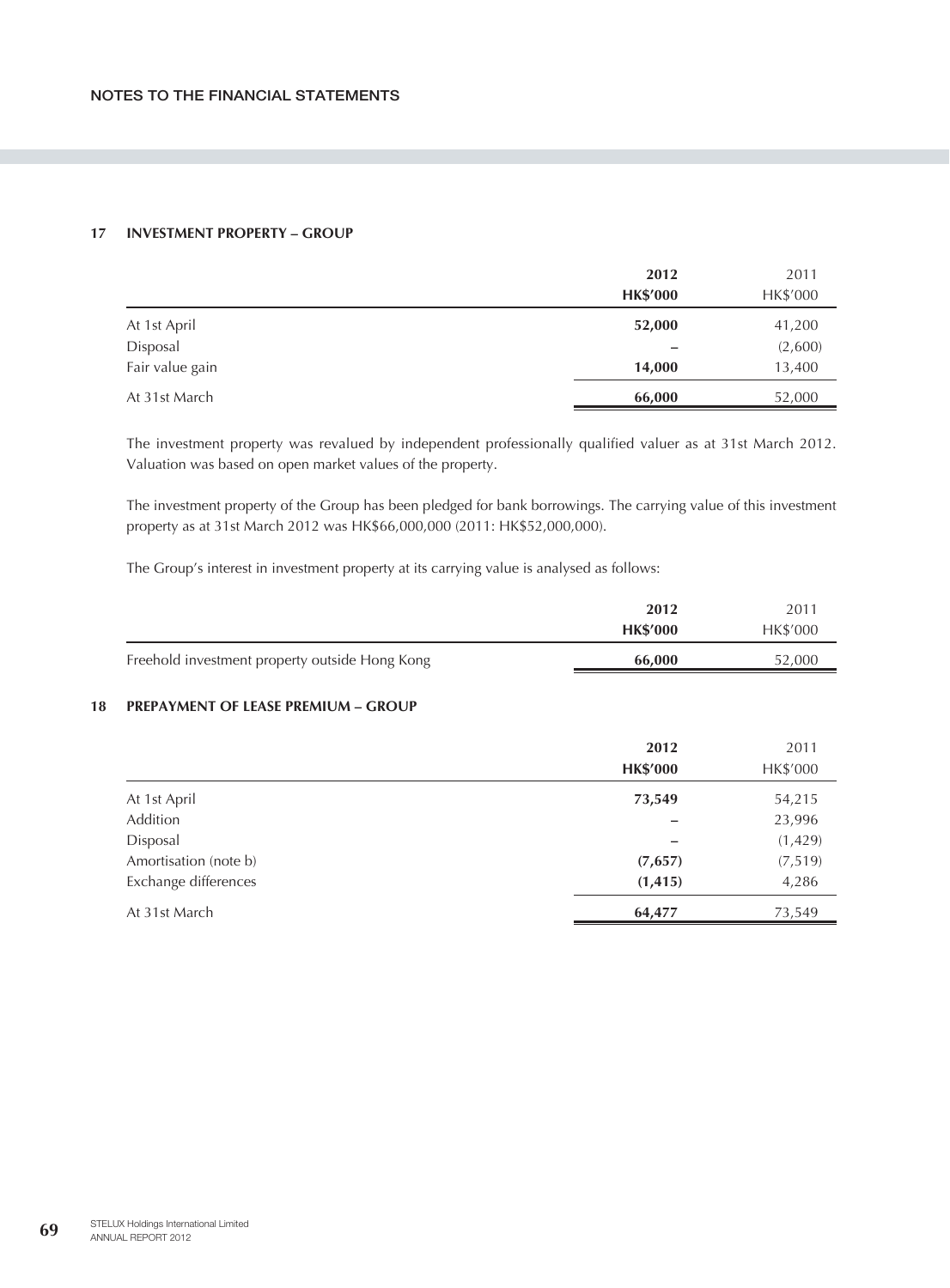#### **17 INVESTMENT PROPERTY – GROUP**

|                 | 2012            | 2011     |
|-----------------|-----------------|----------|
|                 | <b>HK\$'000</b> | HK\$'000 |
| At 1st April    | 52,000          | 41,200   |
| Disposal        |                 | (2,600)  |
| Fair value gain | 14,000          | 13,400   |
| At 31st March   | 66,000          | 52,000   |

The investment property was revalued by independent professionally qualified valuer as at 31st March 2012. Valuation was based on open market values of the property.

The investment property of the Group has been pledged for bank borrowings. The carrying value of this investment property as at 31st March 2012 was HK\$66,000,000 (2011: HK\$52,000,000).

The Group's interest in investment property at its carrying value is analysed as follows:

|                                                | 2012            | 2011     |
|------------------------------------------------|-----------------|----------|
|                                                | <b>HK\$'000</b> | HK\$'000 |
| Freehold investment property outside Hong Kong | 66.000          | 52,000   |

## **18 PREPAYMENT OF LEASE PREMIUM – GROUP**

|                       | 2012                     | 2011     |
|-----------------------|--------------------------|----------|
|                       | <b>HK\$'000</b>          | HK\$'000 |
| At 1st April          | 73,549                   | 54,215   |
| Addition              |                          | 23,996   |
| Disposal              | $\overline{\phantom{m}}$ | (1,429)  |
| Amortisation (note b) | (7,657)                  | (7, 519) |
| Exchange differences  | (1, 415)                 | 4,286    |
| At 31st March         | 64,477                   | 73,549   |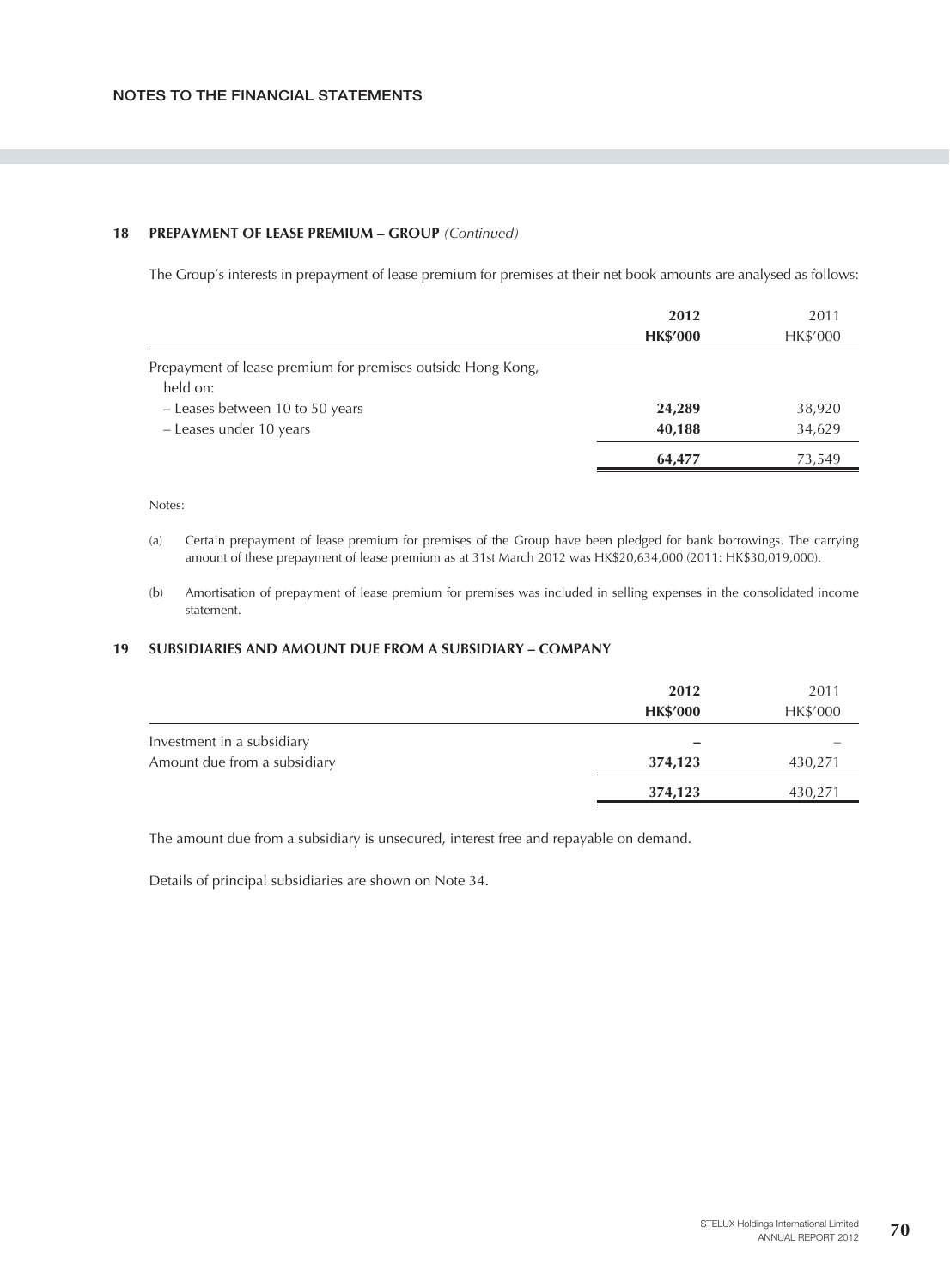### **18 PREPAYMENT OF LEASE PREMIUM – GROUP** *(Continued)*

The Group's interests in prepayment of lease premium for premises at their net book amounts are analysed as follows:

|                                                             | 2012            | 2011     |
|-------------------------------------------------------------|-----------------|----------|
|                                                             | <b>HK\$'000</b> | HK\$'000 |
| Prepayment of lease premium for premises outside Hong Kong, |                 |          |
| held on:<br>- Leases between 10 to 50 years                 | 24,289          | 38,920   |
| - Leases under 10 years                                     | 40,188          | 34,629   |
|                                                             | 64,477          | 73,549   |

Notes:

- (a) Certain prepayment of lease premium for premises of the Group have been pledged for bank borrowings. The carrying amount of these prepayment of lease premium as at 31st March 2012 was HK\$20,634,000 (2011: HK\$30,019,000).
- (b) Amortisation of prepayment of lease premium for premises was included in selling expenses in the consolidated income statement.

### **19 SUBSIDIARIES AND AMOUNT DUE FROM A SUBSIDIARY – COMPANY**

|                              | 2012            | 2011     |
|------------------------------|-----------------|----------|
|                              | <b>HK\$'000</b> | HK\$'000 |
| Investment in a subsidiary   |                 |          |
| Amount due from a subsidiary | 374,123         | 430,271  |
|                              | 374,123         | 430,271  |

The amount due from a subsidiary is unsecured, interest free and repayable on demand.

Details of principal subsidiaries are shown on Note 34.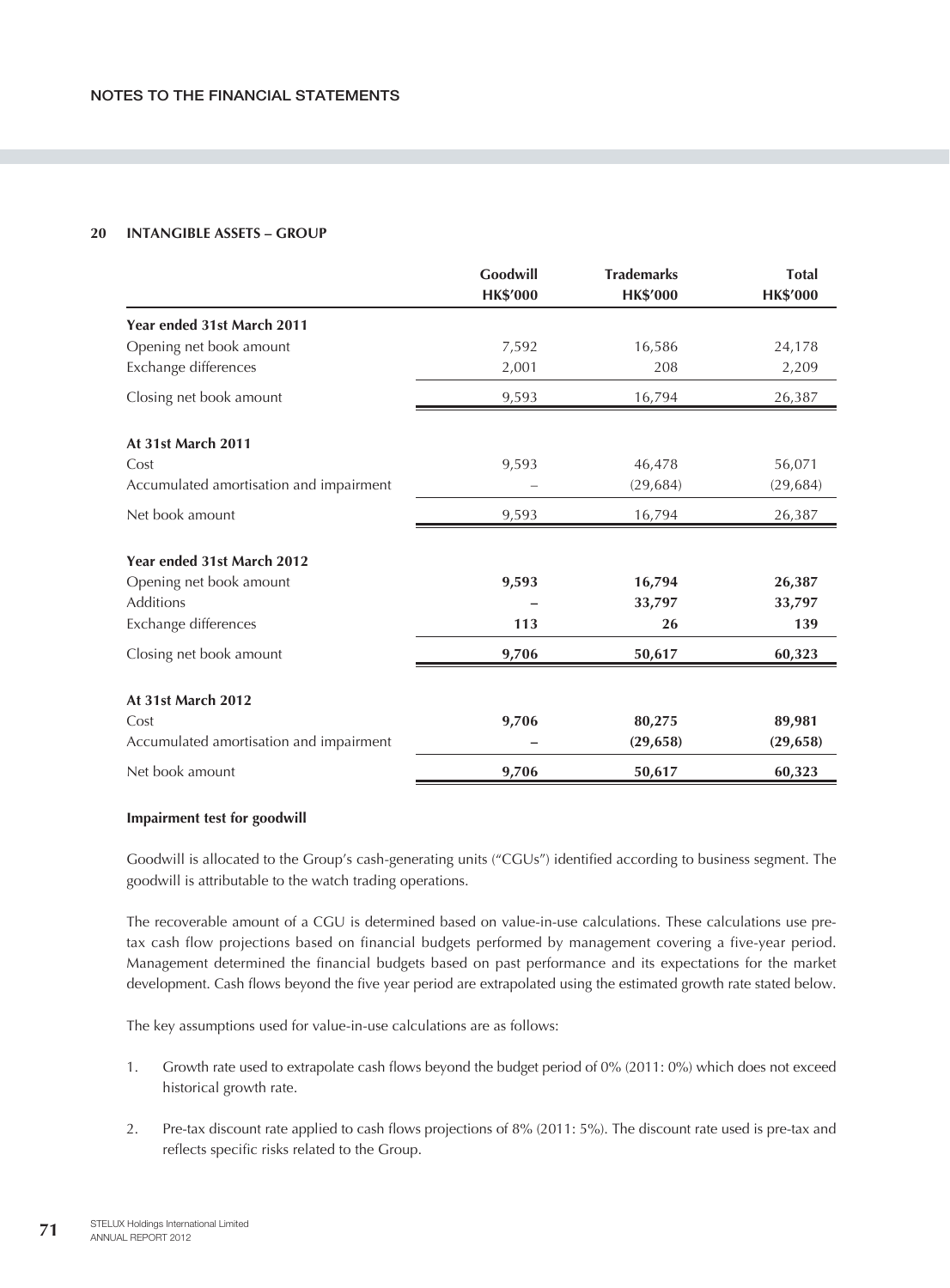#### **20 INTANGIBLE ASSETS – GROUP**

|                                         | Goodwill<br><b>HK\$'000</b> | <b>Trademarks</b><br><b>HK\$'000</b> | <b>Total</b><br><b>HK\$'000</b> |
|-----------------------------------------|-----------------------------|--------------------------------------|---------------------------------|
| Year ended 31st March 2011              |                             |                                      |                                 |
| Opening net book amount                 | 7,592                       | 16,586                               | 24,178                          |
| Exchange differences                    | 2,001                       | 208                                  | 2,209                           |
| Closing net book amount                 | 9,593                       | 16,794                               | 26,387                          |
| At 31st March 2011                      |                             |                                      |                                 |
| Cost                                    | 9,593                       | 46,478                               | 56,071                          |
| Accumulated amortisation and impairment |                             | (29, 684)                            | (29, 684)                       |
| Net book amount                         | 9,593                       | 16,794                               | 26,387                          |
| Year ended 31st March 2012              |                             |                                      |                                 |
| Opening net book amount                 | 9,593                       | 16,794                               | 26,387                          |
| <b>Additions</b>                        |                             | 33,797                               | 33,797                          |
| Exchange differences                    | 113                         | 26                                   | 139                             |
| Closing net book amount                 | 9,706                       | 50,617                               | 60,323                          |
| At 31st March 2012                      |                             |                                      |                                 |
| Cost                                    | 9,706                       | 80,275                               | 89,981                          |
| Accumulated amortisation and impairment |                             | (29, 658)                            | (29, 658)                       |
| Net book amount                         | 9,706                       | 50,617                               | 60,323                          |

#### **Impairment test for goodwill**

Goodwill is allocated to the Group's cash-generating units ("CGUs") identified according to business segment. The goodwill is attributable to the watch trading operations.

The recoverable amount of a CGU is determined based on value-in-use calculations. These calculations use pretax cash flow projections based on financial budgets performed by management covering a five-year period. Management determined the financial budgets based on past performance and its expectations for the market development. Cash flows beyond the five year period are extrapolated using the estimated growth rate stated below.

The key assumptions used for value-in-use calculations are as follows:

- 1. Growth rate used to extrapolate cash flows beyond the budget period of 0% (2011: 0%) which does not exceed historical growth rate.
- 2. Pre-tax discount rate applied to cash flows projections of 8% (2011: 5%). The discount rate used is pre-tax and reflects specific risks related to the Group.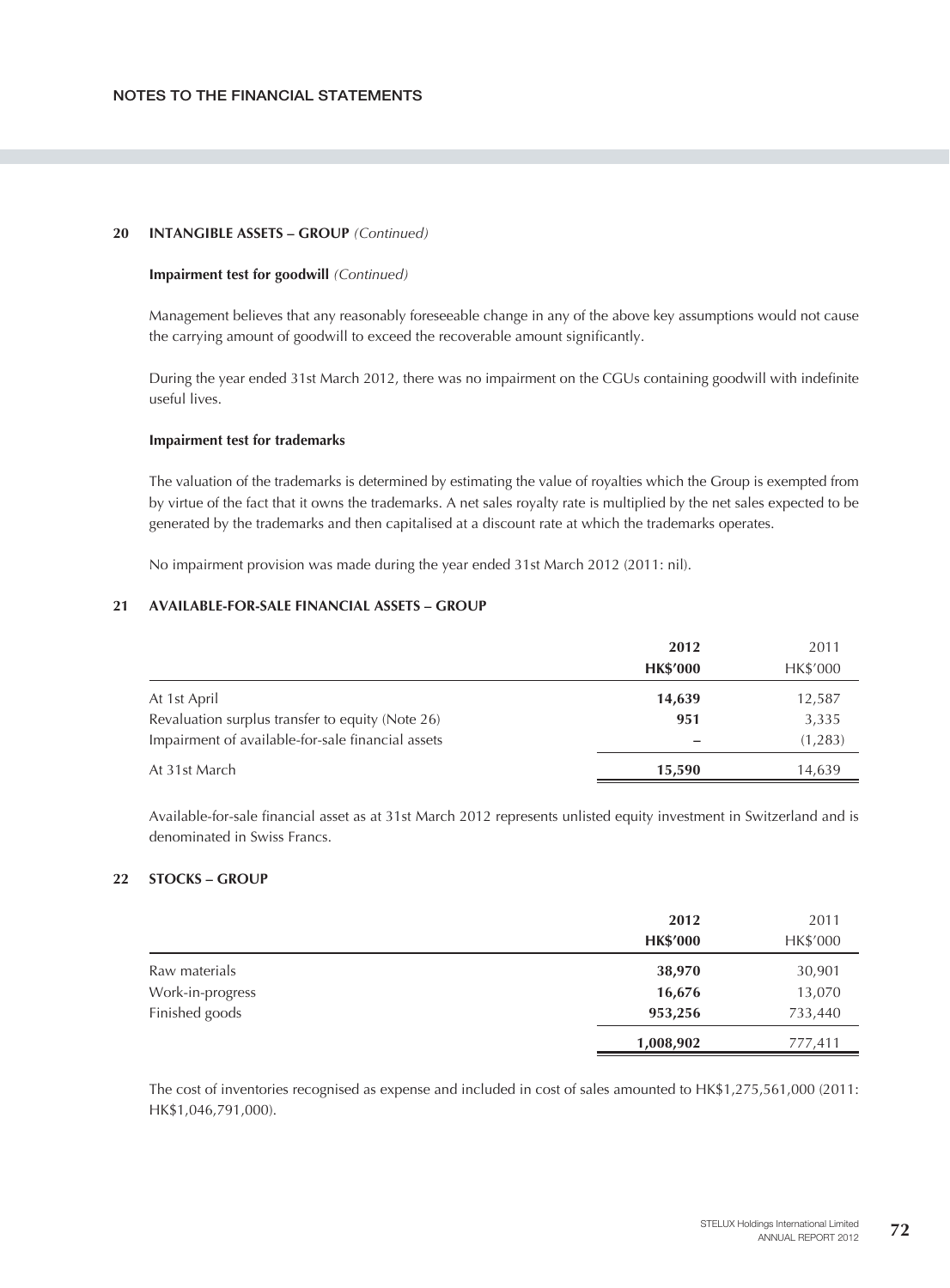### **20 INTANGIBLE ASSETS – GROUP** *(Continued)*

#### **Impairment test for goodwill** *(Continued)*

Management believes that any reasonably foreseeable change in any of the above key assumptions would not cause the carrying amount of goodwill to exceed the recoverable amount significantly.

During the year ended 31st March 2012, there was no impairment on the CGUs containing goodwill with indefinite useful lives.

#### **Impairment test for trademarks**

The valuation of the trademarks is determined by estimating the value of royalties which the Group is exempted from by virtue of the fact that it owns the trademarks. A net sales royalty rate is multiplied by the net sales expected to be generated by the trademarks and then capitalised at a discount rate at which the trademarks operates.

No impairment provision was made during the year ended 31st March 2012 (2011: nil).

#### **21 AVAILABLE-FOR-SALE FINANCIAL ASSETS – GROUP**

|                                                   | 2012            | 2011     |
|---------------------------------------------------|-----------------|----------|
|                                                   | <b>HK\$'000</b> | HK\$'000 |
| At 1st April                                      | 14,639          | 12,587   |
| Revaluation surplus transfer to equity (Note 26)  | 951             | 3,335    |
| Impairment of available-for-sale financial assets |                 | (1, 283) |
| At 31st March                                     | 15,590          | 14,639   |

Available-for-sale financial asset as at 31st March 2012 represents unlisted equity investment in Switzerland and is denominated in Swiss Francs.

### **22 STOCKS – GROUP**

|                  | 2012            | 2011     |
|------------------|-----------------|----------|
|                  | <b>HK\$'000</b> | HK\$'000 |
| Raw materials    | 38,970          | 30,901   |
| Work-in-progress | 16,676          | 13,070   |
| Finished goods   | 953,256         | 733,440  |
|                  | 1,008,902       | 777,411  |

The cost of inventories recognised as expense and included in cost of sales amounted to HK\$1,275,561,000 (2011: HK\$1,046,791,000).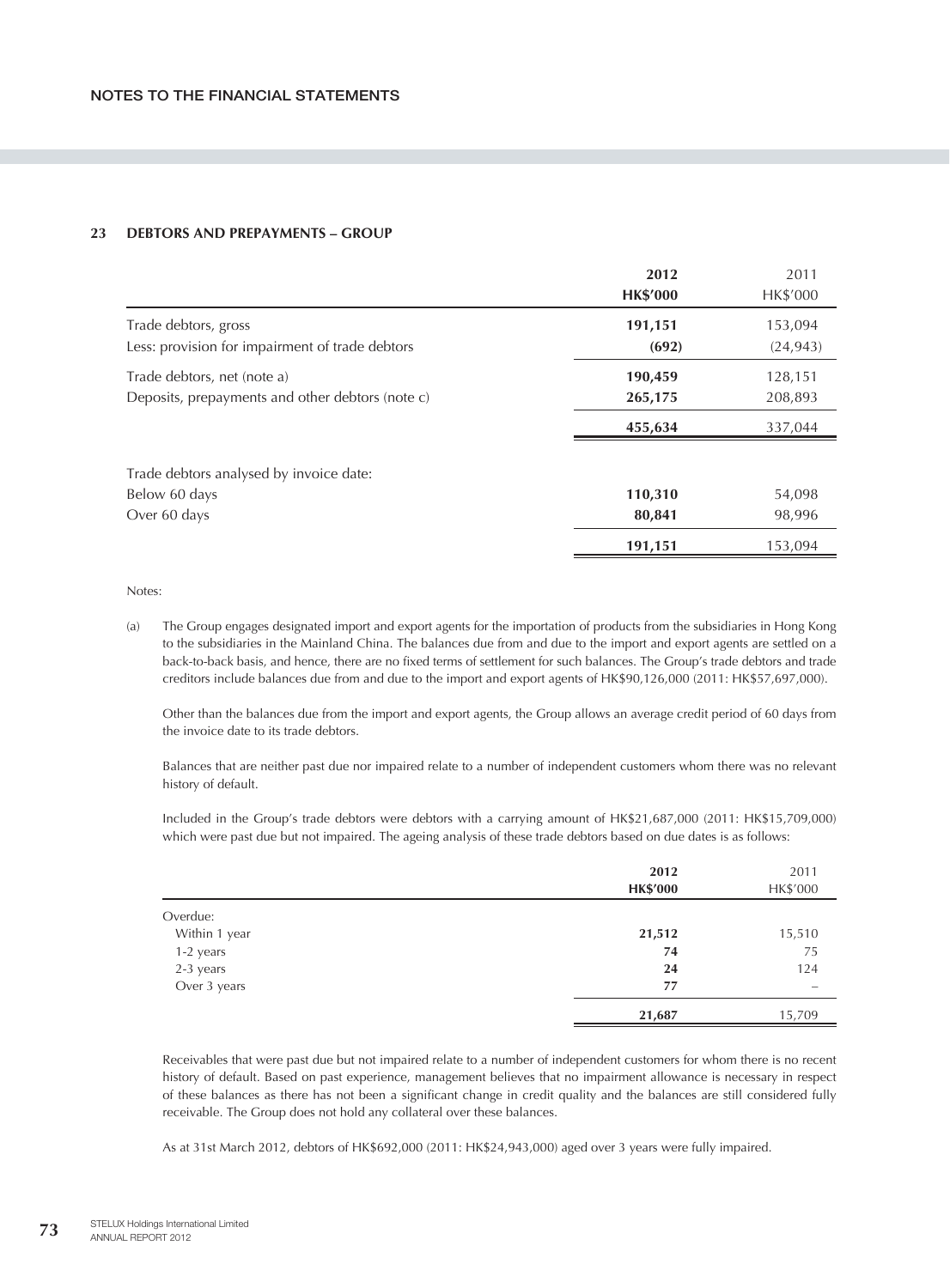### **23 DEBTORS AND PREPAYMENTS – GROUP**

|                                                  | 2012<br><b>HK\$'000</b> | 2011<br><b>HK\$'000</b> |
|--------------------------------------------------|-------------------------|-------------------------|
| Trade debtors, gross                             | 191,151                 | 153,094                 |
| Less: provision for impairment of trade debtors  | (692)                   | (24, 943)               |
| Trade debtors, net (note a)                      | 190,459                 | 128,151                 |
| Deposits, prepayments and other debtors (note c) | 265,175                 | 208,893                 |
|                                                  | 455,634                 | 337,044                 |
| Trade debtors analysed by invoice date:          |                         |                         |
| Below 60 days                                    | 110,310                 | 54,098                  |
| Over 60 days                                     | 80,841                  | 98,996                  |
|                                                  | 191,151                 | 153,094                 |

Notes:

(a) The Group engages designated import and export agents for the importation of products from the subsidiaries in Hong Kong to the subsidiaries in the Mainland China. The balances due from and due to the import and export agents are settled on a back-to-back basis, and hence, there are no fixed terms of settlement for such balances. The Group's trade debtors and trade creditors include balances due from and due to the import and export agents of HK\$90,126,000 (2011: HK\$57,697,000).

Other than the balances due from the import and export agents, the Group allows an average credit period of 60 days from the invoice date to its trade debtors.

Balances that are neither past due nor impaired relate to a number of independent customers whom there was no relevant history of default.

Included in the Group's trade debtors were debtors with a carrying amount of HK\$21,687,000 (2011: HK\$15,709,000) which were past due but not impaired. The ageing analysis of these trade debtors based on due dates is as follows:

|               | 2012            | 2011                     |
|---------------|-----------------|--------------------------|
|               | <b>HK\$'000</b> | HK\$'000                 |
| Overdue:      |                 |                          |
| Within 1 year | 21,512          | 15,510                   |
| 1-2 years     | 74              | 75                       |
| 2-3 years     | 24              | 124                      |
| Over 3 years  | 77              | $\overline{\phantom{a}}$ |
|               | 21,687          | 15,709                   |

Receivables that were past due but not impaired relate to a number of independent customers for whom there is no recent history of default. Based on past experience, management believes that no impairment allowance is necessary in respect of these balances as there has not been a significant change in credit quality and the balances are still considered fully receivable. The Group does not hold any collateral over these balances.

As at 31st March 2012, debtors of HK\$692,000 (2011: HK\$24,943,000) aged over 3 years were fully impaired.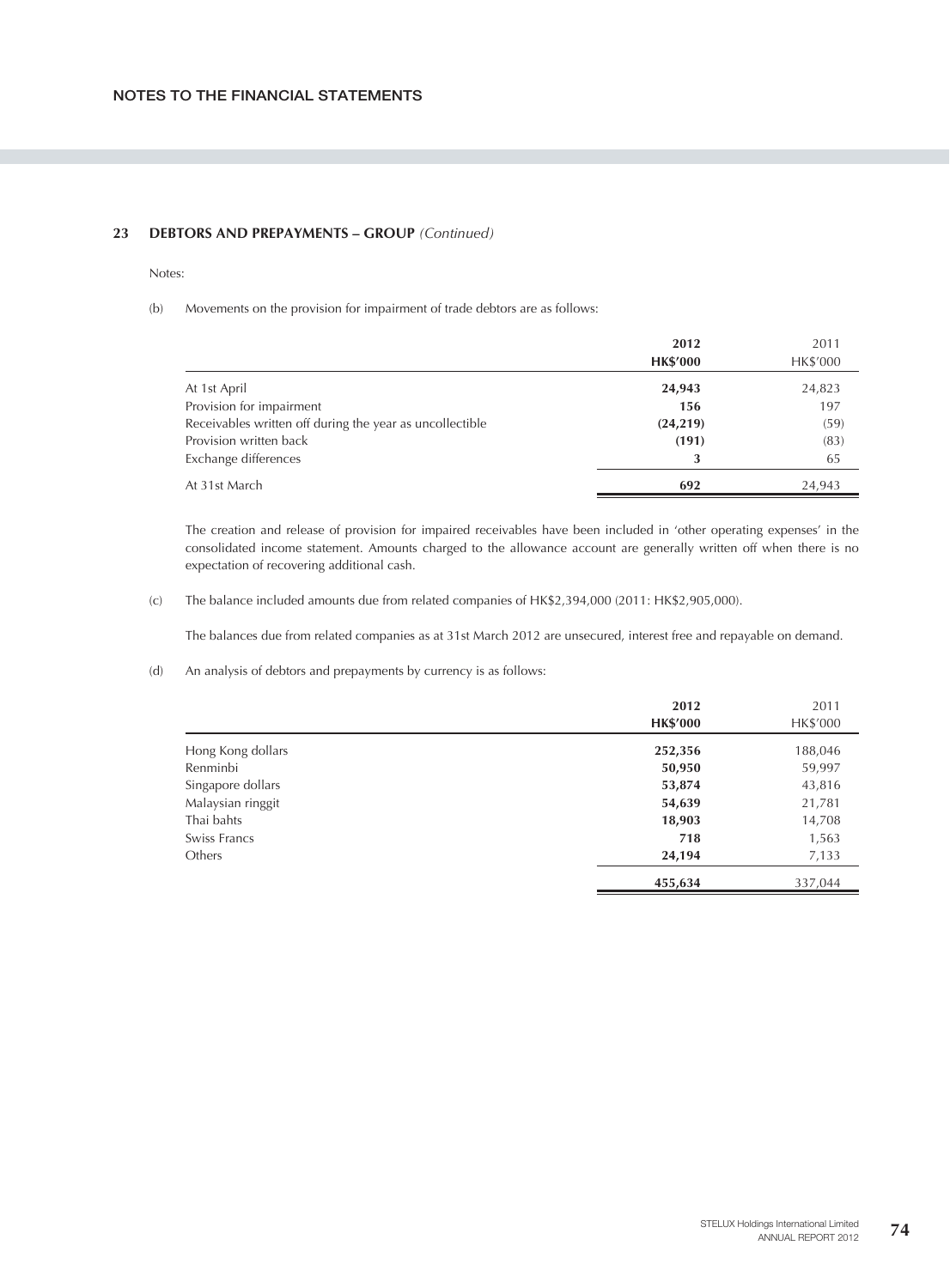#### **23 DEBTORS AND PREPAYMENTS – GROUP** *(Continued)*

#### Notes:

(b) Movements on the provision for impairment of trade debtors are as follows:

|                                                          | 2012<br><b>HK\$'000</b> | 2011<br>HK\$'000 |
|----------------------------------------------------------|-------------------------|------------------|
| At 1st April                                             | 24,943                  | 24,823           |
| Provision for impairment                                 | 156                     | 197              |
| Receivables written off during the year as uncollectible | (24, 219)               | (59)             |
| Provision written back                                   | (191)                   | (83)             |
| Exchange differences                                     | 3                       | 65               |
| At 31st March                                            | 692                     | 24,943           |

The creation and release of provision for impaired receivables have been included in 'other operating expenses' in the consolidated income statement. Amounts charged to the allowance account are generally written off when there is no expectation of recovering additional cash.

(c) The balance included amounts due from related companies of HK\$2,394,000 (2011: HK\$2,905,000).

The balances due from related companies as at 31st March 2012 are unsecured, interest free and repayable on demand.

(d) An analysis of debtors and prepayments by currency is as follows:

|                   | 2012<br><b>HK\$'000</b> | 2011<br>HK\$'000 |
|-------------------|-------------------------|------------------|
| Hong Kong dollars | 252,356                 | 188,046          |
| Renminbi          | 50,950                  | 59,997           |
| Singapore dollars | 53,874                  | 43,816           |
| Malaysian ringgit | 54,639                  | 21,781           |
| Thai bahts        | 18,903                  | 14,708           |
| Swiss Francs      | 718                     | 1,563            |
| Others            | 24,194                  | 7,133            |
|                   | 455,634                 | 337,044          |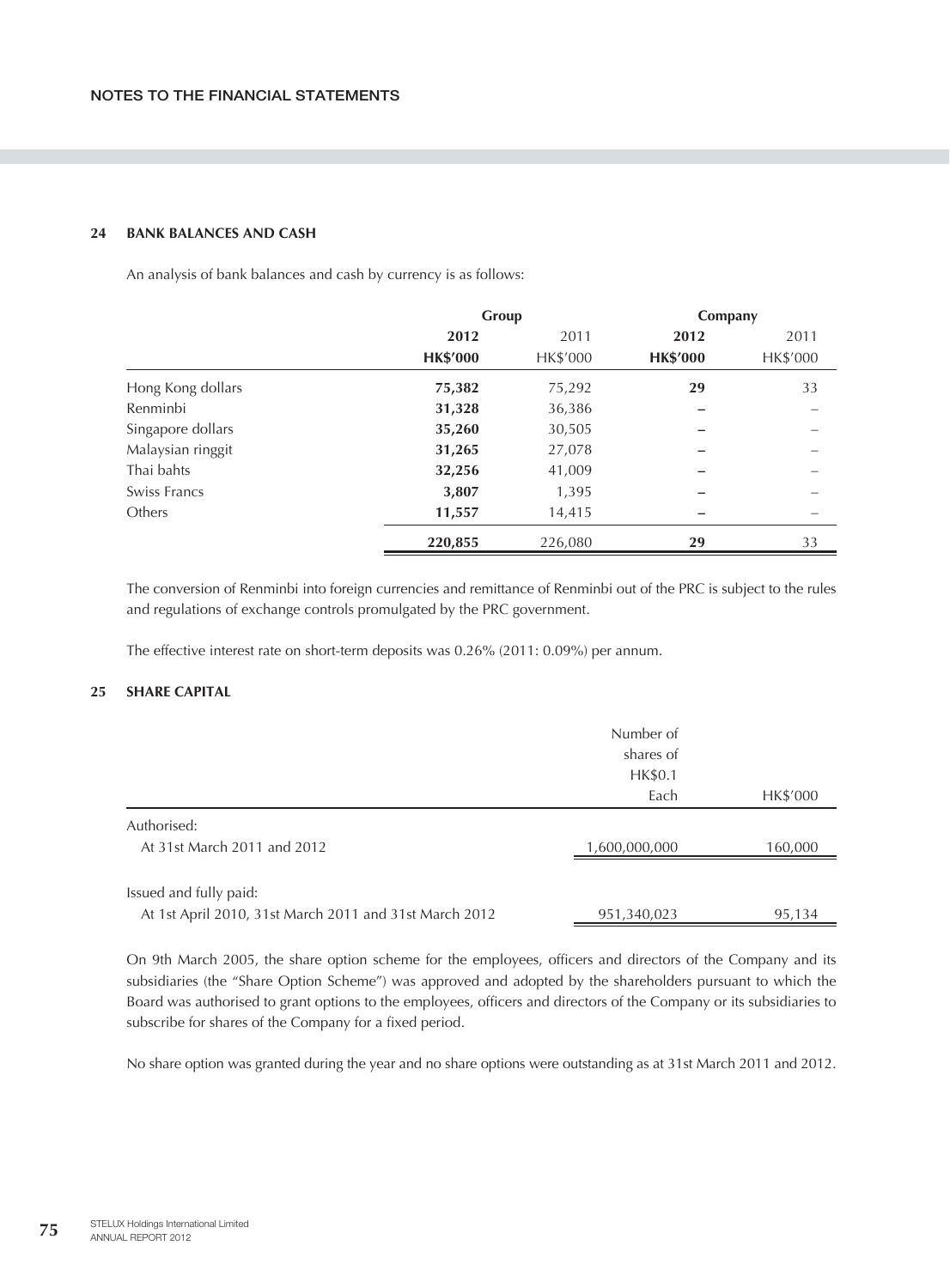### **24 BANK BALANCES AND CASH**

An analysis of bank balances and cash by currency is as follows:

|                   | Group                   |                  | Company                 |                  |
|-------------------|-------------------------|------------------|-------------------------|------------------|
|                   | 2012<br><b>HK\$'000</b> | 2011<br>HK\$'000 | 2012<br><b>HK\$'000</b> | 2011<br>HK\$'000 |
| Hong Kong dollars | 75,382                  | 75,292           | 29                      | 33               |
| Renminbi          | 31,328                  | 36,386           |                         |                  |
| Singapore dollars | 35,260                  | 30,505           |                         |                  |
| Malaysian ringgit | 31,265                  | 27,078           |                         |                  |
| Thai bahts        | 32,256                  | 41,009           |                         |                  |
| Swiss Francs      | 3,807                   | 1,395            |                         |                  |
| Others            | 11,557                  | 14,415           |                         |                  |
|                   | 220,855                 | 226,080          | 29                      | 33               |

The conversion of Renminbi into foreign currencies and remittance of Renminbi out of the PRC is subject to the rules and regulations of exchange controls promulgated by the PRC government.

The effective interest rate on short-term deposits was 0.26% (2011: 0.09%) per annum.

### **25 SHARE CAPITAL**

|                                                                                  | Number of<br>shares of<br><b>HK\$0.1</b><br>Each | <b>HK\$'000</b> |
|----------------------------------------------------------------------------------|--------------------------------------------------|-----------------|
| Authorised:<br>At 31st March 2011 and 2012                                       | 1,600,000,000                                    | 160,000         |
| Issued and fully paid:<br>At 1st April 2010, 31st March 2011 and 31st March 2012 | 951,340,023                                      | 95,134          |

On 9th March 2005, the share option scheme for the employees, officers and directors of the Company and its subsidiaries (the "Share Option Scheme") was approved and adopted by the shareholders pursuant to which the Board was authorised to grant options to the employees, officers and directors of the Company or its subsidiaries to subscribe for shares of the Company for a fixed period.

No share option was granted during the year and no share options were outstanding as at 31st March 2011 and 2012.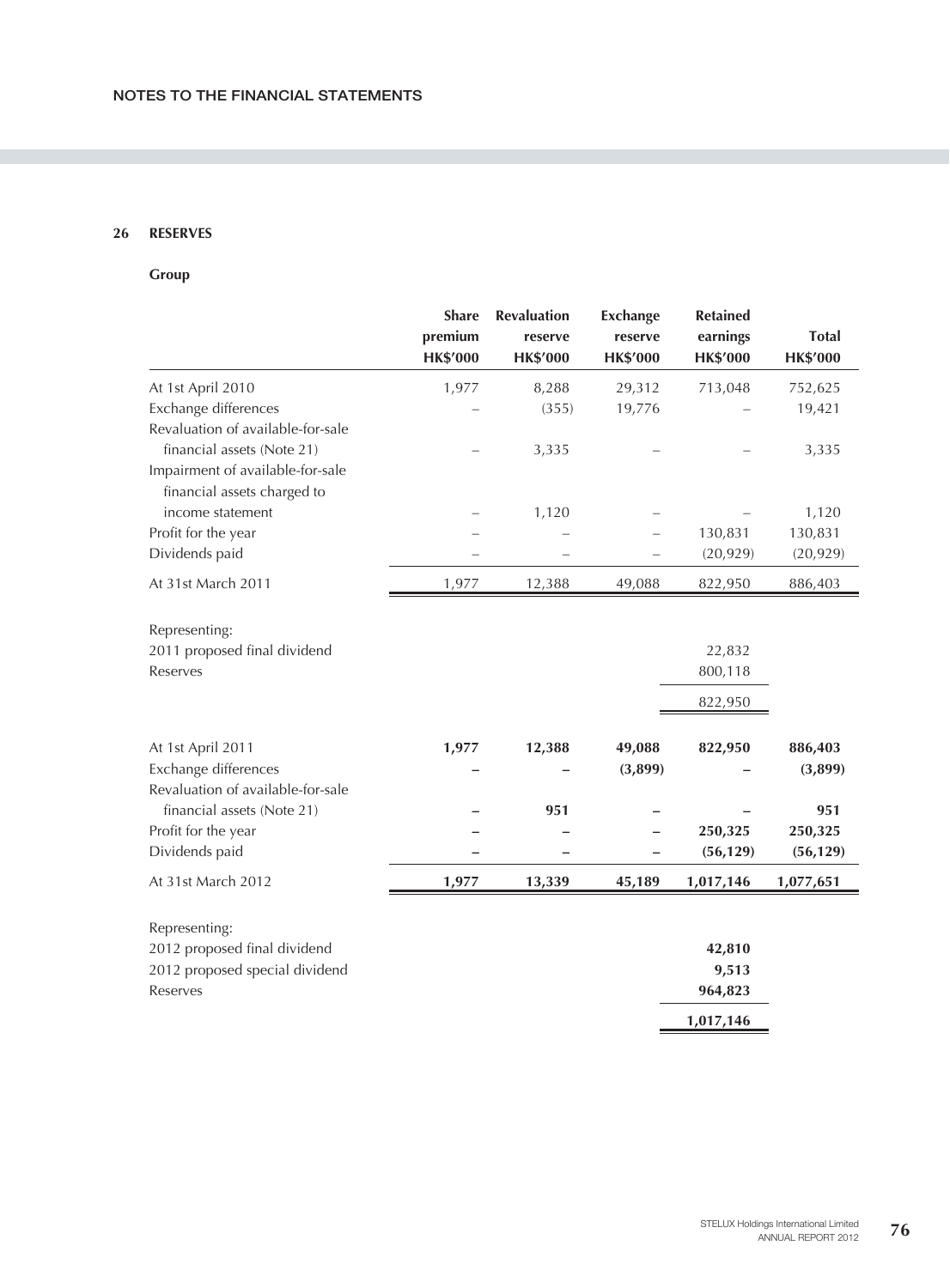## **26 RESERVES**

**Group**

|                                                                  | <b>Share</b>               | <b>Revaluation</b>         | <b>Exchange</b>            | <b>Retained</b>             |                                 |
|------------------------------------------------------------------|----------------------------|----------------------------|----------------------------|-----------------------------|---------------------------------|
|                                                                  | premium<br><b>HK\$'000</b> | reserve<br><b>HK\$'000</b> | reserve<br><b>HK\$'000</b> | earnings<br><b>HK\$'000</b> | <b>Total</b><br><b>HK\$'000</b> |
| At 1st April 2010                                                | 1,977                      | 8,288                      | 29,312                     | 713,048                     | 752,625                         |
| Exchange differences                                             |                            | (355)                      | 19,776                     |                             | 19,421                          |
| Revaluation of available-for-sale                                |                            |                            |                            |                             |                                 |
| financial assets (Note 21)                                       |                            | 3,335                      |                            |                             | 3,335                           |
| Impairment of available-for-sale<br>financial assets charged to  |                            |                            |                            |                             |                                 |
| income statement                                                 |                            | 1,120                      |                            |                             | 1,120                           |
| Profit for the year                                              |                            |                            |                            | 130,831                     | 130,831                         |
| Dividends paid                                                   |                            |                            |                            | (20, 929)                   | (20, 929)                       |
| At 31st March 2011                                               | 1,977                      | 12,388                     | 49,088                     | 822,950                     | 886,403                         |
| Representing:<br>2011 proposed final dividend<br><b>Reserves</b> |                            |                            |                            | 22,832<br>800,118           |                                 |
|                                                                  |                            |                            |                            | 822,950                     |                                 |
| At 1st April 2011                                                | 1,977                      | 12,388                     | 49,088                     | 822,950                     | 886,403                         |
| Exchange differences                                             |                            |                            | (3,899)                    |                             | (3,899)                         |
| Revaluation of available-for-sale                                |                            |                            |                            |                             |                                 |
| financial assets (Note 21)                                       |                            | 951                        |                            |                             | 951                             |
| Profit for the year                                              |                            |                            |                            | 250,325                     | 250,325                         |
| Dividends paid                                                   |                            |                            |                            | (56, 129)                   | (56, 129)                       |
| At 31st March 2012                                               | 1,977                      | 13,339                     | 45,189                     | 1,017,146                   | 1,077,651                       |
| Representing:                                                    |                            |                            |                            |                             |                                 |
| 2012 proposed final dividend                                     |                            |                            |                            | 42,810                      |                                 |
| 2012 proposed special dividend                                   |                            |                            |                            | 9,513                       |                                 |
| Reserves                                                         |                            |                            |                            | 964,823                     |                                 |
|                                                                  |                            |                            |                            | 1,017,146                   |                                 |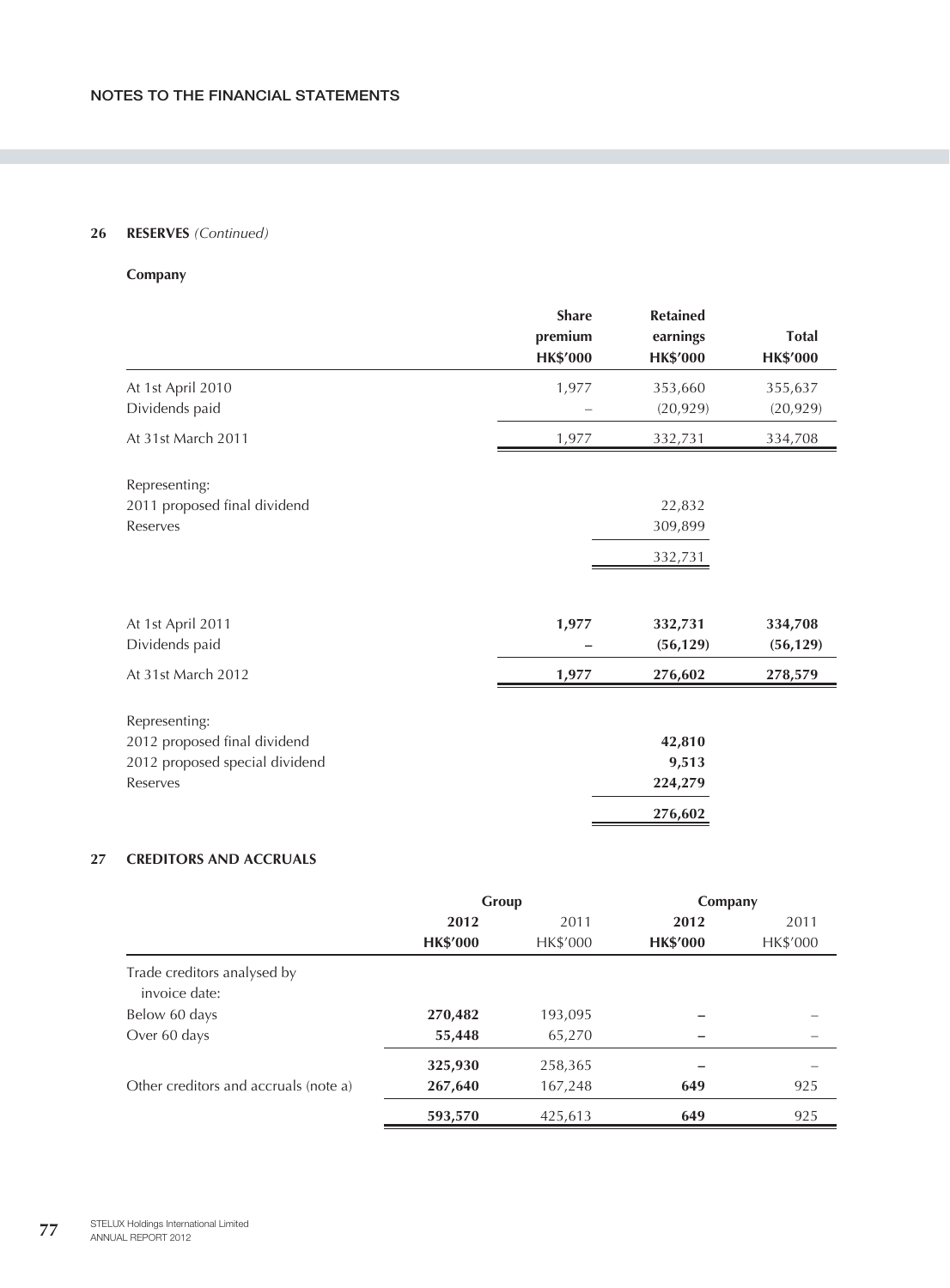## **26 RESERVES** *(Continued)*

## **Company**

|                                                                                             | <b>Share</b><br>premium<br><b>HK\$'000</b> | <b>Retained</b><br>earnings<br><b>HK\$'000</b> | <b>Total</b><br><b>HK\$'000</b> |
|---------------------------------------------------------------------------------------------|--------------------------------------------|------------------------------------------------|---------------------------------|
| At 1st April 2010<br>Dividends paid                                                         | 1,977                                      | 353,660<br>(20, 929)                           | 355,637<br>(20, 929)            |
| At 31st March 2011                                                                          | 1,977                                      | 332,731                                        | 334,708                         |
| Representing:<br>2011 proposed final dividend<br>Reserves                                   |                                            | 22,832<br>309,899<br>332,731                   |                                 |
| At 1st April 2011<br>Dividends paid                                                         | 1,977                                      | 332,731<br>(56, 129)                           | 334,708<br>(56, 129)            |
| At 31st March 2012                                                                          | 1,977                                      | 276,602                                        | 278,579                         |
| Representing:<br>2012 proposed final dividend<br>2012 proposed special dividend<br>Reserves |                                            | 42,810<br>9,513<br>224,279<br>276,602          |                                 |

## **27 CREDITORS AND ACCRUALS**

|                                              | Group           |                 | Company         |          |
|----------------------------------------------|-----------------|-----------------|-----------------|----------|
|                                              | 2012            | 2011            | 2012            | 2011     |
|                                              | <b>HK\$'000</b> | <b>HK\$'000</b> | <b>HK\$'000</b> | HK\$'000 |
| Trade creditors analysed by<br>invoice date: |                 |                 |                 |          |
| Below 60 days                                | 270,482         | 193,095         |                 |          |
| Over 60 days                                 | 55,448          | 65,270          |                 |          |
|                                              | 325,930         | 258,365         |                 |          |
| Other creditors and accruals (note a)        | 267,640         | 167,248         | 649             | 925      |
|                                              | 593,570         | 425,613         | 649             | 925      |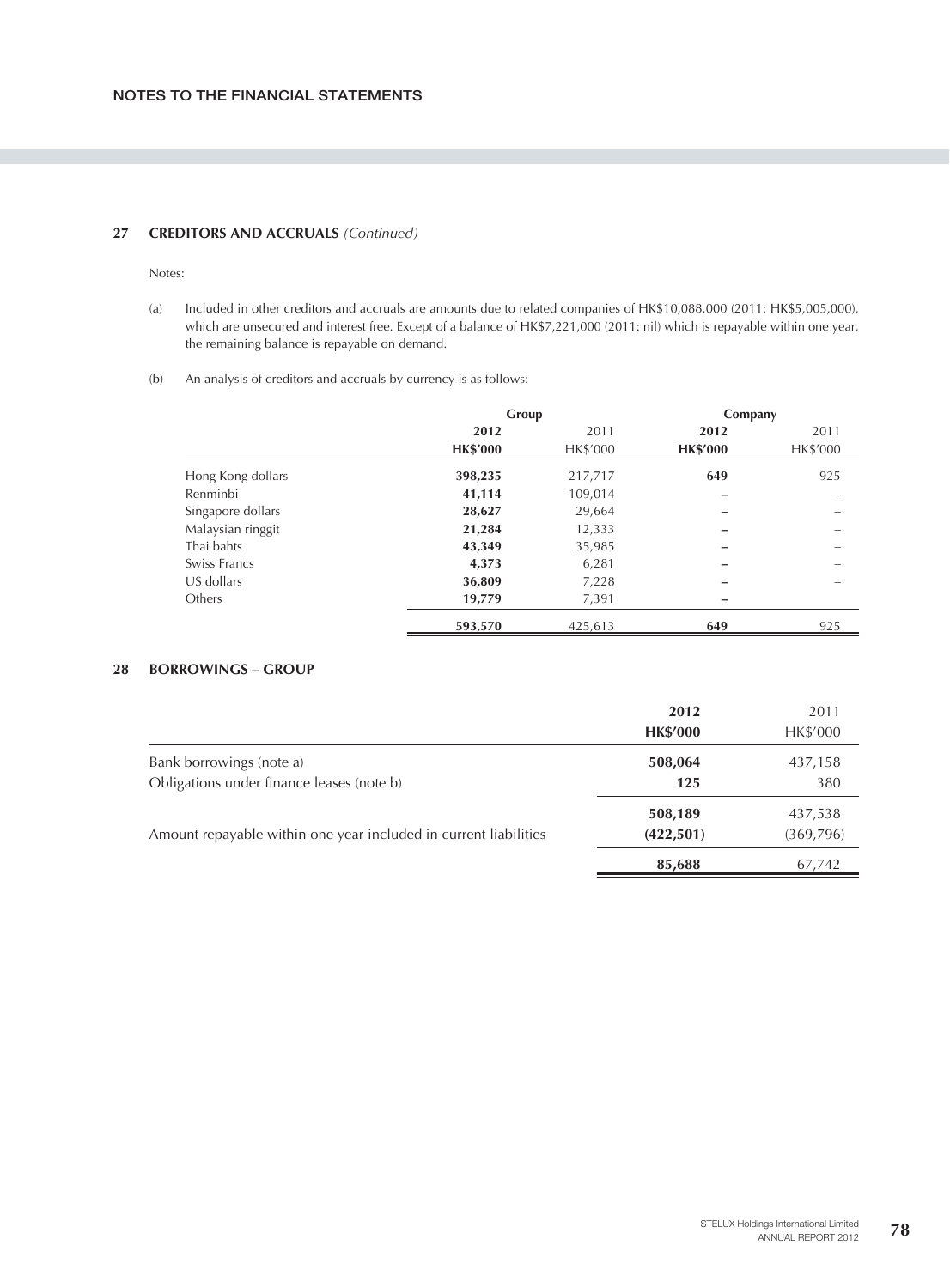#### **27 CREDITORS AND ACCRUALS** *(Continued)*

#### Notes:

- (a) Included in other creditors and accruals are amounts due to related companies of HK\$10,088,000 (2011: HK\$5,005,000), which are unsecured and interest free. Except of a balance of HK\$7,221,000 (2011: nil) which is repayable within one year, the remaining balance is repayable on demand.
- (b) An analysis of creditors and accruals by currency is as follows:

|                   | Group           |          | Company         |                 |
|-------------------|-----------------|----------|-----------------|-----------------|
|                   | 2012            | 2011     | 2012            | 2011            |
|                   | <b>HK\$'000</b> | HK\$'000 | <b>HK\$'000</b> | <b>HK\$'000</b> |
| Hong Kong dollars | 398,235         | 217,717  | 649             | 925             |
| Renminbi          | 41,114          | 109,014  |                 |                 |
| Singapore dollars | 28,627          | 29,664   |                 |                 |
| Malaysian ringgit | 21,284          | 12,333   |                 |                 |
| Thai bahts        | 43,349          | 35,985   |                 |                 |
| Swiss Francs      | 4,373           | 6,281    |                 |                 |
| US dollars        | 36,809          | 7,228    |                 |                 |
| Others            | 19,779          | 7,391    |                 |                 |
|                   | 593,570         | 425,613  | 649             | 925             |

#### **28 BORROWINGS – GROUP**

|                                                                  | 2012            | 2011            |
|------------------------------------------------------------------|-----------------|-----------------|
|                                                                  | <b>HK\$'000</b> | <b>HK\$'000</b> |
| Bank borrowings (note a)                                         | 508,064         | 437,158         |
| Obligations under finance leases (note b)                        | 125             | 380             |
|                                                                  | 508,189         | 437,538         |
| Amount repayable within one year included in current liabilities | (422,501)       | (369,796)       |
|                                                                  | 85,688          | 67,742          |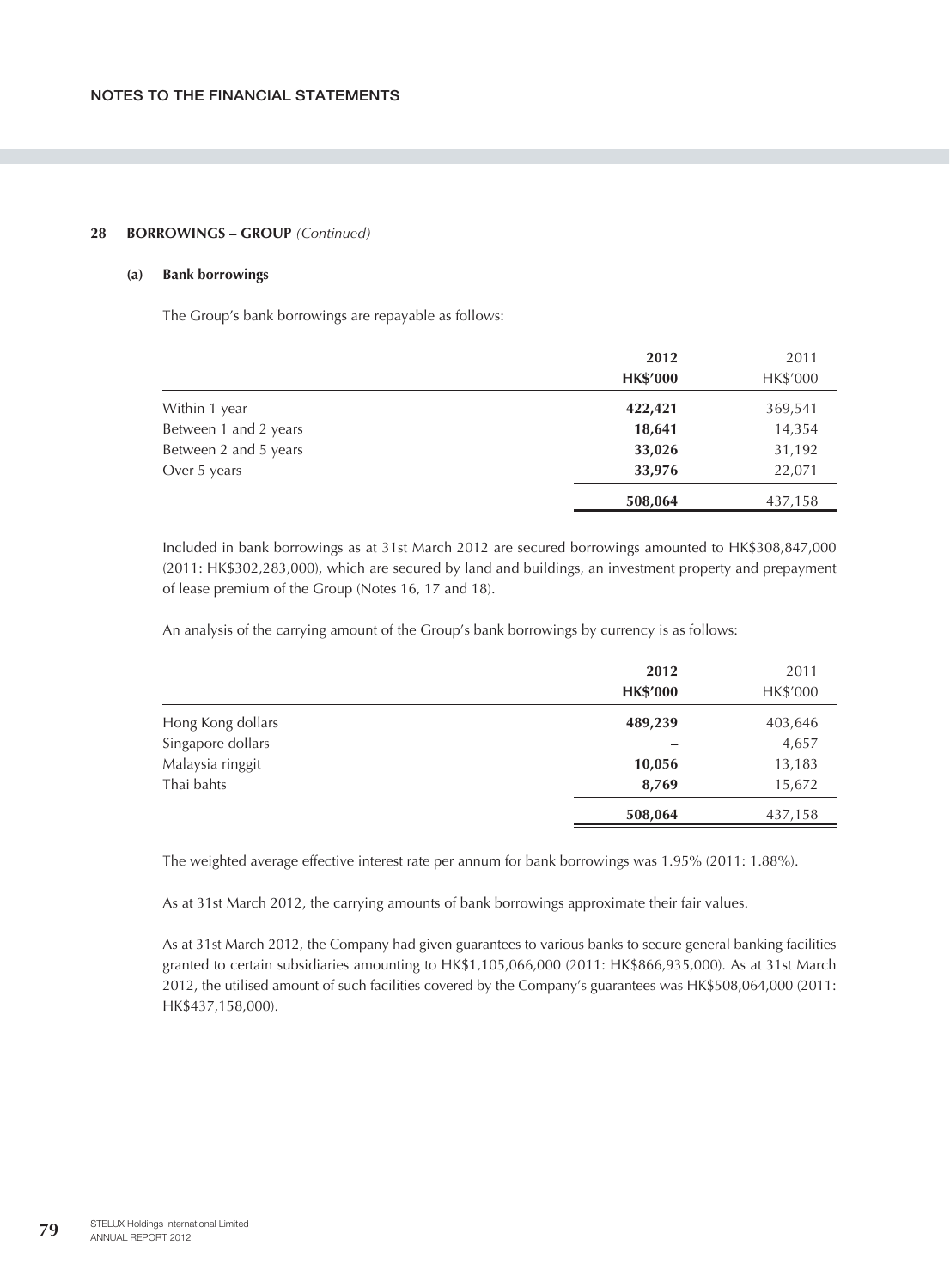### **28 BORROWINGS – GROUP** *(Continued)*

#### **(a) Bank borrowings**

The Group's bank borrowings are repayable as follows:

|                       | 2012            | 2011     |
|-----------------------|-----------------|----------|
|                       | <b>HK\$'000</b> | HK\$'000 |
| Within 1 year         | 422,421         | 369,541  |
| Between 1 and 2 years | 18,641          | 14,354   |
| Between 2 and 5 years | 33,026          | 31,192   |
| Over 5 years          | 33,976          | 22,071   |
|                       | 508,064         | 437,158  |

Included in bank borrowings as at 31st March 2012 are secured borrowings amounted to HK\$308,847,000 (2011: HK\$302,283,000), which are secured by land and buildings, an investment property and prepayment of lease premium of the Group (Notes 16, 17 and 18).

An analysis of the carrying amount of the Group's bank borrowings by currency is as follows:

|                   | 2012            | 2011            |
|-------------------|-----------------|-----------------|
|                   | <b>HK\$'000</b> | <b>HK\$'000</b> |
| Hong Kong dollars | 489,239         | 403,646         |
| Singapore dollars |                 | 4,657           |
| Malaysia ringgit  | 10,056          | 13,183          |
| Thai bahts        | 8,769           | 15,672          |
|                   | 508,064         | 437,158         |

The weighted average effective interest rate per annum for bank borrowings was 1.95% (2011: 1.88%).

As at 31st March 2012, the carrying amounts of bank borrowings approximate their fair values.

As at 31st March 2012, the Company had given guarantees to various banks to secure general banking facilities granted to certain subsidiaries amounting to HK\$1,105,066,000 (2011: HK\$866,935,000). As at 31st March 2012, the utilised amount of such facilities covered by the Company's guarantees was HK\$508,064,000 (2011: HK\$437,158,000).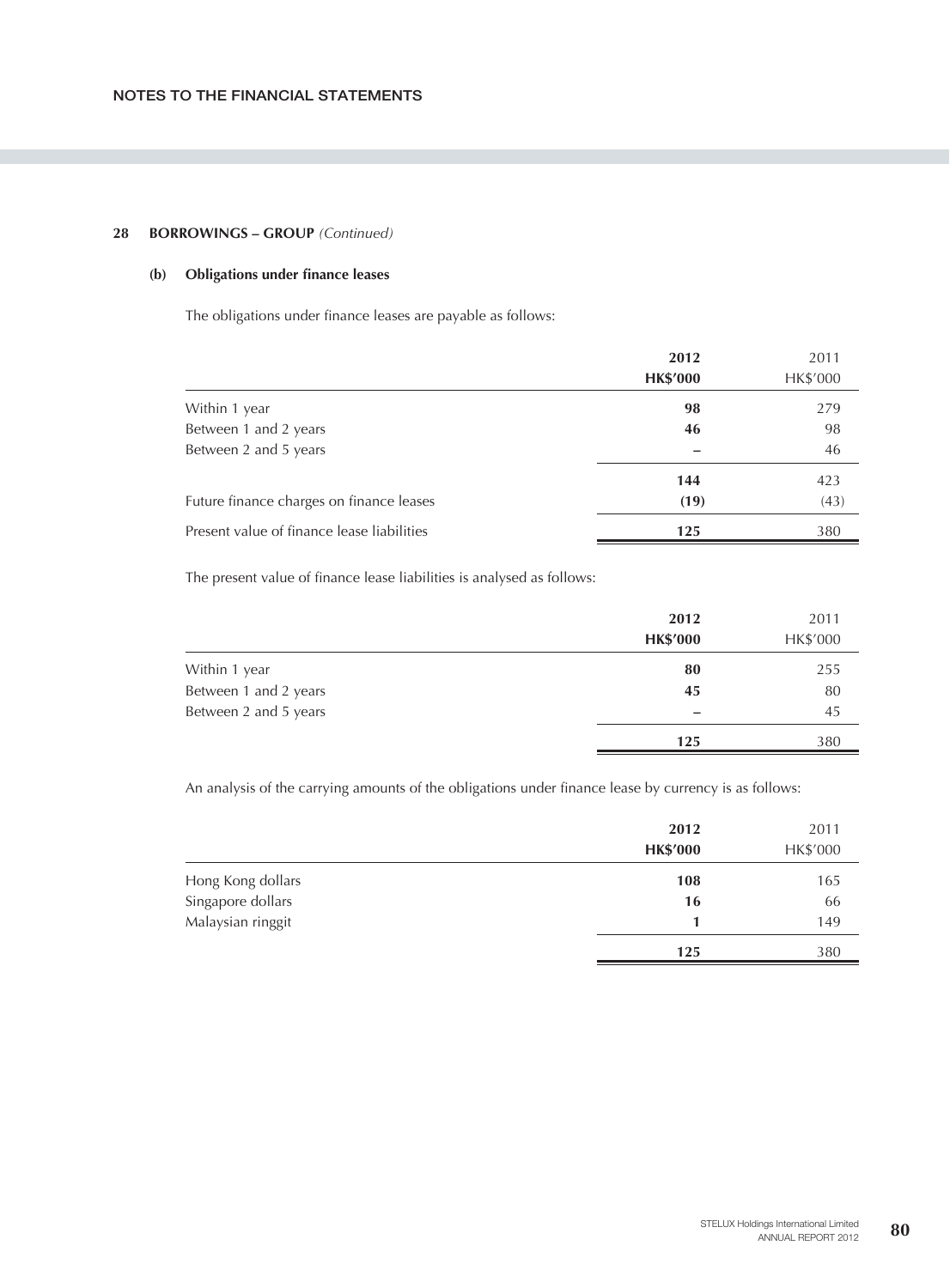### **28 BORROWINGS – GROUP** *(Continued)*

## (b) Obligations under finance leases

The obligations under finance leases are payable as follows:

|                                            | 2012<br><b>HK\$'000</b> | 2011<br><b>HK\$'000</b> |
|--------------------------------------------|-------------------------|-------------------------|
| Within 1 year                              | 98                      | 279                     |
| Between 1 and 2 years                      | 46                      | 98                      |
| Between 2 and 5 years                      |                         | 46                      |
|                                            | 144                     | 423                     |
| Future finance charges on finance leases   | (19)                    | (43)                    |
| Present value of finance lease liabilities | 125                     | 380                     |

The present value of finance lease liabilities is analysed as follows:

|                       | 2012            | 2011     |
|-----------------------|-----------------|----------|
|                       | <b>HK\$'000</b> | HK\$'000 |
| Within 1 year         | 80              | 255      |
| Between 1 and 2 years | 45              | 80       |
| Between 2 and 5 years |                 | 45       |
|                       | 125             | 380      |

An analysis of the carrying amounts of the obligations under finance lease by currency is as follows:

|                   | 2012<br><b>HK\$'000</b> | 2011<br>HK\$'000 |
|-------------------|-------------------------|------------------|
| Hong Kong dollars | 108                     | 165              |
| Singapore dollars | 16                      | 66               |
| Malaysian ringgit |                         | 149              |
|                   | 125                     | 380              |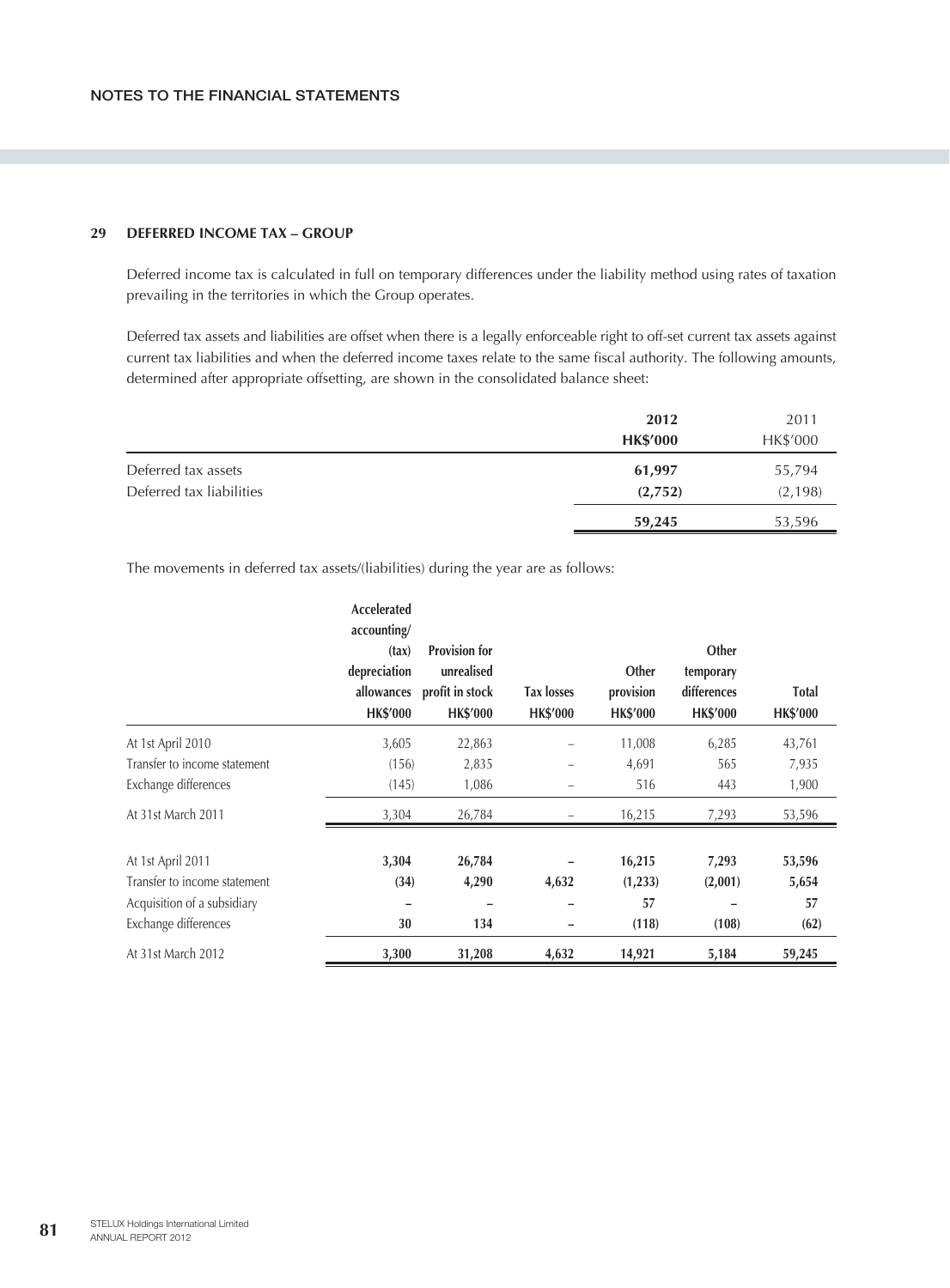### **29 DEFERRED INCOME TAX – GROUP**

Deferred income tax is calculated in full on temporary differences under the liability method using rates of taxation prevailing in the territories in which the Group operates.

Deferred tax assets and liabilities are offset when there is a legally enforceable right to off-set current tax assets against current tax liabilities and when the deferred income taxes relate to the same fiscal authority. The following amounts, determined after appropriate offsetting, are shown in the consolidated balance sheet:

|                          | 2012            | 2011     |
|--------------------------|-----------------|----------|
|                          | <b>HK\$'000</b> | HK\$'000 |
| Deferred tax assets      | 61,997          | 55,794   |
| Deferred tax liabilities | (2,752)         | (2, 198) |
|                          | 59,245          | 53,596   |

The movements in deferred tax assets/(liabilities) during the year are as follows:

|                              | <b>Accelerated</b><br>accounting/<br>(tax)<br>depreciation<br>allowances<br><b>HK\$'000</b> | <b>Provision for</b><br>unrealised<br>profit in stock<br><b>HK\$'000</b> | <b>Tax losses</b><br><b>HK\$'000</b> | Other<br>provision<br><b>HK\$'000</b> | Other<br>temporary<br>differences<br><b>HK\$'000</b> | Total<br><b>HK\$'000</b> |
|------------------------------|---------------------------------------------------------------------------------------------|--------------------------------------------------------------------------|--------------------------------------|---------------------------------------|------------------------------------------------------|--------------------------|
| At 1st April 2010            | 3,605                                                                                       | 22,863                                                                   |                                      | 11,008                                | 6,285                                                | 43,761                   |
| Transfer to income statement | (156)                                                                                       | 2,835                                                                    |                                      | 4,691                                 | 565                                                  | 7,935                    |
| Exchange differences         | (145)                                                                                       | 1,086                                                                    |                                      | 516                                   | 443                                                  | 1,900                    |
| At 31st March 2011           | 3,304                                                                                       | 26,784                                                                   |                                      | 16,215                                | 7,293                                                | 53,596                   |
| At 1st April 2011            | 3,304                                                                                       | 26,784                                                                   |                                      | 16,215                                | 7,293                                                | 53,596                   |
| Transfer to income statement | (34)                                                                                        | 4,290                                                                    | 4,632                                | (1,233)                               | (2,001)                                              | 5,654                    |
| Acquisition of a subsidiary  |                                                                                             |                                                                          |                                      | 57                                    |                                                      | 57                       |
| Exchange differences         | 30                                                                                          | 134                                                                      |                                      | (118)                                 | (108)                                                | (62)                     |
| At 31st March 2012           | 3,300                                                                                       | 31,208                                                                   | 4,632                                | 14,921                                | 5,184                                                | 59,245                   |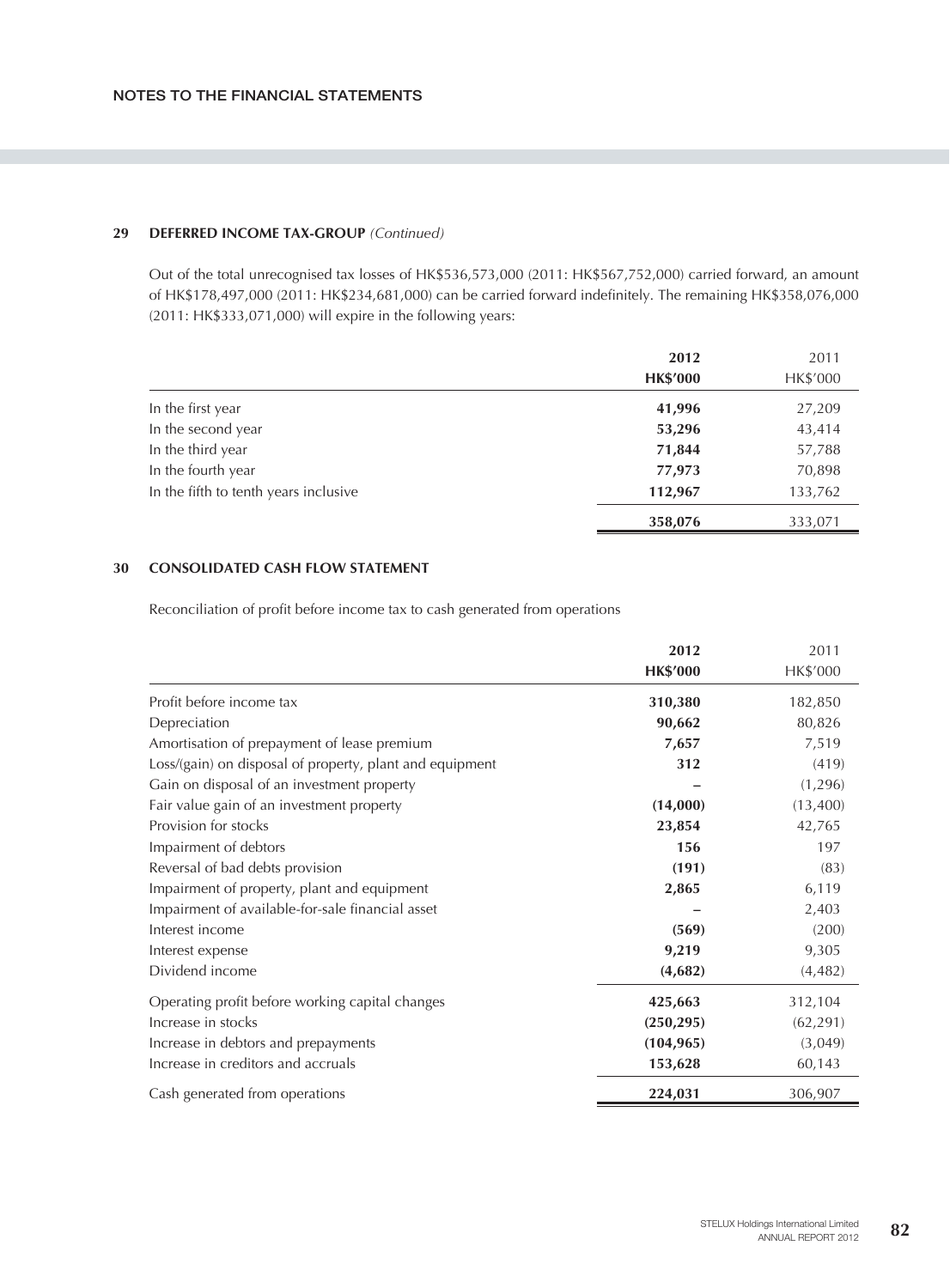## **29 DEFERRED INCOME TAX-GROUP** *(Continued)*

Out of the total unrecognised tax losses of HK\$536,573,000 (2011: HK\$567,752,000) carried forward, an amount of HK\$178,497,000 (2011: HK\$234,681,000) can be carried forward indefinitely. The remaining HK\$358,076,000 (2011: HK\$333,071,000) will expire in the following years:

|                                       | 2012            | 2011            |
|---------------------------------------|-----------------|-----------------|
|                                       | <b>HK\$'000</b> | <b>HK\$'000</b> |
| In the first year                     | 41,996          | 27,209          |
| In the second year                    | 53,296          | 43,414          |
| In the third year                     | 71,844          | 57,788          |
| In the fourth year                    | 77,973          | 70,898          |
| In the fifth to tenth years inclusive | 112,967         | 133,762         |
|                                       | 358,076         | 333,071         |

### **30 CONSOLIDATED CASH FLOW STATEMENT**

Reconciliation of profit before income tax to cash generated from operations

|                                                          | 2012            | 2011      |
|----------------------------------------------------------|-----------------|-----------|
|                                                          | <b>HK\$'000</b> | HK\$'000  |
| Profit before income tax                                 | 310,380         | 182,850   |
| Depreciation                                             | 90,662          | 80,826    |
| Amortisation of prepayment of lease premium              | 7,657           | 7,519     |
| Loss/(gain) on disposal of property, plant and equipment | 312             | (419)     |
| Gain on disposal of an investment property               |                 | (1,296)   |
| Fair value gain of an investment property                | (14,000)        | (13,400)  |
| Provision for stocks                                     | 23,854          | 42,765    |
| Impairment of debtors                                    | 156             | 197       |
| Reversal of bad debts provision                          | (191)           | (83)      |
| Impairment of property, plant and equipment              | 2,865           | 6,119     |
| Impairment of available-for-sale financial asset         |                 | 2,403     |
| Interest income                                          | (569)           | (200)     |
| Interest expense                                         | 9,219           | 9,305     |
| Dividend income                                          | (4,682)         | (4, 482)  |
| Operating profit before working capital changes          | 425,663         | 312,104   |
| Increase in stocks                                       | (250, 295)      | (62, 291) |
| Increase in debtors and prepayments                      | (104, 965)      | (3,049)   |
| Increase in creditors and accruals                       | 153,628         | 60,143    |
| Cash generated from operations                           | 224,031         | 306,907   |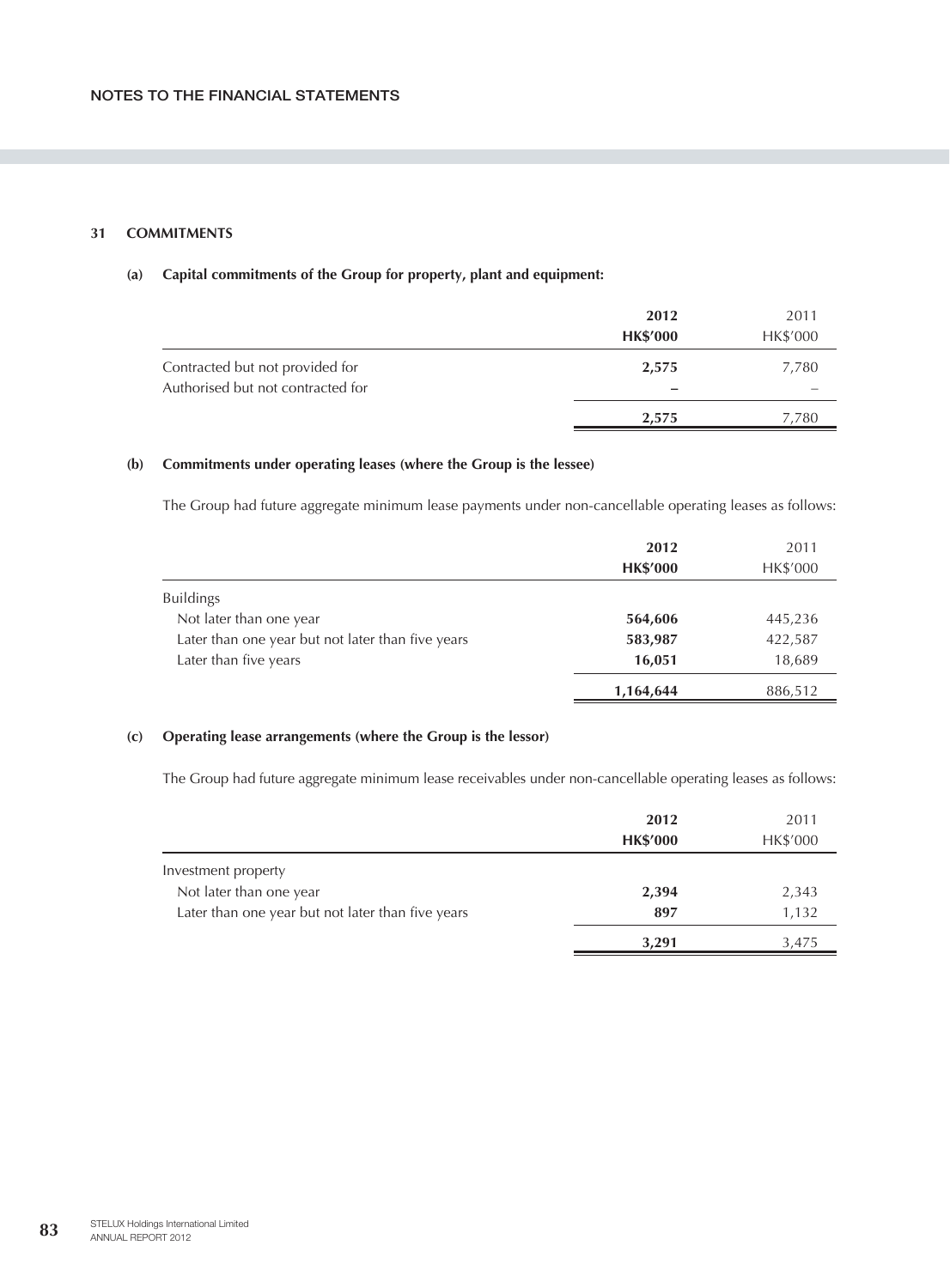### **31 COMMITMENTS**

### **(a) Capital commitments of the Group for property, plant and equipment:**

|                                                                      | 2012            | 2011     |
|----------------------------------------------------------------------|-----------------|----------|
|                                                                      | <b>HK\$'000</b> | HK\$'000 |
| Contracted but not provided for<br>Authorised but not contracted for | 2,575           | 7,780    |
|                                                                      | 2,575           | 7,780    |

### **(b) Commitments under operating leases (where the Group is the lessee)**

The Group had future aggregate minimum lease payments under non-cancellable operating leases as follows:

|                                                   | 2012            | 2011            |
|---------------------------------------------------|-----------------|-----------------|
|                                                   | <b>HK\$'000</b> | <b>HK\$'000</b> |
| <b>Buildings</b>                                  |                 |                 |
| Not later than one year                           | 564,606         | 445,236         |
| Later than one year but not later than five years | 583,987         | 422,587         |
| Later than five years                             | 16,051          | 18,689          |
|                                                   | 1,164,644       | 886,512         |

### **(c) Operating lease arrangements (where the Group is the lessor)**

The Group had future aggregate minimum lease receivables under non-cancellable operating leases as follows:

|                                                   | 2012<br><b>HK\$'000</b> | 2011<br>HK\$'000 |
|---------------------------------------------------|-------------------------|------------------|
| Investment property                               |                         |                  |
| Not later than one year                           | 2,394                   | 2,343            |
| Later than one year but not later than five years | 897                     | 1,132            |
|                                                   | 3,291                   | 3.475            |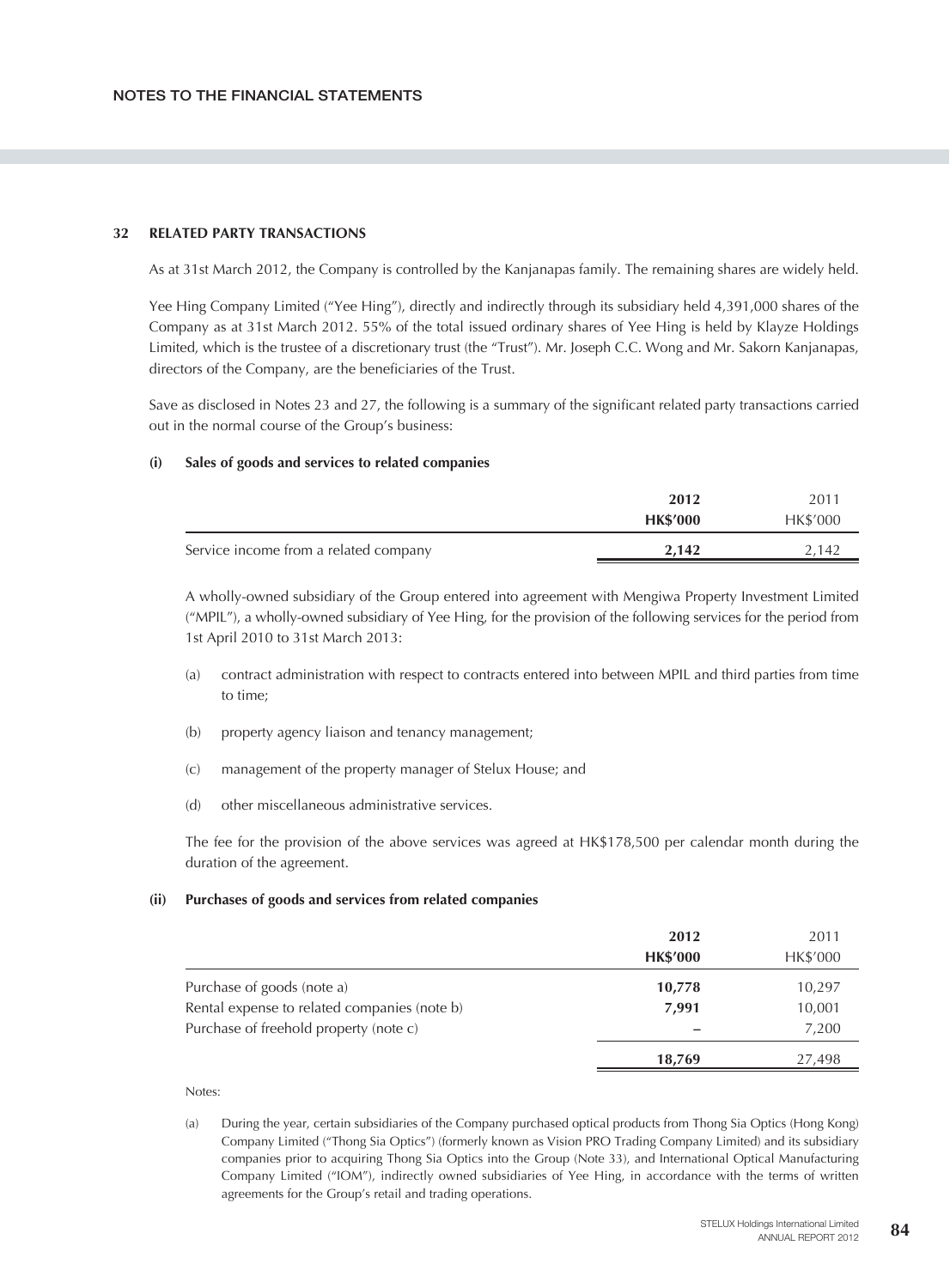#### **32 RELATED PARTY TRANSACTIONS**

As at 31st March 2012, the Company is controlled by the Kanjanapas family. The remaining shares are widely held.

Yee Hing Company Limited ("Yee Hing"), directly and indirectly through its subsidiary held 4,391,000 shares of the Company as at 31st March 2012. 55% of the total issued ordinary shares of Yee Hing is held by Klayze Holdings Limited, which is the trustee of a discretionary trust (the "Trust"). Mr. Joseph C.C. Wong and Mr. Sakorn Kanjanapas, directors of the Company, are the beneficiaries of the Trust.

Save as disclosed in Notes 23 and 27, the following is a summary of the significant related party transactions carried out in the normal course of the Group's business:

#### **(i) Sales of goods and services to related companies**

|                                       | 2012<br><b>HK\$'000</b> | 2011<br>HK\$'000 |
|---------------------------------------|-------------------------|------------------|
| Service income from a related company | 2.142                   | 2.142            |

A wholly-owned subsidiary of the Group entered into agreement with Mengiwa Property Investment Limited ("MPIL"), a wholly-owned subsidiary of Yee Hing, for the provision of the following services for the period from 1st April 2010 to 31st March 2013:

- (a) contract administration with respect to contracts entered into between MPIL and third parties from time to time;
- (b) property agency liaison and tenancy management;
- (c) management of the property manager of Stelux House; and
- (d) other miscellaneous administrative services.

The fee for the provision of the above services was agreed at HK\$178,500 per calendar month during the duration of the agreement.

#### **(ii) Purchases of goods and services from related companies**

|                                              | 2012<br><b>HK\$'000</b> | 2011<br>HK\$'000 |
|----------------------------------------------|-------------------------|------------------|
| Purchase of goods (note a)                   | 10,778                  | 10,297           |
| Rental expense to related companies (note b) | 7,991                   | 10,001           |
| Purchase of freehold property (note c)       |                         | 7,200            |
|                                              | 18,769                  | 27,498           |

Notes:

<sup>(</sup>a) During the year, certain subsidiaries of the Company purchased optical products from Thong Sia Optics (Hong Kong) Company Limited ("Thong Sia Optics") (formerly known as Vision PRO Trading Company Limited) and its subsidiary companies prior to acquiring Thong Sia Optics into the Group (Note 33), and International Optical Manufacturing Company Limited ("IOM"), indirectly owned subsidiaries of Yee Hing, in accordance with the terms of written agreements for the Group's retail and trading operations.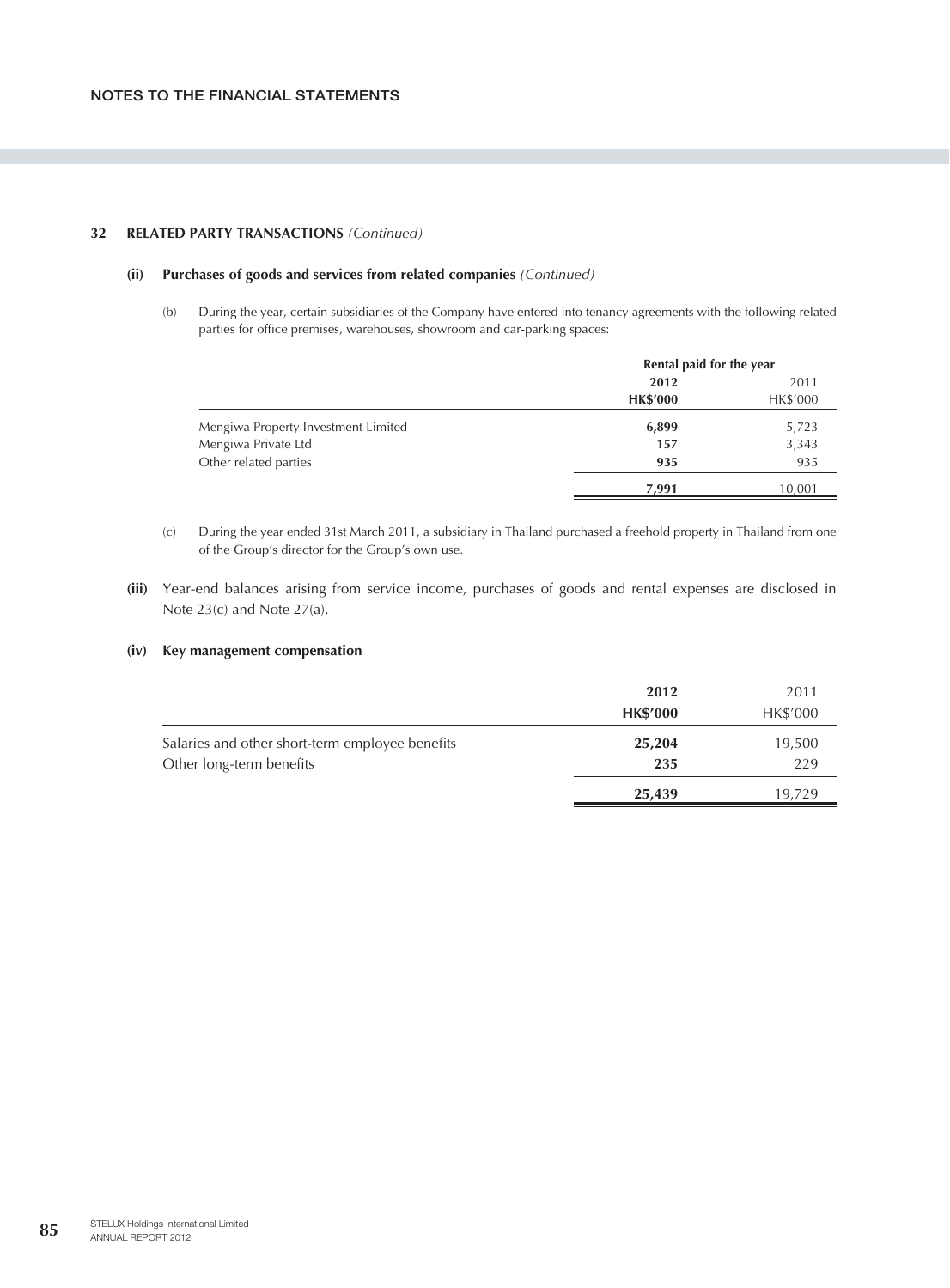### **32 RELATED PARTY TRANSACTIONS** *(Continued)*

### **(ii) Purchases of goods and services from related companies** *(Continued)*

(b) During the year, certain subsidiaries of the Company have entered into tenancy agreements with the following related parties for office premises, warehouses, showroom and car-parking spaces:

|                                     | Rental paid for the year |                         |
|-------------------------------------|--------------------------|-------------------------|
|                                     | 2012<br><b>HK\$'000</b>  | 2011<br><b>HK\$'000</b> |
|                                     |                          |                         |
| Mengiwa Property Investment Limited | 6,899                    | 5,723                   |
| Mengiwa Private Ltd                 | 157                      | 3,343                   |
| Other related parties               | 935                      | 935                     |
|                                     | 7.991                    | 10,001                  |

- (c) During the year ended 31st March 2011, a subsidiary in Thailand purchased a freehold property in Thailand from one of the Group's director for the Group's own use.
- **(iii)** Year-end balances arising from service income, purchases of goods and rental expenses are disclosed in Note 23(c) and Note 27(a).

#### **(iv) Key management compensation**

|                                                 | 2012            | 2011     |
|-------------------------------------------------|-----------------|----------|
|                                                 | <b>HK\$'000</b> | HK\$'000 |
| Salaries and other short-term employee benefits | 25,204          | 19,500   |
| Other long-term benefits                        | 235             | 229      |
|                                                 | 25,439          | 19.729   |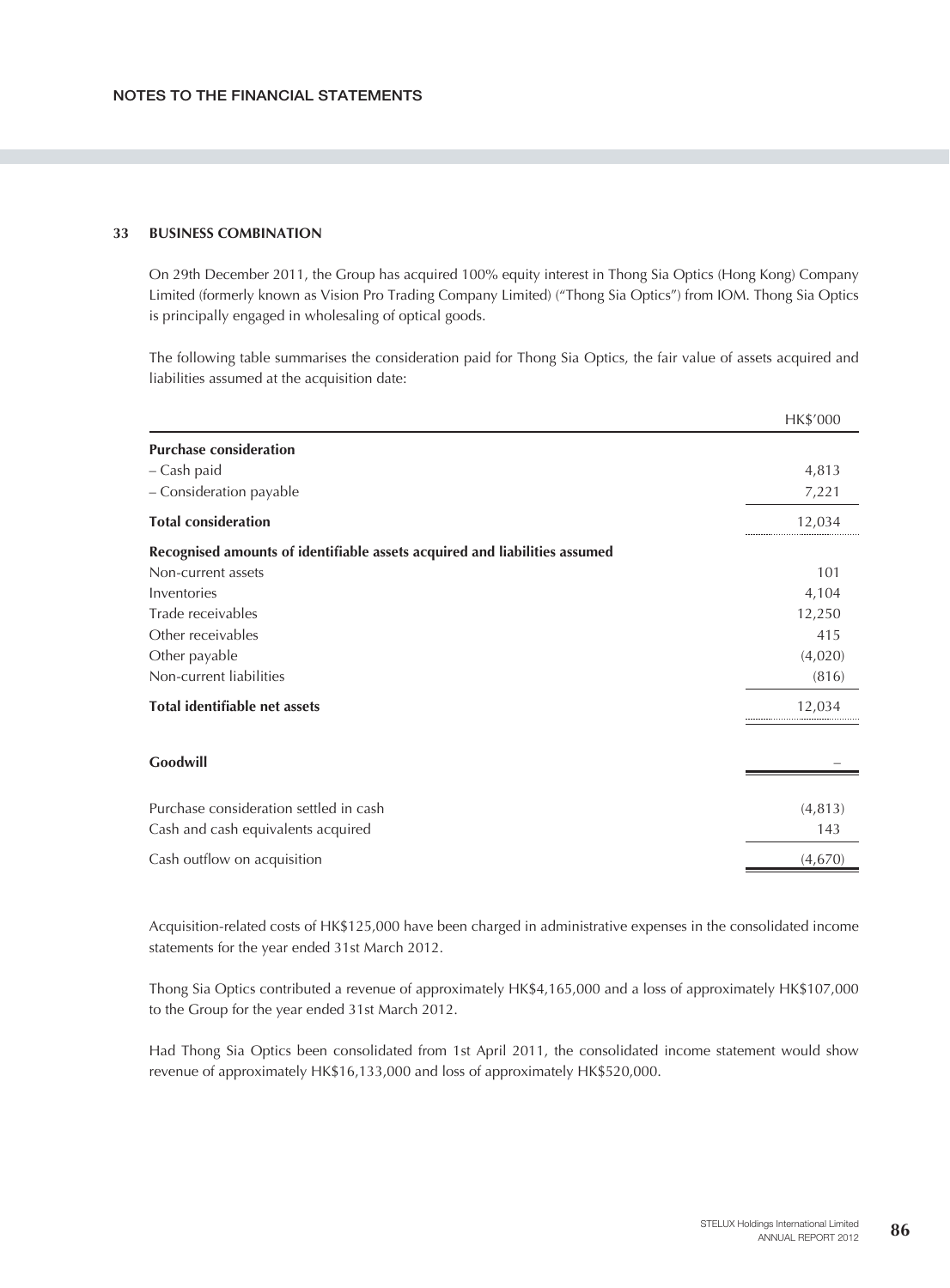### **33 BUSINESS COMBINATION**

On 29th December 2011, the Group has acquired 100% equity interest in Thong Sia Optics (Hong Kong) Company Limited (formerly known as Vision Pro Trading Company Limited) ("Thong Sia Optics") from IOM. Thong Sia Optics is principally engaged in wholesaling of optical goods.

The following table summarises the consideration paid for Thong Sia Optics, the fair value of assets acquired and liabilities assumed at the acquisition date:

|                                                                            | HK\$'000 |
|----------------------------------------------------------------------------|----------|
| <b>Purchase consideration</b>                                              |          |
| - Cash paid                                                                | 4,813    |
| - Consideration payable                                                    | 7,221    |
| <b>Total consideration</b>                                                 | 12,034   |
| Recognised amounts of identifiable assets acquired and liabilities assumed |          |
| Non-current assets                                                         | 101      |
| Inventories                                                                | 4,104    |
| Trade receivables                                                          | 12,250   |
| Other receivables                                                          | 415      |
| Other payable                                                              | (4,020)  |
| Non-current liabilities                                                    | (816)    |
| Total identifiable net assets                                              | 12,034   |
| Goodwill                                                                   |          |
| Purchase consideration settled in cash                                     | (4, 813) |
| Cash and cash equivalents acquired                                         | 143      |
| Cash outflow on acquisition                                                | (4,670)  |

Acquisition-related costs of HK\$125,000 have been charged in administrative expenses in the consolidated income statements for the year ended 31st March 2012.

Thong Sia Optics contributed a revenue of approximately HK\$4,165,000 and a loss of approximately HK\$107,000 to the Group for the year ended 31st March 2012.

Had Thong Sia Optics been consolidated from 1st April 2011, the consolidated income statement would show revenue of approximately HK\$16,133,000 and loss of approximately HK\$520,000.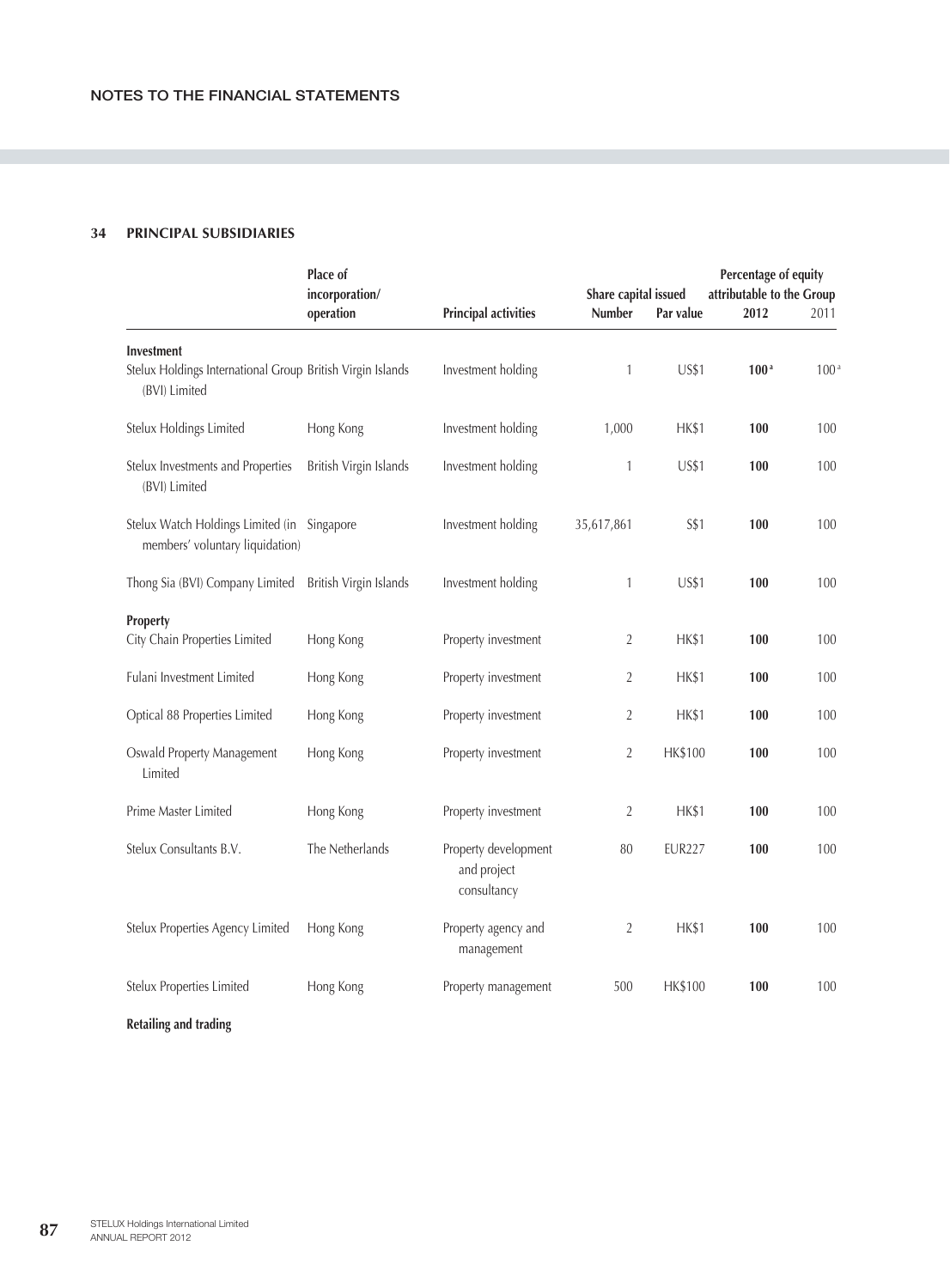## **34 PRINCIPAL SUBSIDIARIES**

|                                                                                           | Place of<br>incorporation/ |                                                    | Share capital issued |                | Percentage of equity<br>attributable to the Group |                  |
|-------------------------------------------------------------------------------------------|----------------------------|----------------------------------------------------|----------------------|----------------|---------------------------------------------------|------------------|
|                                                                                           | operation                  | <b>Principal activities</b>                        | Number               | Par value      | 2012                                              | 2011             |
| Investment<br>Stelux Holdings International Group British Virgin Islands<br>(BVI) Limited |                            | Investment holding                                 | $\mathbf{1}$         | <b>US\$1</b>   | 100 <sup>a</sup>                                  | 100 <sup>a</sup> |
| Stelux Holdings Limited                                                                   | Hong Kong                  | Investment holding                                 | 1,000                | HK\$1          | 100                                               | 100              |
| Stelux Investments and Properties<br>(BVI) Limited                                        | British Virgin Islands     | Investment holding                                 | $\mathbf{1}$         | <b>US\$1</b>   | 100                                               | 100              |
| Stelux Watch Holdings Limited (in Singapore<br>members' voluntary liquidation)            |                            | Investment holding                                 | 35,617,861           | S\$1           | 100                                               | 100              |
| Thong Sia (BVI) Company Limited                                                           | British Virgin Islands     | Investment holding                                 | $\mathbf{1}$         | <b>US\$1</b>   | 100                                               | 100              |
| Property<br>City Chain Properties Limited                                                 | Hong Kong                  | Property investment                                | $\overline{2}$       | <b>HK\$1</b>   | 100                                               | 100              |
| Fulani Investment Limited                                                                 | Hong Kong                  | Property investment                                | $\overline{2}$       | <b>HK\$1</b>   | 100                                               | 100              |
| Optical 88 Properties Limited                                                             | Hong Kong                  | Property investment                                | $\overline{2}$       | HK\$1          | 100                                               | 100              |
| <b>Oswald Property Management</b><br>Limited                                              | Hong Kong                  | Property investment                                | $\overline{2}$       | HK\$100        | 100                                               | 100              |
| Prime Master Limited                                                                      | Hong Kong                  | Property investment                                | $\overline{2}$       | HK\$1          | 100                                               | 100              |
| Stelux Consultants B.V.                                                                   | The Netherlands            | Property development<br>and project<br>consultancy | 80                   | <b>EUR227</b>  | 100                                               | 100              |
| Stelux Properties Agency Limited                                                          | Hong Kong                  | Property agency and<br>management                  | $2\,$                | HK\$1          | 100                                               | 100              |
| Stelux Properties Limited                                                                 | Hong Kong                  | Property management                                | 500                  | <b>HK\$100</b> | 100                                               | 100              |

**Retailing and trading**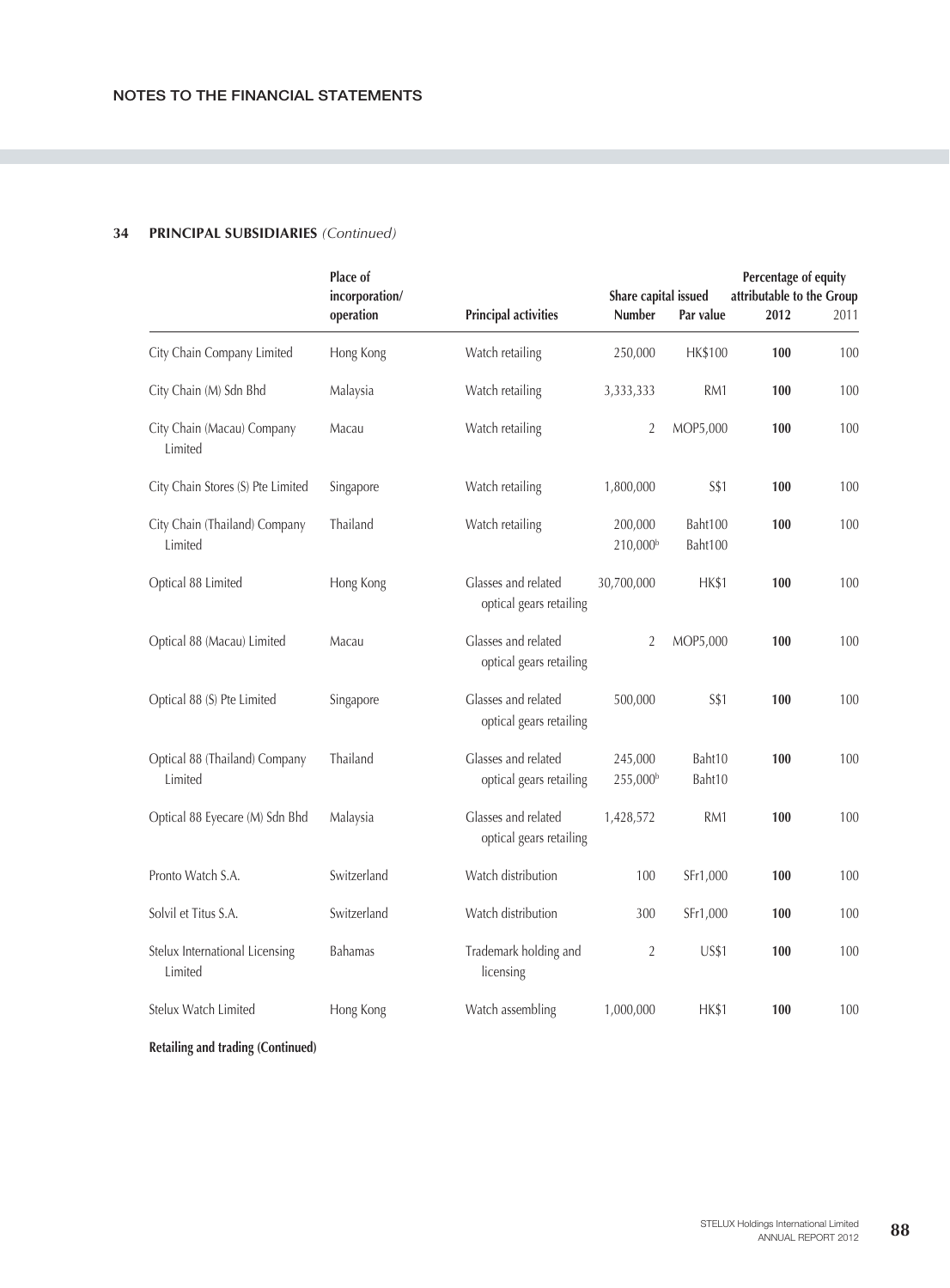## **34 PRINCIPAL SUBSIDIARIES** *(Continued)*

|                                           | Place of<br>incorporation/ |                                                | Share capital issued            |                    | Percentage of equity<br>attributable to the Group |      |
|-------------------------------------------|----------------------------|------------------------------------------------|---------------------------------|--------------------|---------------------------------------------------|------|
|                                           | operation                  | <b>Principal activities</b>                    | Number                          | Par value          | 2012                                              | 2011 |
| City Chain Company Limited                | Hong Kong                  | Watch retailing                                | 250,000                         | HK\$100            | 100                                               | 100  |
| City Chain (M) Sdn Bhd                    | Malaysia                   | Watch retailing                                | 3,333,333                       | RM1                | 100                                               | 100  |
| City Chain (Macau) Company<br>Limited     | Macau                      | Watch retailing                                | 2                               | MOP5,000           | 100                                               | 100  |
| City Chain Stores (S) Pte Limited         | Singapore                  | Watch retailing                                | 1,800,000                       | S\$1               | 100                                               | 100  |
| City Chain (Thailand) Company<br>Limited  | Thailand                   | Watch retailing                                | 200,000<br>210,000 <sup>b</sup> | Baht100<br>Baht100 | 100                                               | 100  |
| Optical 88 Limited                        | Hong Kong                  | Glasses and related<br>optical gears retailing | 30,700,000                      | HK\$1              | 100                                               | 100  |
| Optical 88 (Macau) Limited                | Macau                      | Glasses and related<br>optical gears retailing | $\overline{2}$                  | MOP5,000           | 100                                               | 100  |
| Optical 88 (S) Pte Limited                | Singapore                  | Glasses and related<br>optical gears retailing | 500,000                         | S\$1               | 100                                               | 100  |
| Optical 88 (Thailand) Company<br>Limited  | Thailand                   | Glasses and related<br>optical gears retailing | 245,000<br>255,000 <sup>b</sup> | Baht10<br>Baht10   | 100                                               | 100  |
| Optical 88 Eyecare (M) Sdn Bhd            | Malaysia                   | Glasses and related<br>optical gears retailing | 1,428,572                       | RM1                | 100                                               | 100  |
| Pronto Watch S.A.                         | Switzerland                | Watch distribution                             | 100                             | SFr1,000           | 100                                               | 100  |
| Solvil et Titus S.A.                      | Switzerland                | Watch distribution                             | 300                             | SFr1,000           | 100                                               | 100  |
| Stelux International Licensing<br>Limited | <b>Bahamas</b>             | Trademark holding and<br>licensing             | $\overline{2}$                  | <b>US\$1</b>       | 100                                               | 100  |
| Stelux Watch Limited                      | Hong Kong                  | Watch assembling                               | 1,000,000                       | HK\$1              | 100                                               | 100  |

**Retailing and trading (Continued)**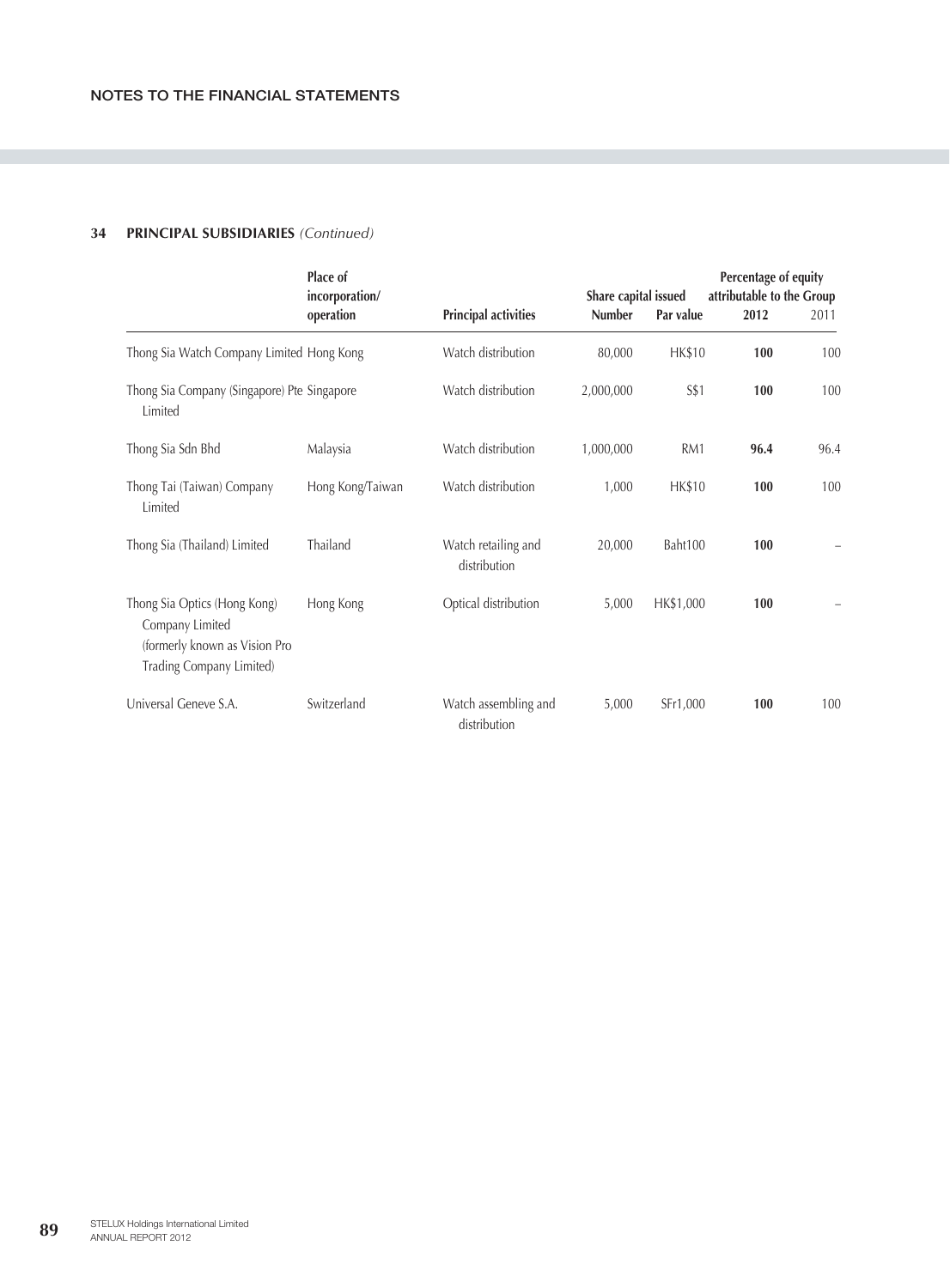## **34 PRINCIPAL SUBSIDIARIES** *(Continued)*

|                                                                                                              | Place of<br>incorporation/ |                                      | Share capital issued |               | Percentage of equity<br>attributable to the Group |      |
|--------------------------------------------------------------------------------------------------------------|----------------------------|--------------------------------------|----------------------|---------------|---------------------------------------------------|------|
|                                                                                                              | operation                  | <b>Principal activities</b>          | <b>Number</b>        | Par value     | 2012                                              | 2011 |
| Thong Sia Watch Company Limited Hong Kong                                                                    |                            | Watch distribution                   | 80,000               | <b>HK\$10</b> | 100                                               | 100  |
| Thong Sia Company (Singapore) Pte Singapore<br>Limited                                                       |                            | Watch distribution                   | 2,000,000            | S\$1          | 100                                               | 100  |
| Thong Sia Sdn Bhd                                                                                            | Malaysia                   | Watch distribution                   | 1,000,000            | RM1           | 96.4                                              | 96.4 |
| Thong Tai (Taiwan) Company<br>Limited                                                                        | Hong Kong/Taiwan           | Watch distribution                   | 1,000                | <b>HK\$10</b> | 100                                               | 100  |
| Thong Sia (Thailand) Limited                                                                                 | Thailand                   | Watch retailing and<br>distribution  | 20,000               | Baht100       | 100                                               |      |
| Thong Sia Optics (Hong Kong)<br>Company Limited<br>(formerly known as Vision Pro<br>Trading Company Limited) | Hong Kong                  | Optical distribution                 | 5,000                | HK\$1,000     | 100                                               |      |
| Universal Geneve S.A.                                                                                        | Switzerland                | Watch assembling and<br>distribution | 5,000                | SFr1,000      | 100                                               | 100  |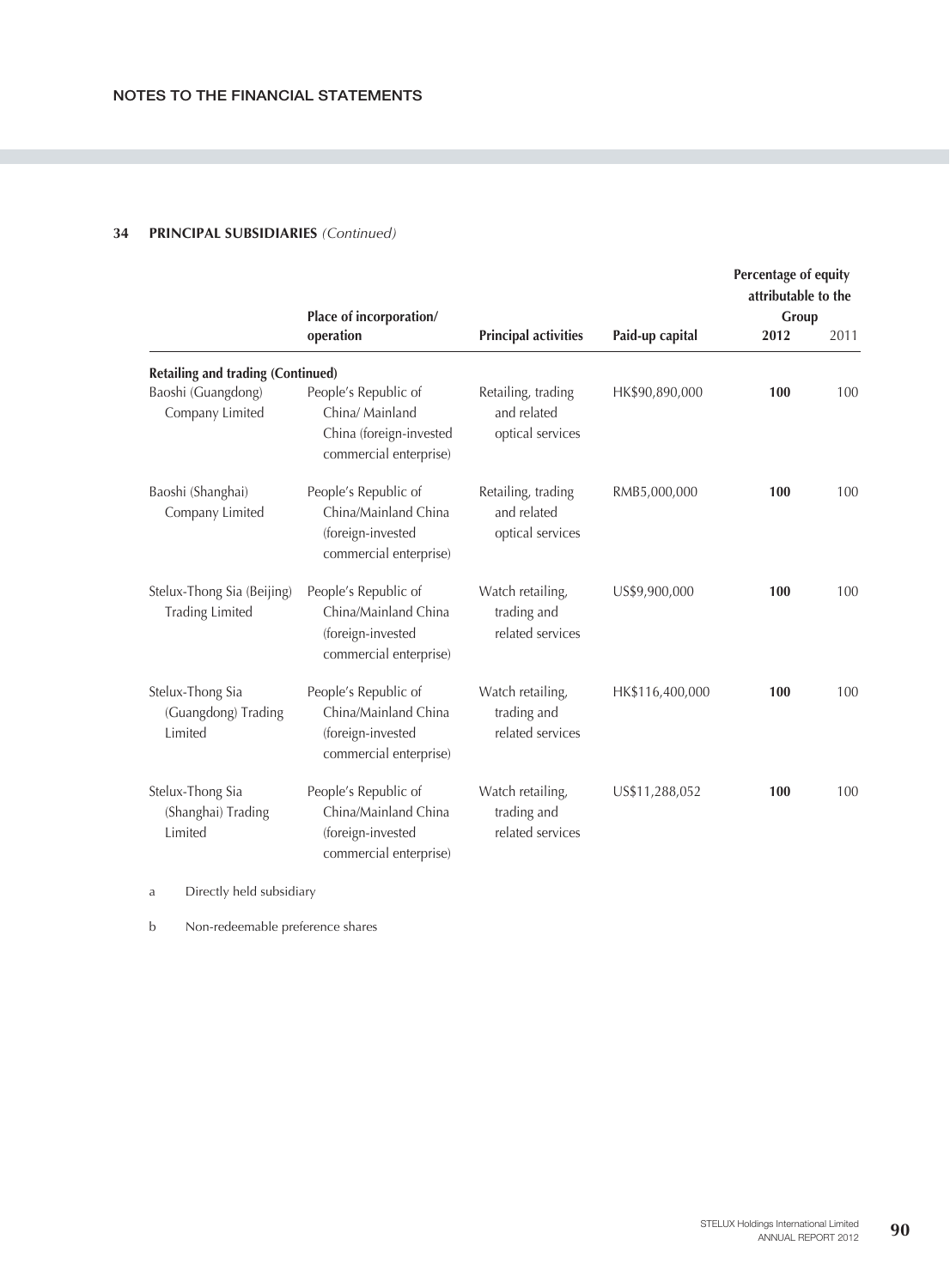## **34 PRINCIPAL SUBSIDIARIES** *(Continued)*

|                                                      | Place of incorporation/                                                                      |                                                       |                 | Percentage of equity<br>attributable to the<br>Group |      |
|------------------------------------------------------|----------------------------------------------------------------------------------------------|-------------------------------------------------------|-----------------|------------------------------------------------------|------|
|                                                      | operation                                                                                    | <b>Principal activities</b>                           | Paid-up capital | 2012                                                 | 2011 |
| <b>Retailing and trading (Continued)</b>             |                                                                                              |                                                       |                 |                                                      |      |
| Baoshi (Guangdong)<br>Company Limited                | People's Republic of<br>China/ Mainland<br>China (foreign-invested<br>commercial enterprise) | Retailing, trading<br>and related<br>optical services | HK\$90,890,000  | 100                                                  | 100  |
| Baoshi (Shanghai)<br>Company Limited                 | People's Republic of<br>China/Mainland China<br>(foreign-invested<br>commercial enterprise)  | Retailing, trading<br>and related<br>optical services | RMB5,000,000    | 100                                                  | 100  |
| Stelux-Thong Sia (Beijing)<br><b>Trading Limited</b> | People's Republic of<br>China/Mainland China<br>(foreign-invested<br>commercial enterprise)  | Watch retailing,<br>trading and<br>related services   | US\$9,900,000   | 100                                                  | 100  |
| Stelux-Thong Sia<br>(Guangdong) Trading<br>Limited   | People's Republic of<br>China/Mainland China<br>(foreign-invested<br>commercial enterprise)  | Watch retailing,<br>trading and<br>related services   | HK\$116,400,000 | 100                                                  | 100  |
| Stelux-Thong Sia<br>(Shanghai) Trading<br>Limited    | People's Republic of<br>China/Mainland China<br>(foreign-invested<br>commercial enterprise)  | Watch retailing,<br>trading and<br>related services   | US\$11,288,052  | 100                                                  | 100  |

a Directly held subsidiary

b Non-redeemable preference shares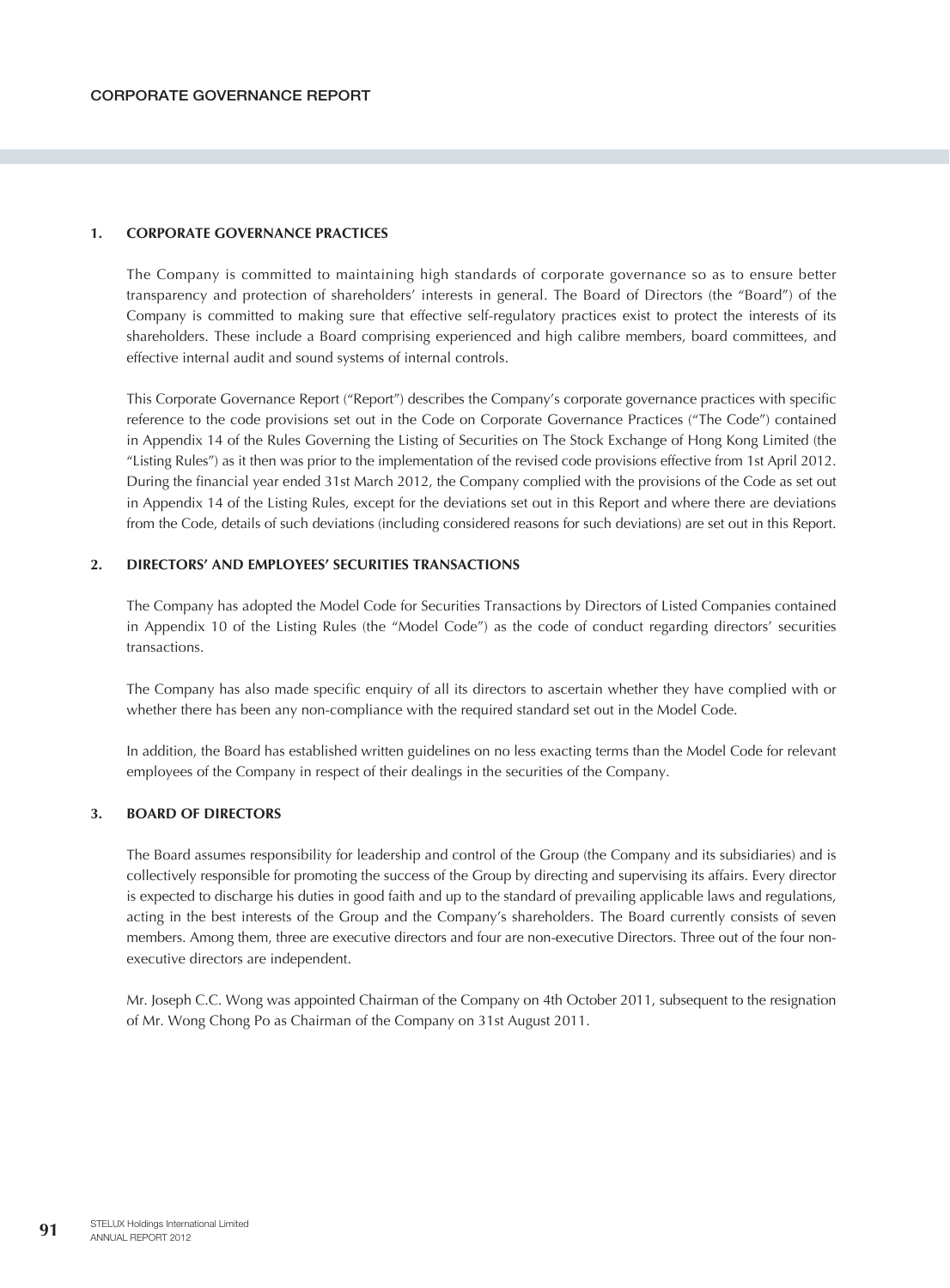### **1. CORPORATE GOVERNANCE PRACTICES**

The Company is committed to maintaining high standards of corporate governance so as to ensure better transparency and protection of shareholders' interests in general. The Board of Directors (the "Board") of the Company is committed to making sure that effective self-regulatory practices exist to protect the interests of its shareholders. These include a Board comprising experienced and high calibre members, board committees, and effective internal audit and sound systems of internal controls.

This Corporate Governance Report ("Report") describes the Company's corporate governance practices with specific reference to the code provisions set out in the Code on Corporate Governance Practices ("The Code") contained in Appendix 14 of the Rules Governing the Listing of Securities on The Stock Exchange of Hong Kong Limited (the "Listing Rules") as it then was prior to the implementation of the revised code provisions effective from 1st April 2012. During the financial year ended 31st March 2012, the Company complied with the provisions of the Code as set out in Appendix 14 of the Listing Rules, except for the deviations set out in this Report and where there are deviations from the Code, details of such deviations (including considered reasons for such deviations) are set out in this Report.

#### **2. DIRECTORS' AND EMPLOYEES' SECURITIES TRANSACTIONS**

The Company has adopted the Model Code for Securities Transactions by Directors of Listed Companies contained in Appendix 10 of the Listing Rules (the "Model Code") as the code of conduct regarding directors' securities transactions.

The Company has also made specific enquiry of all its directors to ascertain whether they have complied with or whether there has been any non-compliance with the required standard set out in the Model Code.

In addition, the Board has established written guidelines on no less exacting terms than the Model Code for relevant employees of the Company in respect of their dealings in the securities of the Company.

## **3. BOARD OF DIRECTORS**

The Board assumes responsibility for leadership and control of the Group (the Company and its subsidiaries) and is collectively responsible for promoting the success of the Group by directing and supervising its affairs. Every director is expected to discharge his duties in good faith and up to the standard of prevailing applicable laws and regulations, acting in the best interests of the Group and the Company's shareholders. The Board currently consists of seven members. Among them, three are executive directors and four are non-executive Directors. Three out of the four nonexecutive directors are independent.

Mr. Joseph C.C. Wong was appointed Chairman of the Company on 4th October 2011, subsequent to the resignation of Mr. Wong Chong Po as Chairman of the Company on 31st August 2011.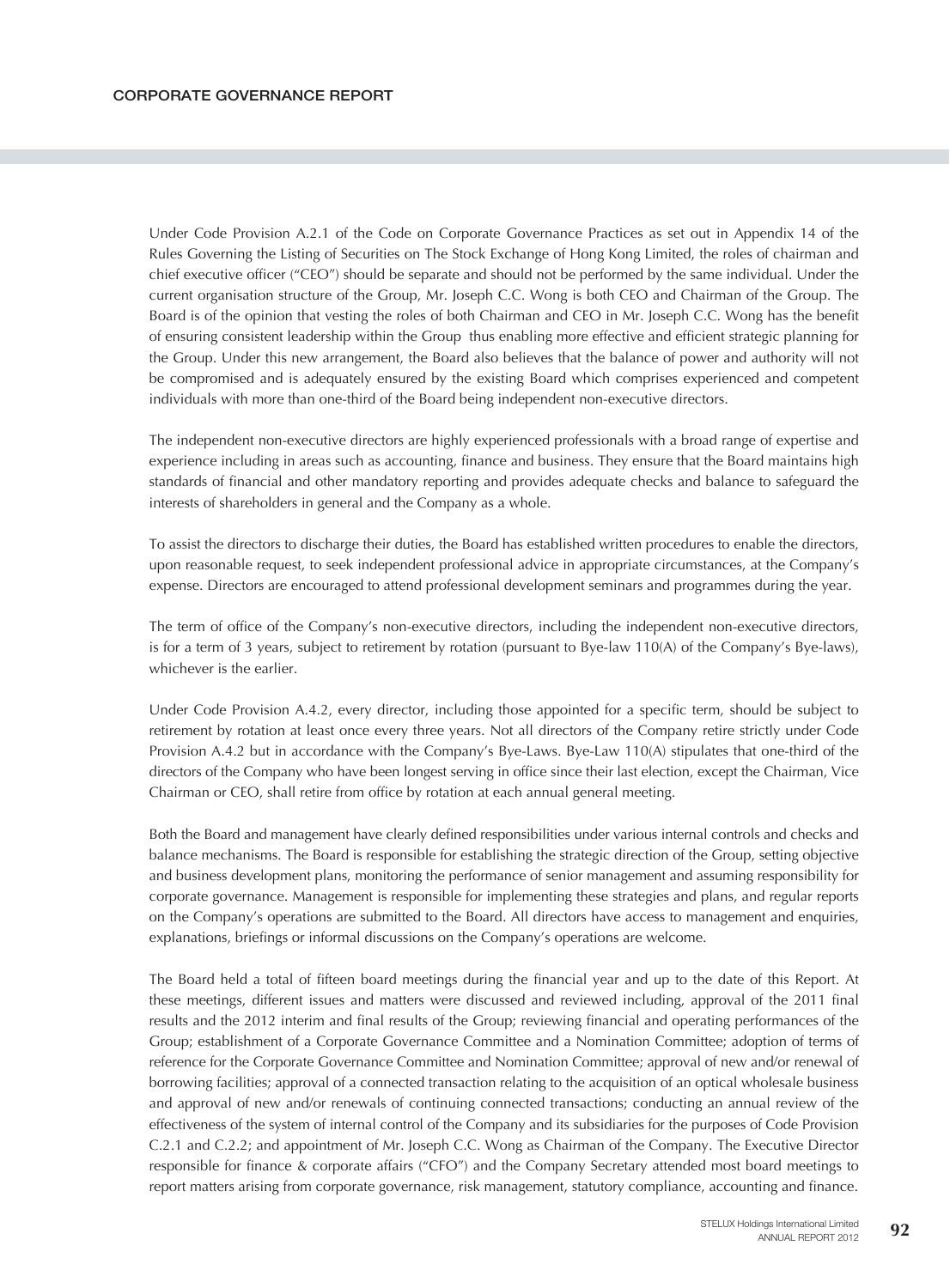Under Code Provision A.2.1 of the Code on Corporate Governance Practices as set out in Appendix 14 of the Rules Governing the Listing of Securities on The Stock Exchange of Hong Kong Limited, the roles of chairman and chief executive officer ("CEO") should be separate and should not be performed by the same individual. Under the current organisation structure of the Group, Mr. Joseph C.C. Wong is both CEO and Chairman of the Group. The Board is of the opinion that vesting the roles of both Chairman and CEO in Mr. Joseph C.C. Wong has the benefit of ensuring consistent leadership within the Group thus enabling more effective and efficient strategic planning for the Group. Under this new arrangement, the Board also believes that the balance of power and authority will not be compromised and is adequately ensured by the existing Board which comprises experienced and competent individuals with more than one-third of the Board being independent non-executive directors.

The independent non-executive directors are highly experienced professionals with a broad range of expertise and experience including in areas such as accounting, finance and business. They ensure that the Board maintains high standards of financial and other mandatory reporting and provides adequate checks and balance to safeguard the interests of shareholders in general and the Company as a whole.

To assist the directors to discharge their duties, the Board has established written procedures to enable the directors, upon reasonable request, to seek independent professional advice in appropriate circumstances, at the Company's expense. Directors are encouraged to attend professional development seminars and programmes during the year.

The term of office of the Company's non-executive directors, including the independent non-executive directors, is for a term of 3 years, subject to retirement by rotation (pursuant to Bye-law 110(A) of the Company's Bye-laws), whichever is the earlier.

Under Code Provision A.4.2, every director, including those appointed for a specific term, should be subject to retirement by rotation at least once every three years. Not all directors of the Company retire strictly under Code Provision A.4.2 but in accordance with the Company's Bye-Laws. Bye-Law 110(A) stipulates that one-third of the directors of the Company who have been longest serving in office since their last election, except the Chairman, Vice Chairman or CEO, shall retire from office by rotation at each annual general meeting.

Both the Board and management have clearly defined responsibilities under various internal controls and checks and balance mechanisms. The Board is responsible for establishing the strategic direction of the Group, setting objective and business development plans, monitoring the performance of senior management and assuming responsibility for corporate governance. Management is responsible for implementing these strategies and plans, and regular reports on the Company's operations are submitted to the Board. All directors have access to management and enquiries, explanations, briefings or informal discussions on the Company's operations are welcome.

The Board held a total of fifteen board meetings during the financial year and up to the date of this Report. At these meetings, different issues and matters were discussed and reviewed including, approval of the 2011 final results and the 2012 interim and final results of the Group; reviewing financial and operating performances of the Group; establishment of a Corporate Governance Committee and a Nomination Committee; adoption of terms of reference for the Corporate Governance Committee and Nomination Committee; approval of new and/or renewal of borrowing facilities; approval of a connected transaction relating to the acquisition of an optical wholesale business and approval of new and/or renewals of continuing connected transactions; conducting an annual review of the effectiveness of the system of internal control of the Company and its subsidiaries for the purposes of Code Provision C.2.1 and C.2.2; and appointment of Mr. Joseph C.C. Wong as Chairman of the Company. The Executive Director responsible for finance & corporate affairs ("CFO") and the Company Secretary attended most board meetings to report matters arising from corporate governance, risk management, statutory compliance, accounting and finance.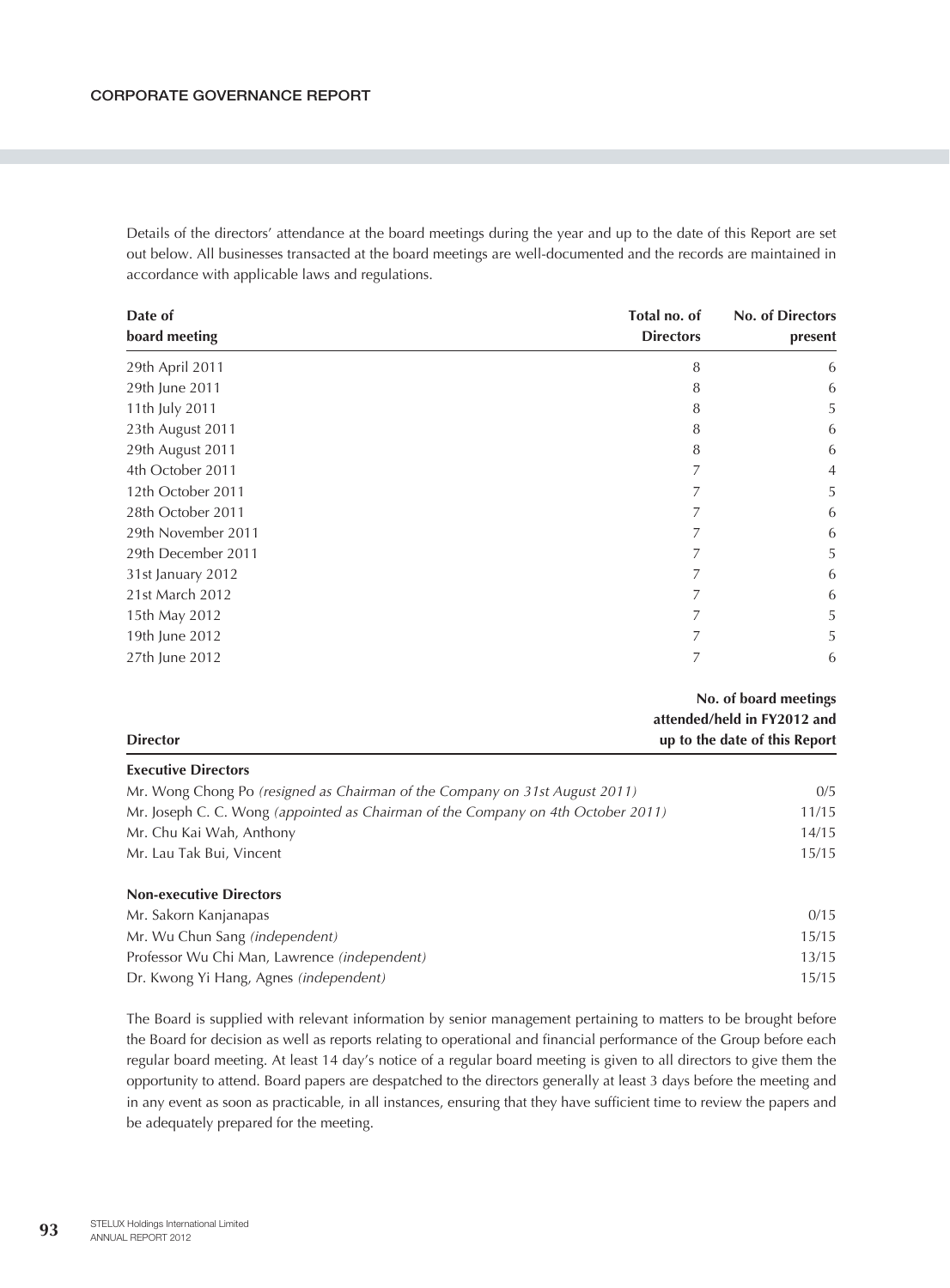Details of the directors' attendance at the board meetings during the year and up to the date of this Report are set out below. All businesses transacted at the board meetings are well-documented and the records are maintained in accordance with applicable laws and regulations.

| Date of            | Total no. of     | <b>No. of Directors</b><br>present |  |
|--------------------|------------------|------------------------------------|--|
| board meeting      | <b>Directors</b> |                                    |  |
| 29th April 2011    | 8                | 6                                  |  |
| 29th June 2011     | 8                | 6                                  |  |
| 11th July 2011     | 8                | 5                                  |  |
| 23th August 2011   | 8                | 6                                  |  |
| 29th August 2011   | 8                | 6                                  |  |
| 4th October 2011   |                  | $\overline{4}$                     |  |
| 12th October 2011  |                  | 5                                  |  |
| 28th October 2011  |                  | 6                                  |  |
| 29th November 2011 |                  | 6                                  |  |
| 29th December 2011 |                  | 5                                  |  |
| 31st January 2012  |                  | 6                                  |  |
| 21st March 2012    |                  | 6                                  |  |
| 15th May 2012      |                  | 5                                  |  |
| 19th June 2012     |                  | 5                                  |  |
| 27th June 2012     | 7                | 6                                  |  |

## **No. of board meetings attended/held in FY2012 and Director** up to the date of this Report

| <b>Executive Directors</b>                                                       |       |
|----------------------------------------------------------------------------------|-------|
| Mr. Wong Chong Po (resigned as Chairman of the Company on 31st August 2011)      | 0/5   |
| Mr. Joseph C. C. Wong (appointed as Chairman of the Company on 4th October 2011) | 11/15 |
| Mr. Chu Kai Wah, Anthony                                                         | 14/15 |
| Mr. Lau Tak Bui, Vincent                                                         | 15/15 |
|                                                                                  |       |
| <b>Non-executive Directors</b>                                                   |       |
| Mr. Sakorn Kanjanapas                                                            | 0/15  |
| Mr. Wu Chun Sang (independent)                                                   | 15/15 |
| Professor Wu Chi Man, Lawrence <i>(independent)</i>                              | 13/15 |
| Dr. Kwong Yi Hang, Agnes <i>(independent)</i>                                    | 15/15 |

The Board is supplied with relevant information by senior management pertaining to matters to be brought before the Board for decision as well as reports relating to operational and financial performance of the Group before each regular board meeting. At least 14 day's notice of a regular board meeting is given to all directors to give them the opportunity to attend. Board papers are despatched to the directors generally at least 3 days before the meeting and in any event as soon as practicable, in all instances, ensuring that they have sufficient time to review the papers and be adequately prepared for the meeting.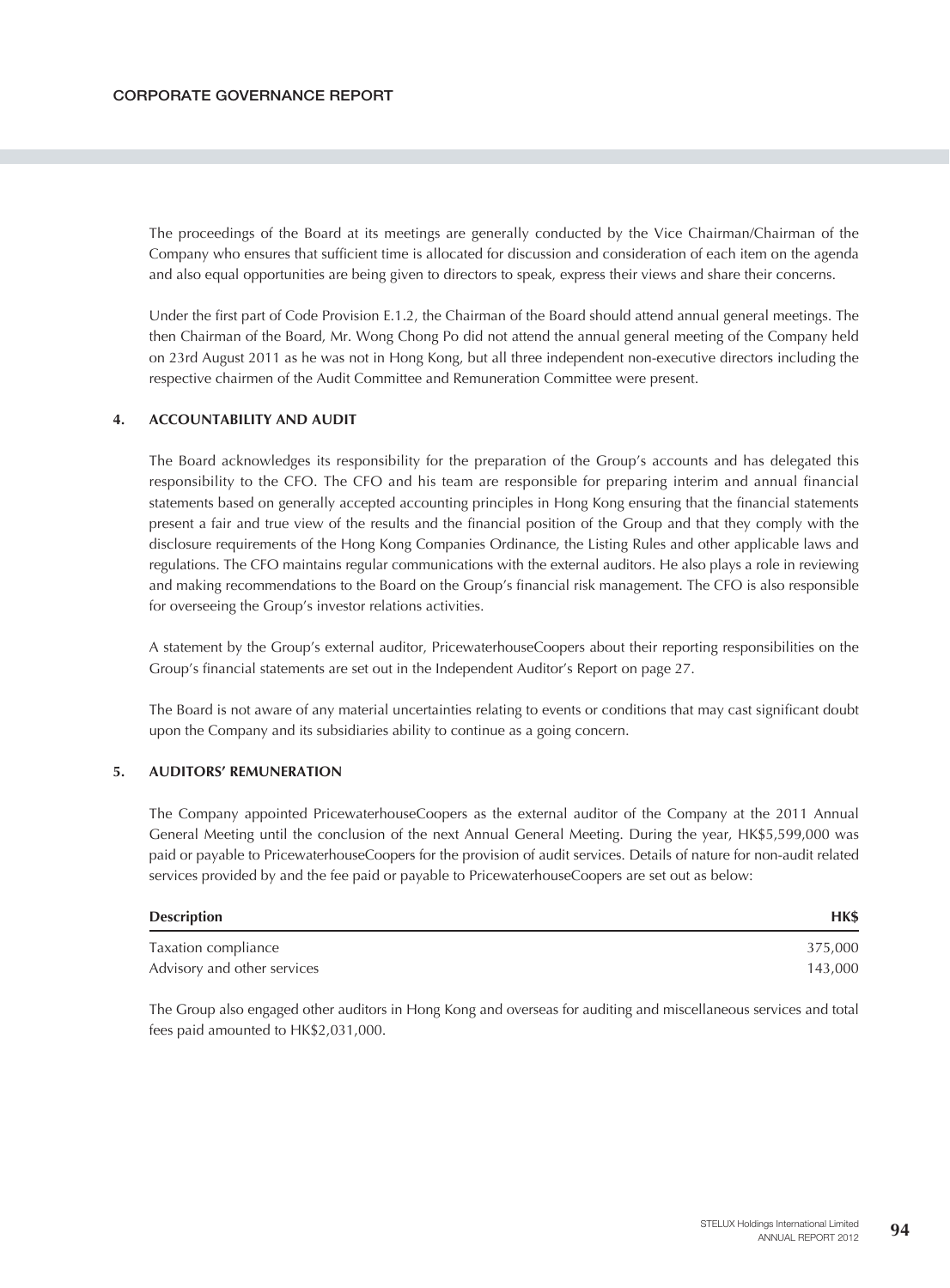The proceedings of the Board at its meetings are generally conducted by the Vice Chairman/Chairman of the Company who ensures that sufficient time is allocated for discussion and consideration of each item on the agenda and also equal opportunities are being given to directors to speak, express their views and share their concerns.

Under the first part of Code Provision E.1.2, the Chairman of the Board should attend annual general meetings. The then Chairman of the Board, Mr. Wong Chong Po did not attend the annual general meeting of the Company held on 23rd August 2011 as he was not in Hong Kong, but all three independent non-executive directors including the respective chairmen of the Audit Committee and Remuneration Committee were present.

#### **4. ACCOUNTABILITY AND AUDIT**

The Board acknowledges its responsibility for the preparation of the Group's accounts and has delegated this responsibility to the CFO. The CFO and his team are responsible for preparing interim and annual financial statements based on generally accepted accounting principles in Hong Kong ensuring that the financial statements present a fair and true view of the results and the financial position of the Group and that they comply with the disclosure requirements of the Hong Kong Companies Ordinance, the Listing Rules and other applicable laws and regulations. The CFO maintains regular communications with the external auditors. He also plays a role in reviewing and making recommendations to the Board on the Group's financial risk management. The CFO is also responsible for overseeing the Group's investor relations activities.

A statement by the Group's external auditor, PricewaterhouseCoopers about their reporting responsibilities on the Group's financial statements are set out in the Independent Auditor's Report on page 27.

The Board is not aware of any material uncertainties relating to events or conditions that may cast significant doubt upon the Company and its subsidiaries ability to continue as a going concern.

#### **5. AUDITORS' REMUNERATION**

The Company appointed PricewaterhouseCoopers as the external auditor of the Company at the 2011 Annual General Meeting until the conclusion of the next Annual General Meeting. During the year, HK\$5,599,000 was paid or payable to PricewaterhouseCoopers for the provision of audit services. Details of nature for non-audit related services provided by and the fee paid or payable to PricewaterhouseCoopers are set out as below:

| <b>Description</b>          | HK\$    |
|-----------------------------|---------|
| Taxation compliance         | 375,000 |
| Advisory and other services | 143,000 |

The Group also engaged other auditors in Hong Kong and overseas for auditing and miscellaneous services and total fees paid amounted to HK\$2,031,000.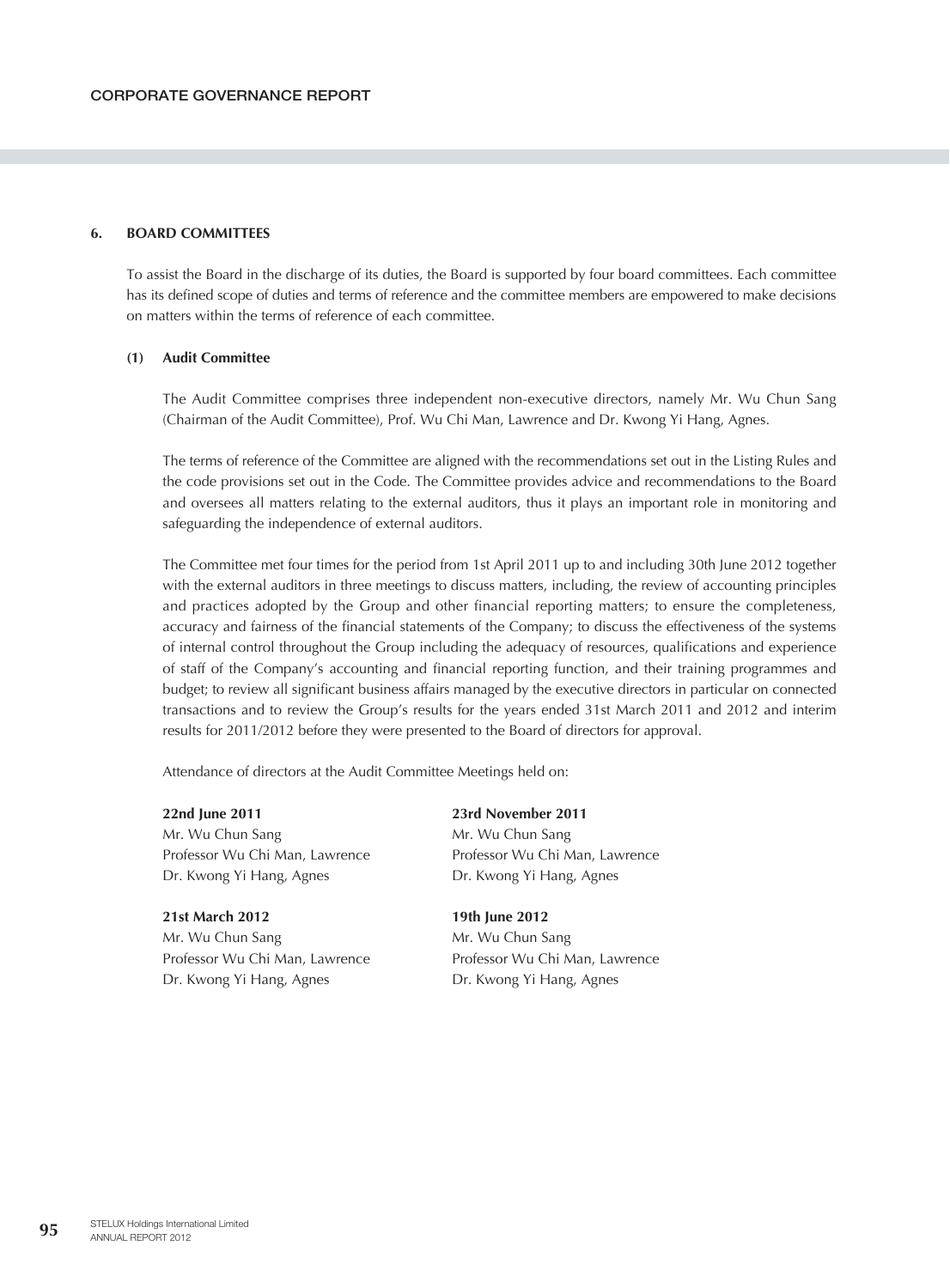#### **6. BOARD COMMITTEES**

To assist the Board in the discharge of its duties, the Board is supported by four board committees. Each committee has its defined scope of duties and terms of reference and the committee members are empowered to make decisions on matters within the terms of reference of each committee.

## **(1) Audit Committee**

The Audit Committee comprises three independent non-executive directors, namely Mr. Wu Chun Sang (Chairman of the Audit Committee), Prof. Wu Chi Man, Lawrence and Dr. Kwong Yi Hang, Agnes.

The terms of reference of the Committee are aligned with the recommendations set out in the Listing Rules and the code provisions set out in the Code. The Committee provides advice and recommendations to the Board and oversees all matters relating to the external auditors, thus it plays an important role in monitoring and safeguarding the independence of external auditors.

The Committee met four times for the period from 1st April 2011 up to and including 30th June 2012 together with the external auditors in three meetings to discuss matters, including, the review of accounting principles and practices adopted by the Group and other financial reporting matters; to ensure the completeness, accuracy and fairness of the financial statements of the Company; to discuss the effectiveness of the systems of internal control throughout the Group including the adequacy of resources, qualifications and experience of staff of the Company's accounting and financial reporting function, and their training programmes and budget; to review all significant business affairs managed by the executive directors in particular on connected transactions and to review the Group's results for the years ended 31st March 2011 and 2012 and interim results for 2011/2012 before they were presented to the Board of directors for approval.

Attendance of directors at the Audit Committee Meetings held on:

**22nd June 2011 23rd November 2011** Mr. Wu Chun Sang Mr. Wu Chun Sang Dr. Kwong Yi Hang, Agnes Dr. Kwong Yi Hang, Agnes

**21st March 2012 19th June 2012** Mr. Wu Chun Sang Mr. Wu Chun Sang Dr. Kwong Yi Hang, Agnes Dr. Kwong Yi Hang, Agnes

Professor Wu Chi Man, Lawrence Professor Wu Chi Man, Lawrence

Professor Wu Chi Man, Lawrence Professor Wu Chi Man, Lawrence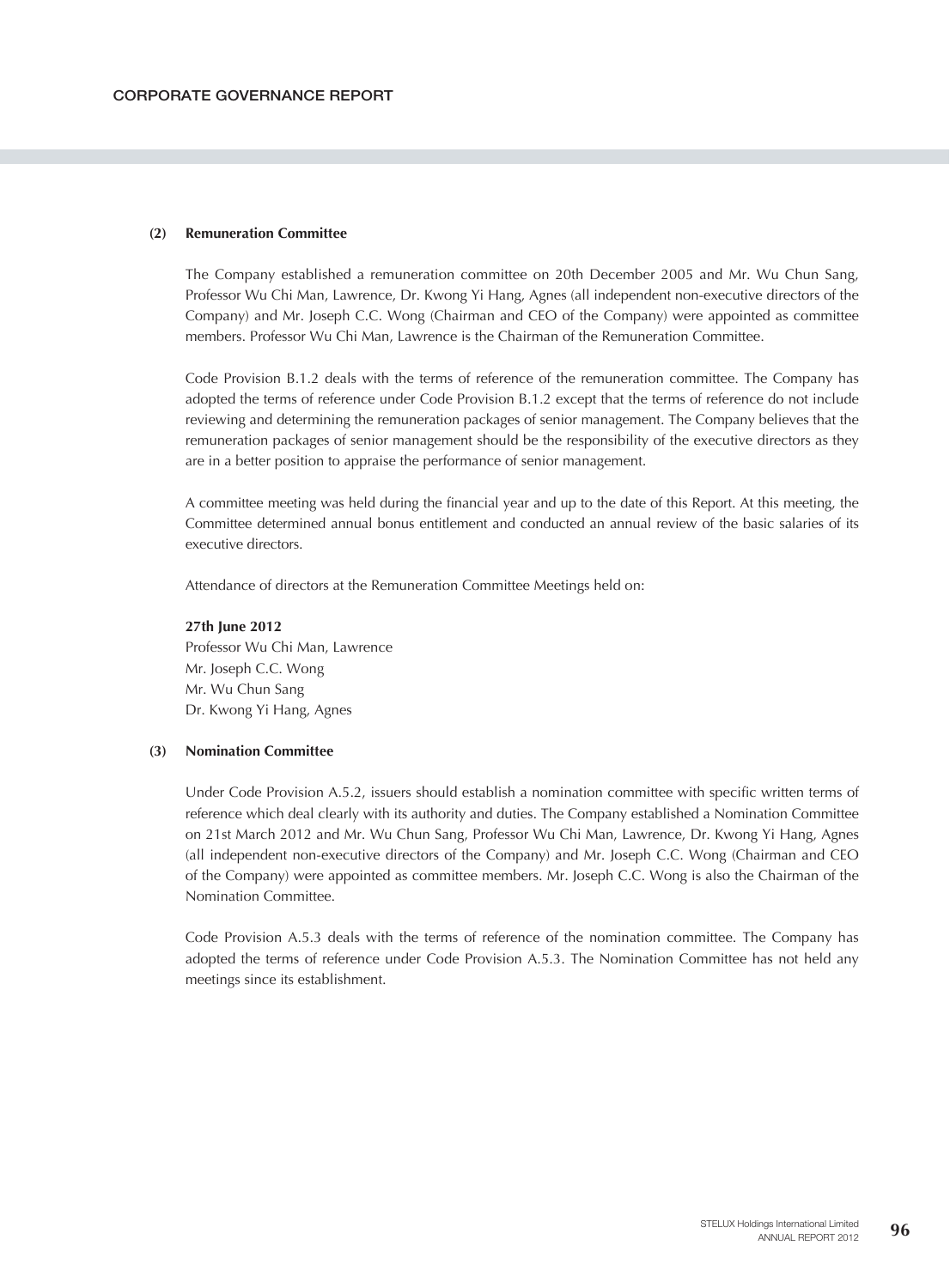### **(2) Remuneration Committee**

The Company established a remuneration committee on 20th December 2005 and Mr. Wu Chun Sang, Professor Wu Chi Man, Lawrence, Dr. Kwong Yi Hang, Agnes (all independent non-executive directors of the Company) and Mr. Joseph C.C. Wong (Chairman and CEO of the Company) were appointed as committee members. Professor Wu Chi Man, Lawrence is the Chairman of the Remuneration Committee.

Code Provision B.1.2 deals with the terms of reference of the remuneration committee. The Company has adopted the terms of reference under Code Provision B.1.2 except that the terms of reference do not include reviewing and determining the remuneration packages of senior management. The Company believes that the remuneration packages of senior management should be the responsibility of the executive directors as they are in a better position to appraise the performance of senior management.

A committee meeting was held during the financial year and up to the date of this Report. At this meeting, the Committee determined annual bonus entitlement and conducted an annual review of the basic salaries of its executive directors.

Attendance of directors at the Remuneration Committee Meetings held on:

#### **27th June 2012**

Professor Wu Chi Man, Lawrence Mr. Joseph C.C. Wong Mr. Wu Chun Sang Dr. Kwong Yi Hang, Agnes

#### **(3) Nomination Committee**

Under Code Provision A.5.2, issuers should establish a nomination committee with specific written terms of reference which deal clearly with its authority and duties. The Company established a Nomination Committee on 21st March 2012 and Mr. Wu Chun Sang, Professor Wu Chi Man, Lawrence, Dr. Kwong Yi Hang, Agnes (all independent non-executive directors of the Company) and Mr. Joseph C.C. Wong (Chairman and CEO of the Company) were appointed as committee members. Mr. Joseph C.C. Wong is also the Chairman of the Nomination Committee.

Code Provision A.5.3 deals with the terms of reference of the nomination committee. The Company has adopted the terms of reference under Code Provision A.5.3. The Nomination Committee has not held any meetings since its establishment.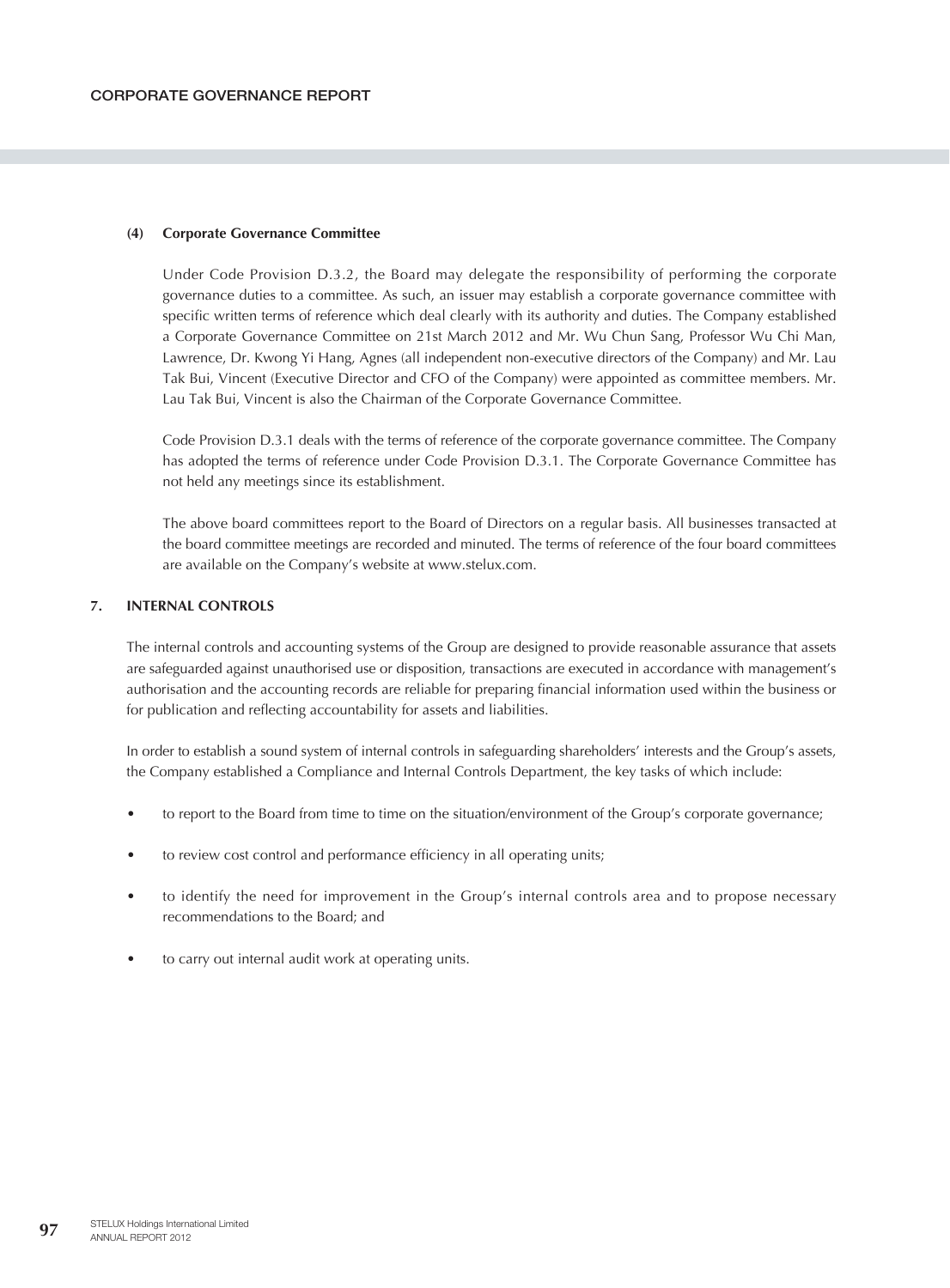#### **(4) Corporate Governance Committee**

Under Code Provision D.3.2, the Board may delegate the responsibility of performing the corporate governance duties to a committee. As such, an issuer may establish a corporate governance committee with specific written terms of reference which deal clearly with its authority and duties. The Company established a Corporate Governance Committee on 21st March 2012 and Mr. Wu Chun Sang, Professor Wu Chi Man, Lawrence, Dr. Kwong Yi Hang, Agnes (all independent non-executive directors of the Company) and Mr. Lau Tak Bui, Vincent (Executive Director and CFO of the Company) were appointed as committee members. Mr. Lau Tak Bui, Vincent is also the Chairman of the Corporate Governance Committee.

Code Provision D.3.1 deals with the terms of reference of the corporate governance committee. The Company has adopted the terms of reference under Code Provision D.3.1. The Corporate Governance Committee has not held any meetings since its establishment.

The above board committees report to the Board of Directors on a regular basis. All businesses transacted at the board committee meetings are recorded and minuted. The terms of reference of the four board committees are available on the Company's website at www.stelux.com.

#### **7. INTERNAL CONTROLS**

The internal controls and accounting systems of the Group are designed to provide reasonable assurance that assets are safeguarded against unauthorised use or disposition, transactions are executed in accordance with management's authorisation and the accounting records are reliable for preparing financial information used within the business or for publication and reflecting accountability for assets and liabilities.

In order to establish a sound system of internal controls in safeguarding shareholders' interests and the Group's assets, the Company established a Compliance and Internal Controls Department, the key tasks of which include:

- to report to the Board from time to time on the situation/environment of the Group's corporate governance;
- to review cost control and performance efficiency in all operating units;
- to identify the need for improvement in the Group's internal controls area and to propose necessary recommendations to the Board; and
- to carry out internal audit work at operating units.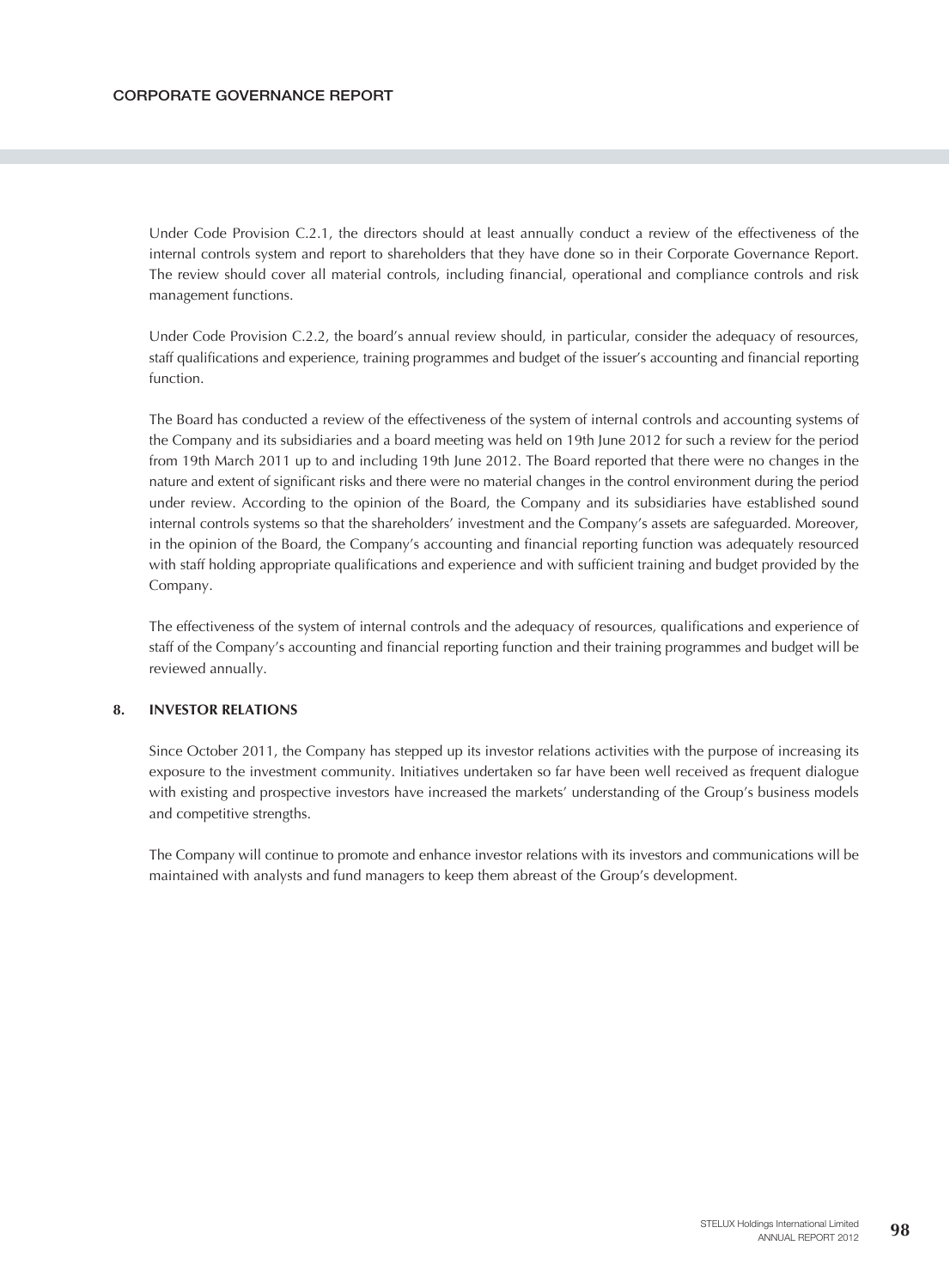Under Code Provision C.2.1, the directors should at least annually conduct a review of the effectiveness of the internal controls system and report to shareholders that they have done so in their Corporate Governance Report. The review should cover all material controls, including financial, operational and compliance controls and risk management functions.

Under Code Provision C.2.2, the board's annual review should, in particular, consider the adequacy of resources, staff qualifications and experience, training programmes and budget of the issuer's accounting and financial reporting function.

The Board has conducted a review of the effectiveness of the system of internal controls and accounting systems of the Company and its subsidiaries and a board meeting was held on 19th June 2012 for such a review for the period from 19th March 2011 up to and including 19th June 2012. The Board reported that there were no changes in the nature and extent of significant risks and there were no material changes in the control environment during the period under review. According to the opinion of the Board, the Company and its subsidiaries have established sound internal controls systems so that the shareholders' investment and the Company's assets are safeguarded. Moreover, in the opinion of the Board, the Company's accounting and financial reporting function was adequately resourced with staff holding appropriate qualifications and experience and with sufficient training and budget provided by the Company.

The effectiveness of the system of internal controls and the adequacy of resources, qualifications and experience of staff of the Company's accounting and financial reporting function and their training programmes and budget will be reviewed annually.

## **8. INVESTOR RELATIONS**

Since October 2011, the Company has stepped up its investor relations activities with the purpose of increasing its exposure to the investment community. Initiatives undertaken so far have been well received as frequent dialogue with existing and prospective investors have increased the markets' understanding of the Group's business models and competitive strengths.

The Company will continue to promote and enhance investor relations with its investors and communications will be maintained with analysts and fund managers to keep them abreast of the Group's development.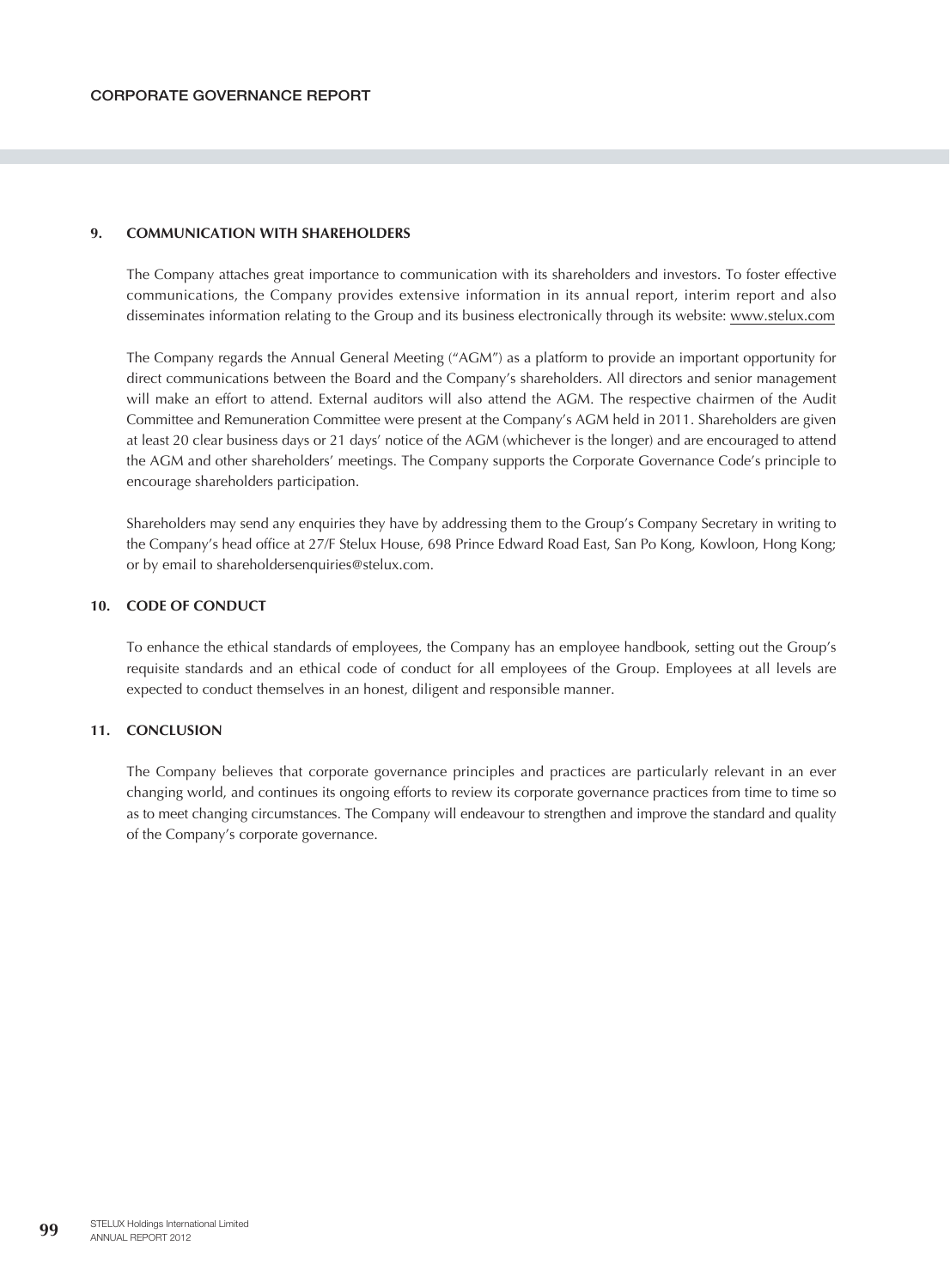### **9. COMMUNICATION WITH SHAREHOLDERS**

The Company attaches great importance to communication with its shareholders and investors. To foster effective communications, the Company provides extensive information in its annual report, interim report and also disseminates information relating to the Group and its business electronically through its website: www.stelux.com

The Company regards the Annual General Meeting ("AGM") as a platform to provide an important opportunity for direct communications between the Board and the Company's shareholders. All directors and senior management will make an effort to attend. External auditors will also attend the AGM. The respective chairmen of the Audit Committee and Remuneration Committee were present at the Company's AGM held in 2011. Shareholders are given at least 20 clear business days or 21 days' notice of the AGM (whichever is the longer) and are encouraged to attend the AGM and other shareholders' meetings. The Company supports the Corporate Governance Code's principle to encourage shareholders participation.

Shareholders may send any enquiries they have by addressing them to the Group's Company Secretary in writing to the Company's head office at 27/F Stelux House, 698 Prince Edward Road East, San Po Kong, Kowloon, Hong Kong; or by email to shareholdersenquiries@stelux.com.

#### **10. CODE OF CONDUCT**

To enhance the ethical standards of employees, the Company has an employee handbook, setting out the Group's requisite standards and an ethical code of conduct for all employees of the Group. Employees at all levels are expected to conduct themselves in an honest, diligent and responsible manner.

## **11. CONCLUSION**

The Company believes that corporate governance principles and practices are particularly relevant in an ever changing world, and continues its ongoing efforts to review its corporate governance practices from time to time so as to meet changing circumstances. The Company will endeavour to strengthen and improve the standard and quality of the Company's corporate governance.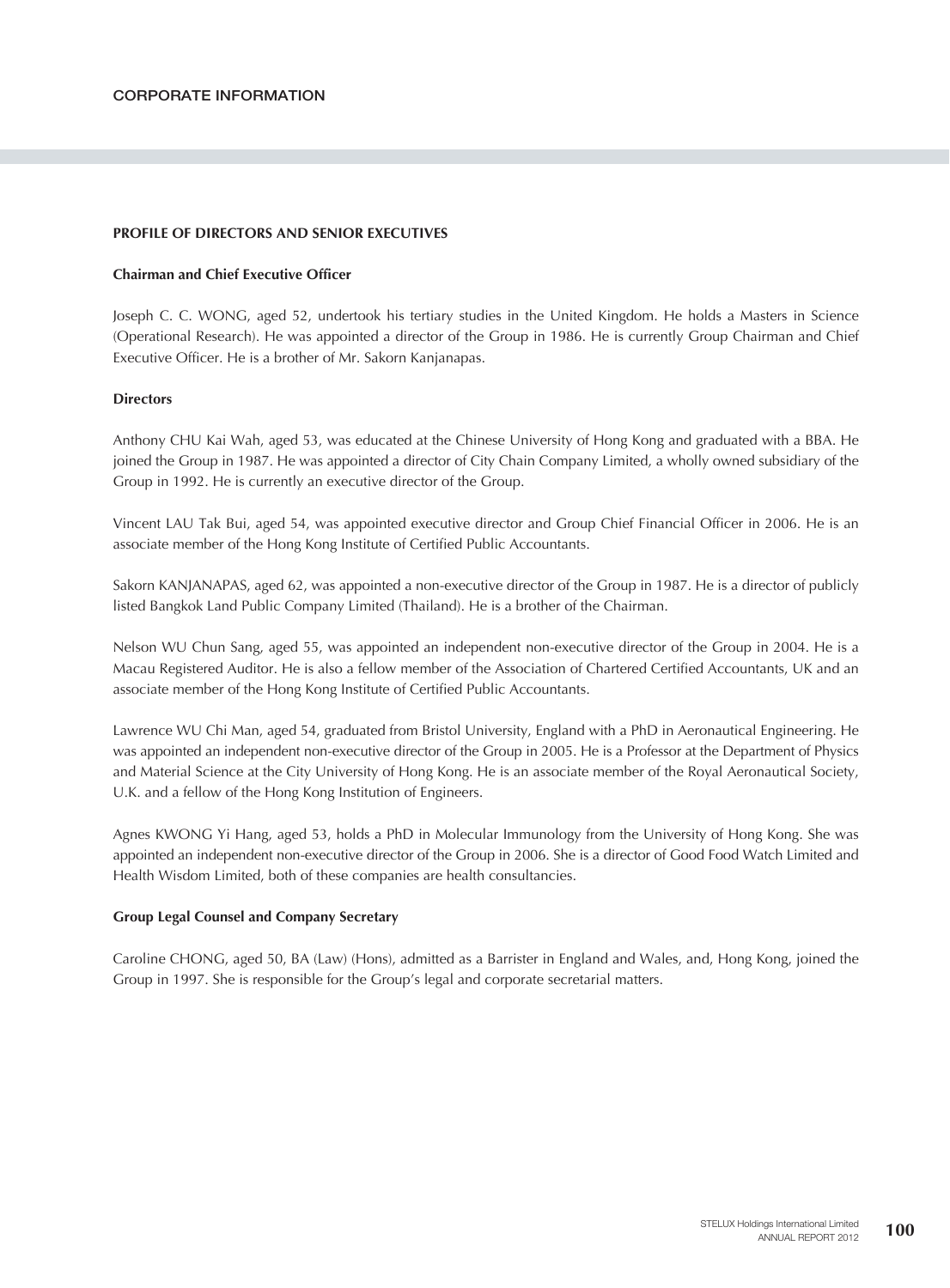### **PROFILE OF DIRECTORS AND SENIOR EXECUTIVES**

#### **Chairman and Chief Executive Officer**

Joseph C. C. WONG, aged 52, undertook his tertiary studies in the United Kingdom. He holds a Masters in Science (Operational Research). He was appointed a director of the Group in 1986. He is currently Group Chairman and Chief Executive Officer. He is a brother of Mr. Sakorn Kanjanapas.

#### **Directors**

Anthony CHU Kai Wah, aged 53, was educated at the Chinese University of Hong Kong and graduated with a BBA. He joined the Group in 1987. He was appointed a director of City Chain Company Limited, a wholly owned subsidiary of the Group in 1992. He is currently an executive director of the Group.

Vincent LAU Tak Bui, aged 54, was appointed executive director and Group Chief Financial Officer in 2006. He is an associate member of the Hong Kong Institute of Certified Public Accountants.

Sakorn KANJANAPAS, aged 62, was appointed a non-executive director of the Group in 1987. He is a director of publicly listed Bangkok Land Public Company Limited (Thailand). He is a brother of the Chairman.

Nelson WU Chun Sang, aged 55, was appointed an independent non-executive director of the Group in 2004. He is a Macau Registered Auditor. He is also a fellow member of the Association of Chartered Certified Accountants, UK and an associate member of the Hong Kong Institute of Certified Public Accountants.

Lawrence WU Chi Man, aged 54, graduated from Bristol University, England with a PhD in Aeronautical Engineering. He was appointed an independent non-executive director of the Group in 2005. He is a Professor at the Department of Physics and Material Science at the City University of Hong Kong. He is an associate member of the Royal Aeronautical Society, U.K. and a fellow of the Hong Kong Institution of Engineers.

Agnes KWONG Yi Hang, aged 53, holds a PhD in Molecular Immunology from the University of Hong Kong. She was appointed an independent non-executive director of the Group in 2006. She is a director of Good Food Watch Limited and Health Wisdom Limited, both of these companies are health consultancies.

#### **Group Legal Counsel and Company Secretary**

Caroline CHONG, aged 50, BA (Law) (Hons), admitted as a Barrister in England and Wales, and, Hong Kong, joined the Group in 1997. She is responsible for the Group's legal and corporate secretarial matters.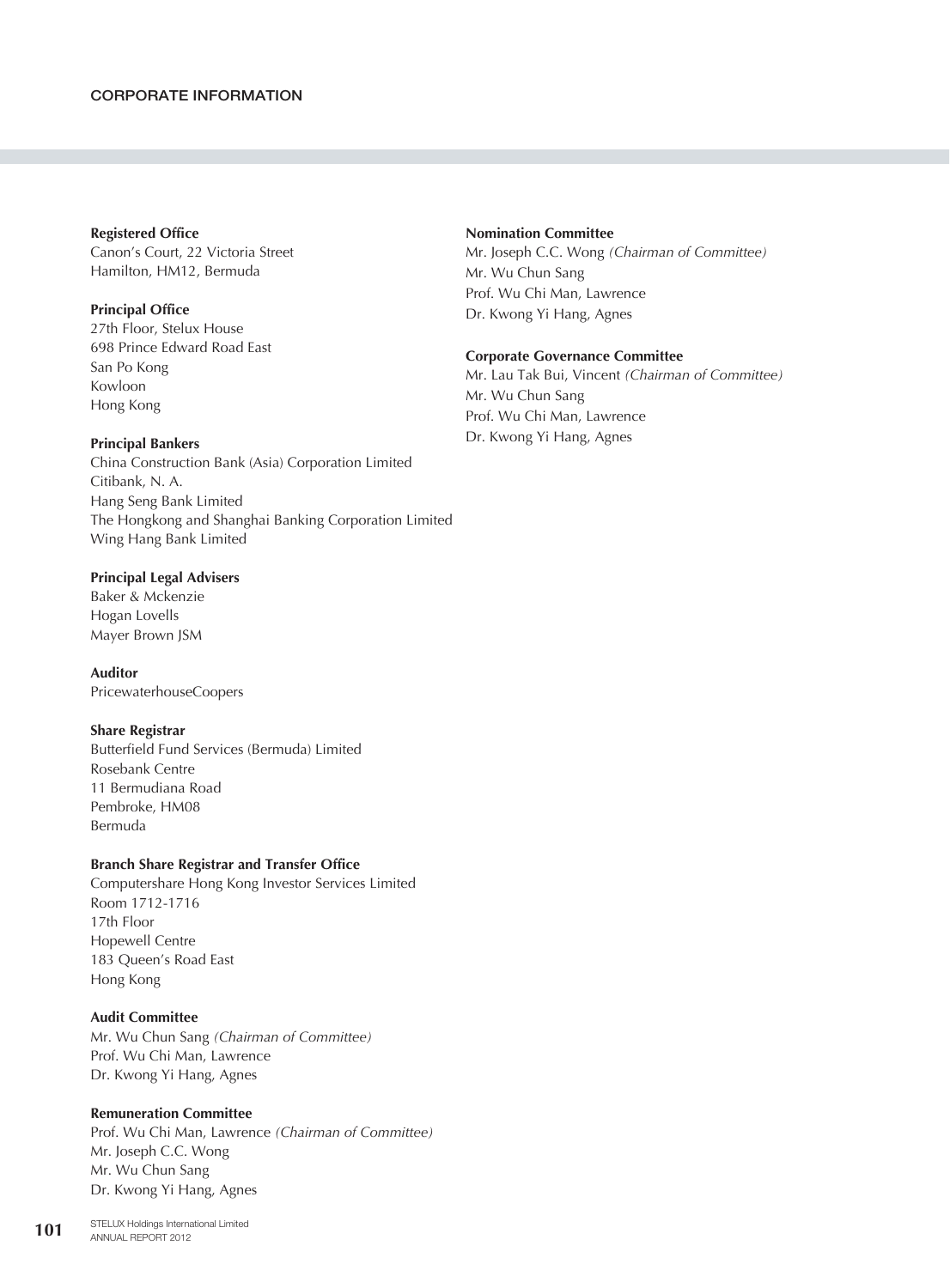#### **CORPORATE INFORMATION**

## **Registered Office**

Canon's Court, 22 Victoria Street Hamilton, HM12, Bermuda

#### **Principal Office**

27th Floor, Stelux House 698 Prince Edward Road East San Po Kong Kowloon Hong Kong

#### **Principal Bankers**

China Construction Bank (Asia) Corporation Limited Citibank, N. A. Hang Seng Bank Limited The Hongkong and Shanghai Banking Corporation Limited Wing Hang Bank Limited

#### **Principal Legal Advisers**

Baker & Mckenzie Hogan Lovells Mayer Brown JSM

#### **Auditor**

PricewaterhouseCoopers

#### **Share Registrar**

Butterfield Fund Services (Bermuda) Limited Rosebank Centre 11 Bermudiana Road Pembroke, HM08 Bermuda

### **Branch Share Registrar and Transfer Office**

Computershare Hong Kong Investor Services Limited Room 1712-1716 17th Floor Hopewell Centre 183 Queen's Road East Hong Kong

#### **Audit Committee**

Mr. Wu Chun Sang *(Chairman of Committee)* Prof. Wu Chi Man, Lawrence Dr. Kwong Yi Hang, Agnes

#### **Remuneration Committee**

Prof. Wu Chi Man, Lawrence *(Chairman of Committee)* Mr. Joseph C.C. Wong Mr. Wu Chun Sang Dr. Kwong Yi Hang, Agnes

## **Nomination Committee**

Mr. Joseph C.C. Wong *(Chairman of Committee)* Mr. Wu Chun Sang Prof. Wu Chi Man, Lawrence Dr. Kwong Yi Hang, Agnes

#### **Corporate Governance Committee**

Mr. Lau Tak Bui, Vincent *(Chairman of Committee)* Mr. Wu Chun Sang Prof. Wu Chi Man, Lawrence Dr. Kwong Yi Hang, Agnes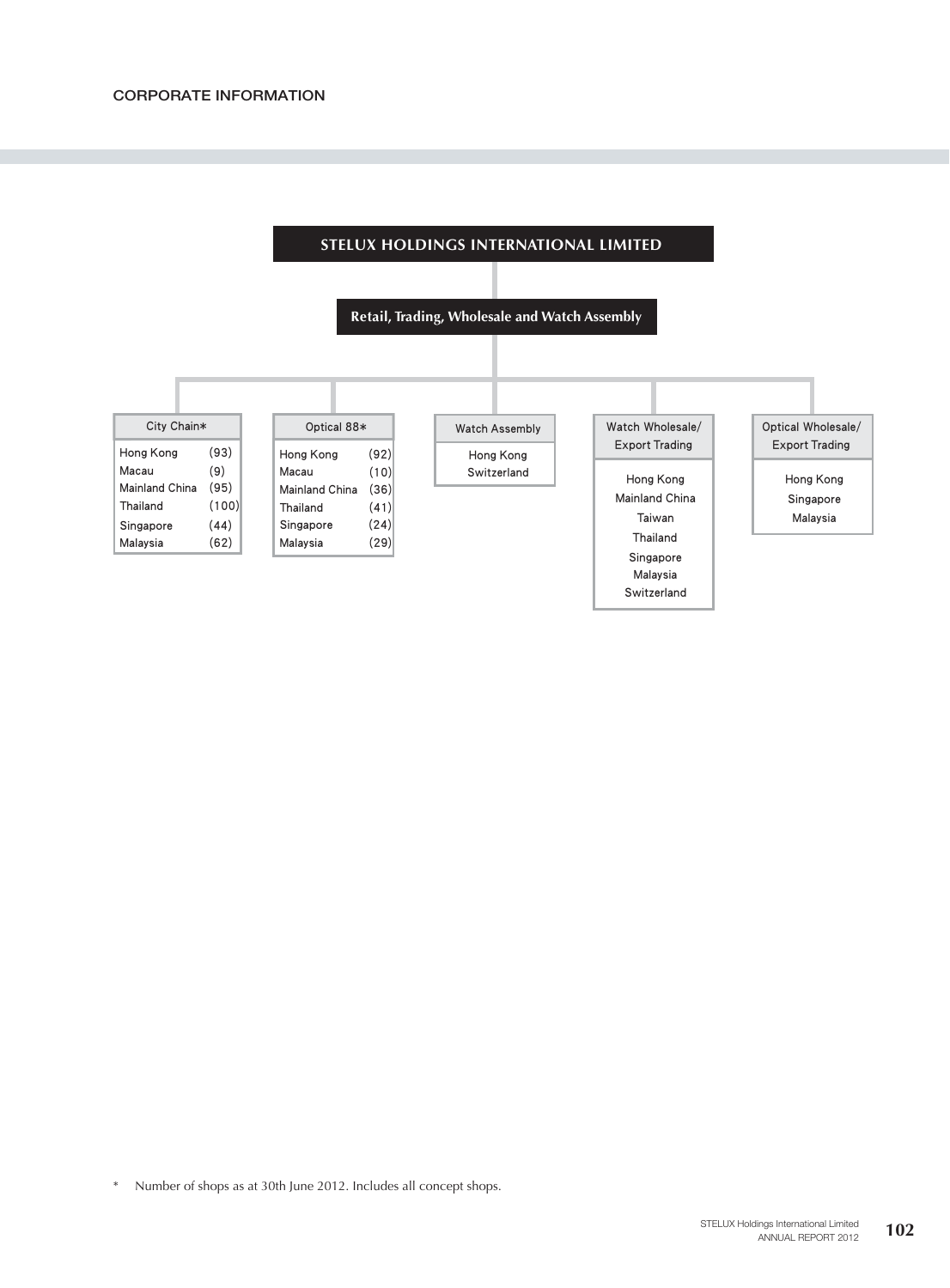# **STELUX HOLDINGS INTERNATIONAL LIMITED**

## **Retail, Trading, Wholesale and Watch Assembly**

| City Chain*           |       |  |
|-----------------------|-------|--|
| Hong Kong             | (93)  |  |
| Macau                 | (9)   |  |
| <b>Mainland China</b> | (95)  |  |
| Thailand              | (100) |  |
| Singapore             | (44)  |  |

 $(62)$ 

Malaysia

Optical 88\* Hong Kong Macau Mainland China (36) Thailand Singapore Malaysia  $(92)$  $(10)$  $(41)$  $(24)$  $(29)$  Watch Assembly

Hong Kong Switzerland Watch Wholesale/ Export Trading

> Hong Kong Mainland China Taiwan Switzerland Singapore Thailand Malaysia

Optical Wholesale/ Export Trading

> Hong Kong Malaysia Singapore

\* Number of shops as at 30th June 2012. Includes all concept shops.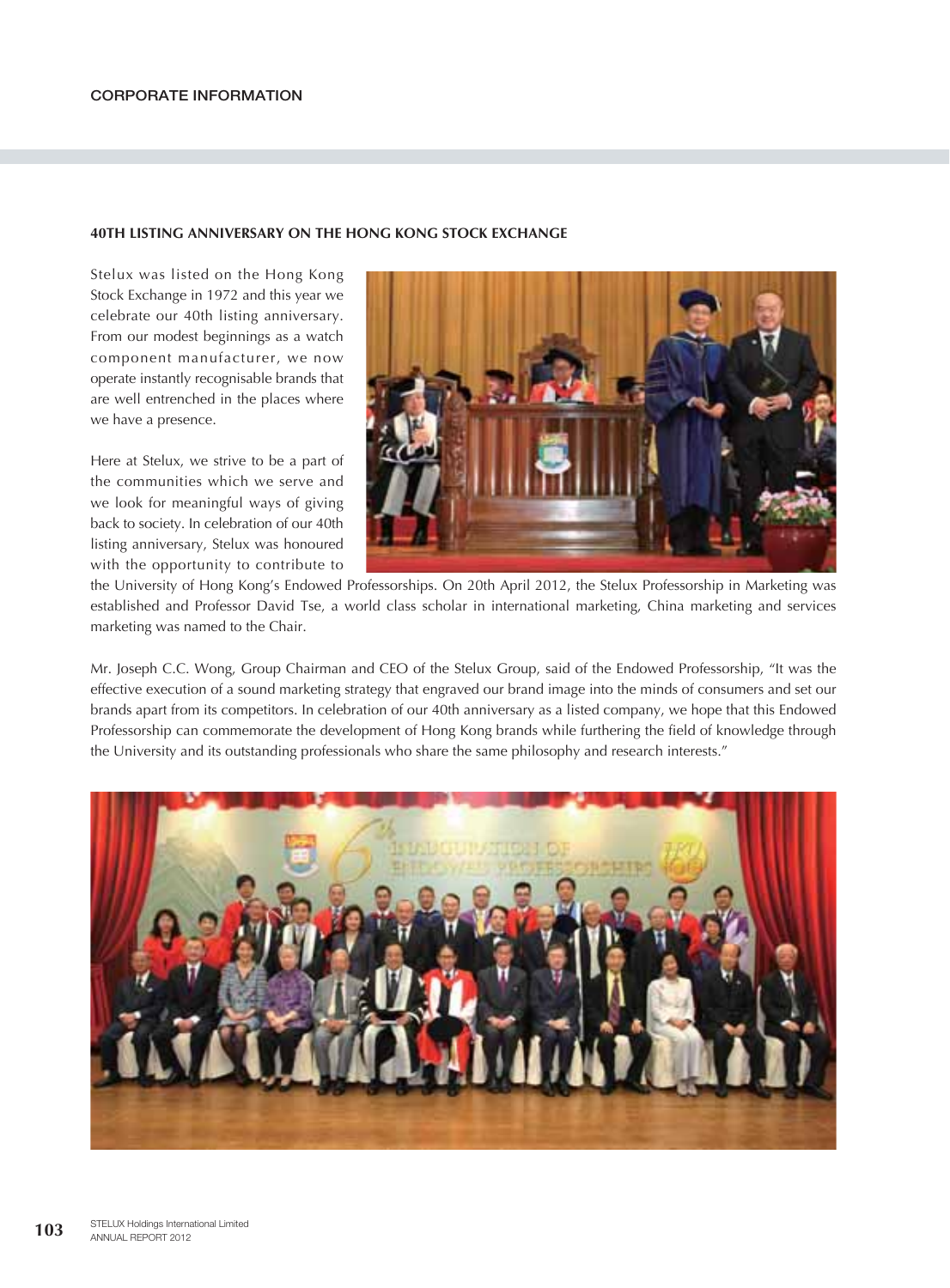### **40TH LISTING ANNIVERSARY ON THE HONG KONG STOCK EXCHANGE**

Stelux was listed on the Hong Kong Stock Exchange in 1972 and this year we celebrate our 40th listing anniversary. From our modest beginnings as a watch component manufacturer, we now operate instantly recognisable brands that are well entrenched in the places where we have a presence.

Here at Stelux, we strive to be a part of the communities which we serve and we look for meaningful ways of giving back to society. In celebration of our 40th listing anniversary, Stelux was honoured with the opportunity to contribute to



the University of Hong Kong's Endowed Professorships. On 20th April 2012, the Stelux Professorship in Marketing was established and Professor David Tse, a world class scholar in international marketing, China marketing and services marketing was named to the Chair.

Mr. Joseph C.C. Wong, Group Chairman and CEO of the Stelux Group, said of the Endowed Professorship, "It was the effective execution of a sound marketing strategy that engraved our brand image into the minds of consumers and set our brands apart from its competitors. In celebration of our 40th anniversary as a listed company, we hope that this Endowed Professorship can commemorate the development of Hong Kong brands while furthering the field of knowledge through the University and its outstanding professionals who share the same philosophy and research interests."

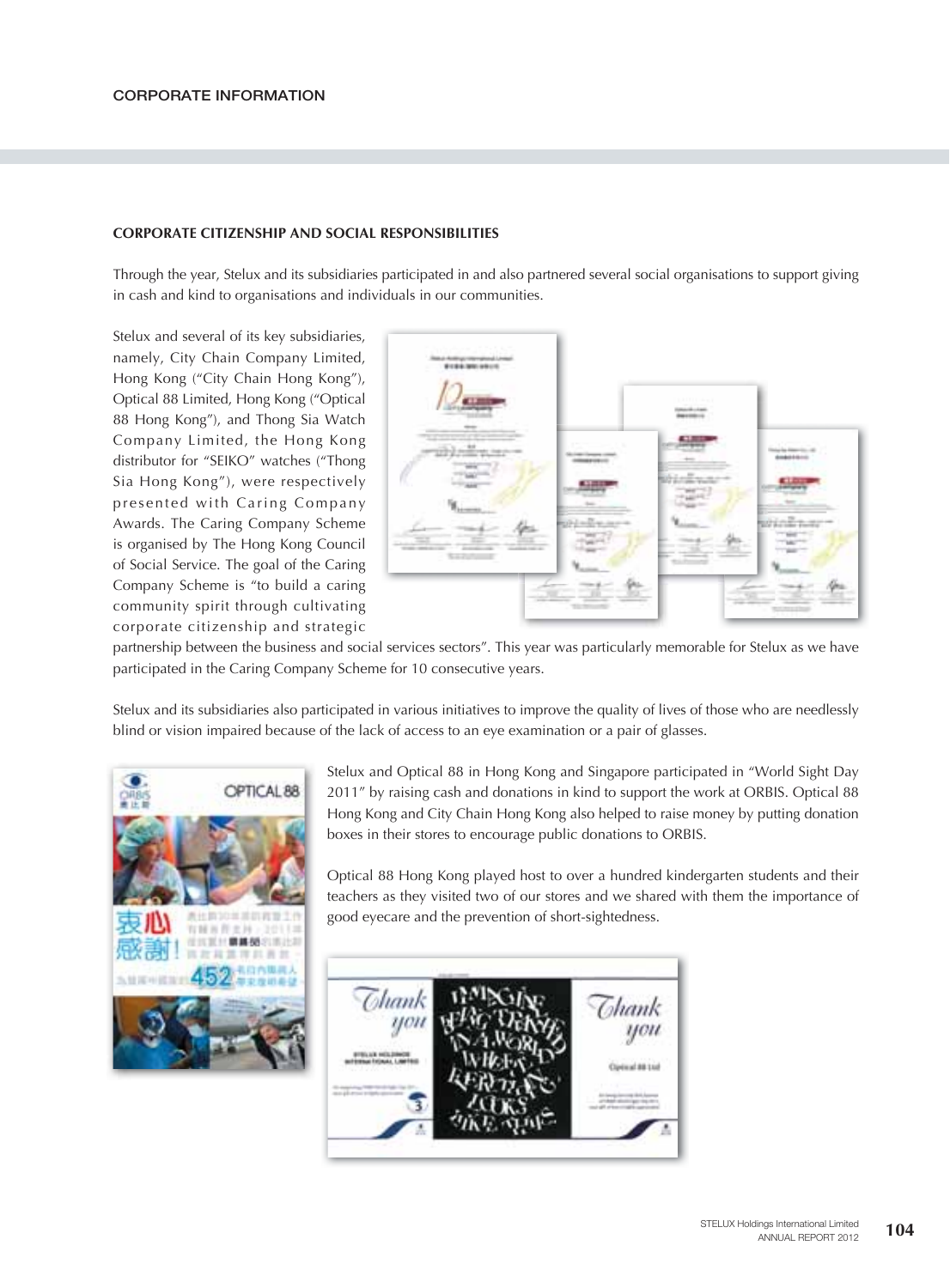### **CORPORATE CITIZENSHIP AND SOCIAL RESPONSIBILITIES**

Through the year, Stelux and its subsidiaries participated in and also partnered several social organisations to support giving in cash and kind to organisations and individuals in our communities.

Stelux and several of its key subsidiaries, namely, City Chain Company Limited, Hong Kong ("City Chain Hong Kong"), Optical 88 Limited, Hong Kong ("Optical 88 Hong Kong"), and Thong Sia Watch Company Limited, the Hong Kong distributor for "SEIKO" watches ("Thong Sia Hong Kong"), were respectively presented with Caring Company Awards. The Caring Company Scheme is organised by The Hong Kong Council of Social Service. The goal of the Caring Company Scheme is "to build a caring community spirit through cultivating corporate citizenship and strategic



partnership between the business and social services sectors". This year was particularly memorable for Stelux as we have participated in the Caring Company Scheme for 10 consecutive years.

Stelux and its subsidiaries also participated in various initiatives to improve the quality of lives of those who are needlessly blind or vision impaired because of the lack of access to an eye examination or a pair of glasses.



Stelux and Optical 88 in Hong Kong and Singapore participated in "World Sight Day 2011" by raising cash and donations in kind to support the work at ORBIS. Optical 88 Hong Kong and City Chain Hong Kong also helped to raise money by putting donation boxes in their stores to encourage public donations to ORBIS.

Optical 88 Hong Kong played host to over a hundred kindergarten students and their teachers as they visited two of our stores and we shared with them the importance of good eyecare and the prevention of short-sightedness.

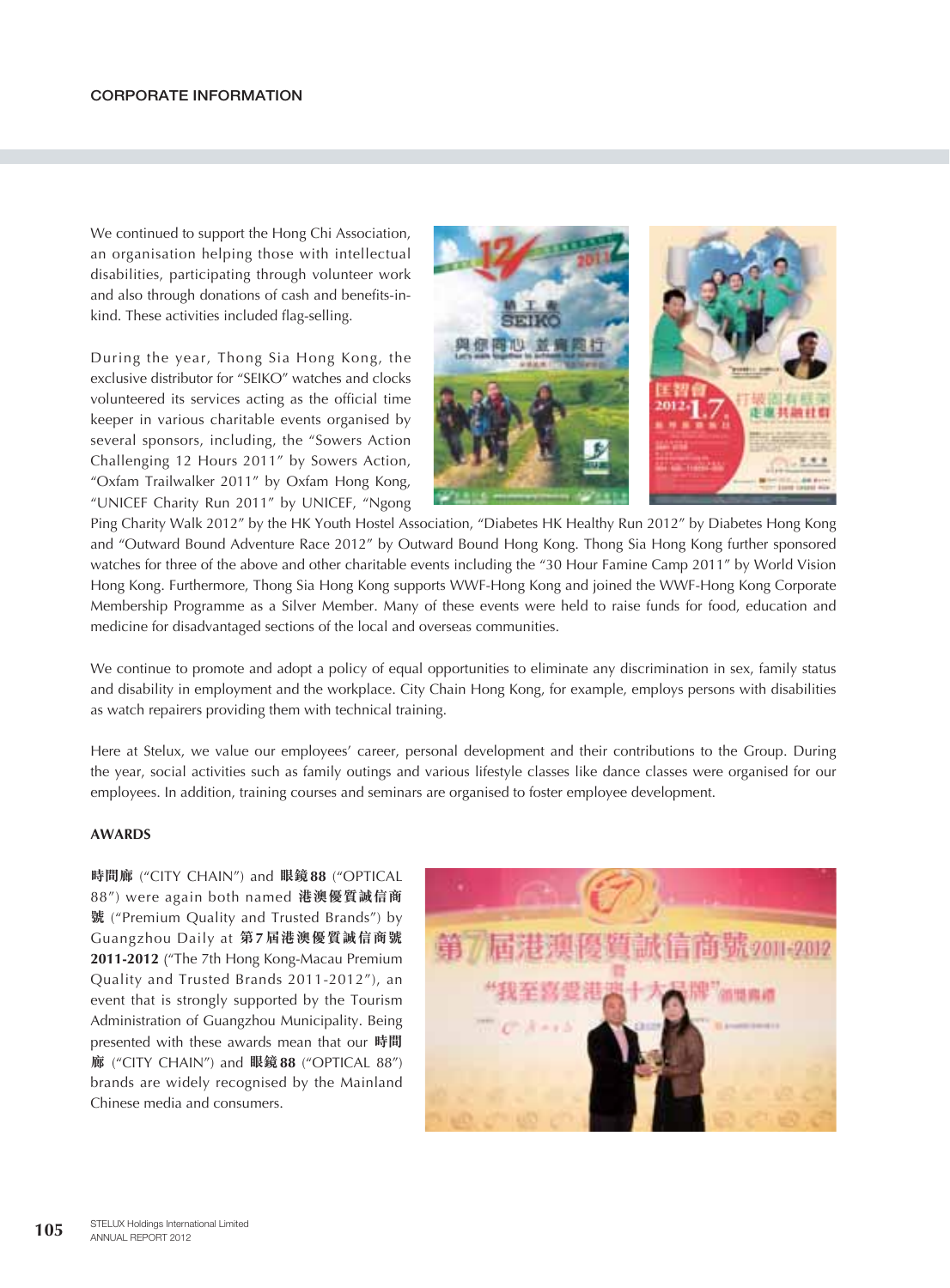We continued to support the Hong Chi Association, an organisation helping those with intellectual disabilities, participating through volunteer work and also through donations of cash and benefits-inkind. These activities included flag-selling.

During the year, Thong Sia Hong Kong, the exclusive distributor for "SEIKO" watches and clocks volunteered its services acting as the official time keeper in various charitable events organised by several sponsors, including, the "Sowers Action Challenging 12 Hours 2011" by Sowers Action, "Oxfam Trailwalker 2011" by Oxfam Hong Kong, "UNICEF Charity Run 2011" by UNICEF, "Ngong



Ping Charity Walk 2012" by the HK Youth Hostel Association, "Diabetes HK Healthy Run 2012" by Diabetes Hong Kong and "Outward Bound Adventure Race 2012" by Outward Bound Hong Kong. Thong Sia Hong Kong further sponsored watches for three of the above and other charitable events including the "30 Hour Famine Camp 2011" by World Vision Hong Kong. Furthermore, Thong Sia Hong Kong supports WWF-Hong Kong and joined the WWF-Hong Kong Corporate Membership Programme as a Silver Member. Many of these events were held to raise funds for food, education and medicine for disadvantaged sections of the local and overseas communities.

We continue to promote and adopt a policy of equal opportunities to eliminate any discrimination in sex, family status and disability in employment and the workplace. City Chain Hong Kong, for example, employs persons with disabilities as watch repairers providing them with technical training.

Here at Stelux, we value our employees' career, personal development and their contributions to the Group. During the year, social activities such as family outings and various lifestyle classes like dance classes were organised for our employees. In addition, training courses and seminars are organised to foster employee development.

#### **AWARDS**

**時間廊** ("CITY CHAIN") and **眼鏡88** ("OPTICAL 88") were again both named **港澳優質誠信商 號** ("Premium Quality and Trusted Brands") by Guangzhou Daily at **第7屆港澳優質誠信商號 2011-2012 (**"The 7th Hong Kong-Macau Premium Quality and Trusted Brands 2011-2012"), an event that is strongly supported by the Tourism Administration of Guangzhou Municipality. Being presented with these awards mean that our **時間 廊** ("CITY CHAIN") and **眼鏡88** ("OPTICAL 88") brands are widely recognised by the Mainland Chinese media and consumers.

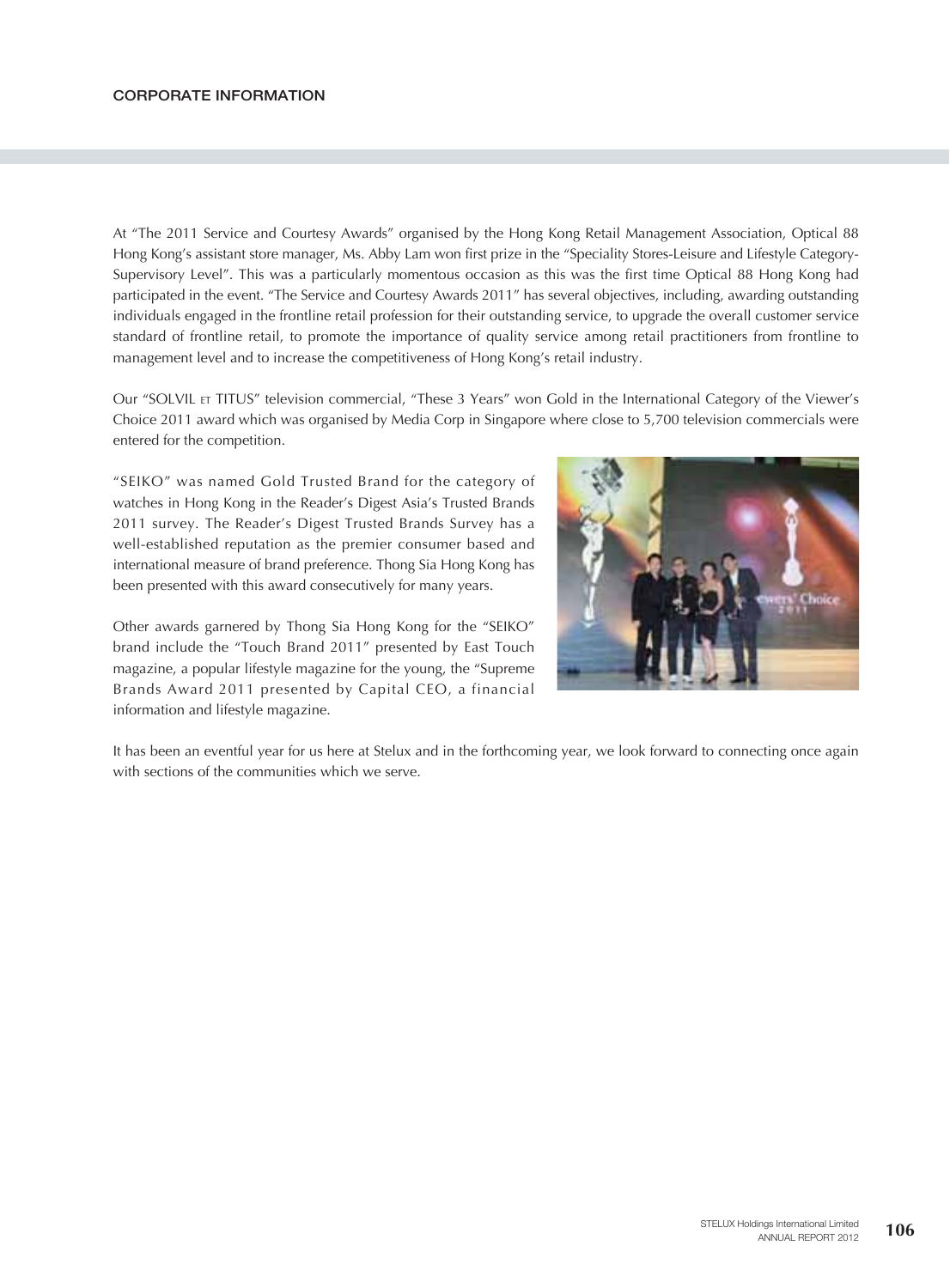At "The 2011 Service and Courtesy Awards" organised by the Hong Kong Retail Management Association, Optical 88 Hong Kong's assistant store manager, Ms. Abby Lam won first prize in the "Speciality Stores-Leisure and Lifestyle Category-Supervisory Level". This was a particularly momentous occasion as this was the first time Optical 88 Hong Kong had participated in the event. "The Service and Courtesy Awards 2011" has several objectives, including, awarding outstanding individuals engaged in the frontline retail profession for their outstanding service, to upgrade the overall customer service standard of frontline retail, to promote the importance of quality service among retail practitioners from frontline to management level and to increase the competitiveness of Hong Kong's retail industry.

Our "SOLVIL ET TITUS" television commercial, "These 3 Years" won Gold in the International Category of the Viewer's Choice 2011 award which was organised by Media Corp in Singapore where close to 5,700 television commercials were entered for the competition.

"SEIKO" was named Gold Trusted Brand for the category of watches in Hong Kong in the Reader's Digest Asia's Trusted Brands 2011 survey. The Reader's Digest Trusted Brands Survey has a well-established reputation as the premier consumer based and international measure of brand preference. Thong Sia Hong Kong has been presented with this award consecutively for many years.

Other awards garnered by Thong Sia Hong Kong for the "SEIKO" brand include the "Touch Brand 2011" presented by East Touch magazine, a popular lifestyle magazine for the young, the "Supreme Brands Award 2011 presented by Capital CEO, a financial information and lifestyle magazine.



It has been an eventful year for us here at Stelux and in the forthcoming year, we look forward to connecting once again with sections of the communities which we serve.